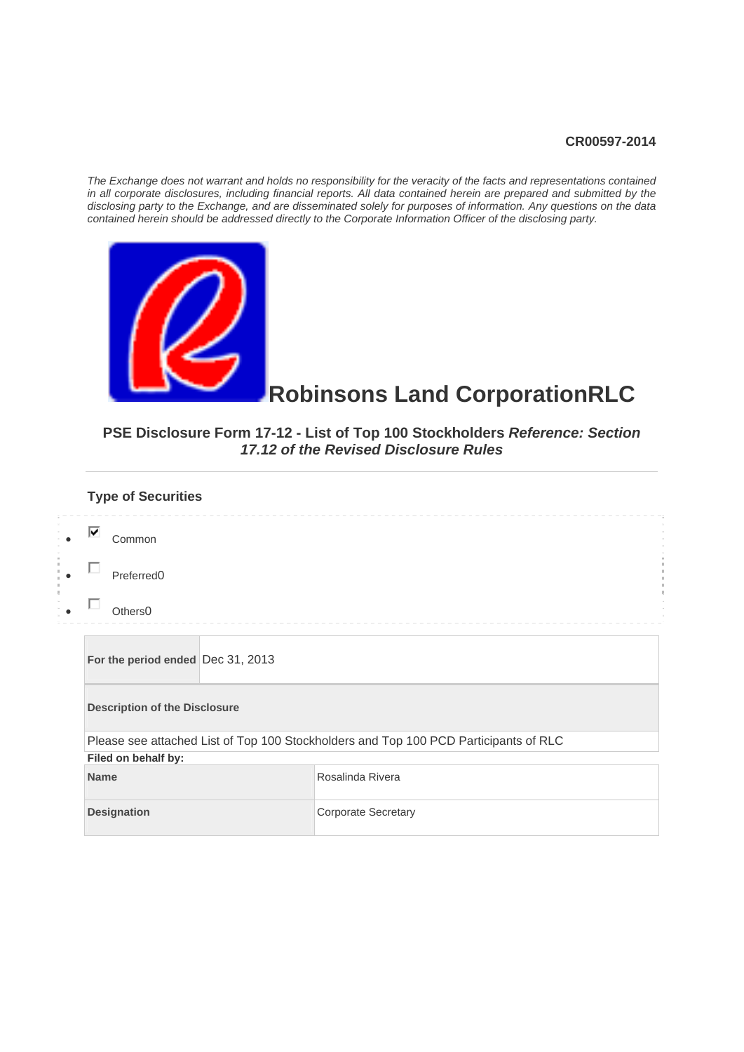#### **CR00597-2014**

*The Exchange does not warrant and holds no responsibility for the veracity of the facts and representations contained in all corporate disclosures, including financial reports. All data contained herein are prepared and submitted by the disclosing party to the Exchange, and are disseminated solely for purposes of information. Any questions on the data contained herein should be addressed directly to the Corporate Information Officer of the disclosing party.* 



#### **Robinsons Land CorporationRLC**

#### **PSE Disclosure Form 17-12 - List of Top 100 Stockholders** *Reference: Section 17.12 of the Revised Disclosure Rules*

| <b>Type of Securities</b>            |                                                                                      |  |  |  |  |  |
|--------------------------------------|--------------------------------------------------------------------------------------|--|--|--|--|--|
| ⊽<br>Common                          |                                                                                      |  |  |  |  |  |
| Preferred <sub>0</sub>               |                                                                                      |  |  |  |  |  |
| Others <sub>0</sub>                  |                                                                                      |  |  |  |  |  |
| For the period ended Dec 31, 2013    |                                                                                      |  |  |  |  |  |
| <b>Description of the Disclosure</b> |                                                                                      |  |  |  |  |  |
|                                      | Please see attached List of Top 100 Stockholders and Top 100 PCD Participants of RLC |  |  |  |  |  |
| Filed on behalf by:                  |                                                                                      |  |  |  |  |  |
| <b>Name</b>                          | Rosalinda Rivera                                                                     |  |  |  |  |  |
| <b>Designation</b>                   | <b>Corporate Secretary</b>                                                           |  |  |  |  |  |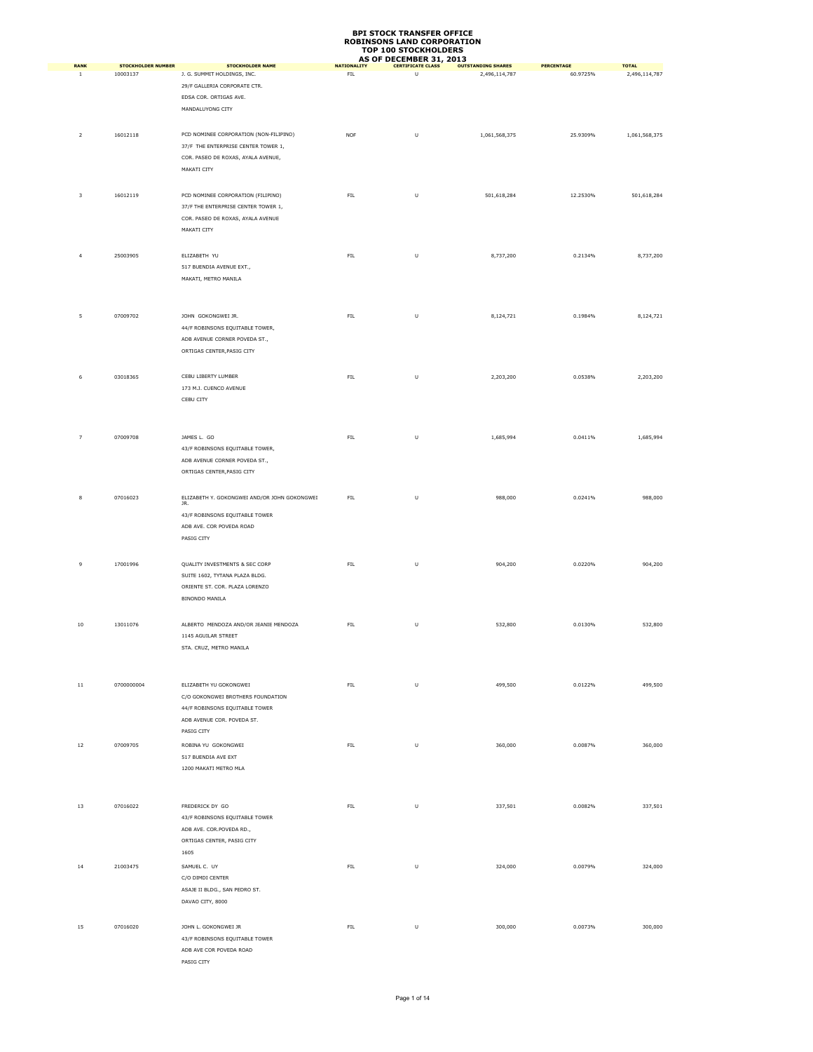#### **BPI STOCK TRANSFER OFFICE ROBINSONS LAND CORPORATION TOP 100 STOCKHOLDERS**

|                           |                                       |                                                        | יש ו                      | <b>TAR STOCKTOLDERS</b><br>AS OF DECEMBER 31, 2013 |                                            |                        |                               |
|---------------------------|---------------------------------------|--------------------------------------------------------|---------------------------|----------------------------------------------------|--------------------------------------------|------------------------|-------------------------------|
| <b>RANK</b><br>$\,$ 1     | <b>STOCKHOLDER NUMBER</b><br>10003137 | <b>STOCKHOLDER NAME</b><br>J. G. SUMMIT HOLDINGS, INC. | <b>NATIONALITY</b><br>FIL | <b>CERTIFICATE CLASS</b><br>U                      | <b>OUTSTANDING SHARES</b><br>2,496,114,787 | PERCENTAGE<br>60.9725% | <b>TOTAL</b><br>2,496,114,787 |
|                           |                                       | 29/F GALLERIA CORPORATE CTR.                           |                           |                                                    |                                            |                        |                               |
|                           |                                       |                                                        |                           |                                                    |                                            |                        |                               |
|                           |                                       | EDSA COR. ORTIGAS AVE.                                 |                           |                                                    |                                            |                        |                               |
|                           |                                       | MANDALUYONG CITY                                       |                           |                                                    |                                            |                        |                               |
|                           |                                       |                                                        |                           |                                                    |                                            |                        |                               |
| $\mathbf 2$               | 16012118                              | PCD NOMINEE CORPORATION (NON-FILIPINO)                 | <b>NOF</b>                | U                                                  | 1,061,568,375                              | 25.9309%               | 1,061,568,375                 |
|                           |                                       | 37/F THE ENTERPRISE CENTER TOWER 1,                    |                           |                                                    |                                            |                        |                               |
|                           |                                       | COR. PASEO DE ROXAS, AYALA AVENUE,                     |                           |                                                    |                                            |                        |                               |
|                           |                                       | MAKATI CITY                                            |                           |                                                    |                                            |                        |                               |
|                           |                                       |                                                        |                           |                                                    |                                            |                        |                               |
|                           | 16012119                              |                                                        | ${\sf FIL}$               | $\sf U$                                            |                                            | 12.2530%               | 501,618,284                   |
| 3                         |                                       | PCD NOMINEE CORPORATION (FILIPINO)                     |                           |                                                    | 501,618,284                                |                        |                               |
|                           |                                       | 37/F THE ENTERPRISE CENTER TOWER 1,                    |                           |                                                    |                                            |                        |                               |
|                           |                                       | COR. PASEO DE ROXAS, AYALA AVENUE                      |                           |                                                    |                                            |                        |                               |
|                           |                                       | MAKATI CITY                                            |                           |                                                    |                                            |                        |                               |
|                           |                                       |                                                        |                           |                                                    |                                            |                        |                               |
| $\ensuremath{\mathsf{4}}$ | 25003905                              | ELIZABETH YU                                           | FIL.                      | U                                                  | 8,737,200                                  | 0.2134%                | 8,737,200                     |
|                           |                                       | 517 BUENDIA AVENUE EXT.,                               |                           |                                                    |                                            |                        |                               |
|                           |                                       | MAKATI, METRO MANILA                                   |                           |                                                    |                                            |                        |                               |
|                           |                                       |                                                        |                           |                                                    |                                            |                        |                               |
|                           |                                       |                                                        |                           |                                                    |                                            |                        |                               |
|                           |                                       |                                                        |                           |                                                    |                                            |                        |                               |
| $\sf 5$                   | 07009702                              | JOHN GOKONGWEI JR.                                     | ${\sf FIL}$               | $\sf U$                                            | 8,124,721                                  | 0.1984%                | 8,124,721                     |
|                           |                                       | 44/F ROBINSONS EQUITABLE TOWER,                        |                           |                                                    |                                            |                        |                               |
|                           |                                       | ADB AVENUE CORNER POVEDA ST.,                          |                           |                                                    |                                            |                        |                               |
|                           |                                       | ORTIGAS CENTER, PASIG CITY                             |                           |                                                    |                                            |                        |                               |
|                           |                                       |                                                        |                           |                                                    |                                            |                        |                               |
| 6                         | 03018365                              | CEBU LIBERTY LUMBER                                    | ${\sf FIL}$               | $\sf U$                                            | 2,203,200                                  | 0.0538%                | 2,203,200                     |
|                           |                                       | 173 M.J. CUENCO AVENUE                                 |                           |                                                    |                                            |                        |                               |
|                           |                                       |                                                        |                           |                                                    |                                            |                        |                               |
|                           |                                       | CEBU CITY                                              |                           |                                                    |                                            |                        |                               |
|                           |                                       |                                                        |                           |                                                    |                                            |                        |                               |
|                           |                                       |                                                        |                           |                                                    |                                            |                        |                               |
| $\overline{\phantom{a}}$  | 07009708                              | JAMES L. GO                                            | ${\sf FIL}$               | U                                                  | 1,685,994                                  | 0.0411%                | 1,685,994                     |
|                           |                                       | 43/F ROBINSONS EQUITABLE TOWER,                        |                           |                                                    |                                            |                        |                               |
|                           |                                       | ADB AVENUE CORNER POVEDA ST.,                          |                           |                                                    |                                            |                        |                               |
|                           |                                       | ORTIGAS CENTER, PASIG CITY                             |                           |                                                    |                                            |                        |                               |
|                           |                                       |                                                        |                           |                                                    |                                            |                        |                               |
|                           |                                       |                                                        |                           |                                                    |                                            |                        |                               |
| 8                         | 07016023                              | ELIZABETH Y. GOKONGWEI AND/OR JOHN GOKONGWEI<br>JR.    | ${\sf FIL}$               | $\sf U$                                            | 988,000                                    | 0.0241%                | 988,000                       |
|                           |                                       | 43/F ROBINSONS EQUITABLE TOWER                         |                           |                                                    |                                            |                        |                               |
|                           |                                       | ADB AVE. COR POVEDA ROAD                               |                           |                                                    |                                            |                        |                               |
|                           |                                       | PASIG CITY                                             |                           |                                                    |                                            |                        |                               |
|                           |                                       |                                                        |                           |                                                    |                                            |                        |                               |
|                           |                                       |                                                        |                           |                                                    |                                            |                        |                               |
| 9                         | 17001996                              | QUALITY INVESTMENTS & SEC CORP                         | ${\sf FIL}$               | U                                                  | 904,200                                    | 0.0220%                | 904,200                       |
|                           |                                       | SUITE 1602, TYTANA PLAZA BLDG.                         |                           |                                                    |                                            |                        |                               |
|                           |                                       | ORIENTE ST. COR. PLAZA LORENZO                         |                           |                                                    |                                            |                        |                               |
|                           |                                       | BINONDO MANILA                                         |                           |                                                    |                                            |                        |                               |
|                           |                                       |                                                        |                           |                                                    |                                            |                        |                               |
| $10\,$                    | 13011076                              | ALBERTO MENDOZA AND/OR JEANIE MENDOZA                  | ${\sf FIL}$               | U                                                  | 532,800                                    | 0.0130%                | 532,800                       |
|                           |                                       | 1145 AGUILAR STREET                                    |                           |                                                    |                                            |                        |                               |
|                           |                                       |                                                        |                           |                                                    |                                            |                        |                               |
|                           |                                       | STA. CRUZ, METRO MANILA                                |                           |                                                    |                                            |                        |                               |
|                           |                                       |                                                        |                           |                                                    |                                            |                        |                               |
|                           |                                       |                                                        |                           |                                                    |                                            |                        |                               |
| $11\,$                    | 0700000004                            | ELIZABETH YU GOKONGWEI                                 | ${\sf FIL}$               | $\sf U$                                            | 499,500                                    | 0.0122%                | 499,500                       |
|                           |                                       | C/O GOKONGWEI BROTHERS FOUNDATION                      |                           |                                                    |                                            |                        |                               |
|                           |                                       | 44/F ROBINSONS EQUITABLE TOWER                         |                           |                                                    |                                            |                        |                               |
|                           |                                       | ADB AVENUE COR. POVEDA ST.                             |                           |                                                    |                                            |                        |                               |
|                           |                                       | PASIG CITY                                             |                           |                                                    |                                            |                        |                               |
|                           |                                       |                                                        |                           |                                                    |                                            |                        |                               |
| 12                        | 07009705                              | ROBINA YU GOKONGWEI                                    | FIL                       | $\sf U$                                            | 360,000                                    | 0.0087%                | 360,000                       |
|                           |                                       | 517 BUENDIA AVE EXT                                    |                           |                                                    |                                            |                        |                               |
|                           |                                       | 1200 MAKATI METRO MLA                                  |                           |                                                    |                                            |                        |                               |
|                           |                                       |                                                        |                           |                                                    |                                            |                        |                               |
|                           |                                       |                                                        |                           |                                                    |                                            |                        |                               |
| 13                        | 07016022                              | FREDERICK DY GO                                        | FIL.                      | U                                                  | 337,501                                    | 0.0082%                | 337,501                       |
|                           |                                       | 43/F ROBINSONS EQUITABLE TOWER                         |                           |                                                    |                                            |                        |                               |
|                           |                                       |                                                        |                           |                                                    |                                            |                        |                               |
|                           |                                       | ADB AVE. COR.POVEDA RD.,                               |                           |                                                    |                                            |                        |                               |
|                           |                                       | ORTIGAS CENTER, PASIG CITY                             |                           |                                                    |                                            |                        |                               |
|                           |                                       | 1605                                                   |                           |                                                    |                                            |                        |                               |
| 14                        | 21003475                              | SAMUEL C. UY                                           | ${\sf FIL}$               | $\sf U$                                            | 324,000                                    | 0.0079%                | 324,000                       |
|                           |                                       | C/O DIMDI CENTER                                       |                           |                                                    |                                            |                        |                               |
|                           |                                       | ASAJE II BLDG., SAN PEDRO ST.                          |                           |                                                    |                                            |                        |                               |
|                           |                                       | DAVAO CITY, 8000                                       |                           |                                                    |                                            |                        |                               |
|                           |                                       |                                                        |                           |                                                    |                                            |                        |                               |
|                           |                                       |                                                        |                           |                                                    |                                            |                        |                               |
| 15                        | 07016020                              | JOHN L. GOKONGWEI JR                                   | ${\sf FIL}$               | $\sf U$                                            | 300,000                                    | 0.0073%                | 300,000                       |
|                           |                                       | 43/F ROBINSONS EQUITABLE TOWER                         |                           |                                                    |                                            |                        |                               |
|                           |                                       | ADB AVE COR POVEDA ROAD                                |                           |                                                    |                                            |                        |                               |
|                           |                                       | PASIG CITY                                             |                           |                                                    |                                            |                        |                               |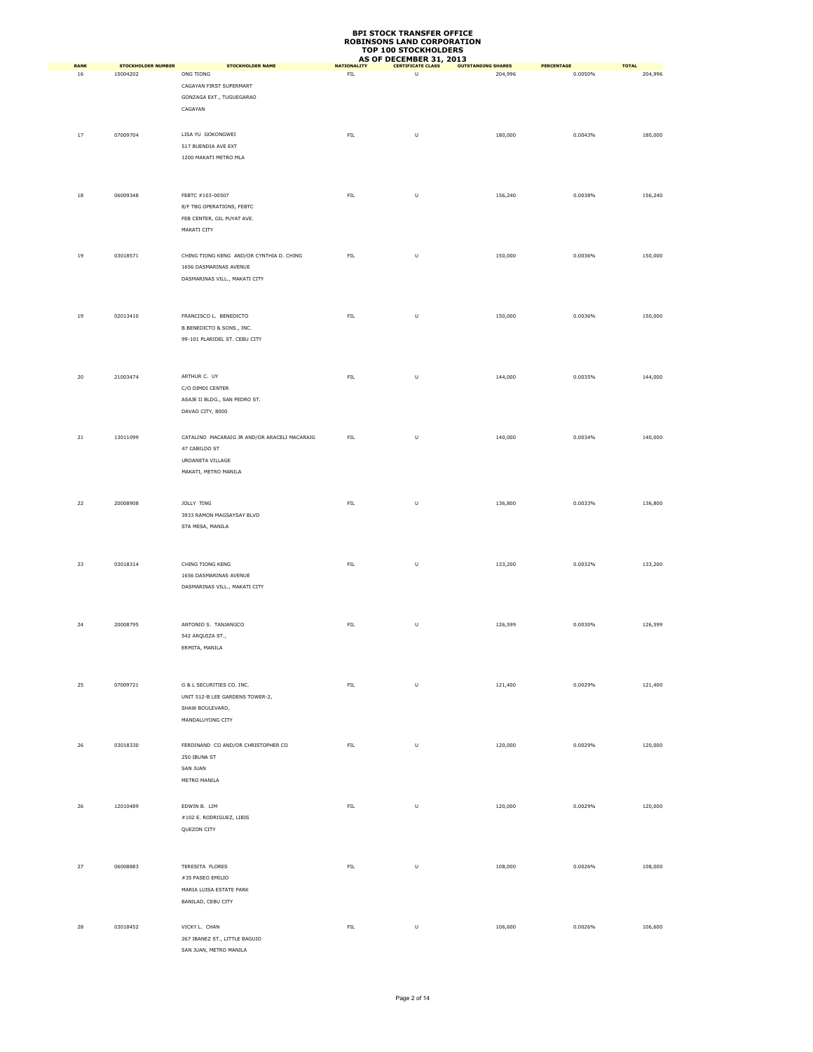| <b>RANK</b> | <b>STOCKHOLDER NUMBER</b> | <b>STOCKHOLDER NAME</b>                      | <b>NATIONALITY</b> | AS OF DECEMBER 31, 2013<br><b>CERTIFICATE CLASS</b> | <b>OUTSTANDING SHARES</b> | <b>PERCENTAGE</b> | <b>TOTAL</b> |
|-------------|---------------------------|----------------------------------------------|--------------------|-----------------------------------------------------|---------------------------|-------------------|--------------|
| 16          | 15004202                  | ONG TIONG                                    | ${\sf FIL}$        | $\sf U$                                             | 204,996                   | 0.0050%           | 204,996      |
|             |                           | CAGAYAN FIRST SUPERMART                      |                    |                                                     |                           |                   |              |
|             |                           | GONZAGA EXT., TUGUEGARAO                     |                    |                                                     |                           |                   |              |
|             |                           |                                              |                    |                                                     |                           |                   |              |
|             |                           | CAGAYAN                                      |                    |                                                     |                           |                   |              |
|             |                           |                                              |                    |                                                     |                           |                   |              |
| 17          | 07009704                  | LISA YU GOKONGWEI                            | ${\sf FIL}$        | $\sf U$                                             | 180,000                   | 0.0043%           | 180,000      |
|             |                           | 517 BUENDIA AVE EXT                          |                    |                                                     |                           |                   |              |
|             |                           | 1200 MAKATI METRO MLA                        |                    |                                                     |                           |                   |              |
|             |                           |                                              |                    |                                                     |                           |                   |              |
|             |                           |                                              |                    |                                                     |                           |                   |              |
|             |                           |                                              |                    |                                                     |                           |                   | 156,240      |
| $18\,$      | 06009348                  | FEBTC #103-00507                             | ${\sf FIL}$        | $\sf U$                                             | 156,240                   | 0.0038%           |              |
|             |                           | 8/F TBG OPERATIONS, FEBTC                    |                    |                                                     |                           |                   |              |
|             |                           | FEB CENTER, GIL PUYAT AVE.                   |                    |                                                     |                           |                   |              |
|             |                           | MAKATI CITY                                  |                    |                                                     |                           |                   |              |
|             |                           |                                              |                    |                                                     |                           |                   |              |
| 19          | 03018571                  | CHING TIONG KENG AND/OR CYNTHIA D. CHING     | FIL.               | $\sf U$                                             | 150,000                   | 0.0036%           | 150,000      |
|             |                           | 1656 DASMARINAS AVENUE                       |                    |                                                     |                           |                   |              |
|             |                           | DASMARINAS VILL., MAKATI CITY                |                    |                                                     |                           |                   |              |
|             |                           |                                              |                    |                                                     |                           |                   |              |
|             |                           |                                              |                    |                                                     |                           |                   |              |
|             |                           |                                              |                    |                                                     |                           |                   |              |
| 19          | 02013410                  | FRANCISCO L. BENEDICTO                       | ${\sf FIL}$        | $\sf U$                                             | 150,000                   | 0.0036%           | 150,000      |
|             |                           | B.BENEDICTO & SONS., INC.                    |                    |                                                     |                           |                   |              |
|             |                           | 99-101 PLARIDEL ST. CEBU CITY                |                    |                                                     |                           |                   |              |
|             |                           |                                              |                    |                                                     |                           |                   |              |
|             |                           |                                              |                    |                                                     |                           |                   |              |
|             |                           | ARTHUR C. UY                                 |                    |                                                     |                           |                   |              |
| $20\,$      | 21003474                  |                                              | ${\sf FIL}$        | $\cup$                                              | 144,000                   | 0.0035%           | 144,000      |
|             |                           | C/O DIMDI CENTER                             |                    |                                                     |                           |                   |              |
|             |                           | ASAJE II BLDG., SAN PEDRO ST.                |                    |                                                     |                           |                   |              |
|             |                           | DAVAO CITY, 8000                             |                    |                                                     |                           |                   |              |
|             |                           |                                              |                    |                                                     |                           |                   |              |
| $_{\rm 21}$ | 13011099                  | CATALINO MACARAIG JR AND/OR ARACELI MACARAIG | ${\sf FIL}$        | $\sf U$                                             | 140,000                   | 0.0034%           | 140,000      |
|             |                           | 47 CABILDO ST                                |                    |                                                     |                           |                   |              |
|             |                           | URDANETA VILLAGE                             |                    |                                                     |                           |                   |              |
|             |                           |                                              |                    |                                                     |                           |                   |              |
|             |                           | MAKATI, METRO MANILA                         |                    |                                                     |                           |                   |              |
|             |                           |                                              |                    |                                                     |                           |                   |              |
|             |                           |                                              |                    | $\sf U$                                             |                           | 0.0033%           |              |
| 22          | 20008908                  | JOLLY TING                                   | ${\sf FIL}$        |                                                     | 136,800                   |                   | 136,800      |
|             |                           | 3933 RAMON MAGSAYSAY BLVD                    |                    |                                                     |                           |                   |              |
|             |                           | STA MESA, MANILA                             |                    |                                                     |                           |                   |              |
|             |                           |                                              |                    |                                                     |                           |                   |              |
|             |                           |                                              |                    |                                                     |                           |                   |              |
| 23          | 03018314                  | CHING TIONG KENG                             | ${\sf FIL}$        | $\cup$                                              | 133,200                   | 0.0032%           | 133,200      |
|             |                           | 1656 DASMARINAS AVENUE                       |                    |                                                     |                           |                   |              |
|             |                           | DASMARINAS VILL., MAKATI CITY                |                    |                                                     |                           |                   |              |
|             |                           |                                              |                    |                                                     |                           |                   |              |
|             |                           |                                              |                    |                                                     |                           |                   |              |
|             |                           |                                              |                    |                                                     |                           |                   |              |
| 24          | 20008795                  | ANTONIO S. TANJANGCO                         | FIL                | $\sf U$                                             | 126,599                   | 0.0030%           | 126,599      |
|             |                           | 542 ARQUIZA ST.,                             |                    |                                                     |                           |                   |              |
|             |                           | ERMITA, MANILA                               |                    |                                                     |                           |                   |              |
|             |                           |                                              |                    |                                                     |                           |                   |              |
|             |                           |                                              |                    |                                                     |                           |                   |              |
|             |                           |                                              |                    |                                                     |                           |                   |              |
| 25          | 07009721                  | G & L SECURITIES CO. INC.                    | ${\sf FIL}$        | $\sf U$                                             | 121,400                   | 0.0029%           | 121,400      |
|             |                           | UNIT 512-B LEE GARDENS TOWER-2,              |                    |                                                     |                           |                   |              |
|             |                           | SHAW BOULEVARD,                              |                    |                                                     |                           |                   |              |
|             |                           | MANDALUYONG CITY                             |                    |                                                     |                           |                   |              |
|             |                           |                                              |                    |                                                     |                           |                   |              |
| 26          | 03018330                  | FERDINAND CO AND/OR CHRISTOPHER CO           | ${\sf FIL}$        | $\sf U$                                             | 120,000                   | 0.0029%           | 120,000      |
|             |                           |                                              |                    |                                                     |                           |                   |              |
|             |                           | 250 IBUNA ST                                 |                    |                                                     |                           |                   |              |
|             |                           | SAN JUAN                                     |                    |                                                     |                           |                   |              |
|             |                           | METRO MANILA                                 |                    |                                                     |                           |                   |              |
|             |                           |                                              |                    |                                                     |                           |                   |              |
| 26          | 12010489                  | EDWIN B. LIM                                 | ${\sf FIL}$        | $\sf U$                                             | 120,000                   | 0.0029%           | 120,000      |
|             |                           | #102 E. RODRIGUEZ, LIBIS                     |                    |                                                     |                           |                   |              |
|             |                           | QUEZON CITY                                  |                    |                                                     |                           |                   |              |
|             |                           |                                              |                    |                                                     |                           |                   |              |
|             |                           |                                              |                    |                                                     |                           |                   |              |
|             |                           |                                              |                    |                                                     |                           |                   |              |
| 27          | 06008883                  | TERESITA FLORES                              | ${\sf FIL}$        | $\sf U$                                             | 108,000                   | 0.0026%           | 108,000      |
|             |                           | #35 PASEO EMILIO                             |                    |                                                     |                           |                   |              |
|             |                           | MARIA LUISA ESTATE PARK                      |                    |                                                     |                           |                   |              |
|             |                           | BANILAD, CEBU CITY                           |                    |                                                     |                           |                   |              |
|             |                           |                                              |                    |                                                     |                           |                   |              |
|             |                           |                                              |                    |                                                     |                           |                   |              |
| 28          | 03018452                  | VICKY L. CHAN                                | ${\sf FIL}$        | $\cup$                                              | 106,600                   | 0.0026%           | 106,600      |
|             |                           | 267 IBANEZ ST., LITTLE BAGUIO                |                    |                                                     |                           |                   |              |
|             |                           | SAN JUAN, METRO MANILA                       |                    |                                                     |                           |                   |              |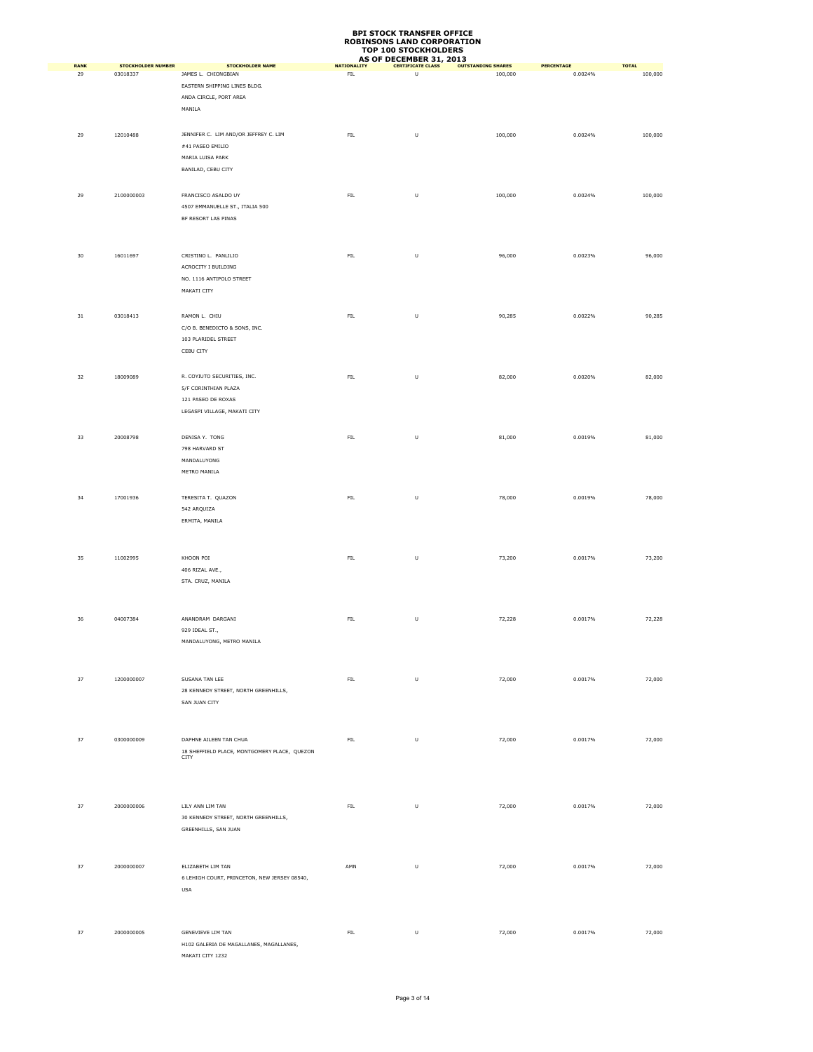|            | <b>STOCKHOLDER NUMBER</b> | <b>STOCKHOLDER NAME</b>                              |                          | AS OF DECEMBER 31, 2013       | <b>OUTSTANDING SHARES</b> |                              |                         |
|------------|---------------------------|------------------------------------------------------|--------------------------|-------------------------------|---------------------------|------------------------------|-------------------------|
| RANK<br>29 | 03018337                  | JAMES L. CHIONGBIAN                                  | <b>NATIONALITY</b><br>FL | <b>CERTIFICATE CLASS</b><br>U | 100,000                   | <b>PERCENTAGE</b><br>0.0024% | <b>TOTAL</b><br>100,000 |
|            |                           | EASTERN SHIPPING LINES BLDG.                         |                          |                               |                           |                              |                         |
|            |                           | ANDA CIRCLE, PORT AREA                               |                          |                               |                           |                              |                         |
|            |                           | MANILA                                               |                          |                               |                           |                              |                         |
|            |                           |                                                      |                          |                               |                           |                              |                         |
|            |                           |                                                      |                          |                               |                           |                              |                         |
| 29         | 12010488                  | JENNIFER C. LIM AND/OR JEFFREY C. LIM                | ${\sf FIL}$              | U                             | 100,000                   | 0.0024%                      | 100,000                 |
|            |                           | #41 PASEO EMILIO                                     |                          |                               |                           |                              |                         |
|            |                           | MARIA LUISA PARK                                     |                          |                               |                           |                              |                         |
|            |                           | BANILAD, CEBU CITY                                   |                          |                               |                           |                              |                         |
|            |                           |                                                      |                          |                               |                           |                              |                         |
|            |                           |                                                      |                          |                               |                           |                              |                         |
| 29         | 2100000003                | FRANCISCO ASALDO UY                                  | FL                       | U                             | 100,000                   | 0.0024%                      | 100,000                 |
|            |                           | 4507 EMMANUELLE ST., ITALIA 500                      |                          |                               |                           |                              |                         |
|            |                           | BF RESORT LAS PINAS                                  |                          |                               |                           |                              |                         |
|            |                           |                                                      |                          |                               |                           |                              |                         |
|            |                           |                                                      |                          |                               |                           |                              |                         |
| 30         | 16011697                  | CRISTINO L. PANLILIO                                 | ${\sf FIL}$              | U                             | 96,000                    | 0.0023%                      | 96,000                  |
|            |                           | ACROCITY I BUILDING                                  |                          |                               |                           |                              |                         |
|            |                           | NO. 1116 ANTIPOLO STREET                             |                          |                               |                           |                              |                         |
|            |                           | MAKATI CITY                                          |                          |                               |                           |                              |                         |
|            |                           |                                                      |                          |                               |                           |                              |                         |
|            |                           |                                                      |                          |                               |                           |                              |                         |
| 31         | 03018413                  | RAMON L. CHIU                                        | ${\sf FIL}$              | U                             | 90,285                    | 0.0022%                      | 90,285                  |
|            |                           | C/O B. BENEDICTO & SONS, INC.                        |                          |                               |                           |                              |                         |
|            |                           | 103 PLARIDEL STREET                                  |                          |                               |                           |                              |                         |
|            |                           | CEBU CITY                                            |                          |                               |                           |                              |                         |
|            |                           |                                                      |                          |                               |                           |                              |                         |
|            |                           |                                                      |                          |                               |                           |                              |                         |
| 32         | 18009089                  | R. COYIUTO SECURITIES, INC.                          | FIL                      | U                             | 82,000                    | 0.0020%                      | 82,000                  |
|            |                           | 5/F CORINTHIAN PLAZA                                 |                          |                               |                           |                              |                         |
|            |                           | 121 PASEO DE ROXAS                                   |                          |                               |                           |                              |                         |
|            |                           | LEGASPI VILLAGE, MAKATI CITY                         |                          |                               |                           |                              |                         |
|            |                           |                                                      |                          |                               |                           |                              |                         |
| 33         | 20008798                  | DENISA Y. TONG                                       | ${\sf FIL}$              | U                             | 81,000                    | 0.0019%                      | 81,000                  |
|            |                           | 798 HARVARD ST                                       |                          |                               |                           |                              |                         |
|            |                           |                                                      |                          |                               |                           |                              |                         |
|            |                           | MANDALUYONG                                          |                          |                               |                           |                              |                         |
|            |                           | METRO MANILA                                         |                          |                               |                           |                              |                         |
|            |                           |                                                      |                          |                               |                           |                              |                         |
| 34         | 17001936                  | TERESITA T. QUAZON                                   | ${\sf FIL}$              | U                             | 78,000                    | 0.0019%                      | 78,000                  |
|            |                           | 542 ARQUIZA                                          |                          |                               |                           |                              |                         |
|            |                           | ERMITA, MANILA                                       |                          |                               |                           |                              |                         |
|            |                           |                                                      |                          |                               |                           |                              |                         |
|            |                           |                                                      |                          |                               |                           |                              |                         |
|            |                           |                                                      |                          |                               |                           |                              |                         |
| 35         | 11002995                  | KHOON POI                                            | FL                       | U                             | 73,200                    | 0.0017%                      | 73,200                  |
|            |                           | 406 RIZAL AVE.,                                      |                          |                               |                           |                              |                         |
|            |                           | STA. CRUZ, MANILA                                    |                          |                               |                           |                              |                         |
|            |                           |                                                      |                          |                               |                           |                              |                         |
|            |                           |                                                      |                          |                               |                           |                              |                         |
| 36         | 04007384                  | ANANDRAM DARGANI                                     | ${\sf FIL}$              | U                             | 72,228                    | 0.0017%                      | 72,228                  |
|            |                           | 929 IDEAL ST.,                                       |                          |                               |                           |                              |                         |
|            |                           | MANDALUYONG, METRO MANILA                            |                          |                               |                           |                              |                         |
|            |                           |                                                      |                          |                               |                           |                              |                         |
|            |                           |                                                      |                          |                               |                           |                              |                         |
|            |                           |                                                      |                          |                               |                           |                              |                         |
| 37         | 1200000007                | SUSANA TAN LEE                                       | ${\sf FIL}$              | $\sf U$                       | 72,000                    | 0.0017%                      | 72,000                  |
|            |                           | 28 KENNEDY STREET, NORTH GREENHILLS,                 |                          |                               |                           |                              |                         |
|            |                           | SAN JUAN CITY                                        |                          |                               |                           |                              |                         |
|            |                           |                                                      |                          |                               |                           |                              |                         |
|            |                           |                                                      |                          |                               |                           |                              |                         |
| 37         | 0300000009                | DAPHNE AILEEN TAN CHUA                               | FL                       | $\sf U$                       | 72,000                    | 0.0017%                      | 72,000                  |
|            |                           |                                                      |                          |                               |                           |                              |                         |
|            |                           | 18 SHEFFIELD PLACE, MONTGOMERY PLACE, QUEZON<br>CITY |                          |                               |                           |                              |                         |
|            |                           |                                                      |                          |                               |                           |                              |                         |
|            |                           |                                                      |                          |                               |                           |                              |                         |
|            |                           |                                                      |                          |                               |                           |                              |                         |
|            |                           |                                                      |                          |                               |                           |                              |                         |
| 37         | 2000000006                | LILY ANN LIM TAN                                     | ${\sf FIL}$              | U                             | 72,000                    | 0.0017%                      | 72,000                  |
|            |                           | 30 KENNEDY STREET, NORTH GREENHILLS,                 |                          |                               |                           |                              |                         |
|            |                           | GREENHILLS, SAN JUAN                                 |                          |                               |                           |                              |                         |
|            |                           |                                                      |                          |                               |                           |                              |                         |
|            |                           |                                                      |                          |                               |                           |                              |                         |
| 37         | 2000000007                | ELIZABETH LIM TAN                                    | AMN                      | $\sf U$                       | 72,000                    | 0.0017%                      | 72,000                  |
|            |                           | 6 LEHIGH COURT, PRINCETON, NEW JERSEY 08540,         |                          |                               |                           |                              |                         |
|            |                           | <b>USA</b>                                           |                          |                               |                           |                              |                         |
|            |                           |                                                      |                          |                               |                           |                              |                         |
|            |                           |                                                      |                          |                               |                           |                              |                         |
|            |                           |                                                      |                          |                               |                           |                              |                         |
| 37         | 2000000005                | GENEVIEVE LIM TAN                                    | FL                       | U                             | 72,000                    | 0.0017%                      | 72,000                  |
|            |                           |                                                      |                          |                               |                           |                              |                         |
|            |                           | H102 GALERIA DE MAGALLANES, MAGALLANES,              |                          |                               |                           |                              |                         |
|            |                           | MAKATI CITY 1232                                     |                          |                               |                           |                              |                         |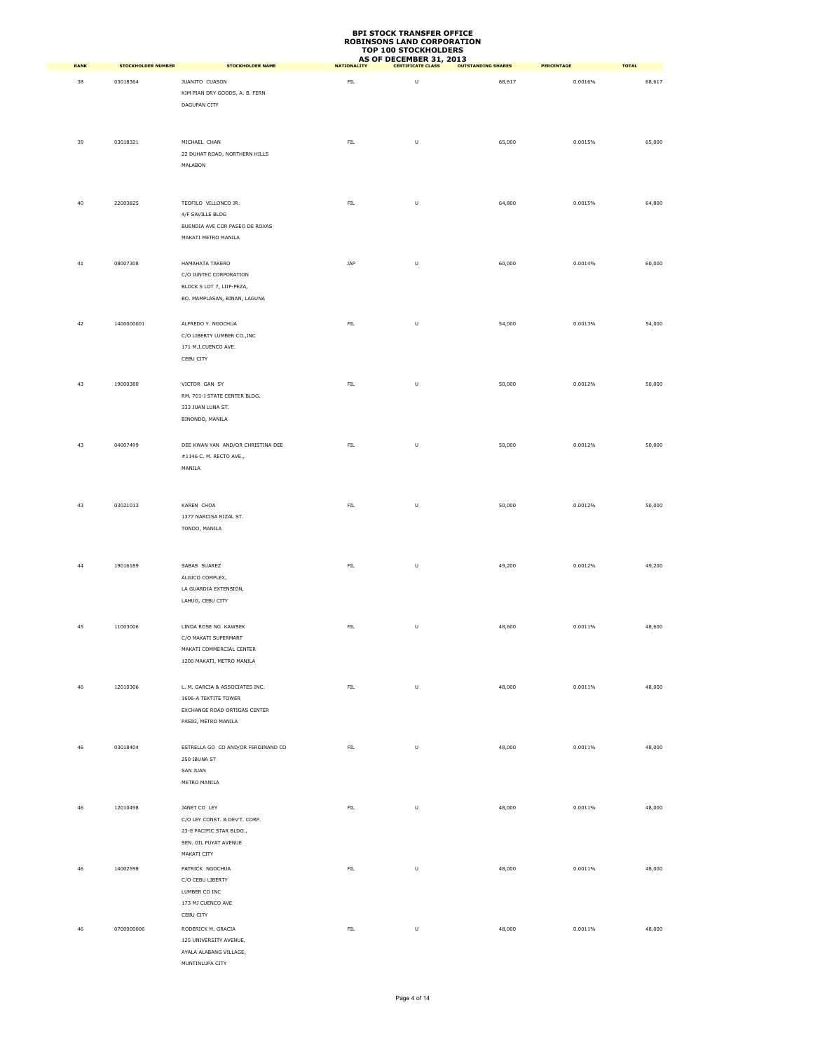| <b>BPI STOCK TRANSFER OFFICE</b>  |
|-----------------------------------|
| <b>ROBINSONS LAND CORPORATION</b> |
| <b>TOP 100 STOCKHOLDERS</b>       |
| <b>AS OF DECEMBER 31, 2013</b>    |

| <b>RANK</b> | <b>STOCKHOLDER NUMBER</b> | <b>STOCKHOLDER NAME</b>                           | <b>NATIONALITY</b> | AS OF DECEMBER 31, 2013<br><b>CERTIFICATE CLASS</b> | <b>OUTSTANDING SHARES</b> | <b>PERCENTAGE</b> | <b>TOTAL</b> |
|-------------|---------------------------|---------------------------------------------------|--------------------|-----------------------------------------------------|---------------------------|-------------------|--------------|
|             | 03018364                  | JUANITO CUASON                                    | ${\sf FIL}$        | $\cup$                                              |                           | 0.0016%           |              |
| 38          |                           | KIM PIAN DRY GOODS, A. B. FERN                    |                    |                                                     | 68,617                    |                   | 68,617       |
|             |                           | DAGUPAN CITY                                      |                    |                                                     |                           |                   |              |
|             |                           |                                                   |                    |                                                     |                           |                   |              |
|             |                           |                                                   |                    |                                                     |                           |                   |              |
| 39          | 03018321                  | MICHAEL CHAN                                      | ${\sf FIL}$        | $\sf U$                                             | 65,000                    | 0.0015%           | 65,000       |
|             |                           | 22 DUHAT ROAD, NORTHERN HILLS                     |                    |                                                     |                           |                   |              |
|             |                           | MALABON                                           |                    |                                                     |                           |                   |              |
|             |                           |                                                   |                    |                                                     |                           |                   |              |
|             |                           |                                                   |                    |                                                     |                           |                   |              |
| $40\,$      | 22003825                  | TEOFILO VILLONCO JR.                              | ${\sf FIL}$        | U                                                   | 64,800                    | 0.0015%           | 64,800       |
|             |                           | 4/F SAVILLE BLDG                                  |                    |                                                     |                           |                   |              |
|             |                           | BUENDIA AVE COR PASEO DE ROXAS                    |                    |                                                     |                           |                   |              |
|             |                           | MAKATI METRO MANILA                               |                    |                                                     |                           |                   |              |
|             |                           |                                                   |                    |                                                     |                           |                   |              |
| 41          | 08007308                  | HAMAHATA TAKERO                                   | JAP                | U                                                   | 60,000                    | 0.0014%           | 60,000       |
|             |                           | C/O JUNTEC CORPORATION                            |                    |                                                     |                           |                   |              |
|             |                           | BLOCK 5 LOT 7, LIIP-PEZA,                         |                    |                                                     |                           |                   |              |
|             |                           | BO. MAMPLASAN, BINAN, LAGUNA                      |                    |                                                     |                           |                   |              |
|             |                           |                                                   |                    |                                                     |                           |                   |              |
| 42          | 1400000001                | ALFREDO Y. NGOCHUA<br>C/O LIBERTY LUMBER CO., INC | FIL.               | U                                                   | 54,000                    | 0.0013%           | 54,000       |
|             |                           | 171 M.J.CUENCO AVE.                               |                    |                                                     |                           |                   |              |
|             |                           | CEBU CITY                                         |                    |                                                     |                           |                   |              |
|             |                           |                                                   |                    |                                                     |                           |                   |              |
| 43          | 19000380                  | VICTOR GAN SY                                     | ${\sf FIL}$        | U                                                   | 50,000                    | 0.0012%           | 50,000       |
|             |                           | RM. 701-J STATE CENTER BLDG.                      |                    |                                                     |                           |                   |              |
|             |                           | 333 JUAN LUNA ST.                                 |                    |                                                     |                           |                   |              |
|             |                           | BINONDO, MANILA                                   |                    |                                                     |                           |                   |              |
|             |                           |                                                   |                    |                                                     |                           |                   |              |
| 43          | 04007499                  | DEE KWAN YAN AND/OR CHRISTINA DEE                 | ${\sf FIL}$        | $\cup$                                              | 50,000                    | 0.0012%           | 50,000       |
|             |                           | #1146 C. M. RECTO AVE.,                           |                    |                                                     |                           |                   |              |
|             |                           | MANILA                                            |                    |                                                     |                           |                   |              |
|             |                           |                                                   |                    |                                                     |                           |                   |              |
|             |                           |                                                   |                    |                                                     |                           |                   |              |
| 43          | 03021013                  | KAREN CHOA                                        | ${\sf FIL}$        | U                                                   | 50,000                    | 0.0012%           | 50,000       |
|             |                           | 1377 NARCISA RIZAL ST.                            |                    |                                                     |                           |                   |              |
|             |                           | TONDO, MANILA                                     |                    |                                                     |                           |                   |              |
|             |                           |                                                   |                    |                                                     |                           |                   |              |
|             |                           |                                                   |                    |                                                     |                           |                   |              |
| $44\,$      | 19016189                  | SABAS SUAREZ                                      | ${\sf FIL}$        | $\sf U$                                             | 49,200                    | 0.0012%           | 49,200       |
|             |                           | ALGICO COMPLEX,<br>LA GUARDIA EXTENSION,          |                    |                                                     |                           |                   |              |
|             |                           | LAHUG, CEBU CITY                                  |                    |                                                     |                           |                   |              |
|             |                           |                                                   |                    |                                                     |                           |                   |              |
| 45          | 11003006                  | LINDA ROSE NG KAWSEK                              | FIL.               | U                                                   | 48,600                    | 0.0011%           | 48,600       |
|             |                           | C/O MAKATI SUPERMART                              |                    |                                                     |                           |                   |              |
|             |                           | MAKATI COMMERCIAL CENTER                          |                    |                                                     |                           |                   |              |
|             |                           | 1200 MAKATI, METRO MANILA                         |                    |                                                     |                           |                   |              |
|             |                           |                                                   |                    |                                                     |                           |                   |              |
| 46          | 12010306                  | L. M. GARCIA & ASSOCIATES INC.                    | ${\sf FIL}$        | $\sf U$                                             | 48,000                    | 0.0011%           | 48,000       |
|             |                           | 1606-A TEKTITE TOWER                              |                    |                                                     |                           |                   |              |
|             |                           | EXCHANGE ROAD ORTIGAS CENTER                      |                    |                                                     |                           |                   |              |
|             |                           | PASIG, METRO MANILA                               |                    |                                                     |                           |                   |              |
|             |                           |                                                   |                    |                                                     |                           |                   |              |
| 46          | 03018404                  | ESTRELLA GO CO AND/OR FERDINAND CO                | ${\sf FIL}$        | U                                                   | 48,000                    | 0.0011%           | 48,000       |
|             |                           | 250 IBUNA ST                                      |                    |                                                     |                           |                   |              |
|             |                           | <b>SAN JUAN</b>                                   |                    |                                                     |                           |                   |              |
|             |                           | METRO MANILA                                      |                    |                                                     |                           |                   |              |
|             |                           |                                                   |                    |                                                     |                           |                   |              |
| 46          | 12010498                  | JANET CO LEY                                      | ${\sf FIL}$        | $\sf U$                                             | 48,000                    | 0.0011%           | 48,000       |
|             |                           | C/O LEY CONST. & DEV'T. CORP.                     |                    |                                                     |                           |                   |              |
|             |                           | 23-E PACIFIC STAR BLDG.,<br>SEN. GIL PUYAT AVENUE |                    |                                                     |                           |                   |              |
|             |                           | MAKATI CITY                                       |                    |                                                     |                           |                   |              |
|             |                           |                                                   |                    |                                                     |                           |                   |              |
| 46          | 14002598                  | PATRICK NGOCHUA<br>C/O CEBU LIBERTY               | ${\sf FIL}$        | $\sf U$                                             | 48,000                    | 0.0011%           | 48,000       |
|             |                           | LUMBER CO INC                                     |                    |                                                     |                           |                   |              |
|             |                           | 173 MJ CUENCO AVE                                 |                    |                                                     |                           |                   |              |
|             |                           | CEBU CITY                                         |                    |                                                     |                           |                   |              |
| 46          | 0700000006                | RODERICK M. GRACIA                                | ${\sf FIL}$        | U                                                   | 48,000                    | 0.0011%           | 48,000       |
|             |                           | 125 UNIVERSITY AVENUE,                            |                    |                                                     |                           |                   |              |
|             |                           | AYALA ALABANG VILLAGE,                            |                    |                                                     |                           |                   |              |
|             |                           | MUNTINLUPA CITY                                   |                    |                                                     |                           |                   |              |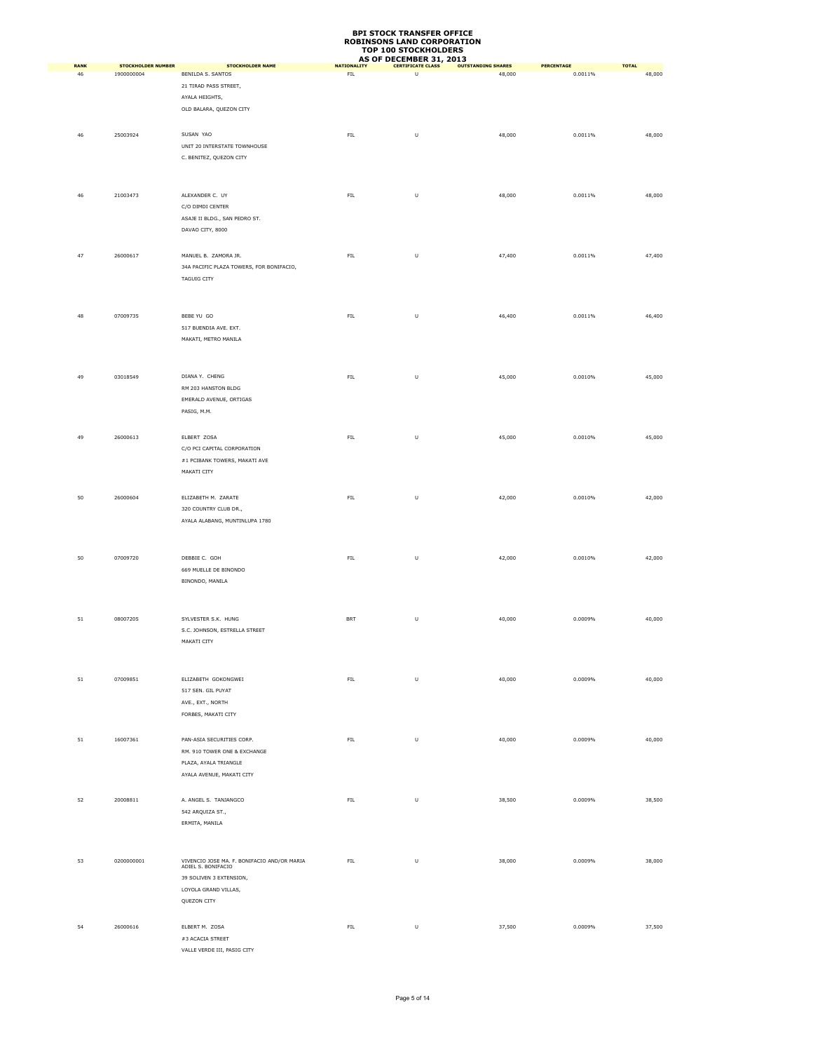|                   |                                         |                                                                                                                                     |                                   | AS OF DECEMBER 31, 2013       |                                     |                              |                        |
|-------------------|-----------------------------------------|-------------------------------------------------------------------------------------------------------------------------------------|-----------------------------------|-------------------------------|-------------------------------------|------------------------------|------------------------|
| <b>RANK</b><br>46 | <b>STOCKHOLDER NUMBER</b><br>1900000004 | <b>STOCKHOLDER NAME</b><br>BENILDA S. SANTOS<br>21 TIRAD PASS STREET,<br>AYALA HEIGHTS,<br>OLD BALARA, QUEZON CITY                  | <b>NATIONALITY</b><br>${\sf FIL}$ | <b>CERTIFICATE CLASS</b><br>U | <b>OUTSTANDING SHARES</b><br>48,000 | <b>PERCENTAGE</b><br>0.0011% | <b>TOTAL</b><br>48,000 |
| 46                | 25003924                                | SUSAN YAO<br>UNIT 20 INTERSTATE TOWNHOUSE<br>C. BENITEZ, QUEZON CITY                                                                | ${\sf FIL}$                       | U                             | 48,000                              | 0.0011%                      | 48,000                 |
| $\sqrt{46}$       | 21003473                                | ALEXANDER C. UY<br>C/O DIMDI CENTER<br>ASAJE II BLDG., SAN PEDRO ST.<br>DAVAO CITY, 8000                                            | FL                                | U                             | 48,000                              | 0.0011%                      | 48,000                 |
| 47                | 26000617                                | MANUEL B. ZAMORA JR.<br>34A PACIFIC PLAZA TOWERS, FOR BONIFACIO,<br><b>TAGUIG CITY</b>                                              | ${\sf FIL}$                       | U                             | 47,400                              | 0.0011%                      | 47,400                 |
| 48                | 07009735                                | BEBE YU GO<br>517 BUENDIA AVE. EXT.<br>MAKATI, METRO MANILA                                                                         | ${\sf FIL}$                       | U                             | 46,400                              | 0.0011%                      | 46,400                 |
| 49                | 03018549                                | DIANA Y. CHENG<br>RM 203 HANSTON BLDG<br>EMERALD AVENUE, ORTIGAS<br>PASIG, M.M.                                                     | ${\sf FIL}$                       | U                             | 45,000                              | 0.0010%                      | 45,000                 |
| 49                | 26000613                                | ELBERT ZOSA<br>C/O PCI CAPITAL CORPORATION<br>#1 PCIBANK TOWERS, MAKATI AVE<br>MAKATI CITY                                          | ${\sf FIL}$                       | U                             | 45,000                              | 0.0010%                      | 45,000                 |
| 50                | 26000604                                | ELIZABETH M. ZARATE<br>320 COUNTRY CLUB DR.,<br>AYALA ALABANG, MUNTINLUPA 1780                                                      | FIL.                              | U                             | 42,000                              | 0.0010%                      | 42,000                 |
| 50                | 07009720                                | DEBBIE C. GOH<br>669 MUELLE DE BINONDO<br>BINONDO, MANILA                                                                           | ${\sf FIL}$                       | U                             | 42,000                              | 0.0010%                      | 42,000                 |
| 51                | 08007205                                | SYLVESTER S.K. HUNG<br>S.C. JOHNSON, ESTRELLA STREET<br>MAKATI CITY                                                                 | <b>BRT</b>                        | U                             | 40,000                              | 0.0009%                      | 40,000                 |
| 51                | 07009851                                | ELIZABETH GOKONGWEI<br>517 SEN. GIL PUYAT<br>AVE., EXT., NORTH<br>FORBES, MAKATI CITY                                               | ${\sf FIL}$                       | U                             | 40,000                              | 0.0009%                      | 40,000                 |
| $51\,$            | 16007361                                | PAN-ASIA SECURITIES CORP.<br>RM. 910 TOWER ONE & EXCHANGE<br>PLAZA, AYALA TRIANGLE<br>AYALA AVENUE, MAKATI CITY                     | ${\sf FIL}$                       | $\sf U$                       | 40,000                              | 0.0009%                      | 40,000                 |
| 52                | 20008811                                | A. ANGEL S. TANJANGCO<br>542 ARQUIZA ST.,<br>ERMITA, MANILA                                                                         | FIL.                              | U                             | 38,500                              | 0.0009%                      | 38,500                 |
| 53                | 0200000001                              | VIVENCIO JOSE MA. F. BONIFACIO AND/OR MARIA<br>ADIEL S. BONIFACIO<br>39 SOLIVEN 3 EXTENSION,<br>LOYOLA GRAND VILLAS,<br>QUEZON CITY | ${\sf FIL}$                       | U                             | 38,000                              | 0.0009%                      | 38,000                 |
| 54                | 26000616                                | ELBERT M. ZOSA<br>#3 ACACIA STREET<br>VALLE VERDE III, PASIG CITY                                                                   | ${\sf FIL}$                       | U                             | 37,500                              | 0.0009%                      | 37,500                 |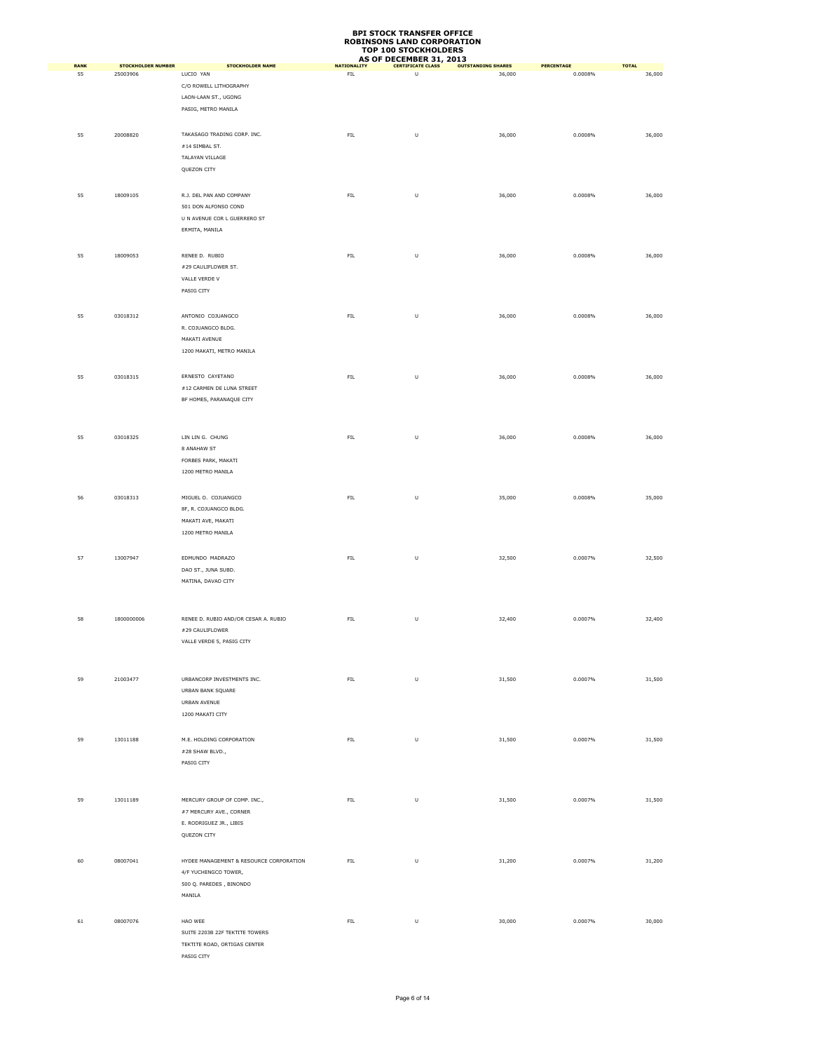| <b>RANK</b> | <b>STOCKHOLDER NUMBER</b> | <b>STOCKHOLDER NAME</b>                   | <b>NATIONALITY</b> | AS OF DECEMBER 31, 2013<br><b>CERTIFICATE CLASS</b> | <b>OUTSTANDING SHARES</b> | PERCENTAGE | <b>TOTAL</b> |
|-------------|---------------------------|-------------------------------------------|--------------------|-----------------------------------------------------|---------------------------|------------|--------------|
| 55          | 25003906                  | LUCIO YAN                                 | ${\sf FIL}$        | U                                                   | 36,000                    | 0.0008%    | 36,000       |
|             |                           | C/O ROWELL LITHOGRAPHY                    |                    |                                                     |                           |            |              |
|             |                           | LAON-LAAN ST., UGONG                      |                    |                                                     |                           |            |              |
|             |                           | PASIG, METRO MANILA                       |                    |                                                     |                           |            |              |
|             | 20008820                  | TAKASAGO TRADING CORP. INC.               | ${\sf FIL}$        |                                                     |                           |            |              |
| 55          |                           | $\#14$ SIMBAL ST.                         |                    | U                                                   | 36,000                    | 0.0008%    | 36,000       |
|             |                           | TALAYAN VILLAGE                           |                    |                                                     |                           |            |              |
|             |                           | QUEZON CITY                               |                    |                                                     |                           |            |              |
|             |                           |                                           |                    |                                                     |                           |            |              |
| 55          | 18009105                  | R.J. DEL PAN AND COMPANY                  | FL                 | U                                                   | 36,000                    | 0.0008%    | 36,000       |
|             |                           | 501 DON ALFONSO COND                      |                    |                                                     |                           |            |              |
|             |                           | U N AVENUE COR L GUERRERO ST              |                    |                                                     |                           |            |              |
|             |                           | ERMITA, MANILA                            |                    |                                                     |                           |            |              |
|             |                           |                                           |                    |                                                     |                           |            |              |
| 55          | 18009053                  | RENEE D. RUBIO<br>#29 CAULIFLOWER ST.     | ${\sf FIL}$        | $\sf U$                                             | 36,000                    | 0.0008%    | 36,000       |
|             |                           | VALLE VERDE V                             |                    |                                                     |                           |            |              |
|             |                           | PASIG CITY                                |                    |                                                     |                           |            |              |
|             |                           |                                           |                    |                                                     |                           |            |              |
| 55          | 03018312                  | ANTONIO COJUANGCO                         | ${\sf FIL}$        | U                                                   | 36,000                    | 0.0008%    | 36,000       |
|             |                           | R. COJUANGCO BLDG.                        |                    |                                                     |                           |            |              |
|             |                           | MAKATI AVENUE                             |                    |                                                     |                           |            |              |
|             |                           | 1200 MAKATI, METRO MANILA                 |                    |                                                     |                           |            |              |
|             |                           |                                           |                    |                                                     |                           |            |              |
| 55          | 03018315                  | ERNESTO CAYETANO                          | ${\sf FIL}$        | $\sf U$                                             | 36,000                    | 0.0008%    | 36,000       |
|             |                           | #12 CARMEN DE LUNA STREET                 |                    |                                                     |                           |            |              |
|             |                           | BF HOMES, PARANAQUE CITY                  |                    |                                                     |                           |            |              |
|             |                           |                                           |                    |                                                     |                           |            |              |
| 55          | 03018325                  | LIN LIN G. CHUNG                          | ${\sf FIL}$        | $\sf U$                                             | 36,000                    | 0.0008%    | 36,000       |
|             |                           | 8 ANAHAW ST                               |                    |                                                     |                           |            |              |
|             |                           | FORBES PARK, MAKATI                       |                    |                                                     |                           |            |              |
|             |                           | 1200 METRO MANILA                         |                    |                                                     |                           |            |              |
|             |                           |                                           |                    |                                                     |                           |            |              |
| 56          | 03018313                  | MIGUEL O. COJUANGCO                       | FIL                | U                                                   | 35,000                    | 0.0008%    | 35,000       |
|             |                           | 8F, R. COJUANGCO BLDG.                    |                    |                                                     |                           |            |              |
|             |                           | MAKATI AVE, MAKATI<br>1200 METRO MANILA   |                    |                                                     |                           |            |              |
|             |                           |                                           |                    |                                                     |                           |            |              |
| 57          | 13007947                  | EDMUNDO MADRAZO                           | ${\sf FIL}$        | U                                                   | 32,500                    | 0.0007%    | 32,500       |
|             |                           | DAO ST., JUNA SUBD.                       |                    |                                                     |                           |            |              |
|             |                           | MATINA, DAVAO CITY                        |                    |                                                     |                           |            |              |
|             |                           |                                           |                    |                                                     |                           |            |              |
|             |                           |                                           |                    |                                                     |                           |            |              |
| 58          | 1800000006                | RENEE D. RUBIO AND/OR CESAR A. RUBIO      | ${\sf FIL}$        | $\sf U$                                             | 32,400                    | 0.0007%    | 32,400       |
|             |                           | #29 CAULIFLOWER                           |                    |                                                     |                           |            |              |
|             |                           | VALLE VERDE 5, PASIG CITY                 |                    |                                                     |                           |            |              |
|             |                           |                                           |                    |                                                     |                           |            |              |
| 59          | 21003477                  | URBANCORP INVESTMENTS INC.                | FL                 | U                                                   | 31,500                    | 0.0007%    | 31,500       |
|             |                           | URBAN BANK SQUARE                         |                    |                                                     |                           |            |              |
|             |                           | URBAN AVENUE                              |                    |                                                     |                           |            |              |
|             |                           | 1200 MAKATI CITY                          |                    |                                                     |                           |            |              |
|             |                           |                                           |                    |                                                     |                           |            |              |
| 59          | 13011188                  | M.E. HOLDING CORPORATION                  | ${\sf FIL}$        | $\sf U$                                             | 31,500                    | 0.0007%    | 31,500       |
|             |                           | #28 SHAW BLVD.,                           |                    |                                                     |                           |            |              |
|             |                           | PASIG CITY                                |                    |                                                     |                           |            |              |
|             |                           |                                           |                    |                                                     |                           |            |              |
| 59          | 13011189                  | MERCURY GROUP OF COMP. INC.,              | ${\sf FIL}$        | U                                                   | 31,500                    | 0.0007%    | 31,500       |
|             |                           | #7 MERCURY AVE., CORNER                   |                    |                                                     |                           |            |              |
|             |                           | E. RODRIGUEZ JR., LIBIS                   |                    |                                                     |                           |            |              |
|             |                           | QUEZON CITY                               |                    |                                                     |                           |            |              |
|             |                           |                                           |                    |                                                     |                           |            |              |
| 60          | 08007041                  | HYDEE MANAGEMENT & RESOURCE CORPORATION   | ${\sf FIL}$        | U                                                   | 31,200                    | 0.0007%    | 31,200       |
|             |                           | 4/F YUCHENGCO TOWER,                      |                    |                                                     |                           |            |              |
|             |                           | 500 Q. PAREDES, BINONDO                   |                    |                                                     |                           |            |              |
|             |                           | MANILA                                    |                    |                                                     |                           |            |              |
|             |                           |                                           |                    |                                                     |                           |            |              |
| 61          | 08007076                  | HAO WEE<br>SUITE 2203B 22F TEKTITE TOWERS | ${\sf FIL}$        | $\sf U$                                             | 30,000                    | 0.0007%    | 30,000       |
|             |                           | TEKTITE ROAD, ORTIGAS CENTER              |                    |                                                     |                           |            |              |
|             |                           | PASIG CITY                                |                    |                                                     |                           |            |              |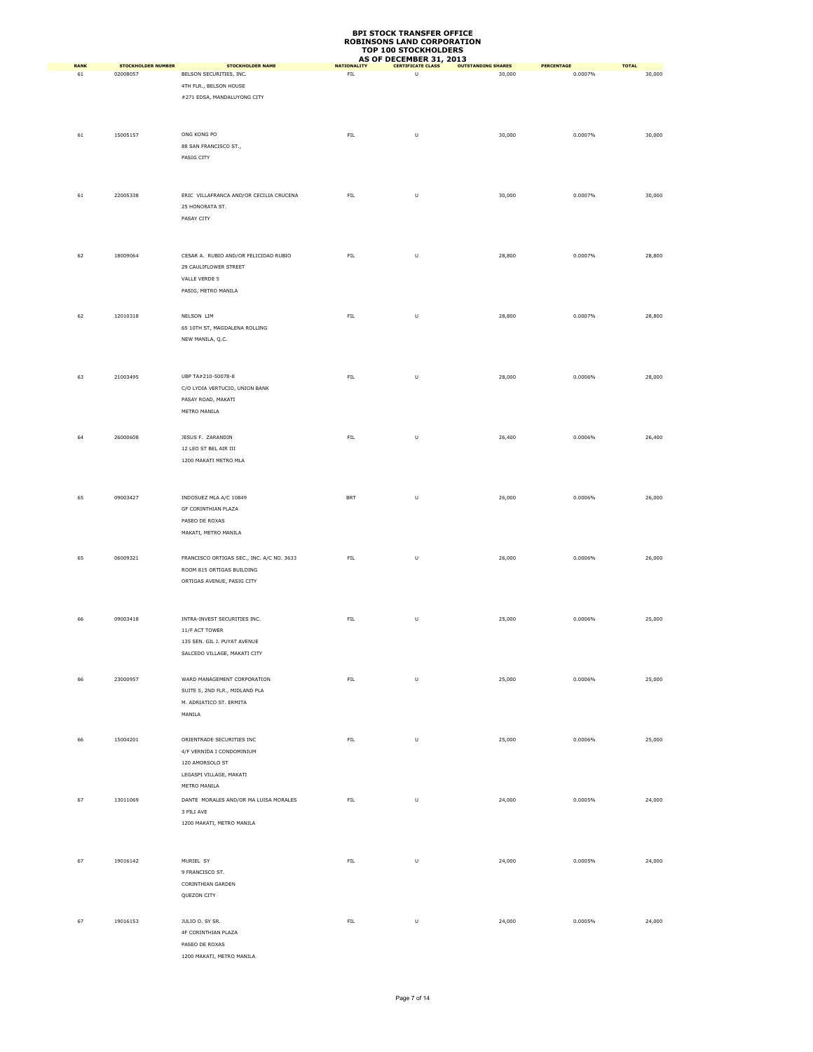|                   |                                       |                                                                                                                      |                                   | AS OF DECEMBER 31, 2013       |                                     |                              |                        |
|-------------------|---------------------------------------|----------------------------------------------------------------------------------------------------------------------|-----------------------------------|-------------------------------|-------------------------------------|------------------------------|------------------------|
| <b>RANK</b><br>61 | <b>STOCKHOLDER NUMBER</b><br>02008057 | <b>STOCKHOLDER NAME</b><br>BELSON SECURITIES, INC.<br>4TH FLR., BELSON HOUSE<br>#271 EDSA, MANDALUYONG CITY          | <b>NATIONALITY</b><br>${\sf FIL}$ | <b>CERTIFICATE CLASS</b><br>U | <b>OUTSTANDING SHARES</b><br>30,000 | <b>PERCENTAGE</b><br>0.0007% | <b>TOTAL</b><br>30,000 |
| 61                | 15005157                              | ONG KONG PO<br>88 SAN FRANCISCO ST.,<br>PASIG CITY                                                                   | FIL.                              | U                             | 30,000                              | 0.0007%                      | 30,000                 |
| 61                | 22005338                              | ERIC VILLAFRANCA AND/OR CECILIA CRUCENA<br>25 HONORATA ST.<br>PASAY CITY                                             | FL                                | U                             | 30,000                              | 0.0007%                      | 30,000                 |
| 62                | 18009064                              | CESAR A. RUBIO AND/OR FELICIDAD RUBIO<br>29 CAULIFLOWER STREET<br>VALLE VERDE 5<br>PASIG, METRO MANILA               | ${\sf FIL}$                       | U                             | 28,800                              | 0.0007%                      | 28,800                 |
| 62                | 12010318                              | NELSON LIM<br>65 10TH ST, MAGDALENA ROLLING<br>NEW MANILA, Q.C.                                                      | ${\sf FIL}$                       | U                             | 28,800                              | 0.0007%                      | 28,800                 |
| 63                | 21003495                              | UBP TA#210-50078-8<br>C/O LYDIA VERTUCIO, UNION BANK<br>PASAY ROAD, MAKATI<br>METRO MANILA                           | ${\sf FIL}$                       | U                             | 28,000                              | 0.0006%                      | 28,000                 |
| 64                | 26000608                              | JESUS F. ZARANDIN<br>12 LEO ST BEL AIR III<br>1200 MAKATI METRO MLA                                                  | ${\sf FIL}$                       | U                             | 26,400                              | 0.0006%                      | 26,400                 |
| 65                | 09003427                              | INDOSUEZ MLA A/C 10849<br>GF CORINTHIAN PLAZA<br>PASEO DE ROXAS<br>MAKATI, METRO MANILA                              | <b>BRT</b>                        | U                             | 26,000                              | 0.0006%                      | 26,000                 |
| 65                | 06009321                              | FRANCISCO ORTIGAS SEC., INC. A/C NO. 3633<br>ROOM 815 ORTIGAS BUILDING<br>ORTIGAS AVENUE, PASIG CITY                 | ${\sf FIL}$                       | U                             | 26,000                              | 0.0006%                      | 26,000                 |
| 66                | 09003418                              | INTRA-INVEST SECURITIES INC.<br>11/F ACT TOWER<br>135 SEN. GIL J. PUYAT AVENUE<br>SALCEDO VILLAGE, MAKATI CITY       | ${\sf FIL}$                       | U                             | 25,000                              | 0.0006%                      | 25,000                 |
| 66                | 23000957                              | WARD MANAGEMENT CORPORATION<br>SUITE 5, 2ND FLR., MIDLAND PLA<br>M. ADRIATICO ST. ERMITA<br>MANILA                   | FL                                | U                             | 25,000                              | 0.0006%                      | 25,000                 |
| 66                | 15004201                              | ORIENTRADE SECURITIES INC<br>4/F VERNIDA I CONDOMINIUM<br>120 AMORSOLO ST<br>LEGASPI VILLAGE, MAKATI<br>METRO MANILA | ${\sf FIL}$                       | $\sf U$                       | 25,000                              | 0.0006%                      | 25,000                 |
| 67                | 13011069                              | DANTE MORALES AND/OR MA LUISA MORALES<br>3 PILI AVE<br>1200 MAKATI, METRO MANILA                                     | ${\sf FIL}$                       | U                             | 24,000                              | 0.0005%                      | 24,000                 |
| 67                | 19016142                              | MURIEL SY<br>9 FRANCISCO ST.<br>CORINTHIAN GARDEN<br>QUEZON CITY                                                     | FIL.                              | $\sf U$                       | 24,000                              | 0.0005%                      | 24,000                 |
| 67                | 19016153                              | JULIO O. SY SR.<br>4F CORINTHIAN PLAZA<br>PASEO DE ROXAS<br>1200 MAKATI, METRO MANILA                                | ${\sf FIL}$                       | U                             | 24,000                              | 0.0005%                      | 24,000                 |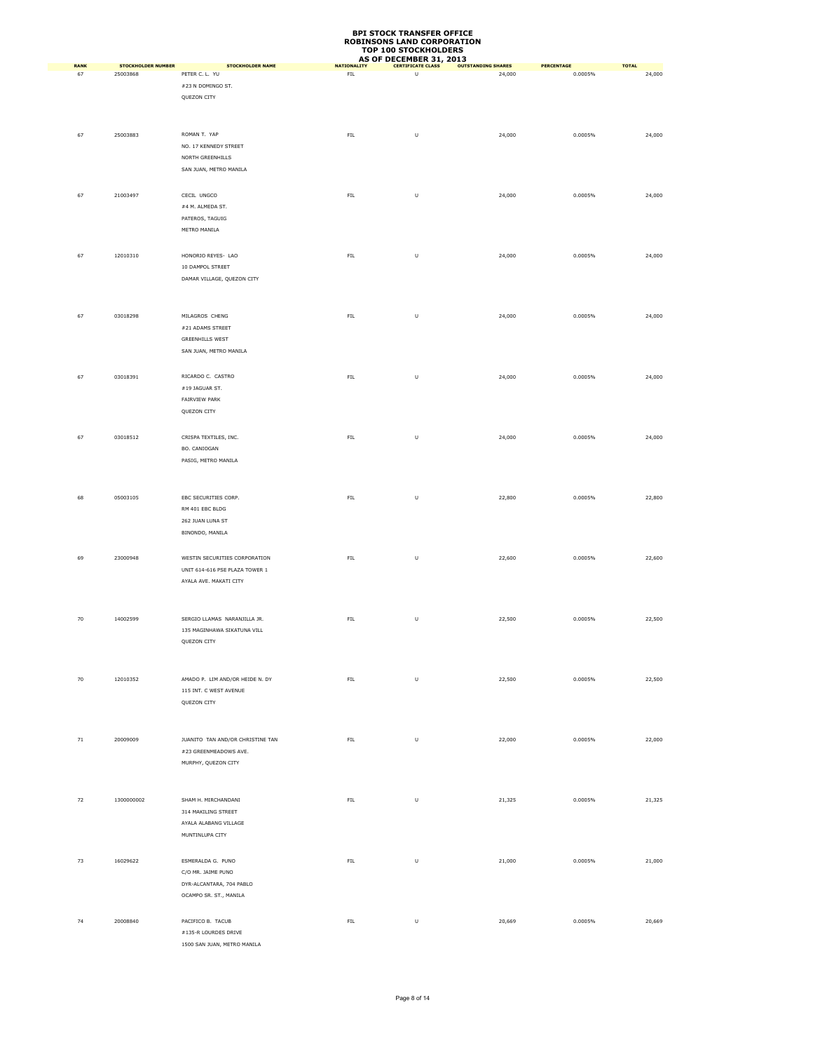| <b>RANK</b> | <b>STOCKHOLDER NUMBER</b> | <b>STOCKHOLDER NAME</b>          | <b>NATIONALITY</b> | AS OF DECEMBER 31, 2013<br><b>CERTIFICATE CLASS</b> | <b>OUTSTANDING SHARES</b> | <b>PERCENTAGE</b> | <b>TOTAL</b> |
|-------------|---------------------------|----------------------------------|--------------------|-----------------------------------------------------|---------------------------|-------------------|--------------|
| 67          | 25003868                  | PETER C. L. YU                   | ${\sf FIL}$        | U                                                   | 24,000                    | 0.0005%           | 24,000       |
|             |                           | #23 N DOMINGO ST.                |                    |                                                     |                           |                   |              |
|             |                           | QUEZON CITY                      |                    |                                                     |                           |                   |              |
|             |                           |                                  |                    |                                                     |                           |                   |              |
|             |                           |                                  |                    |                                                     |                           |                   |              |
| 67          | 25003883                  | ROMAN T. YAP                     | ${\sf FIL}$        | U                                                   | 24,000                    | 0.0005%           | 24,000       |
|             |                           | NO. 17 KENNEDY STREET            |                    |                                                     |                           |                   |              |
|             |                           | NORTH GREENHILLS                 |                    |                                                     |                           |                   |              |
|             |                           | SAN JUAN, METRO MANILA           |                    |                                                     |                           |                   |              |
|             |                           |                                  |                    |                                                     |                           |                   |              |
|             | 21003497                  | CECIL UNGCO                      |                    |                                                     |                           |                   |              |
| 67          |                           | #4 M. ALMEDA ST.                 | FL                 | U                                                   | 24,000                    | 0.0005%           | 24,000       |
|             |                           | PATEROS, TAGUIG                  |                    |                                                     |                           |                   |              |
|             |                           | METRO MANILA                     |                    |                                                     |                           |                   |              |
|             |                           |                                  |                    |                                                     |                           |                   |              |
|             |                           |                                  |                    |                                                     |                           |                   |              |
| 67          | 12010310                  | HONORIO REYES- LAO               | ${\sf FIL}$        | U                                                   | 24,000                    | 0.0005%           | 24,000       |
|             |                           | 10 DAMPOL STREET                 |                    |                                                     |                           |                   |              |
|             |                           | DAMAR VILLAGE, QUEZON CITY       |                    |                                                     |                           |                   |              |
|             |                           |                                  |                    |                                                     |                           |                   |              |
|             |                           |                                  |                    |                                                     |                           |                   |              |
| 67          | 03018298                  | MILAGROS CHENG                   | ${\sf FIL}$        | U                                                   | 24,000                    | 0.0005%           | 24,000       |
|             |                           | #21 ADAMS STREET                 |                    |                                                     |                           |                   |              |
|             |                           | <b>GREENHILLS WEST</b>           |                    |                                                     |                           |                   |              |
|             |                           | SAN JUAN, METRO MANILA           |                    |                                                     |                           |                   |              |
|             |                           |                                  |                    |                                                     |                           |                   |              |
| 67          | 03018391                  | RICARDO C. CASTRO                | ${\sf FIL}$        | U                                                   | 24,000                    | 0.0005%           | 24,000       |
|             |                           | $\#19$ JAGUAR ST.                |                    |                                                     |                           |                   |              |
|             |                           | FAIRVIEW PARK                    |                    |                                                     |                           |                   |              |
|             |                           | QUEZON CITY                      |                    |                                                     |                           |                   |              |
|             |                           |                                  |                    |                                                     |                           |                   |              |
| 67          | 03018512                  | CRISPA TEXTILES, INC.            | ${\sf FIL}$        | U                                                   | 24,000                    | 0.0005%           | 24,000       |
|             |                           | BO. CANIOGAN                     |                    |                                                     |                           |                   |              |
|             |                           | PASIG, METRO MANILA              |                    |                                                     |                           |                   |              |
|             |                           |                                  |                    |                                                     |                           |                   |              |
|             |                           |                                  |                    |                                                     |                           |                   |              |
| 68          | 05003105                  | EBC SECURITIES CORP.             | FIL.               | U                                                   | 22,800                    | 0.0005%           | 22,800       |
|             |                           | RM 401 EBC BLDG                  |                    |                                                     |                           |                   |              |
|             |                           | 262 JUAN LUNA ST                 |                    |                                                     |                           |                   |              |
|             |                           | BINONDO, MANILA                  |                    |                                                     |                           |                   |              |
|             |                           |                                  |                    |                                                     |                           |                   |              |
|             |                           |                                  |                    |                                                     |                           |                   |              |
| 69          | 23000948                  | WESTIN SECURITIES CORPORATION    | ${\sf FIL}$        | U                                                   | 22,600                    | 0.0005%           | 22,600       |
|             |                           | UNIT 614-616 PSE PLAZA TOWER 1   |                    |                                                     |                           |                   |              |
|             |                           | AYALA AVE. MAKATI CITY           |                    |                                                     |                           |                   |              |
|             |                           |                                  |                    |                                                     |                           |                   |              |
|             |                           |                                  |                    |                                                     |                           |                   |              |
| 70          | 14002599                  | SERGIO LLAMAS NARANJILLA JR.     | ${\sf FIL}$        | $\sf U$                                             | 22,500                    | 0.0005%           | 22,500       |
|             |                           | 135 MAGINHAWA SIKATUNA VILL      |                    |                                                     |                           |                   |              |
|             |                           | QUEZON CITY                      |                    |                                                     |                           |                   |              |
|             |                           |                                  |                    |                                                     |                           |                   |              |
|             |                           |                                  |                    |                                                     |                           |                   |              |
| $70\,$      | 12010352                  | AMADO P. LIM AND/OR HEIDE N. DY  | ${\sf FIL}$        | U                                                   | 22,500                    | 0.0005%           | 22,500       |
|             |                           | 115 INT. C WEST AVENUE           |                    |                                                     |                           |                   |              |
|             |                           | QUEZON CITY                      |                    |                                                     |                           |                   |              |
|             |                           |                                  |                    |                                                     |                           |                   |              |
|             |                           |                                  |                    |                                                     |                           |                   |              |
| $71\,$      | 20009009                  | JUANITO TAN AND/OR CHRISTINE TAN | ${\sf FIL}$        | $\sf U$                                             | 22,000                    | 0.0005%           | 22,000       |
|             |                           | #23 GREENMEADOWS AVE.            |                    |                                                     |                           |                   |              |
|             |                           | MURPHY, QUEZON CITY              |                    |                                                     |                           |                   |              |
|             |                           |                                  |                    |                                                     |                           |                   |              |
|             |                           |                                  |                    |                                                     |                           |                   |              |
| 72          | 1300000002                | SHAM H. MIRCHANDANI              | FIL.               | U                                                   | 21,325                    | 0.0005%           | 21,325       |
|             |                           | 314 MAKILING STREET              |                    |                                                     |                           |                   |              |
|             |                           | AYALA ALABANG VILLAGE            |                    |                                                     |                           |                   |              |
|             |                           | MUNTINLUPA CITY                  |                    |                                                     |                           |                   |              |
|             |                           |                                  |                    |                                                     |                           |                   |              |
|             |                           |                                  |                    |                                                     |                           |                   |              |
| 73          | 16029622                  | ESMERALDA G. PUNO                | ${\sf FIL}$        | U                                                   | 21,000                    | 0.0005%           | 21,000       |
|             |                           | C/O MR. JAIME PUNO               |                    |                                                     |                           |                   |              |
|             |                           | DYR-ALCANTARA, 704 PABLO         |                    |                                                     |                           |                   |              |
|             |                           | OCAMPO SR. ST., MANILA           |                    |                                                     |                           |                   |              |
|             |                           |                                  |                    |                                                     |                           |                   |              |
| 74          | 20008840                  | PACIFICO B. TACUB                | ${\sf FIL}$        | U                                                   | 20,669                    | 0.0005%           | 20,669       |
|             |                           | #135-R LOURDES DRIVE             |                    |                                                     |                           |                   |              |
|             |                           | 1500 SAN JUAN, METRO MANILA      |                    |                                                     |                           |                   |              |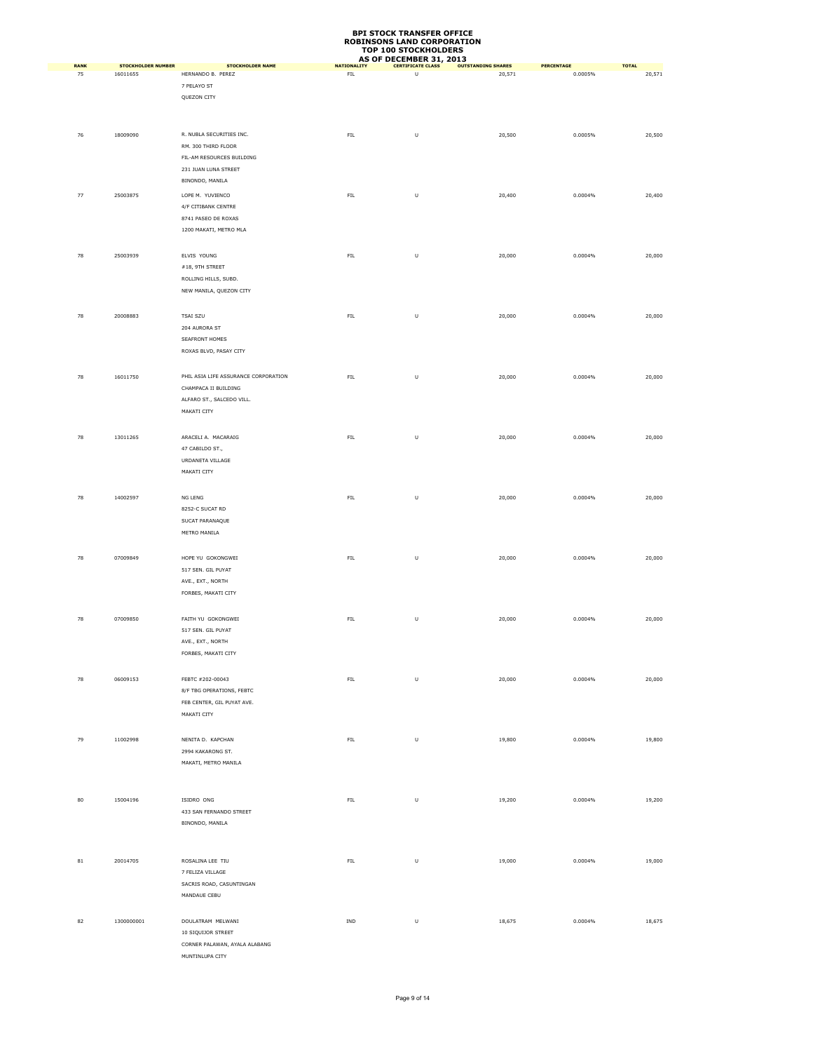|                   |                                       |                                              |                                   | <b>AS OF DECEMBER 31, 2013</b> |                                     |                       |                        |
|-------------------|---------------------------------------|----------------------------------------------|-----------------------------------|--------------------------------|-------------------------------------|-----------------------|------------------------|
| <b>RANK</b><br>75 | <b>STOCKHOLDER NUMBER</b><br>16011655 | <b>STOCKHOLDER NAME</b><br>HERNANDO B. PEREZ | <b>NATIONALITY</b><br>${\sf FIL}$ | <b>CERTIFICATE CLASS</b><br>U  | <b>OUTSTANDING SHARES</b><br>20,571 | PERCENTAGE<br>0.0005% | <b>TOTAL</b><br>20,571 |
|                   |                                       | 7 PELAYO ST                                  |                                   |                                |                                     |                       |                        |
|                   |                                       | QUEZON CITY                                  |                                   |                                |                                     |                       |                        |
|                   |                                       |                                              |                                   |                                |                                     |                       |                        |
|                   |                                       |                                              |                                   |                                |                                     |                       |                        |
|                   |                                       |                                              |                                   |                                |                                     |                       |                        |
| 76                | 18009090                              | R. NUBLA SECURITIES INC.                     | FL                                | U                              | 20,500                              | 0.0005%               | 20,500                 |
|                   |                                       | RM. 300 THIRD FLOOR                          |                                   |                                |                                     |                       |                        |
|                   |                                       | FIL-AM RESOURCES BUILDING                    |                                   |                                |                                     |                       |                        |
|                   |                                       | 231 JUAN LUNA STREET                         |                                   |                                |                                     |                       |                        |
|                   |                                       | BINONDO, MANILA                              |                                   |                                |                                     |                       |                        |
| 77                | 25003875                              | LOPE M. YUVIENCO                             | ${\sf FIL}$                       | U                              | 20,400                              | 0.0004%               | 20,400                 |
|                   |                                       | 4/F CITIBANK CENTRE                          |                                   |                                |                                     |                       |                        |
|                   |                                       | 8741 PASEO DE ROXAS                          |                                   |                                |                                     |                       |                        |
|                   |                                       | 1200 MAKATI, METRO MLA                       |                                   |                                |                                     |                       |                        |
|                   |                                       |                                              |                                   |                                |                                     |                       |                        |
|                   |                                       |                                              |                                   |                                |                                     |                       |                        |
| 78                | 25003939                              | ELVIS YOUNG                                  | FL                                | U                              | 20,000                              | 0.0004%               | 20,000                 |
|                   |                                       | #18, 9TH STREET                              |                                   |                                |                                     |                       |                        |
|                   |                                       | ROLLING HILLS, SUBD.                         |                                   |                                |                                     |                       |                        |
|                   |                                       | NEW MANILA, QUEZON CITY                      |                                   |                                |                                     |                       |                        |
|                   |                                       |                                              |                                   |                                |                                     |                       |                        |
| 78                | 20008883                              | <b>TSAI SZU</b>                              | FL                                | U                              | 20,000                              | 0.0004%               | 20,000                 |
|                   |                                       | 204 AURORA ST                                |                                   |                                |                                     |                       |                        |
|                   |                                       | SEAFRONT HOMES                               |                                   |                                |                                     |                       |                        |
|                   |                                       | ROXAS BLVD, PASAY CITY                       |                                   |                                |                                     |                       |                        |
|                   |                                       |                                              |                                   |                                |                                     |                       |                        |
|                   |                                       |                                              |                                   |                                |                                     |                       |                        |
| 78                | 16011750                              | PHIL ASIA LIFE ASSURANCE CORPORATION         | ${\sf FIL}$                       | U                              | 20,000                              | 0.0004%               | 20,000                 |
|                   |                                       | CHAMPACA II BUILDING                         |                                   |                                |                                     |                       |                        |
|                   |                                       | ALFARO ST., SALCEDO VILL.                    |                                   |                                |                                     |                       |                        |
|                   |                                       | MAKATI CITY                                  |                                   |                                |                                     |                       |                        |
|                   |                                       |                                              |                                   |                                |                                     |                       |                        |
| 78                | 13011265                              | ARACELI A. MACARAIG                          | FIL.                              | U                              | 20,000                              | 0.0004%               | 20,000                 |
|                   |                                       |                                              |                                   |                                |                                     |                       |                        |
|                   |                                       | 47 CABILDO ST.,                              |                                   |                                |                                     |                       |                        |
|                   |                                       | URDANETA VILLAGE                             |                                   |                                |                                     |                       |                        |
|                   |                                       | MAKATI CITY                                  |                                   |                                |                                     |                       |                        |
|                   |                                       |                                              |                                   |                                |                                     |                       |                        |
| 78                | 14002597                              | NG LENG                                      | ${\sf FIL}$                       | U                              | 20,000                              | 0.0004%               | 20,000                 |
|                   |                                       | 8252-C SUCAT RD                              |                                   |                                |                                     |                       |                        |
|                   |                                       | SUCAT PARANAQUE                              |                                   |                                |                                     |                       |                        |
|                   |                                       | METRO MANILA                                 |                                   |                                |                                     |                       |                        |
|                   |                                       |                                              |                                   |                                |                                     |                       |                        |
| 78                | 07009849                              | HOPE YU GOKONGWEI                            | ${\sf FIL}$                       | U                              | 20,000                              | 0.0004%               | 20,000                 |
|                   |                                       |                                              |                                   |                                |                                     |                       |                        |
|                   |                                       | 517 SEN. GIL PUYAT                           |                                   |                                |                                     |                       |                        |
|                   |                                       | AVE., EXT., NORTH                            |                                   |                                |                                     |                       |                        |
|                   |                                       | FORBES, MAKATI CITY                          |                                   |                                |                                     |                       |                        |
|                   |                                       |                                              |                                   |                                |                                     |                       |                        |
| 78                | 07009850                              | FAITH YU GOKONGWEI                           | ${\sf FIL}$                       | U                              | 20,000                              | 0.0004%               | 20,000                 |
|                   |                                       | 517 SEN. GIL PUYAT                           |                                   |                                |                                     |                       |                        |
|                   |                                       | AVE., EXT., NORTH                            |                                   |                                |                                     |                       |                        |
|                   |                                       | FORBES, MAKATI CITY                          |                                   |                                |                                     |                       |                        |
|                   |                                       |                                              |                                   |                                |                                     |                       |                        |
|                   |                                       |                                              |                                   |                                |                                     |                       |                        |
| 78                | 06009153                              | FEBTC #202-00043                             | ${\sf FIL}$                       | $\sf U$                        | 20,000                              | 0.0004%               | 20,000                 |
|                   |                                       | 8/F TBG OPERATIONS, FEBTC                    |                                   |                                |                                     |                       |                        |
|                   |                                       | FEB CENTER, GIL PUYAT AVE.                   |                                   |                                |                                     |                       |                        |
|                   |                                       | MAKATI CITY                                  |                                   |                                |                                     |                       |                        |
|                   |                                       |                                              |                                   |                                |                                     |                       |                        |
| 79                | 11002998                              | NENITA D. KAPCHAN                            | ${\sf FIL}$                       | $\sf U$                        | 19,800                              | 0.0004%               | 19,800                 |
|                   |                                       | 2994 KAKARONG ST.                            |                                   |                                |                                     |                       |                        |
|                   |                                       | MAKATI, METRO MANILA                         |                                   |                                |                                     |                       |                        |
|                   |                                       |                                              |                                   |                                |                                     |                       |                        |
|                   |                                       |                                              |                                   |                                |                                     |                       |                        |
|                   |                                       |                                              |                                   |                                |                                     |                       |                        |
| 80                | 15004196                              | ISIDRO ONG                                   | ${\sf FIL}$                       | U                              | 19,200                              | 0.0004%               | 19,200                 |
|                   |                                       | 433 SAN FERNANDO STREET                      |                                   |                                |                                     |                       |                        |
|                   |                                       | BINONDO, MANILA                              |                                   |                                |                                     |                       |                        |
|                   |                                       |                                              |                                   |                                |                                     |                       |                        |
|                   |                                       |                                              |                                   |                                |                                     |                       |                        |
| $^{\rm 81}$       | 20014705                              | ROSALINA LEE TIU                             | ${\sf FIL}$                       | U                              | 19,000                              | 0.0004%               | 19,000                 |
|                   |                                       | 7 FELIZA VILLAGE                             |                                   |                                |                                     |                       |                        |
|                   |                                       | SACRIS ROAD, CASUNTINGAN                     |                                   |                                |                                     |                       |                        |
|                   |                                       | MANDAUE CEBU                                 |                                   |                                |                                     |                       |                        |
|                   |                                       |                                              |                                   |                                |                                     |                       |                        |
|                   |                                       |                                              |                                   |                                |                                     |                       |                        |
| 82                | 1300000001                            | DOULATRAM MELWANI                            | IND                               | $\sf U$                        | 18,675                              | 0.0004%               | 18,675                 |
|                   |                                       | 10 SIQUIJOR STREET                           |                                   |                                |                                     |                       |                        |
|                   |                                       | CORNER PALAWAN, AYALA ALABANG                |                                   |                                |                                     |                       |                        |
|                   |                                       | MUNTINLUPA CITY                              |                                   |                                |                                     |                       |                        |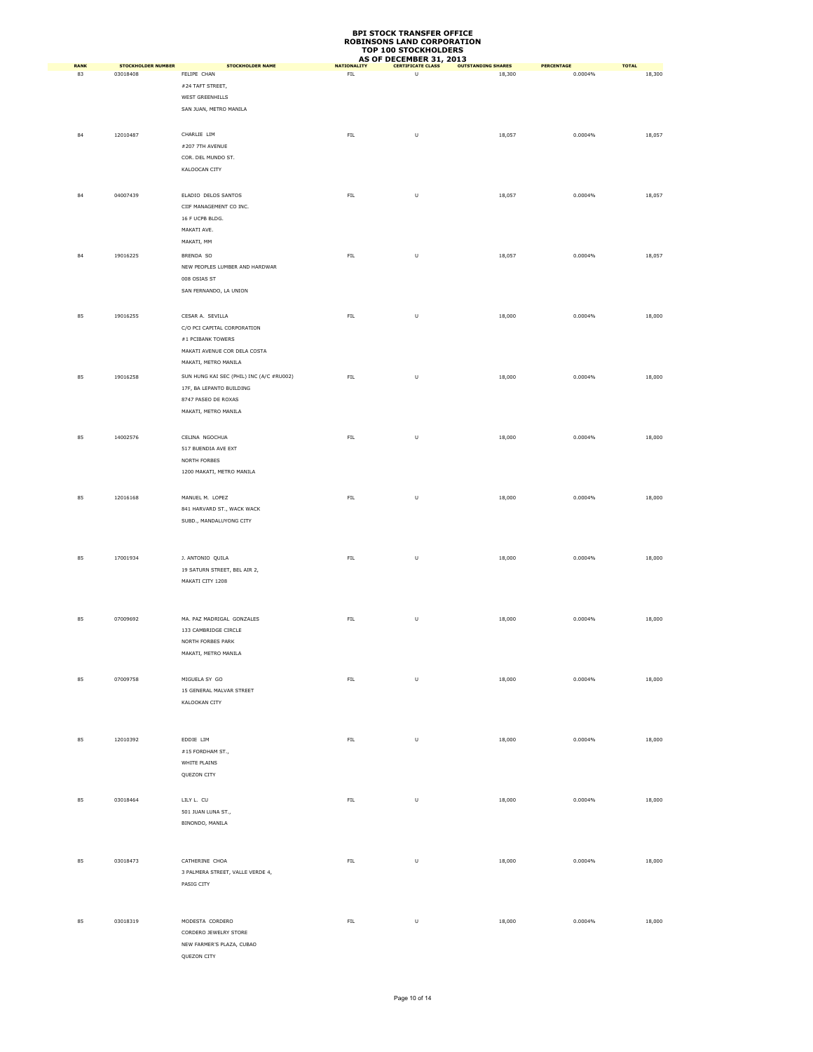| <b>RANK</b> | <b>STOCKHOLDER NUMBER</b> | <b>STOCKHOLDER NAME</b>                     | <b>NATIONALITY</b> | AS OF DECEMBER 31, 2013<br><b>CERTIFICATE CLASS</b> | <b>OUTSTANDING SHARES</b> | PERCENTAGE | <b>TOTAL</b> |
|-------------|---------------------------|---------------------------------------------|--------------------|-----------------------------------------------------|---------------------------|------------|--------------|
| 83          | 03018408                  | FELIPE CHAN                                 | ${\sf FIL}$        | U                                                   | 18,300                    | 0.0004%    | 18,300       |
|             |                           | #24 TAFT STREET,                            |                    |                                                     |                           |            |              |
|             |                           | WEST GREENHILLS                             |                    |                                                     |                           |            |              |
|             |                           | SAN JUAN, METRO MANILA                      |                    |                                                     |                           |            |              |
|             |                           |                                             |                    |                                                     |                           |            |              |
|             |                           |                                             |                    |                                                     |                           |            |              |
| 84          | 12010487                  | CHARLIE LIM                                 | ${\sf FIL}$        | U                                                   | 18,057                    | 0.0004%    | 18,057       |
|             |                           | #207 7TH AVENUE                             |                    |                                                     |                           |            |              |
|             |                           | COR. DEL MUNDO ST.                          |                    |                                                     |                           |            |              |
|             |                           | KALOOCAN CITY                               |                    |                                                     |                           |            |              |
|             |                           |                                             |                    |                                                     |                           |            |              |
| 84          | 04007439                  | ELADIO DELOS SANTOS                         | FIL                | U                                                   | 18,057                    | 0.0004%    | 18,057       |
|             |                           | CIIF MANAGEMENT CO INC.                     |                    |                                                     |                           |            |              |
|             |                           | 16 F UCPB BLDG.                             |                    |                                                     |                           |            |              |
|             |                           | MAKATI AVE.                                 |                    |                                                     |                           |            |              |
|             |                           | MAKATI, MM                                  |                    |                                                     |                           |            |              |
| 84          | 19016225                  | BRENDA SO                                   | ${\sf FIL}$        | $\cup$                                              | 18,057                    | 0.0004%    | 18,057       |
|             |                           | NEW PEOPLES LUMBER AND HARDWAR              |                    |                                                     |                           |            |              |
|             |                           | 008 OSIAS ST                                |                    |                                                     |                           |            |              |
|             |                           | SAN FERNANDO, LA UNION                      |                    |                                                     |                           |            |              |
|             |                           |                                             |                    |                                                     |                           |            |              |
| 85          | 19016255                  | CESAR A. SEVILLA                            | ${\sf FIL}$        | U                                                   | 18,000                    | 0.0004%    | 18,000       |
|             |                           | C/O PCI CAPITAL CORPORATION                 |                    |                                                     |                           |            |              |
|             |                           | #1 PCIBANK TOWERS                           |                    |                                                     |                           |            |              |
|             |                           | MAKATI AVENUE COR DELA COSTA                |                    |                                                     |                           |            |              |
|             |                           | MAKATI, METRO MANILA                        |                    |                                                     |                           |            |              |
| 85          | 19016258                  | SUN HUNG KAI SEC (PHIL) INC (A/C #RU002)    | ${\sf FIL}$        | U                                                   | 18,000                    | 0.0004%    | 18,000       |
|             |                           | 17F, BA LEPANTO BUILDING                    |                    |                                                     |                           |            |              |
|             |                           |                                             |                    |                                                     |                           |            |              |
|             |                           | 8747 PASEO DE ROXAS<br>MAKATI, METRO MANILA |                    |                                                     |                           |            |              |
|             |                           |                                             |                    |                                                     |                           |            |              |
|             |                           |                                             |                    |                                                     |                           |            |              |
| 85          | 14002576                  | CELINA NGOCHUA                              | FL                 | U                                                   | 18,000                    | 0.0004%    | 18,000       |
|             |                           | 517 BUENDIA AVE EXT                         |                    |                                                     |                           |            |              |
|             |                           | NORTH FORBES                                |                    |                                                     |                           |            |              |
|             |                           | 1200 MAKATI, METRO MANILA                   |                    |                                                     |                           |            |              |
|             |                           |                                             |                    |                                                     |                           |            |              |
| 85          | 12016168                  | MANUEL M. LOPEZ                             | ${\sf FIL}$        | U                                                   | 18,000                    | 0.0004%    | 18,000       |
|             |                           | 841 HARVARD ST., WACK WACK                  |                    |                                                     |                           |            |              |
|             |                           | SUBD., MANDALUYONG CITY                     |                    |                                                     |                           |            |              |
|             |                           |                                             |                    |                                                     |                           |            |              |
|             |                           |                                             |                    |                                                     |                           |            |              |
| 85          | 17001934                  | J. ANTONIO QUILA                            | ${\sf FIL}$        | U                                                   | 18,000                    | 0.0004%    | 18,000       |
|             |                           | 19 SATURN STREET, BEL AIR 2,                |                    |                                                     |                           |            |              |
|             |                           | MAKATI CITY 1208                            |                    |                                                     |                           |            |              |
|             |                           |                                             |                    |                                                     |                           |            |              |
|             |                           |                                             |                    |                                                     |                           |            |              |
| 85          | 07009692                  | MA. PAZ MADRIGAL GONZALES                   | FL                 | U                                                   | 18,000                    | 0.0004%    | 18,000       |
|             |                           | 133 CAMBRIDGE CIRCLE                        |                    |                                                     |                           |            |              |
|             |                           | NORTH FORBES PARK                           |                    |                                                     |                           |            |              |
|             |                           | MAKATI, METRO MANILA                        |                    |                                                     |                           |            |              |
|             |                           |                                             |                    |                                                     |                           |            |              |
| 85          | 07009758                  | MIGUELA SY GO                               | ${\sf FIL}$        | U                                                   | 18,000                    | 0.0004%    | 18,000       |
|             |                           | 15 GENERAL MALVAR STREET                    |                    |                                                     |                           |            |              |
|             |                           | KALOOKAN CITY                               |                    |                                                     |                           |            |              |
|             |                           |                                             |                    |                                                     |                           |            |              |
|             |                           |                                             |                    |                                                     |                           |            |              |
| 85          | 12010392                  | EDDIE LIM                                   | ${\sf FIL}$        | U                                                   | 18,000                    | 0.0004%    | 18,000       |
|             |                           | #15 FORDHAM ST.,                            |                    |                                                     |                           |            |              |
|             |                           | WHITE PLAINS                                |                    |                                                     |                           |            |              |
|             |                           | QUEZON CITY                                 |                    |                                                     |                           |            |              |
|             |                           |                                             |                    |                                                     |                           |            |              |
|             |                           |                                             |                    |                                                     |                           |            |              |
| 85          | 03018464                  | LILY L. CU                                  | FL                 | U                                                   | 18,000                    | 0.0004%    | 18,000       |
|             |                           | 501 JUAN LUNA ST.,                          |                    |                                                     |                           |            |              |
|             |                           | BINONDO, MANILA                             |                    |                                                     |                           |            |              |
|             |                           |                                             |                    |                                                     |                           |            |              |
|             |                           |                                             |                    |                                                     |                           |            |              |
| 85          | 03018473                  | CATHERINE CHOA                              | FIL.               | U                                                   | 18,000                    | 0.0004%    | 18,000       |
|             |                           | 3 PALMERA STREET, VALLE VERDE 4,            |                    |                                                     |                           |            |              |
|             |                           | PASIG CITY                                  |                    |                                                     |                           |            |              |
|             |                           |                                             |                    |                                                     |                           |            |              |
|             |                           |                                             |                    |                                                     |                           |            |              |
| 85          | 03018319                  | MODESTA CORDERO                             | ${\sf FIL}$        | $\cup$                                              | 18,000                    | 0.0004%    | 18,000       |
|             |                           | CORDERO JEWELRY STORE                       |                    |                                                     |                           |            |              |
|             |                           | NEW FARMER'S PLAZA, CUBAO                   |                    |                                                     |                           |            |              |
|             |                           | QUEZON CITY                                 |                    |                                                     |                           |            |              |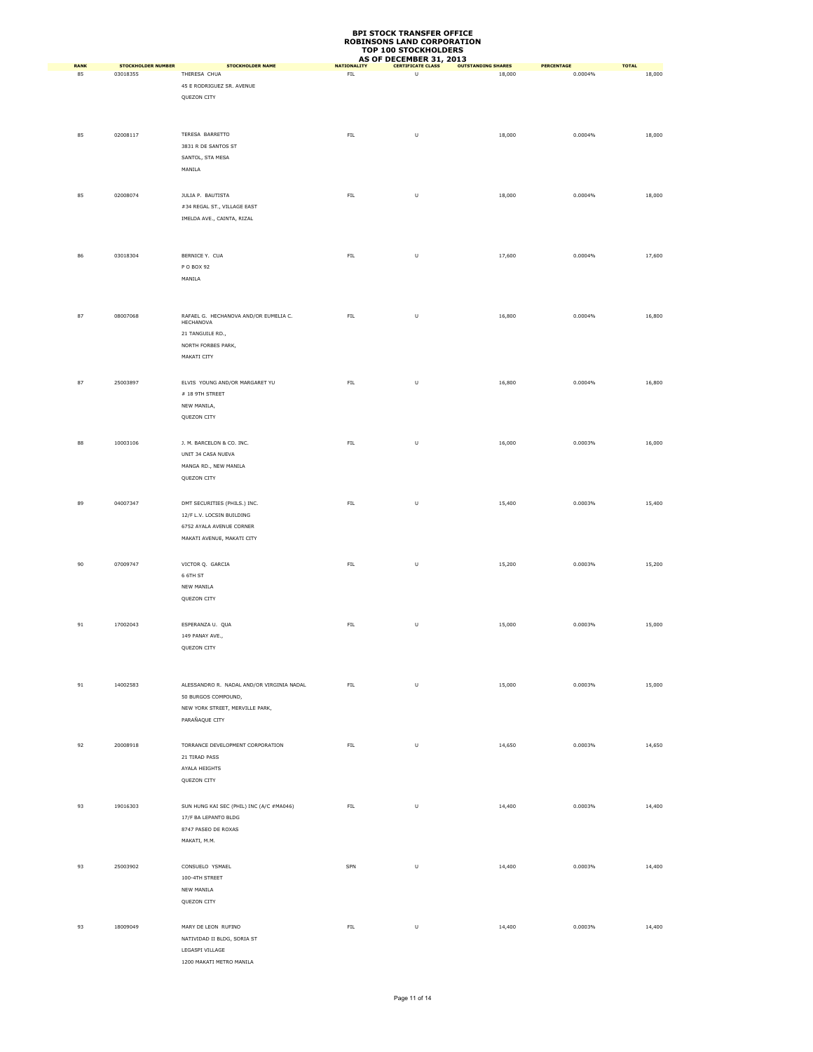| <b>RANK</b> | <b>STOCKHOLDER NUMBER</b> | <b>STOCKHOLDER NAME</b>                            | <b>NATIONALITY</b> | AS OF DECEMBER 31, 2013<br><b>CERTIFICATE CLASS</b> | <b>OUTSTANDING SHARES</b> | PERCENTAGE | <b>TOTAL</b> |
|-------------|---------------------------|----------------------------------------------------|--------------------|-----------------------------------------------------|---------------------------|------------|--------------|
| 85          | 03018355                  | THERESA CHUA                                       | ${\sf FIL}$        | U                                                   | 18,000                    | 0.0004%    | 18,000       |
|             |                           | 45 E RODRIGUEZ SR. AVENUE                          |                    |                                                     |                           |            |              |
|             |                           | QUEZON CITY                                        |                    |                                                     |                           |            |              |
|             |                           |                                                    |                    |                                                     |                           |            |              |
|             |                           |                                                    |                    |                                                     |                           |            |              |
| 85          | 02008117                  | TERESA BARRETTO                                    | FL                 | $\sf U$                                             | 18,000                    | 0.0004%    | 18,000       |
|             |                           | 3831 R DE SANTOS ST                                |                    |                                                     |                           |            |              |
|             |                           | SANTOL, STA MESA                                   |                    |                                                     |                           |            |              |
|             |                           | MANILA                                             |                    |                                                     |                           |            |              |
|             |                           |                                                    |                    |                                                     |                           |            |              |
| 85          | 02008074                  | JULIA P. BAUTISTA                                  | FL                 | $\sf U$                                             | 18,000                    | 0.0004%    | 18,000       |
|             |                           | #34 REGAL ST., VILLAGE EAST                        |                    |                                                     |                           |            |              |
|             |                           | IMELDA AVE., CAINTA, RIZAL                         |                    |                                                     |                           |            |              |
|             |                           |                                                    |                    |                                                     |                           |            |              |
|             |                           |                                                    |                    |                                                     |                           |            |              |
|             |                           | BERNICE Y. CUA                                     |                    |                                                     |                           |            |              |
| 86          | 03018304                  |                                                    | ${\sf FIL}$        | $\sf U$                                             | 17,600                    | 0.0004%    | 17,600       |
|             |                           | P O BOX 92<br>MANILA                               |                    |                                                     |                           |            |              |
|             |                           |                                                    |                    |                                                     |                           |            |              |
|             |                           |                                                    |                    |                                                     |                           |            |              |
|             |                           |                                                    |                    |                                                     |                           |            |              |
| 87          | 08007068                  | RAFAEL G. HECHANOVA AND/OR EUMELIA C.<br>HECHANOVA | ${\sf FIL}$        | $\sf U$                                             | 16,800                    | 0.0004%    | 16,800       |
|             |                           | 21 TANGUILE RD.,                                   |                    |                                                     |                           |            |              |
|             |                           | NORTH FORBES PARK,                                 |                    |                                                     |                           |            |              |
|             |                           | MAKATI CITY                                        |                    |                                                     |                           |            |              |
|             |                           |                                                    |                    |                                                     |                           |            |              |
| 87          | 25003897                  | ELVIS YOUNG AND/OR MARGARET YU                     | FL                 | $\sf U$                                             | 16,800                    | 0.0004%    | 16,800       |
|             |                           | # 18 9TH STREET                                    |                    |                                                     |                           |            |              |
|             |                           | NEW MANILA,                                        |                    |                                                     |                           |            |              |
|             |                           | QUEZON CITY                                        |                    |                                                     |                           |            |              |
|             |                           |                                                    |                    |                                                     |                           |            |              |
| 88          | 10003106                  | J. M. BARCELON & CO. INC.                          | ${\sf FIL}$        | $\sf U$                                             | 16,000                    | 0.0003%    | 16,000       |
|             |                           | UNIT 34 CASA NUEVA                                 |                    |                                                     |                           |            |              |
|             |                           | MANGA RD., NEW MANILA                              |                    |                                                     |                           |            |              |
|             |                           | QUEZON CITY                                        |                    |                                                     |                           |            |              |
|             |                           |                                                    |                    |                                                     |                           |            |              |
|             |                           |                                                    |                    |                                                     |                           |            |              |
| 89          | 04007347                  | DMT SECURITIES (PHILS.) INC.                       | ${\sf FIL}$        | $\sf U$                                             | 15,400                    | 0.0003%    | 15,400       |
|             |                           | 12/F L.V. LOCSIN BUILDING                          |                    |                                                     |                           |            |              |
|             |                           | 6752 AYALA AVENUE CORNER                           |                    |                                                     |                           |            |              |
|             |                           | MAKATI AVENUE, MAKATI CITY                         |                    |                                                     |                           |            |              |
|             |                           |                                                    |                    |                                                     |                           |            |              |
| 90          | 07009747                  | VICTOR Q. GARCIA                                   | FIL                | $\sf U$                                             | 15,200                    | 0.0003%    | 15,200       |
|             |                           | 6 6TH ST                                           |                    |                                                     |                           |            |              |
|             |                           | NEW MANILA                                         |                    |                                                     |                           |            |              |
|             |                           | QUEZON CITY                                        |                    |                                                     |                           |            |              |
|             |                           |                                                    |                    |                                                     |                           |            |              |
| 91          | 17002043                  | ESPERANZA U. QUA                                   | ${\sf FIL}$        | $\sf U$                                             | 15,000                    | 0.0003%    | 15,000       |
|             |                           | 149 PANAY AVE.,                                    |                    |                                                     |                           |            |              |
|             |                           | QUEZON CITY                                        |                    |                                                     |                           |            |              |
|             |                           |                                                    |                    |                                                     |                           |            |              |
|             |                           |                                                    |                    |                                                     |                           |            |              |
| 91          | 14002583                  | ALESSANDRO R. NADAL AND/OR VIRGINIA NADAL          | ${\sf FIL}$        | $\sf U$                                             | 15,000                    | 0.0003%    | 15,000       |
|             |                           | 50 BURGOS COMPOUND,                                |                    |                                                     |                           |            |              |
|             |                           | NEW YORK STREET, MERVILLE PARK,                    |                    |                                                     |                           |            |              |
|             |                           | PARAÑAQUE CITY                                     |                    |                                                     |                           |            |              |
|             |                           |                                                    |                    |                                                     |                           |            |              |
| 92          | 20008918                  | TORRANCE DEVELOPMENT CORPORATION                   | FL                 | $\sf U$                                             | 14,650                    | 0.0003%    | 14,650       |
|             |                           | 21 TIRAD PASS                                      |                    |                                                     |                           |            |              |
|             |                           | AYALA HEIGHTS                                      |                    |                                                     |                           |            |              |
|             |                           | QUEZON CITY                                        |                    |                                                     |                           |            |              |
|             |                           |                                                    |                    |                                                     |                           |            |              |
| 93          | 19016303                  | SUN HUNG KAI SEC (PHIL) INC (A/C #MA046)           | ${\sf FIL}$        | $\sf U$                                             | 14,400                    | 0.0003%    | 14,400       |
|             |                           | 17/F BA LEPANTO BLDG                               |                    |                                                     |                           |            |              |
|             |                           | 8747 PASEO DE ROXAS                                |                    |                                                     |                           |            |              |
|             |                           | MAKATI, M.M.                                       |                    |                                                     |                           |            |              |
|             |                           |                                                    |                    |                                                     |                           |            |              |
| 93          | 25003902                  | CONSUELO YSMAEL                                    | SPN                | $\sf U$                                             | 14,400                    | 0.0003%    | 14,400       |
|             |                           | 100-4TH STREET                                     |                    |                                                     |                           |            |              |
|             |                           | NEW MANILA                                         |                    |                                                     |                           |            |              |
|             |                           | QUEZON CITY                                        |                    |                                                     |                           |            |              |
|             |                           |                                                    |                    |                                                     |                           |            |              |
|             |                           |                                                    |                    |                                                     |                           |            |              |
| 93          | 18009049                  | MARY DE LEON RUFINO                                | FL                 | $\sf U$                                             | 14,400                    | 0.0003%    | 14,400       |
|             |                           | NATIVIDAD II BLDG, SORIA ST<br>LEGASPI VILLAGE     |                    |                                                     |                           |            |              |
|             |                           |                                                    |                    |                                                     |                           |            |              |
|             |                           | 1200 MAKATI METRO MANILA                           |                    |                                                     |                           |            |              |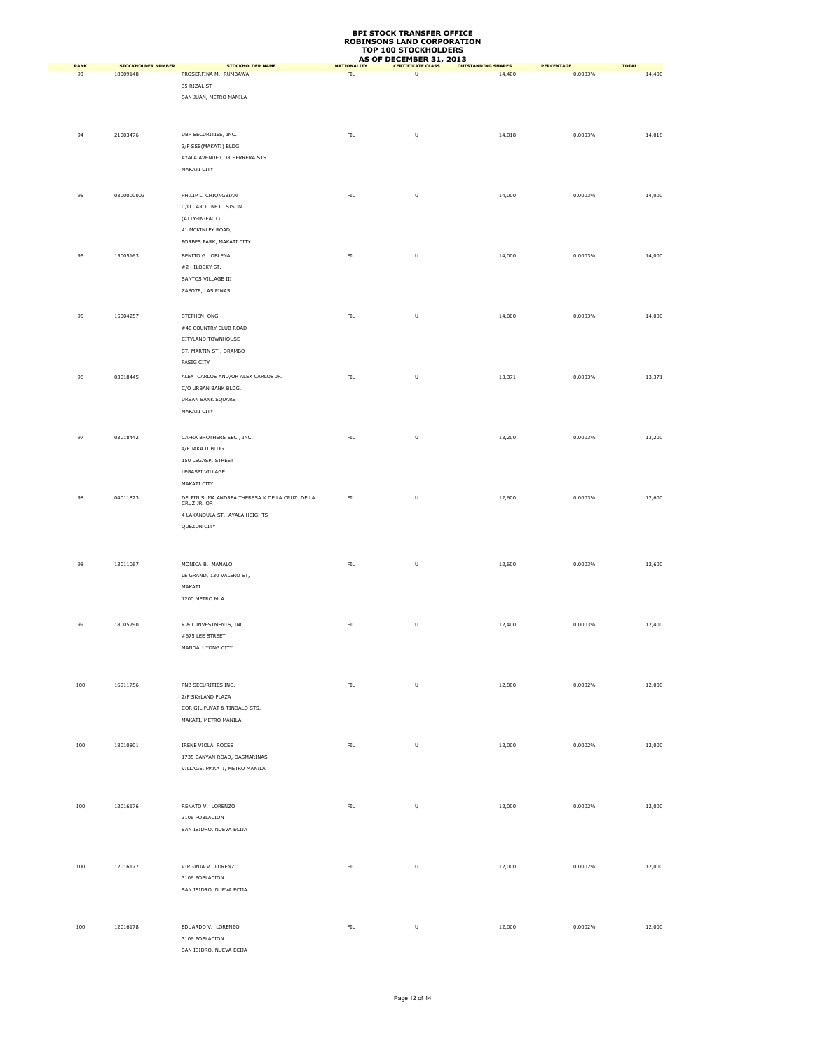| <b>RANK</b> | <b>STOCKHOLDER NUMBER</b> | <b>STOCKHOLDER NAME</b>                        | <b>NATIONALITY</b> | AS OF DECEMBER 31, 2013<br><b>CERTIFICATE CLASS</b> | <b>OUTSTANDING SHARES</b> | PERCENTAGE | <b>TOTAL</b> |
|-------------|---------------------------|------------------------------------------------|--------------------|-----------------------------------------------------|---------------------------|------------|--------------|
| 93          | 18009148                  | PROSERFINA M. RUMBAWA                          | ${\sf FIL}$        | U                                                   | 14,400                    | 0.0003%    | 14,400       |
|             |                           | 35 RIZAL ST                                    |                    |                                                     |                           |            |              |
|             |                           | SAN JUAN, METRO MANILA                         |                    |                                                     |                           |            |              |
|             |                           |                                                |                    |                                                     |                           |            |              |
|             |                           |                                                |                    |                                                     |                           |            |              |
| 94          | 21003476                  | UBP SECURITIES, INC.                           | FIL.               | U                                                   | 14,018                    | 0.0003%    | 14,018       |
|             |                           | 3/F SSS(MAKATI) BLDG.                          |                    |                                                     |                           |            |              |
|             |                           | AYALA AVENUE COR HERRERA STS.                  |                    |                                                     |                           |            |              |
|             |                           | MAKATI CITY                                    |                    |                                                     |                           |            |              |
|             |                           |                                                |                    |                                                     |                           |            |              |
| 95          | 0300000003                | PHILIP L. CHIONGBIAN                           | FL                 | U                                                   | 14,000                    | 0.0003%    | 14,000       |
|             |                           | C/O CAROLINE C. SISON                          |                    |                                                     |                           |            |              |
|             |                           | (ATTY-IN-FACT)                                 |                    |                                                     |                           |            |              |
|             |                           | 41 MCKINLEY ROAD,                              |                    |                                                     |                           |            |              |
|             |                           | FORBES PARK, MAKATI CITY                       |                    |                                                     |                           |            |              |
| 95          | 15005163                  | BENITO G. OBLENA                               | ${\sf FIL}$        | U                                                   | 14,000                    | 0.0003%    | 14,000       |
|             |                           | #2 HILOSKY ST.                                 |                    |                                                     |                           |            |              |
|             |                           | SANTOS VILLAGE III                             |                    |                                                     |                           |            |              |
|             |                           | ZAPOTE, LAS PINAS                              |                    |                                                     |                           |            |              |
|             |                           |                                                |                    |                                                     |                           |            |              |
| 95          | 15004257                  | STEPHEN ONG                                    | ${\sf FIL}$        | U                                                   | 14,000                    | 0.0003%    | 14,000       |
|             |                           | #40 COUNTRY CLUB ROAD                          |                    |                                                     |                           |            |              |
|             |                           | CITYLAND TOWNHOUSE                             |                    |                                                     |                           |            |              |
|             |                           | ST. MARTIN ST., ORAMBO                         |                    |                                                     |                           |            |              |
|             |                           | PASIG CITY                                     |                    |                                                     |                           |            |              |
| 96          | 03018445                  | ALEX CARLOS AND/OR ALEX CARLOS JR.             | ${\sf FIL}$        | U                                                   | 13,371                    | 0.0003%    | 13,371       |
|             |                           | C/O URBAN BANK BLDG.                           |                    |                                                     |                           |            |              |
|             |                           | URBAN BANK SQUARE                              |                    |                                                     |                           |            |              |
|             |                           | MAKATI CITY                                    |                    |                                                     |                           |            |              |
|             |                           |                                                |                    |                                                     |                           |            |              |
| 97          | 03018442                  | CAFRA BROTHERS SEC., INC.                      | ${\sf FIL}$        | U                                                   | 13,200                    | 0.0003%    | 13,200       |
|             |                           | 4/F JAKA II BLDG.                              |                    |                                                     |                           |            |              |
|             |                           | 150 LEGASPI STREET                             |                    |                                                     |                           |            |              |
|             |                           | LEGASPI VILLAGE                                |                    |                                                     |                           |            |              |
|             |                           | MAKATI CITY                                    |                    |                                                     |                           |            |              |
| 98          | 04011823                  | DELFIN S. MA.ANDREA THERESA K.DE LA CRUZ DE LA | FIL                | U                                                   | 12,600                    | 0.0003%    | 12,600       |
|             |                           | CRUZ JR. OR                                    |                    |                                                     |                           |            |              |
|             |                           | 4 LAKANDULA ST., AYALA HEIGHTS                 |                    |                                                     |                           |            |              |
|             |                           | QUEZON CITY                                    |                    |                                                     |                           |            |              |
|             |                           |                                                |                    |                                                     |                           |            |              |
|             |                           |                                                |                    |                                                     |                           |            |              |
| 98          | 13011067                  | MONICA B. MANALO                               | ${\sf FIL}$        | $\sf U$                                             | 12,600                    | 0.0003%    | 12,600       |
|             |                           | LE GRAND, 130 VALERO ST,                       |                    |                                                     |                           |            |              |
|             |                           | MAKATI                                         |                    |                                                     |                           |            |              |
|             |                           | 1200 METRO MLA                                 |                    |                                                     |                           |            |              |
|             |                           |                                                |                    |                                                     |                           |            |              |
| 99          | 18005790                  | R & L INVESTMENTS, INC.                        | ${\sf FIL}$        | U                                                   | 12,400                    | 0.0003%    | 12,400       |
|             |                           | #675 LEE STREET                                |                    |                                                     |                           |            |              |
|             |                           | MANDALUYONG CITY                               |                    |                                                     |                           |            |              |
|             |                           |                                                |                    |                                                     |                           |            |              |
|             |                           |                                                |                    |                                                     |                           |            |              |
| 100         | 16011756                  | PNB SECURITIES INC.                            | ${\sf FIL}$        | $\sf U$                                             | 12,000                    | 0.0002%    | 12,000       |
|             |                           | 2/F SKYLAND PLAZA                              |                    |                                                     |                           |            |              |
|             |                           | COR GIL PUYAT & TINDALO STS.                   |                    |                                                     |                           |            |              |
|             |                           | MAKATI, METRO MANILA                           |                    |                                                     |                           |            |              |
|             |                           |                                                |                    |                                                     |                           |            |              |
| 100         | 18010801                  | IRENE VIOLA ROCES                              | ${\sf FIL}$        | U                                                   | 12,000                    | 0.0002%    | 12,000       |
|             |                           | 1735 BANYAN ROAD, DASMARINAS                   |                    |                                                     |                           |            |              |
|             |                           | VILLAGE, MAKATI, METRO MANILA                  |                    |                                                     |                           |            |              |
|             |                           |                                                |                    |                                                     |                           |            |              |
|             |                           |                                                |                    |                                                     |                           |            |              |
| $100\,$     | 12016176                  | RENATO V. LORENZO                              | ${\sf FIL}$        | $\cup$                                              | 12,000                    | 0.0002%    | 12,000       |
|             |                           | 3106 POBLACION                                 |                    |                                                     |                           |            |              |
|             |                           | SAN ISIDRO, NUEVA ECIJA                        |                    |                                                     |                           |            |              |
|             |                           |                                                |                    |                                                     |                           |            |              |
|             |                           |                                                |                    |                                                     |                           |            |              |
| 100         | 12016177                  | VIRGINIA V. LORENZO                            | ${\sf FIL}$        | U                                                   | 12,000                    | 0.0002%    | 12,000       |
|             |                           | 3106 POBLACION<br>SAN ISIDRO, NUEVA ECIJA      |                    |                                                     |                           |            |              |
|             |                           |                                                |                    |                                                     |                           |            |              |
|             |                           |                                                |                    |                                                     |                           |            |              |
| 100         | 12016178                  | EDUARDO V. LORENZO                             | ${\sf FIL}$        | U                                                   | 12,000                    | 0.0002%    | 12,000       |
|             |                           | 3106 POBLACION                                 |                    |                                                     |                           |            |              |
|             |                           | SAN ISIDRO, NUEVA ECIJA                        |                    |                                                     |                           |            |              |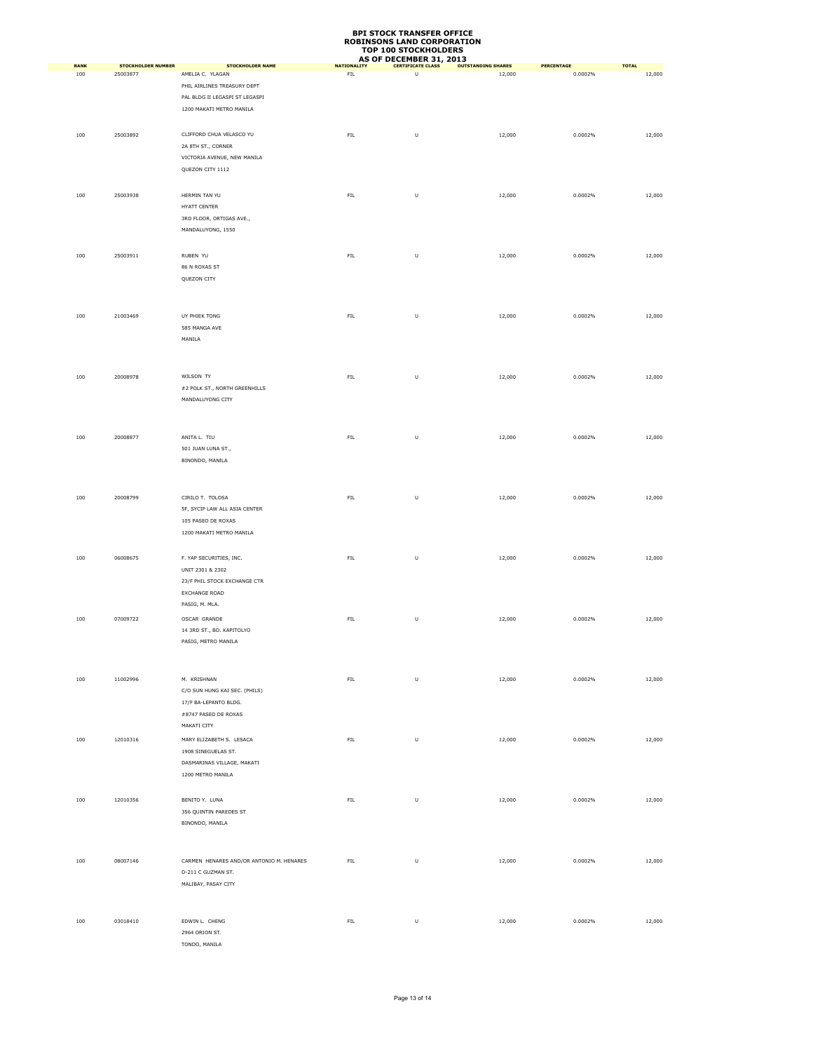| <b>RANK</b> | <b>STOCKHOLDER NUMBER</b> | <b>STOCKHOLDER NAME</b>                  | <b>NATIONALITY</b> | AS OF DECEMBER 31, 2013<br><b>CERTIFICATE CLASS</b> | <b>OUTSTANDING SHARES</b> | PERCENTAGE | <b>TOTAL</b> |
|-------------|---------------------------|------------------------------------------|--------------------|-----------------------------------------------------|---------------------------|------------|--------------|
| 100         | 25003877                  | AMELIA C. YLAGAN                         | ${\sf FIL}$        | $\cup$                                              | 12,000                    | 0.0002%    | 12,000       |
|             |                           | PHIL AIRLINES TREASURY DEPT              |                    |                                                     |                           |            |              |
|             |                           | PAL BLDG II LEGASPI ST LEGASPI           |                    |                                                     |                           |            |              |
|             |                           | 1200 MAKATI METRO MANILA                 |                    |                                                     |                           |            |              |
|             |                           |                                          |                    |                                                     |                           |            |              |
| 100         | 25003892                  | CLIFFORD CHUA VELASCO YU                 | ${\sf FIL}$        | U                                                   | 12,000                    | 0.0002%    | 12,000       |
|             |                           | 2A 8TH ST., CORNER                       |                    |                                                     |                           |            |              |
|             |                           | VICTORIA AVENUE, NEW MANILA              |                    |                                                     |                           |            |              |
|             |                           | QUEZON CITY 1112                         |                    |                                                     |                           |            |              |
|             |                           |                                          |                    |                                                     |                           |            |              |
| 100         | 25003938                  | HERMIN TAN YU                            | ${\sf FIL}$        | U                                                   | 12,000                    | 0.0002%    | 12,000       |
|             |                           | HYATT CENTER                             |                    |                                                     |                           |            |              |
|             |                           | 3RD FLOOR, ORTIGAS AVE.,                 |                    |                                                     |                           |            |              |
|             |                           | MANDALUYONG, 1550                        |                    |                                                     |                           |            |              |
|             |                           |                                          |                    |                                                     |                           |            |              |
| 100         | 25003911                  | RUBEN YU                                 | ${\sf FIL}$        | U                                                   | 12,000                    | 0.0002%    | 12,000       |
|             |                           | 86 N ROXAS ST                            |                    |                                                     |                           |            |              |
|             |                           | QUEZON CITY                              |                    |                                                     |                           |            |              |
|             |                           |                                          |                    |                                                     |                           |            |              |
|             |                           |                                          |                    |                                                     |                           |            |              |
|             |                           |                                          |                    |                                                     |                           |            |              |
| 100         | 21003469                  | UY PHIEK TONG<br>585 MANGA AVE           | FIL                | U                                                   | 12,000                    | 0.0002%    | 12,000       |
|             |                           | MANILA                                   |                    |                                                     |                           |            |              |
|             |                           |                                          |                    |                                                     |                           |            |              |
|             |                           |                                          |                    |                                                     |                           |            |              |
|             |                           |                                          |                    |                                                     |                           |            |              |
| 100         | 20008978                  | WILSON TY                                | ${\sf FIL}$        | U                                                   | 12,000                    | 0.0002%    | 12,000       |
|             |                           | #2 POLK ST., NORTH GREENHILLS            |                    |                                                     |                           |            |              |
|             |                           | MANDALUYONG CITY                         |                    |                                                     |                           |            |              |
|             |                           |                                          |                    |                                                     |                           |            |              |
|             |                           |                                          |                    |                                                     |                           |            |              |
| 100         | 20008877                  | ANITA L. TIU                             | ${\sf FIL}$        | U                                                   | 12,000                    | 0.0002%    | 12,000       |
|             |                           | 501 JUAN LUNA ST.,                       |                    |                                                     |                           |            |              |
|             |                           | BINONDO, MANILA                          |                    |                                                     |                           |            |              |
|             |                           |                                          |                    |                                                     |                           |            |              |
|             |                           |                                          |                    |                                                     |                           |            |              |
| 100         | 20008799                  | CIRILO T. TOLOSA                         | ${\sf FIL}$        | U                                                   | 12,000                    | 0.0002%    | 12,000       |
|             |                           | 5F, SYCIP LAW ALL ASIA CENTER            |                    |                                                     |                           |            |              |
|             |                           | 105 PASEO DE ROXAS                       |                    |                                                     |                           |            |              |
|             |                           | 1200 MAKATI METRO MANILA                 |                    |                                                     |                           |            |              |
|             |                           |                                          |                    |                                                     |                           |            |              |
| 100         | 06008675                  | F. YAP SECURITIES, INC.                  | ${\sf FIL}$        | U                                                   | 12,000                    | 0.0002%    | 12,000       |
|             |                           | UNIT 2301 & 2302                         |                    |                                                     |                           |            |              |
|             |                           | 23/F PHIL STOCK EXCHANGE CTR             |                    |                                                     |                           |            |              |
|             |                           | <b>EXCHANGE ROAD</b>                     |                    |                                                     |                           |            |              |
|             |                           | PASIG, M. MLA.                           |                    |                                                     |                           |            |              |
| 100         | 07009722                  | OSCAR GRANDE                             | ${\sf FIL}$        | $\sf U$                                             | 12,000                    | 0.0002%    | 12,000       |
|             |                           | 14 3RD ST., BO. KAPITOLYO                |                    |                                                     |                           |            |              |
|             |                           | PASIG, METRO MANILA                      |                    |                                                     |                           |            |              |
|             |                           |                                          |                    |                                                     |                           |            |              |
|             |                           |                                          |                    |                                                     |                           |            |              |
| 100         | 11002996                  | M. KRISHNAN                              | ${\sf FIL}$        | $\sf U$                                             | 12,000                    | 0.0002%    | 12,000       |
|             |                           | C/O SUN HUNG KAI SEC. (PHILS)            |                    |                                                     |                           |            |              |
|             |                           | 17/F BA-LEPANTO BLDG.                    |                    |                                                     |                           |            |              |
|             |                           | #8747 PASEO DE ROXAS                     |                    |                                                     |                           |            |              |
|             |                           | MAKATI CITY                              |                    |                                                     |                           |            |              |
| 100         | 12010316                  | MARY ELIZABETH S. LESACA                 | ${\sf FIL}$        | U                                                   | 12,000                    | 0.0002%    | 12,000       |
|             |                           | 1908 SINEGUELAS ST.                      |                    |                                                     |                           |            |              |
|             |                           | DASMARINAS VILLAGE, MAKATI               |                    |                                                     |                           |            |              |
|             |                           | 1200 METRO MANILA                        |                    |                                                     |                           |            |              |
|             |                           |                                          |                    |                                                     |                           |            |              |
|             |                           |                                          |                    |                                                     |                           |            |              |
| 100         | 12010356                  | BENITO Y. LUNA                           | FIL                | U                                                   | 12,000                    | 0.0002%    | 12,000       |
|             |                           | 356 QUINTIN PAREDES ST                   |                    |                                                     |                           |            |              |
|             |                           | BINONDO, MANILA                          |                    |                                                     |                           |            |              |
|             |                           |                                          |                    |                                                     |                           |            |              |
|             |                           |                                          |                    |                                                     |                           |            |              |
| 100         | 08007146                  | CARMEN HENARES AND/OR ANTONIO M. HENARES | ${\sf FIL}$        | U                                                   | 12,000                    | 0.0002%    | 12,000       |
|             |                           | D-211 C GUZMAN ST.                       |                    |                                                     |                           |            |              |
|             |                           | MALIBAY, PASAY CITY                      |                    |                                                     |                           |            |              |
|             |                           |                                          |                    |                                                     |                           |            |              |
|             |                           |                                          |                    |                                                     |                           |            |              |
| 100         | 03018410                  | EDWIN L. CHENG                           | ${\sf FIL}$        | $\sf U$                                             | 12,000                    | 0.0002%    | 12,000       |
|             |                           | 2964 ORION ST.                           |                    |                                                     |                           |            |              |
|             |                           | TONDO, MANILA                            |                    |                                                     |                           |            |              |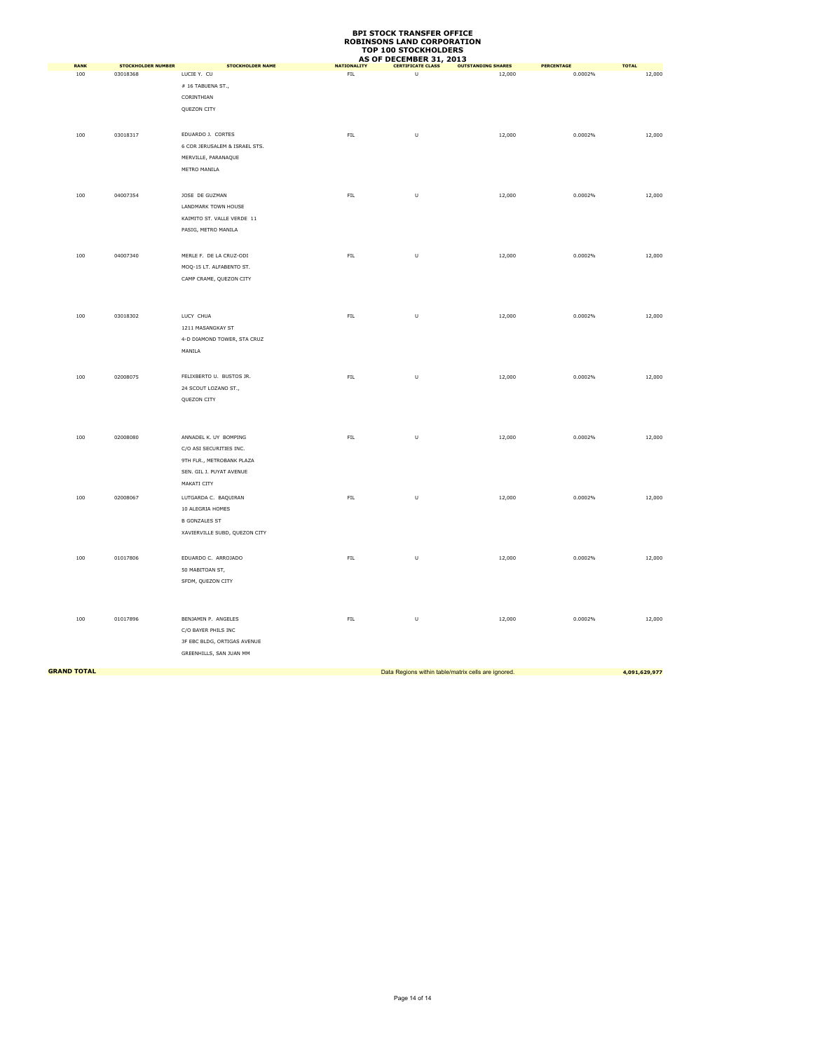|                    |                                       |                                        |                          | AS OF DECEMBER 31, 2013                             |                                     |                              |                        |
|--------------------|---------------------------------------|----------------------------------------|--------------------------|-----------------------------------------------------|-------------------------------------|------------------------------|------------------------|
| <b>RANK</b><br>100 | <b>STOCKHOLDER NUMBER</b><br>03018368 | <b>STOCKHOLDER NAME</b><br>LUCIE Y. CU | <b>NATIONALITY</b><br>FL | <b>CERTIFICATE CLASS</b><br>$\cup$                  | <b>OUTSTANDING SHARES</b><br>12,000 | <b>PERCENTAGE</b><br>0.0002% | <b>TOTAL</b><br>12,000 |
|                    |                                       | #16 TABUENA ST.,                       |                          |                                                     |                                     |                              |                        |
|                    |                                       | CORINTHIAN                             |                          |                                                     |                                     |                              |                        |
|                    |                                       | QUEZON CITY                            |                          |                                                     |                                     |                              |                        |
|                    |                                       |                                        |                          |                                                     |                                     |                              |                        |
|                    |                                       |                                        |                          |                                                     |                                     |                              |                        |
| 100                | 03018317                              | EDUARDO J. CORTES                      | FIL.                     | U                                                   | 12,000                              | 0.0002%                      | 12,000                 |
|                    |                                       | 6 COR JERUSALEM & ISRAEL STS.          |                          |                                                     |                                     |                              |                        |
|                    |                                       | MERVILLE, PARANAQUE                    |                          |                                                     |                                     |                              |                        |
|                    |                                       | METRO MANILA                           |                          |                                                     |                                     |                              |                        |
|                    |                                       |                                        |                          |                                                     |                                     |                              |                        |
| $100\,$            | 04007354                              | JOSE DE GUZMAN                         | ${\sf FIL}$              | $\sf U$                                             | 12,000                              | 0.0002%                      | 12,000                 |
|                    |                                       | LANDMARK TOWN HOUSE                    |                          |                                                     |                                     |                              |                        |
|                    |                                       | KAIMITO ST. VALLE VERDE 11             |                          |                                                     |                                     |                              |                        |
|                    |                                       | PASIG, METRO MANILA                    |                          |                                                     |                                     |                              |                        |
|                    |                                       |                                        |                          |                                                     |                                     |                              |                        |
| 100                | 04007340                              | MERLE F. DE LA CRUZ-ODI                | ${\sf FIL}$              | $\cup$                                              | 12,000                              | 0.0002%                      | 12,000                 |
|                    |                                       | MOQ-15 LT. ALFABENTO ST.               |                          |                                                     |                                     |                              |                        |
|                    |                                       | CAMP CRAME, QUEZON CITY                |                          |                                                     |                                     |                              |                        |
|                    |                                       |                                        |                          |                                                     |                                     |                              |                        |
|                    |                                       |                                        |                          |                                                     |                                     |                              |                        |
| 100                | 03018302                              | LUCY CHUA                              | FL                       | $\cup$                                              | 12,000                              | 0.0002%                      | 12,000                 |
|                    |                                       | 1211 MASANGKAY ST                      |                          |                                                     |                                     |                              |                        |
|                    |                                       | 4-D DIAMOND TOWER, STA CRUZ            |                          |                                                     |                                     |                              |                        |
|                    |                                       |                                        |                          |                                                     |                                     |                              |                        |
|                    |                                       | MANILA                                 |                          |                                                     |                                     |                              |                        |
|                    |                                       |                                        |                          |                                                     |                                     |                              |                        |
| 100                | 02008075                              | FELIXBERTO U. BUSTOS JR.               | ${\sf FIL}$              | $\sf U$                                             | 12,000                              | 0.0002%                      | 12,000                 |
|                    |                                       | 24 SCOUT LOZANO ST.,                   |                          |                                                     |                                     |                              |                        |
|                    |                                       | QUEZON CITY                            |                          |                                                     |                                     |                              |                        |
|                    |                                       |                                        |                          |                                                     |                                     |                              |                        |
|                    |                                       |                                        |                          |                                                     |                                     |                              |                        |
| 100                | 02008080                              | ANNADEL K. UY BOMPING                  | ${\sf FIL}$              | U                                                   | 12,000                              | 0.0002%                      | 12,000                 |
|                    |                                       | C/O ASI SECURITIES INC.                |                          |                                                     |                                     |                              |                        |
|                    |                                       | 9TH FLR., METROBANK PLAZA              |                          |                                                     |                                     |                              |                        |
|                    |                                       | SEN. GIL J. PUYAT AVENUE               |                          |                                                     |                                     |                              |                        |
|                    |                                       | MAKATI CITY                            |                          |                                                     |                                     |                              |                        |
| $100\,$            | 02008067                              | LUTGARDA C. BAQUIRAN                   | ${\sf FIL}$              | U                                                   | 12,000                              | 0.0002%                      | 12,000                 |
|                    |                                       | 10 ALEGRIA HOMES                       |                          |                                                     |                                     |                              |                        |
|                    |                                       | <b>B GONZALES ST</b>                   |                          |                                                     |                                     |                              |                        |
|                    |                                       | XAVIERVILLE SUBD, QUEZON CITY          |                          |                                                     |                                     |                              |                        |
|                    |                                       |                                        |                          |                                                     |                                     |                              |                        |
|                    |                                       |                                        |                          |                                                     |                                     |                              |                        |
| 100                | 01017806                              | EDUARDO C. ARROJADO                    | ${\sf FIL}$              | $\cup$                                              | 12,000                              | 0.0002%                      | 12,000                 |
|                    |                                       | 50 MABITOAN ST,                        |                          |                                                     |                                     |                              |                        |
|                    |                                       | SFDM, QUEZON CITY                      |                          |                                                     |                                     |                              |                        |
|                    |                                       |                                        |                          |                                                     |                                     |                              |                        |
|                    |                                       |                                        |                          |                                                     |                                     |                              |                        |
| 100                | 01017896                              | BENJAMIN P. ANGELES                    | ${\sf FIL}$              | U                                                   | 12,000                              | 0.0002%                      | 12,000                 |
|                    |                                       | C/O BAYER PHILS INC                    |                          |                                                     |                                     |                              |                        |
|                    |                                       | 3F EBC BLDG, ORTIGAS AVENUE            |                          |                                                     |                                     |                              |                        |
|                    |                                       | GREENHILLS, SAN JUAN MM                |                          |                                                     |                                     |                              |                        |
|                    |                                       |                                        |                          |                                                     |                                     |                              |                        |
| <b>GRAND TOTAL</b> |                                       |                                        |                          | Data Regions within table/matrix cells are ignored. |                                     |                              | 4,091,629,977          |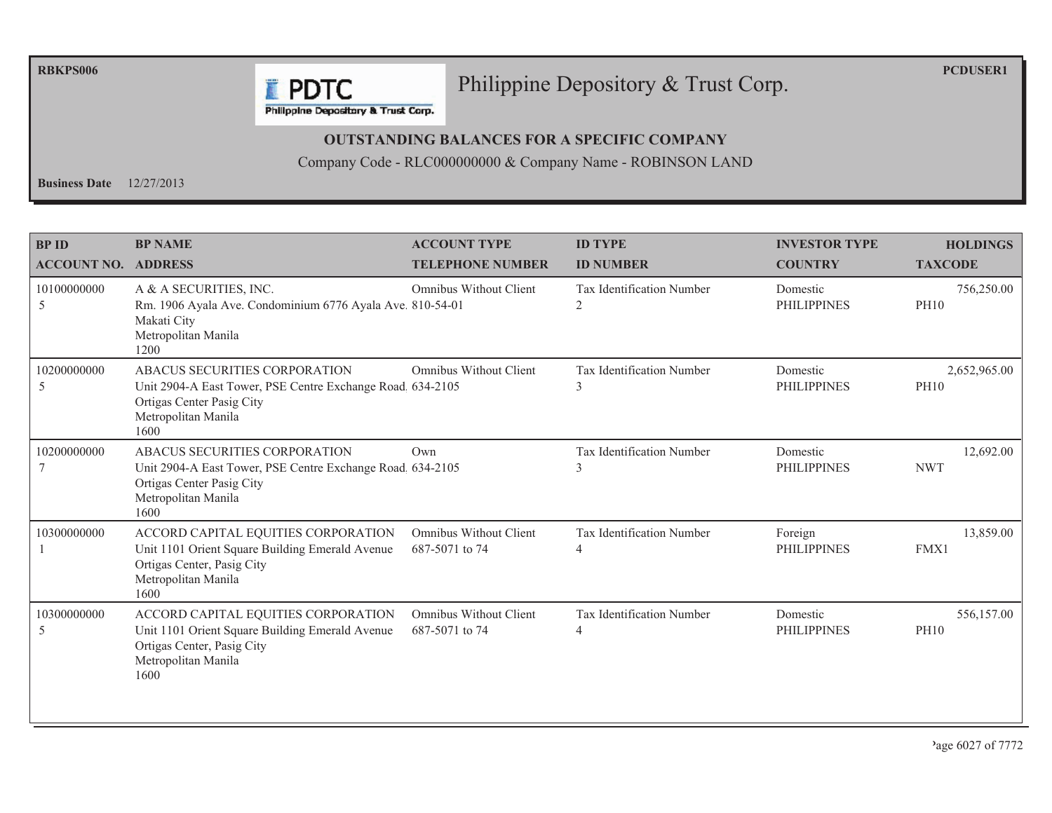**RBKPS006** 

#### Philippine Depository & Trust Corp.

**PCDUSER1** 

Philippine Depository & Trust Corp.

**F** PDTC

#### **OUTSTANDING BALANCES FOR A SPECIFIC COMPANY**

Company Code - RLC000000000 & Company Name - ROBINSON LAND

Business Date  $12/27/2013$ 

| <b>BPID</b><br><b>ACCOUNT NO. ADDRESS</b> | <b>BP NAME</b>                                                                                                                                          | <b>ACCOUNT TYPE</b><br><b>TELEPHONE NUMBER</b>  | <b>ID TYPE</b><br><b>ID NUMBER</b>                 | <b>INVESTOR TYPE</b><br><b>COUNTRY</b> | <b>HOLDINGS</b><br><b>TAXCODE</b> |
|-------------------------------------------|---------------------------------------------------------------------------------------------------------------------------------------------------------|-------------------------------------------------|----------------------------------------------------|----------------------------------------|-----------------------------------|
| 10100000000<br>5                          | A & A SECURITIES, INC.<br>Rm. 1906 Ayala Ave. Condominium 6776 Ayala Ave. 810-54-01<br>Makati City<br>Metropolitan Manila<br>1200                       | <b>Omnibus Without Client</b>                   | Tax Identification Number<br>2                     | Domestic<br><b>PHILIPPINES</b>         | 756,250.00<br><b>PH10</b>         |
| 10200000000<br>5                          | ABACUS SECURITIES CORPORATION<br>Unit 2904-A East Tower, PSE Centre Exchange Road 634-2105<br>Ortigas Center Pasig City<br>Metropolitan Manila<br>1600  | <b>Omnibus Without Client</b>                   | Tax Identification Number<br>3                     | Domestic<br><b>PHILIPPINES</b>         | 2,652,965.00<br><b>PH10</b>       |
| 10200000000                               | ABACUS SECURITIES CORPORATION<br>Unit 2904-A East Tower, PSE Centre Exchange Road. 634-2105<br>Ortigas Center Pasig City<br>Metropolitan Manila<br>1600 | Own                                             | Tax Identification Number                          | Domestic<br><b>PHILIPPINES</b>         | 12,692.00<br><b>NWT</b>           |
| 10300000000                               | ACCORD CAPITAL EQUITIES CORPORATION<br>Unit 1101 Orient Square Building Emerald Avenue<br>Ortigas Center, Pasig City<br>Metropolitan Manila<br>1600     | <b>Omnibus Without Client</b><br>687-5071 to 74 | <b>Tax Identification Number</b><br>$\overline{4}$ | Foreign<br><b>PHILIPPINES</b>          | 13,859.00<br>FMX1                 |
| 10300000000<br>5                          | ACCORD CAPITAL EQUITIES CORPORATION<br>Unit 1101 Orient Square Building Emerald Avenue<br>Ortigas Center, Pasig City<br>Metropolitan Manila<br>1600     | Omnibus Without Client<br>687-5071 to 74        | Tax Identification Number<br>4                     | Domestic<br><b>PHILIPPINES</b>         | 556,157.00<br><b>PH10</b>         |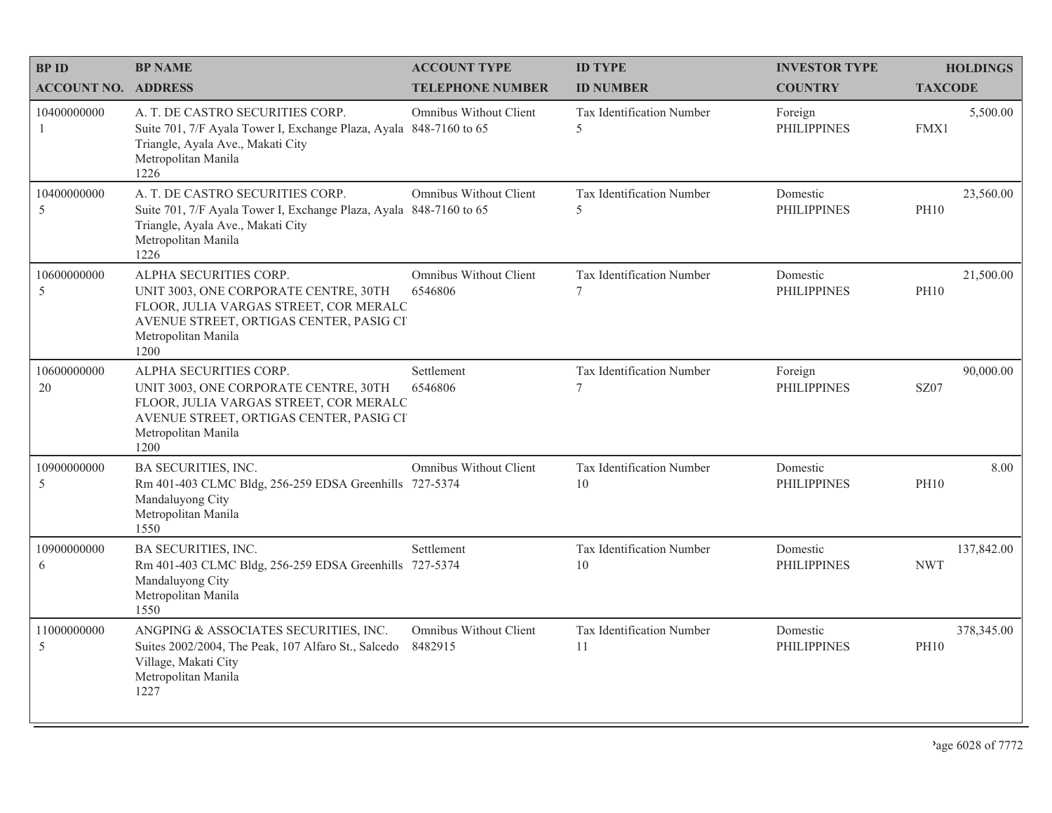| <b>BPID</b>                | <b>BP NAME</b>                                                                                                                                                                      | <b>ACCOUNT TYPE</b>               | <b>ID TYPE</b>                  | <b>INVESTOR TYPE</b>           | <b>HOLDINGS</b>           |
|----------------------------|-------------------------------------------------------------------------------------------------------------------------------------------------------------------------------------|-----------------------------------|---------------------------------|--------------------------------|---------------------------|
| <b>ACCOUNT NO. ADDRESS</b> |                                                                                                                                                                                     | <b>TELEPHONE NUMBER</b>           | <b>ID NUMBER</b>                | <b>COUNTRY</b>                 | <b>TAXCODE</b>            |
| 10400000000<br>-1          | A. T. DE CASTRO SECURITIES CORP.<br>Suite 701, 7/F Ayala Tower I, Exchange Plaza, Ayala 848-7160 to 65<br>Triangle, Ayala Ave., Makati City<br>Metropolitan Manila<br>1226          | Omnibus Without Client            | Tax Identification Number<br>5  | Foreign<br><b>PHILIPPINES</b>  | 5,500.00<br>FMX1          |
| 10400000000<br>5           | A. T. DE CASTRO SECURITIES CORP.<br>Suite 701, 7/F Ayala Tower I, Exchange Plaza, Ayala 848-7160 to 65<br>Triangle, Ayala Ave., Makati City<br>Metropolitan Manila<br>1226          | Omnibus Without Client            | Tax Identification Number<br>5  | Domestic<br><b>PHILIPPINES</b> | 23,560.00<br><b>PH10</b>  |
| 10600000000<br>5           | ALPHA SECURITIES CORP.<br>UNIT 3003, ONE CORPORATE CENTRE, 30TH<br>FLOOR, JULIA VARGAS STREET, COR MERALC<br>AVENUE STREET, ORTIGAS CENTER, PASIG CI<br>Metropolitan Manila<br>1200 | Omnibus Without Client<br>6546806 | Tax Identification Number<br>7  | Domestic<br><b>PHILIPPINES</b> | 21,500.00<br><b>PH10</b>  |
| 10600000000<br>20          | ALPHA SECURITIES CORP.<br>UNIT 3003, ONE CORPORATE CENTRE, 30TH<br>FLOOR, JULIA VARGAS STREET, COR MERALC<br>AVENUE STREET, ORTIGAS CENTER, PASIG CI<br>Metropolitan Manila<br>1200 | Settlement<br>6546806             | Tax Identification Number<br>7  | Foreign<br><b>PHILIPPINES</b>  | 90,000.00<br>SZ07         |
| 10900000000<br>5           | BA SECURITIES, INC.<br>Rm 401-403 CLMC Bldg, 256-259 EDSA Greenhills 727-5374<br>Mandaluyong City<br>Metropolitan Manila<br>1550                                                    | Omnibus Without Client            | Tax Identification Number<br>10 | Domestic<br><b>PHILIPPINES</b> | 8.00<br><b>PH10</b>       |
| 10900000000<br>6           | BA SECURITIES, INC.<br>Rm 401-403 CLMC Bldg, 256-259 EDSA Greenhills 727-5374<br>Mandaluyong City<br>Metropolitan Manila<br>1550                                                    | Settlement                        | Tax Identification Number<br>10 | Domestic<br><b>PHILIPPINES</b> | 137,842.00<br><b>NWT</b>  |
| 11000000000<br>5           | ANGPING & ASSOCIATES SECURITIES, INC.<br>Suites 2002/2004, The Peak, 107 Alfaro St., Salcedo<br>Village, Makati City<br>Metropolitan Manila<br>1227                                 | Omnibus Without Client<br>8482915 | Tax Identification Number<br>11 | Domestic<br><b>PHILIPPINES</b> | 378,345.00<br><b>PH10</b> |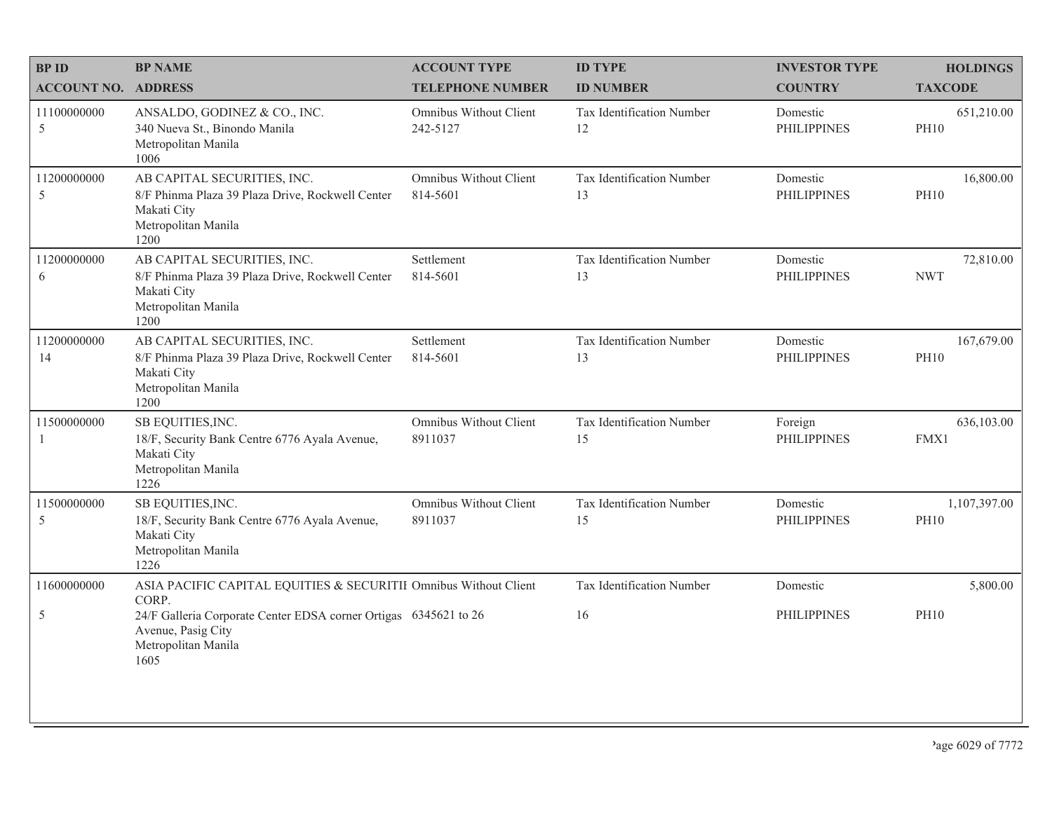| <b>BPID</b>                | <b>BP NAME</b>                                                                                                                 | <b>ACCOUNT TYPE</b>                | <b>ID TYPE</b>                  | <b>INVESTOR TYPE</b>           | <b>HOLDINGS</b>             |
|----------------------------|--------------------------------------------------------------------------------------------------------------------------------|------------------------------------|---------------------------------|--------------------------------|-----------------------------|
| <b>ACCOUNT NO. ADDRESS</b> |                                                                                                                                | <b>TELEPHONE NUMBER</b>            | <b>ID NUMBER</b>                | <b>COUNTRY</b>                 | <b>TAXCODE</b>              |
| 11100000000<br>5           | ANSALDO, GODINEZ & CO., INC.<br>340 Nueva St., Binondo Manila<br>Metropolitan Manila<br>1006                                   | Omnibus Without Client<br>242-5127 | Tax Identification Number<br>12 | Domestic<br><b>PHILIPPINES</b> | 651,210.00<br><b>PH10</b>   |
| 11200000000<br>5           | AB CAPITAL SECURITIES, INC.<br>8/F Phinma Plaza 39 Plaza Drive, Rockwell Center<br>Makati City<br>Metropolitan Manila<br>1200  | Omnibus Without Client<br>814-5601 | Tax Identification Number<br>13 | Domestic<br><b>PHILIPPINES</b> | 16,800.00<br><b>PH10</b>    |
| 11200000000<br>6           | AB CAPITAL SECURITIES, INC.<br>8/F Phinma Plaza 39 Plaza Drive, Rockwell Center<br>Makati City<br>Metropolitan Manila<br>1200  | Settlement<br>814-5601             | Tax Identification Number<br>13 | Domestic<br><b>PHILIPPINES</b> | 72,810.00<br><b>NWT</b>     |
| 11200000000<br>14          | AB CAPITAL SECURITIES, INC.<br>8/F Phinma Plaza 39 Plaza Drive, Rockwell Center<br>Makati City<br>Metropolitan Manila<br>1200  | Settlement<br>814-5601             | Tax Identification Number<br>13 | Domestic<br><b>PHILIPPINES</b> | 167,679.00<br><b>PH10</b>   |
| 11500000000<br>1           | SB EQUITIES, INC.<br>18/F, Security Bank Centre 6776 Ayala Avenue,<br>Makati City<br>Metropolitan Manila<br>1226               | Omnibus Without Client<br>8911037  | Tax Identification Number<br>15 | Foreign<br><b>PHILIPPINES</b>  | 636,103.00<br>FMX1          |
| 11500000000<br>5           | SB EQUITIES, INC.<br>18/F, Security Bank Centre 6776 Ayala Avenue,<br>Makati City<br>Metropolitan Manila<br>1226               | Omnibus Without Client<br>8911037  | Tax Identification Number<br>15 | Domestic<br><b>PHILIPPINES</b> | 1,107,397.00<br><b>PH10</b> |
| 11600000000                | ASIA PACIFIC CAPITAL EQUITIES & SECURITII Omnibus Without Client                                                               |                                    | Tax Identification Number       | Domestic                       | 5,800.00                    |
| 5                          | CORP.<br>24/F Galleria Corporate Center EDSA corner Ortigas 6345621 to 26<br>Avenue, Pasig City<br>Metropolitan Manila<br>1605 |                                    | 16                              | <b>PHILIPPINES</b>             | <b>PH10</b>                 |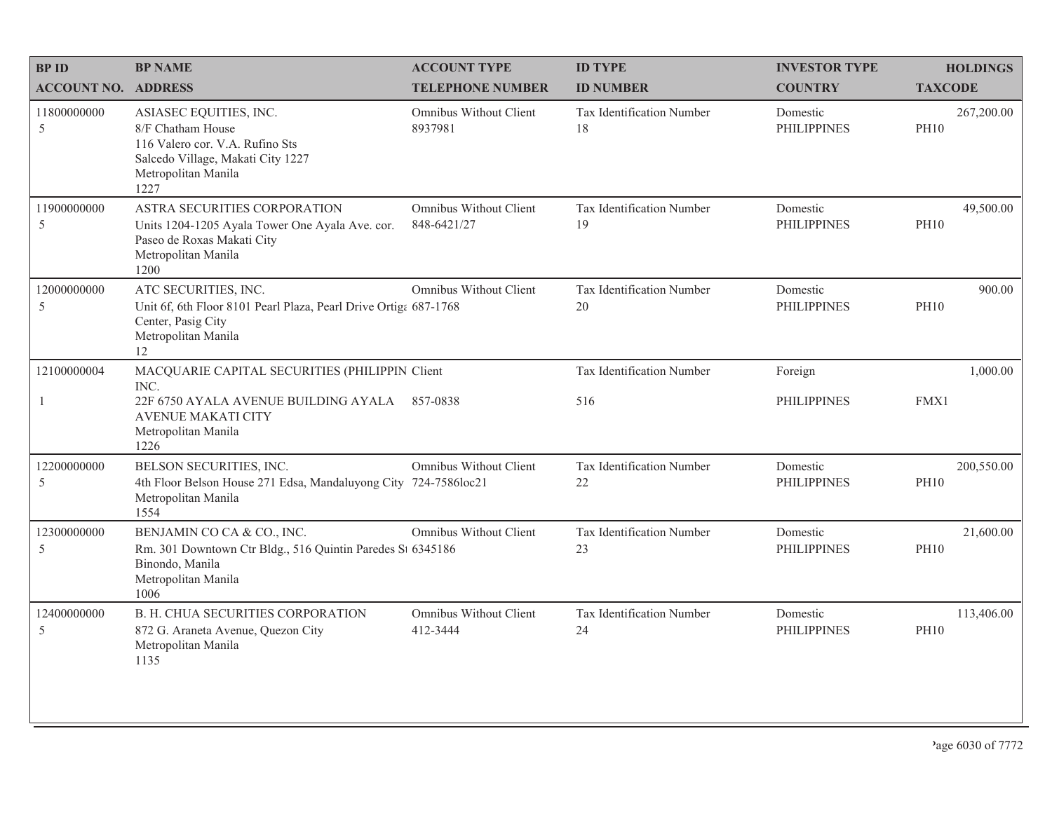| <b>BPID</b>                | <b>BP NAME</b>                                                                                                                                     | <b>ACCOUNT TYPE</b>                   | <b>ID TYPE</b>                  | <b>INVESTOR TYPE</b>           | <b>HOLDINGS</b>           |
|----------------------------|----------------------------------------------------------------------------------------------------------------------------------------------------|---------------------------------------|---------------------------------|--------------------------------|---------------------------|
| <b>ACCOUNT NO. ADDRESS</b> |                                                                                                                                                    | <b>TELEPHONE NUMBER</b>               | <b>ID NUMBER</b>                | <b>COUNTRY</b>                 | <b>TAXCODE</b>            |
| 11800000000<br>5           | ASIASEC EQUITIES, INC.<br>8/F Chatham House<br>116 Valero cor. V.A. Rufino Sts<br>Salcedo Village, Makati City 1227<br>Metropolitan Manila<br>1227 | Omnibus Without Client<br>8937981     | Tax Identification Number<br>18 | Domestic<br><b>PHILIPPINES</b> | 267,200.00<br><b>PH10</b> |
| 11900000000<br>5           | ASTRA SECURITIES CORPORATION<br>Units 1204-1205 Ayala Tower One Ayala Ave. cor.<br>Paseo de Roxas Makati City<br>Metropolitan Manila<br>1200       | Omnibus Without Client<br>848-6421/27 | Tax Identification Number<br>19 | Domestic<br><b>PHILIPPINES</b> | 49,500.00<br><b>PH10</b>  |
| 12000000000<br>5           | ATC SECURITIES, INC.<br>Unit 6f, 6th Floor 8101 Pearl Plaza, Pearl Drive Ortiga 687-1768<br>Center, Pasig City<br>Metropolitan Manila<br>12        | Omnibus Without Client                | Tax Identification Number<br>20 | Domestic<br><b>PHILIPPINES</b> | 900.00<br><b>PH10</b>     |
| 12100000004                | MACQUARIE CAPITAL SECURITIES (PHILIPPIN Client<br>INC.                                                                                             |                                       | Tax Identification Number       | Foreign                        | 1,000.00                  |
|                            | 22F 6750 AYALA AVENUE BUILDING AYALA<br><b>AVENUE MAKATI CITY</b><br>Metropolitan Manila<br>1226                                                   | 857-0838                              | 516                             | <b>PHILIPPINES</b>             | FMX1                      |
| 12200000000<br>5           | BELSON SECURITIES, INC.<br>4th Floor Belson House 271 Edsa, Mandaluyong City 724-7586loc21<br>Metropolitan Manila<br>1554                          | Omnibus Without Client                | Tax Identification Number<br>22 | Domestic<br><b>PHILIPPINES</b> | 200,550.00<br><b>PH10</b> |
| 12300000000<br>5           | BENJAMIN CO CA & CO., INC.<br>Rm. 301 Downtown Ctr Bldg., 516 Quintin Paredes St 6345186<br>Binondo, Manila<br>Metropolitan Manila<br>1006         | Omnibus Without Client                | Tax Identification Number<br>23 | Domestic<br><b>PHILIPPINES</b> | 21,600.00<br><b>PH10</b>  |
| 12400000000<br>5           | <b>B. H. CHUA SECURITIES CORPORATION</b><br>872 G. Araneta Avenue, Quezon City<br>Metropolitan Manila<br>1135                                      | Omnibus Without Client<br>412-3444    | Tax Identification Number<br>24 | Domestic<br><b>PHILIPPINES</b> | 113,406.00<br><b>PH10</b> |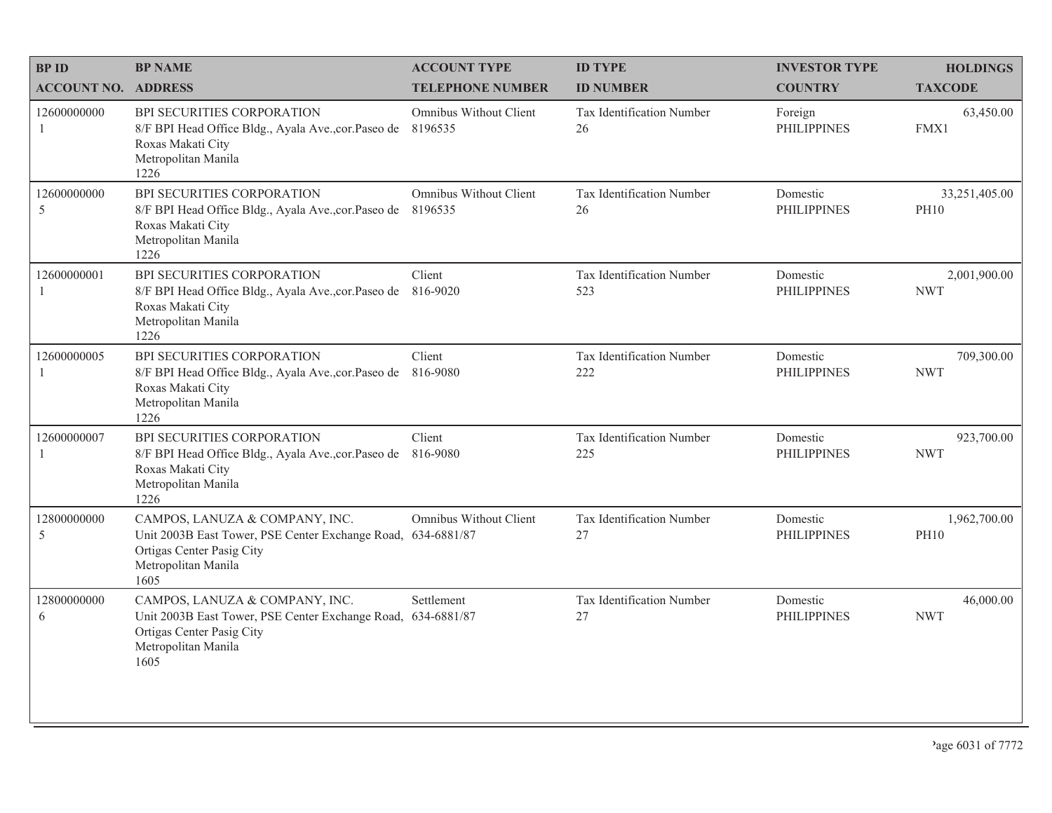| <b>BPID</b>                 | <b>BP NAME</b>                                                                                                                                             | <b>ACCOUNT TYPE</b>               | <b>ID TYPE</b>                   | <b>INVESTOR TYPE</b>           | <b>HOLDINGS</b>              |
|-----------------------------|------------------------------------------------------------------------------------------------------------------------------------------------------------|-----------------------------------|----------------------------------|--------------------------------|------------------------------|
| <b>ACCOUNT NO. ADDRESS</b>  |                                                                                                                                                            | <b>TELEPHONE NUMBER</b>           | <b>ID NUMBER</b>                 | <b>COUNTRY</b>                 | <b>TAXCODE</b>               |
| 12600000000<br>$\mathbf{1}$ | BPI SECURITIES CORPORATION<br>8/F BPI Head Office Bldg., Ayala Ave., cor. Paseo de<br>Roxas Makati City<br>Metropolitan Manila<br>1226                     | Omnibus Without Client<br>8196535 | Tax Identification Number<br>26  | Foreign<br><b>PHILIPPINES</b>  | 63,450.00<br>FMX1            |
| 12600000000<br>5            | BPI SECURITIES CORPORATION<br>8/F BPI Head Office Bldg., Ayala Ave., cor. Paseo de 8196535<br>Roxas Makati City<br>Metropolitan Manila<br>1226             | Omnibus Without Client            | Tax Identification Number<br>26  | Domestic<br><b>PHILIPPINES</b> | 33,251,405.00<br><b>PH10</b> |
| 12600000001                 | BPI SECURITIES CORPORATION<br>8/F BPI Head Office Bldg., Ayala Ave., cor. Paseo de<br>Roxas Makati City<br>Metropolitan Manila<br>1226                     | Client<br>816-9020                | Tax Identification Number<br>523 | Domestic<br><b>PHILIPPINES</b> | 2,001,900.00<br><b>NWT</b>   |
| 12600000005<br>1            | BPI SECURITIES CORPORATION<br>8/F BPI Head Office Bldg., Ayala Ave., cor. Paseo de<br>Roxas Makati City<br>Metropolitan Manila<br>1226                     | Client<br>816-9080                | Tax Identification Number<br>222 | Domestic<br><b>PHILIPPINES</b> | 709,300.00<br><b>NWT</b>     |
| 12600000007<br>1            | BPI SECURITIES CORPORATION<br>8/F BPI Head Office Bldg., Ayala Ave., cor. Paseo de 816-9080<br>Roxas Makati City<br>Metropolitan Manila<br>1226            | Client                            | Tax Identification Number<br>225 | Domestic<br><b>PHILIPPINES</b> | 923,700.00<br><b>NWT</b>     |
| 12800000000<br>5            | CAMPOS, LANUZA & COMPANY, INC.<br>Unit 2003B East Tower, PSE Center Exchange Road, 634-6881/87<br>Ortigas Center Pasig City<br>Metropolitan Manila<br>1605 | Omnibus Without Client            | Tax Identification Number<br>27  | Domestic<br><b>PHILIPPINES</b> | 1,962,700.00<br><b>PH10</b>  |
| 12800000000<br>6            | CAMPOS, LANUZA & COMPANY, INC.<br>Unit 2003B East Tower, PSE Center Exchange Road, 634-6881/87<br>Ortigas Center Pasig City<br>Metropolitan Manila<br>1605 | Settlement                        | Tax Identification Number<br>27  | Domestic<br><b>PHILIPPINES</b> | 46,000.00<br><b>NWT</b>      |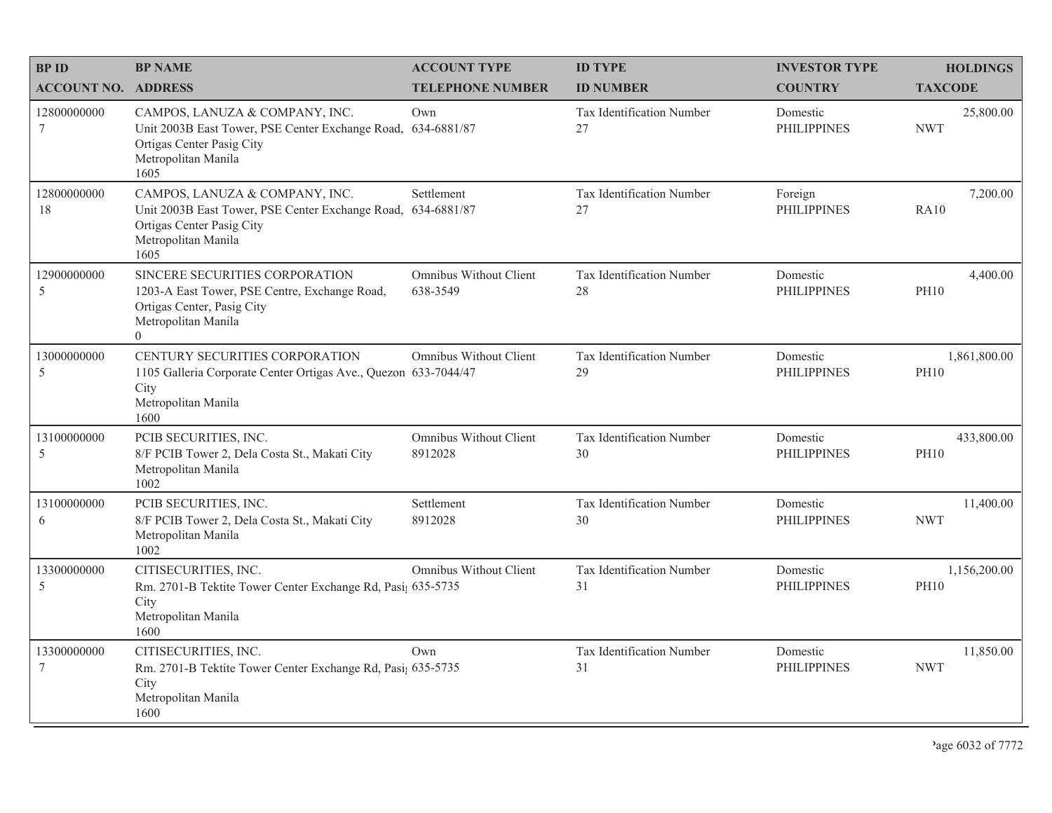| <b>BPID</b>                    | <b>BP NAME</b>                                                                                                                                             | <b>ACCOUNT TYPE</b>                       | <b>ID TYPE</b>                  | <b>INVESTOR TYPE</b>           | <b>HOLDINGS</b>             |
|--------------------------------|------------------------------------------------------------------------------------------------------------------------------------------------------------|-------------------------------------------|---------------------------------|--------------------------------|-----------------------------|
| <b>ACCOUNT NO. ADDRESS</b>     |                                                                                                                                                            | <b>TELEPHONE NUMBER</b>                   | <b>ID NUMBER</b>                | <b>COUNTRY</b>                 | <b>TAXCODE</b>              |
| 12800000000<br>$7\phantom{.0}$ | CAMPOS, LANUZA & COMPANY, INC.<br>Unit 2003B East Tower, PSE Center Exchange Road, 634-6881/87<br>Ortigas Center Pasig City<br>Metropolitan Manila<br>1605 | Own                                       | Tax Identification Number<br>27 | Domestic<br><b>PHILIPPINES</b> | 25,800.00<br><b>NWT</b>     |
| 12800000000<br>18              | CAMPOS, LANUZA & COMPANY, INC.<br>Unit 2003B East Tower, PSE Center Exchange Road, 634-6881/87<br>Ortigas Center Pasig City<br>Metropolitan Manila<br>1605 | Settlement                                | Tax Identification Number<br>27 | Foreign<br><b>PHILIPPINES</b>  | 7,200.00<br><b>RA10</b>     |
| 12900000000<br>5               | SINCERE SECURITIES CORPORATION<br>1203-A East Tower, PSE Centre, Exchange Road,<br>Ortigas Center, Pasig City<br>Metropolitan Manila<br>$\overline{0}$     | <b>Omnibus Without Client</b><br>638-3549 | Tax Identification Number<br>28 | Domestic<br><b>PHILIPPINES</b> | 4,400.00<br><b>PH10</b>     |
| 13000000000<br>5               | CENTURY SECURITIES CORPORATION<br>1105 Galleria Corporate Center Ortigas Ave., Quezon 633-7044/47<br>City<br>Metropolitan Manila<br>1600                   | Omnibus Without Client                    | Tax Identification Number<br>29 | Domestic<br><b>PHILIPPINES</b> | 1,861,800.00<br><b>PH10</b> |
| 13100000000<br>5               | PCIB SECURITIES, INC.<br>8/F PCIB Tower 2, Dela Costa St., Makati City<br>Metropolitan Manila<br>1002                                                      | Omnibus Without Client<br>8912028         | Tax Identification Number<br>30 | Domestic<br><b>PHILIPPINES</b> | 433,800.00<br><b>PH10</b>   |
| 13100000000<br>6               | PCIB SECURITIES, INC.<br>8/F PCIB Tower 2, Dela Costa St., Makati City<br>Metropolitan Manila<br>1002                                                      | Settlement<br>8912028                     | Tax Identification Number<br>30 | Domestic<br><b>PHILIPPINES</b> | 11,400.00<br><b>NWT</b>     |
| 13300000000<br>5               | CITISECURITIES, INC.<br>Rm. 2701-B Tektite Tower Center Exchange Rd, Pasi; 635-5735<br>City<br>Metropolitan Manila<br>1600                                 | Omnibus Without Client                    | Tax Identification Number<br>31 | Domestic<br><b>PHILIPPINES</b> | 1,156,200.00<br><b>PH10</b> |
| 13300000000<br>7               | CITISECURITIES, INC.<br>Rm. 2701-B Tektite Tower Center Exchange Rd, Pasi; 635-5735<br>City<br>Metropolitan Manila<br>1600                                 | Own                                       | Tax Identification Number<br>31 | Domestic<br><b>PHILIPPINES</b> | 11,850.00<br><b>NWT</b>     |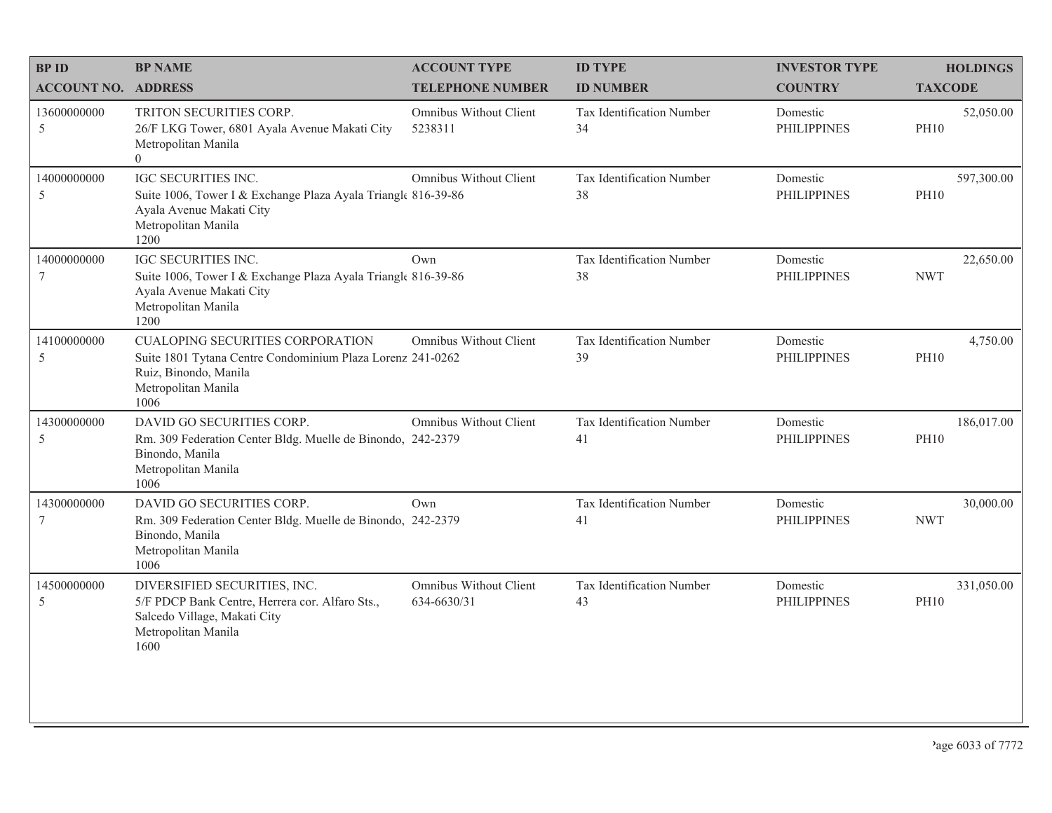| <b>BP ID</b>                   | <b>BP NAME</b>                                                                                                                                         | <b>ACCOUNT TYPE</b>                   | <b>ID TYPE</b>                  | <b>INVESTOR TYPE</b>           | <b>HOLDINGS</b>           |
|--------------------------------|--------------------------------------------------------------------------------------------------------------------------------------------------------|---------------------------------------|---------------------------------|--------------------------------|---------------------------|
| <b>ACCOUNT NO. ADDRESS</b>     |                                                                                                                                                        | <b>TELEPHONE NUMBER</b>               | <b>ID NUMBER</b>                | <b>COUNTRY</b>                 | <b>TAXCODE</b>            |
| 13600000000<br>5               | TRITON SECURITIES CORP.<br>26/F LKG Tower, 6801 Ayala Avenue Makati City<br>Metropolitan Manila<br>$\Omega$                                            | Omnibus Without Client<br>5238311     | Tax Identification Number<br>34 | Domestic<br><b>PHILIPPINES</b> | 52,050.00<br><b>PH10</b>  |
| 14000000000<br>5               | IGC SECURITIES INC.<br>Suite 1006, Tower I & Exchange Plaza Ayala Triangle 816-39-86<br>Ayala Avenue Makati City<br>Metropolitan Manila<br>1200        | Omnibus Without Client                | Tax Identification Number<br>38 | Domestic<br><b>PHILIPPINES</b> | 597,300.00<br><b>PH10</b> |
| 14000000000<br>7               | IGC SECURITIES INC.<br>Suite 1006, Tower I & Exchange Plaza Ayala Triangle 816-39-86<br>Ayala Avenue Makati City<br>Metropolitan Manila<br>1200        | Own                                   | Tax Identification Number<br>38 | Domestic<br><b>PHILIPPINES</b> | 22,650.00<br><b>NWT</b>   |
| 14100000000<br>5               | CUALOPING SECURITIES CORPORATION<br>Suite 1801 Tytana Centre Condominium Plaza Lorenz 241-0262<br>Ruiz, Binondo, Manila<br>Metropolitan Manila<br>1006 | Omnibus Without Client                | Tax Identification Number<br>39 | Domestic<br><b>PHILIPPINES</b> | 4,750.00<br><b>PH10</b>   |
| 14300000000<br>5               | DAVID GO SECURITIES CORP.<br>Rm. 309 Federation Center Bldg. Muelle de Binondo, 242-2379<br>Binondo, Manila<br>Metropolitan Manila<br>1006             | Omnibus Without Client                | Tax Identification Number<br>41 | Domestic<br><b>PHILIPPINES</b> | 186,017.00<br><b>PH10</b> |
| 14300000000<br>$7\phantom{.0}$ | DAVID GO SECURITIES CORP.<br>Rm. 309 Federation Center Bldg. Muelle de Binondo, 242-2379<br>Binondo, Manila<br>Metropolitan Manila<br>1006             | Own                                   | Tax Identification Number<br>41 | Domestic<br><b>PHILIPPINES</b> | 30,000.00<br><b>NWT</b>   |
| 14500000000<br>5               | DIVERSIFIED SECURITIES, INC.<br>5/F PDCP Bank Centre, Herrera cor. Alfaro Sts.,<br>Salcedo Village, Makati City<br>Metropolitan Manila<br>1600         | Omnibus Without Client<br>634-6630/31 | Tax Identification Number<br>43 | Domestic<br><b>PHILIPPINES</b> | 331,050.00<br><b>PH10</b> |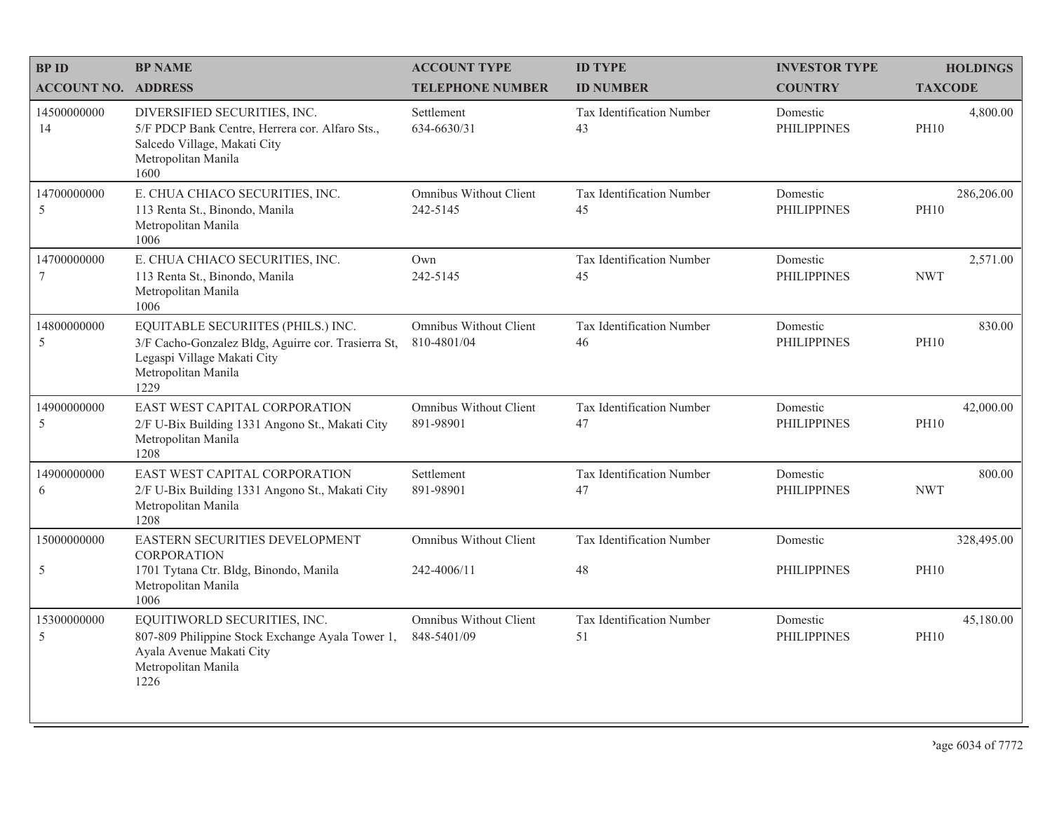| <b>BPID</b>                | <b>BP NAME</b>                                                                                                                                          | <b>ACCOUNT TYPE</b>                          | <b>ID TYPE</b>                         | <b>INVESTOR TYPE</b>           | <b>HOLDINGS</b>           |
|----------------------------|---------------------------------------------------------------------------------------------------------------------------------------------------------|----------------------------------------------|----------------------------------------|--------------------------------|---------------------------|
| <b>ACCOUNT NO. ADDRESS</b> |                                                                                                                                                         | <b>TELEPHONE NUMBER</b>                      | <b>ID NUMBER</b>                       | <b>COUNTRY</b>                 | <b>TAXCODE</b>            |
| 14500000000<br>14          | DIVERSIFIED SECURITIES, INC.<br>5/F PDCP Bank Centre, Herrera cor. Alfaro Sts.,<br>Salcedo Village, Makati City<br>Metropolitan Manila<br>1600          | Settlement<br>634-6630/31                    | <b>Tax Identification Number</b><br>43 | Domestic<br><b>PHILIPPINES</b> | 4,800.00<br><b>PH10</b>   |
| 14700000000<br>5           | E. CHUA CHIACO SECURITIES, INC.<br>113 Renta St., Binondo, Manila<br>Metropolitan Manila<br>1006                                                        | Omnibus Without Client<br>242-5145           | Tax Identification Number<br>45        | Domestic<br><b>PHILIPPINES</b> | 286,206.00<br><b>PH10</b> |
| 14700000000                | E. CHUA CHIACO SECURITIES, INC.<br>113 Renta St., Binondo, Manila<br>Metropolitan Manila<br>1006                                                        | Own<br>242-5145                              | Tax Identification Number<br>45        | Domestic<br><b>PHILIPPINES</b> | 2,571.00<br><b>NWT</b>    |
| 14800000000<br>5           | EQUITABLE SECURIITES (PHILS.) INC.<br>3/F Cacho-Gonzalez Bldg, Aguirre cor. Trasierra St,<br>Legaspi Village Makati City<br>Metropolitan Manila<br>1229 | <b>Omnibus Without Client</b><br>810-4801/04 | Tax Identification Number<br>46        | Domestic<br><b>PHILIPPINES</b> | 830.00<br><b>PH10</b>     |
| 14900000000<br>5           | EAST WEST CAPITAL CORPORATION<br>2/F U-Bix Building 1331 Angono St., Makati City<br>Metropolitan Manila<br>1208                                         | Omnibus Without Client<br>891-98901          | Tax Identification Number<br>47        | Domestic<br><b>PHILIPPINES</b> | 42,000.00<br><b>PH10</b>  |
| 14900000000<br>6           | EAST WEST CAPITAL CORPORATION<br>2/F U-Bix Building 1331 Angono St., Makati City<br>Metropolitan Manila<br>1208                                         | Settlement<br>891-98901                      | Tax Identification Number<br>47        | Domestic<br><b>PHILIPPINES</b> | 800.00<br><b>NWT</b>      |
| 15000000000                | EASTERN SECURITIES DEVELOPMENT<br><b>CORPORATION</b>                                                                                                    | <b>Omnibus Without Client</b>                | Tax Identification Number              | Domestic                       | 328,495.00                |
| 5                          | 1701 Tytana Ctr. Bldg, Binondo, Manila<br>Metropolitan Manila<br>1006                                                                                   | 242-4006/11                                  | 48                                     | <b>PHILIPPINES</b>             | <b>PH10</b>               |
| 15300000000<br>5           | EQUITIWORLD SECURITIES, INC.<br>807-809 Philippine Stock Exchange Ayala Tower 1,<br>Ayala Avenue Makati City<br>Metropolitan Manila<br>1226             | Omnibus Without Client<br>848-5401/09        | Tax Identification Number<br>51        | Domestic<br><b>PHILIPPINES</b> | 45,180.00<br><b>PH10</b>  |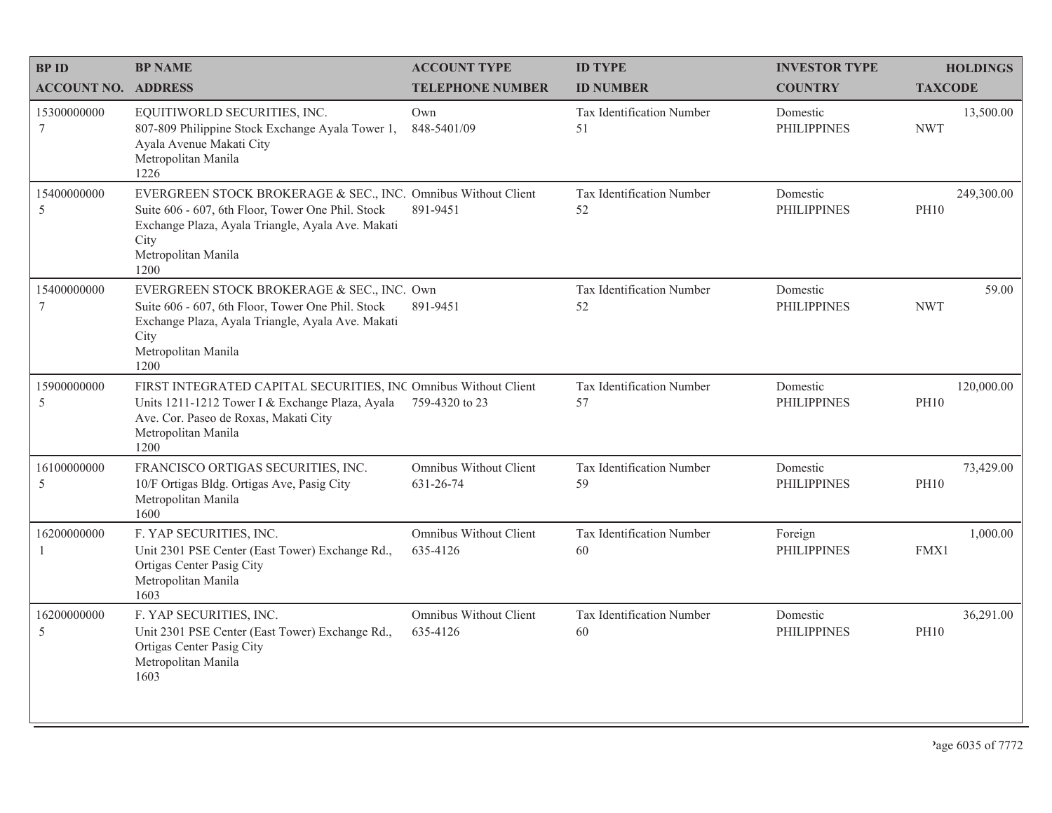| <b>BPID</b>                  | <b>BP NAME</b>                                                                                                                                                                                                 | <b>ACCOUNT TYPE</b>                 | <b>ID TYPE</b>                  | <b>INVESTOR TYPE</b>           | <b>HOLDINGS</b>           |
|------------------------------|----------------------------------------------------------------------------------------------------------------------------------------------------------------------------------------------------------------|-------------------------------------|---------------------------------|--------------------------------|---------------------------|
| <b>ACCOUNT NO. ADDRESS</b>   |                                                                                                                                                                                                                | <b>TELEPHONE NUMBER</b>             | <b>ID NUMBER</b>                | <b>COUNTRY</b>                 | <b>TAXCODE</b>            |
| 15300000000<br>$\tau$        | EQUITIWORLD SECURITIES, INC.<br>807-809 Philippine Stock Exchange Ayala Tower 1,<br>Ayala Avenue Makati City<br>Metropolitan Manila<br>1226                                                                    | Own<br>848-5401/09                  | Tax Identification Number<br>51 | Domestic<br><b>PHILIPPINES</b> | 13,500.00<br><b>NWT</b>   |
| 15400000000<br>5             | EVERGREEN STOCK BROKERAGE & SEC., INC. Omnibus Without Client<br>Suite 606 - 607, 6th Floor, Tower One Phil. Stock<br>Exchange Plaza, Ayala Triangle, Ayala Ave. Makati<br>City<br>Metropolitan Manila<br>1200 | 891-9451                            | Tax Identification Number<br>52 | Domestic<br><b>PHILIPPINES</b> | 249,300.00<br><b>PH10</b> |
| 15400000000<br>$\tau$        | EVERGREEN STOCK BROKERAGE & SEC., INC. Own<br>Suite 606 - 607, 6th Floor, Tower One Phil. Stock<br>Exchange Plaza, Ayala Triangle, Ayala Ave. Makati<br>City<br>Metropolitan Manila<br>1200                    | 891-9451                            | Tax Identification Number<br>52 | Domestic<br><b>PHILIPPINES</b> | 59.00<br><b>NWT</b>       |
| 15900000000<br>$\mathfrak s$ | FIRST INTEGRATED CAPITAL SECURITIES, INC Omnibus Without Client<br>Units 1211-1212 Tower I & Exchange Plaza, Ayala<br>Ave. Cor. Paseo de Roxas, Makati City<br>Metropolitan Manila<br>1200                     | 759-4320 to 23                      | Tax Identification Number<br>57 | Domestic<br><b>PHILIPPINES</b> | 120,000.00<br><b>PH10</b> |
| 16100000000<br>5             | FRANCISCO ORTIGAS SECURITIES, INC.<br>10/F Ortigas Bldg. Ortigas Ave, Pasig City<br>Metropolitan Manila<br>1600                                                                                                | Omnibus Without Client<br>631-26-74 | Tax Identification Number<br>59 | Domestic<br><b>PHILIPPINES</b> | 73,429.00<br><b>PH10</b>  |
| 16200000000                  | F. YAP SECURITIES, INC.<br>Unit 2301 PSE Center (East Tower) Exchange Rd.,<br>Ortigas Center Pasig City<br>Metropolitan Manila<br>1603                                                                         | Omnibus Without Client<br>635-4126  | Tax Identification Number<br>60 | Foreign<br><b>PHILIPPINES</b>  | 1,000.00<br>FMX1          |
| 16200000000<br>5             | F. YAP SECURITIES, INC.<br>Unit 2301 PSE Center (East Tower) Exchange Rd.,<br>Ortigas Center Pasig City<br>Metropolitan Manila<br>1603                                                                         | Omnibus Without Client<br>635-4126  | Tax Identification Number<br>60 | Domestic<br><b>PHILIPPINES</b> | 36,291.00<br><b>PH10</b>  |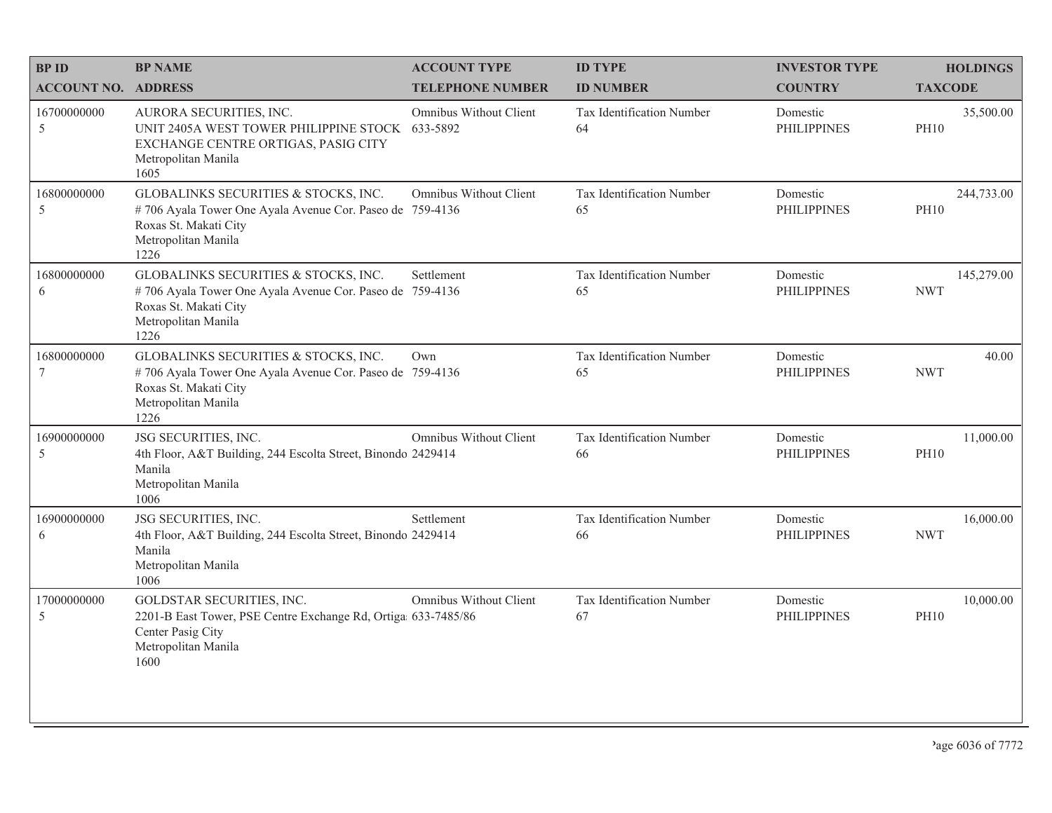| <b>BPID</b>                | <b>BP NAME</b>                                                                                                                                           | <b>ACCOUNT TYPE</b>           | <b>ID TYPE</b>                  | <b>INVESTOR TYPE</b>           | <b>HOLDINGS</b>           |
|----------------------------|----------------------------------------------------------------------------------------------------------------------------------------------------------|-------------------------------|---------------------------------|--------------------------------|---------------------------|
| <b>ACCOUNT NO. ADDRESS</b> |                                                                                                                                                          | <b>TELEPHONE NUMBER</b>       | <b>ID NUMBER</b>                | <b>COUNTRY</b>                 | <b>TAXCODE</b>            |
| 16700000000<br>5           | AURORA SECURITIES, INC.<br>UNIT 2405A WEST TOWER PHILIPPINE STOCK 633-5892<br>EXCHANGE CENTRE ORTIGAS, PASIG CITY<br>Metropolitan Manila<br>1605         | Omnibus Without Client        | Tax Identification Number<br>64 | Domestic<br><b>PHILIPPINES</b> | 35,500.00<br><b>PH10</b>  |
| 16800000000<br>5           | GLOBALINKS SECURITIES & STOCKS, INC.<br>#706 Ayala Tower One Ayala Avenue Cor. Paseo de 759-4136<br>Roxas St. Makati City<br>Metropolitan Manila<br>1226 | Omnibus Without Client        | Tax Identification Number<br>65 | Domestic<br><b>PHILIPPINES</b> | 244,733.00<br><b>PH10</b> |
| 16800000000<br>6           | GLOBALINKS SECURITIES & STOCKS, INC.<br>#706 Ayala Tower One Ayala Avenue Cor. Paseo de 759-4136<br>Roxas St. Makati City<br>Metropolitan Manila<br>1226 | Settlement                    | Tax Identification Number<br>65 | Domestic<br><b>PHILIPPINES</b> | 145,279.00<br><b>NWT</b>  |
| 16800000000<br>$\tau$      | GLOBALINKS SECURITIES & STOCKS, INC.<br>#706 Ayala Tower One Ayala Avenue Cor. Paseo de 759-4136<br>Roxas St. Makati City<br>Metropolitan Manila<br>1226 | Own                           | Tax Identification Number<br>65 | Domestic<br><b>PHILIPPINES</b> | 40.00<br><b>NWT</b>       |
| 16900000000<br>5           | JSG SECURITIES, INC.<br>4th Floor, A&T Building, 244 Escolta Street, Binondo 2429414<br>Manila<br>Metropolitan Manila<br>1006                            | Omnibus Without Client        | Tax Identification Number<br>66 | Domestic<br><b>PHILIPPINES</b> | 11,000.00<br><b>PH10</b>  |
| 16900000000<br>6           | JSG SECURITIES, INC.<br>4th Floor, A&T Building, 244 Escolta Street, Binondo 2429414<br>Manila<br>Metropolitan Manila<br>1006                            | Settlement                    | Tax Identification Number<br>66 | Domestic<br><b>PHILIPPINES</b> | 16,000.00<br><b>NWT</b>   |
| 17000000000<br>5           | GOLDSTAR SECURITIES, INC.<br>2201-B East Tower, PSE Centre Exchange Rd, Ortiga 633-7485/86<br>Center Pasig City<br>Metropolitan Manila<br>1600           | <b>Omnibus Without Client</b> | Tax Identification Number<br>67 | Domestic<br><b>PHILIPPINES</b> | 10,000.00<br><b>PH10</b>  |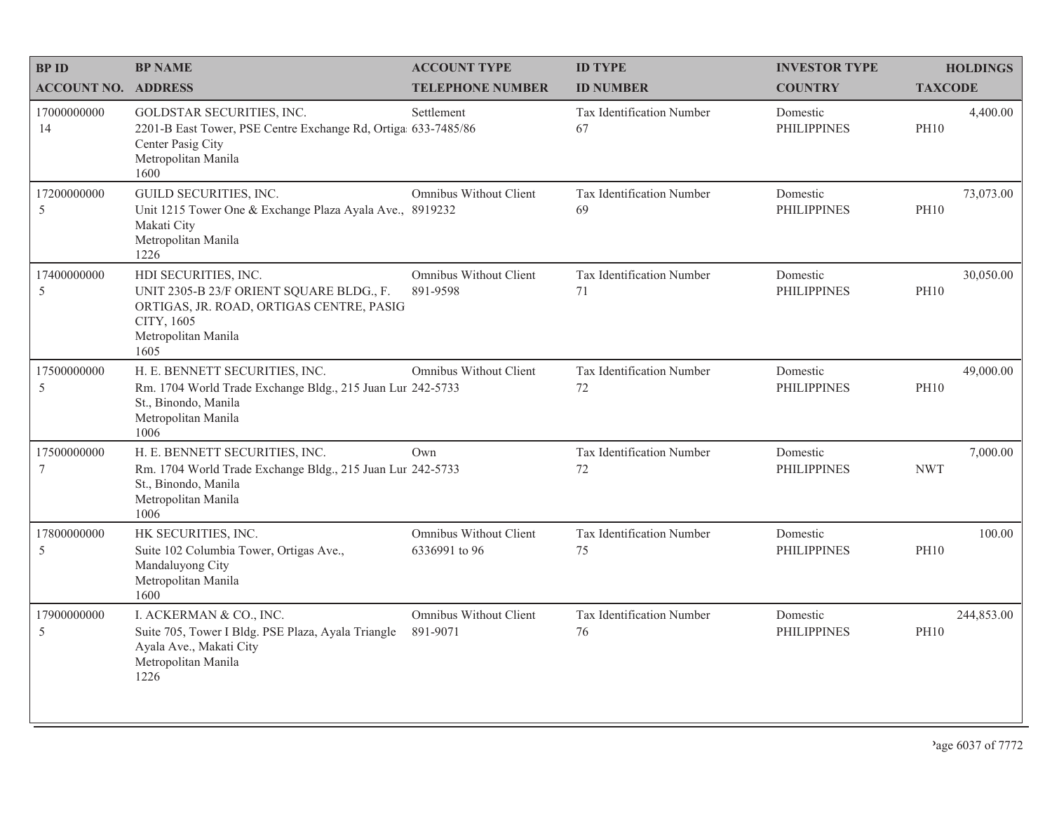| <b>BPID</b>                   | <b>BP NAME</b>                                                                                                                                            | <b>ACCOUNT TYPE</b>                     | <b>ID TYPE</b>                  | <b>INVESTOR TYPE</b>           | <b>HOLDINGS</b>           |
|-------------------------------|-----------------------------------------------------------------------------------------------------------------------------------------------------------|-----------------------------------------|---------------------------------|--------------------------------|---------------------------|
| <b>ACCOUNT NO. ADDRESS</b>    |                                                                                                                                                           | <b>TELEPHONE NUMBER</b>                 | <b>ID NUMBER</b>                | <b>COUNTRY</b>                 | <b>TAXCODE</b>            |
| 17000000000<br>14             | GOLDSTAR SECURITIES, INC.<br>2201-B East Tower, PSE Centre Exchange Rd, Ortiga 633-7485/86<br>Center Pasig City<br>Metropolitan Manila<br>1600            | Settlement                              | Tax Identification Number<br>67 | Domestic<br><b>PHILIPPINES</b> | 4,400.00<br><b>PH10</b>   |
| 17200000000<br>5              | <b>GUILD SECURITIES, INC.</b><br>Unit 1215 Tower One & Exchange Plaza Ayala Ave., 8919232<br>Makati City<br>Metropolitan Manila<br>1226                   | Omnibus Without Client                  | Tax Identification Number<br>69 | Domestic<br><b>PHILIPPINES</b> | 73,073.00<br><b>PH10</b>  |
| 17400000000<br>5              | HDI SECURITIES, INC.<br>UNIT 2305-B 23/F ORIENT SQUARE BLDG., F.<br>ORTIGAS, JR. ROAD, ORTIGAS CENTRE, PASIG<br>CITY, 1605<br>Metropolitan Manila<br>1605 | Omnibus Without Client<br>891-9598      | Tax Identification Number<br>71 | Domestic<br><b>PHILIPPINES</b> | 30,050.00<br><b>PH10</b>  |
| 17500000000<br>5              | H. E. BENNETT SECURITIES, INC.<br>Rm. 1704 World Trade Exchange Bldg., 215 Juan Lur 242-5733<br>St., Binondo, Manila<br>Metropolitan Manila<br>1006       | Omnibus Without Client                  | Tax Identification Number<br>72 | Domestic<br><b>PHILIPPINES</b> | 49,000.00<br><b>PH10</b>  |
| 17500000000<br>$\overline{7}$ | H. E. BENNETT SECURITIES, INC.<br>Rm. 1704 World Trade Exchange Bldg., 215 Juan Lur 242-5733<br>St., Binondo, Manila<br>Metropolitan Manila<br>1006       | Own                                     | Tax Identification Number<br>72 | Domestic<br><b>PHILIPPINES</b> | 7,000.00<br><b>NWT</b>    |
| 17800000000<br>5              | HK SECURITIES, INC.<br>Suite 102 Columbia Tower, Ortigas Ave.,<br>Mandaluyong City<br>Metropolitan Manila<br>1600                                         | Omnibus Without Client<br>6336991 to 96 | Tax Identification Number<br>75 | Domestic<br><b>PHILIPPINES</b> | 100.00<br><b>PH10</b>     |
| 17900000000<br>5              | I. ACKERMAN & CO., INC.<br>Suite 705, Tower I Bldg. PSE Plaza, Ayala Triangle<br>Ayala Ave., Makati City<br>Metropolitan Manila<br>1226                   | Omnibus Without Client<br>891-9071      | Tax Identification Number<br>76 | Domestic<br><b>PHILIPPINES</b> | 244,853.00<br><b>PH10</b> |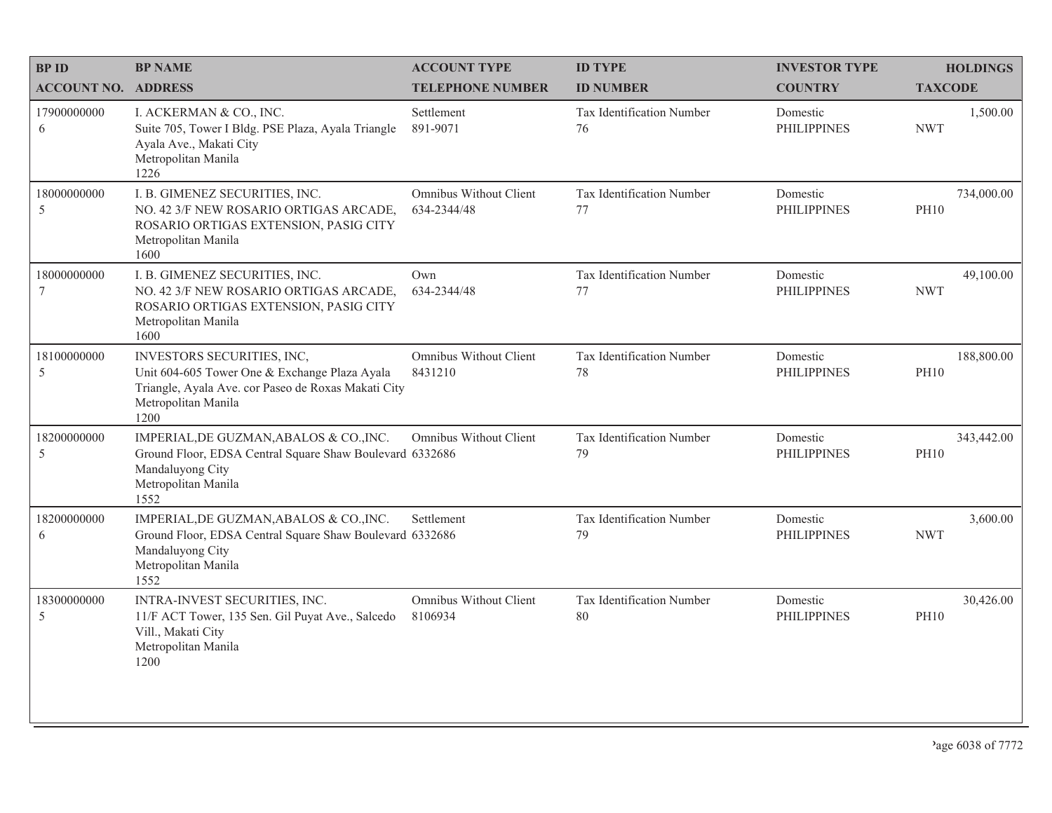| <b>BPID</b>                | <b>BP NAME</b>                                                                                                                                                    | <b>ACCOUNT TYPE</b>                      | <b>ID TYPE</b>                  | <b>INVESTOR TYPE</b>           | <b>HOLDINGS</b>           |
|----------------------------|-------------------------------------------------------------------------------------------------------------------------------------------------------------------|------------------------------------------|---------------------------------|--------------------------------|---------------------------|
| <b>ACCOUNT NO. ADDRESS</b> |                                                                                                                                                                   | <b>TELEPHONE NUMBER</b>                  | <b>ID NUMBER</b>                | <b>COUNTRY</b>                 | <b>TAXCODE</b>            |
| 17900000000<br>6           | I. ACKERMAN & CO., INC.<br>Suite 705, Tower I Bldg. PSE Plaza, Ayala Triangle<br>Ayala Ave., Makati City<br>Metropolitan Manila<br>1226                           | Settlement<br>891-9071                   | Tax Identification Number<br>76 | Domestic<br><b>PHILIPPINES</b> | 1,500.00<br><b>NWT</b>    |
| 18000000000<br>5           | I. B. GIMENEZ SECURITIES, INC.<br>NO. 42 3/F NEW ROSARIO ORTIGAS ARCADE,<br>ROSARIO ORTIGAS EXTENSION, PASIG CITY<br>Metropolitan Manila<br>1600                  | Omnibus Without Client<br>634-2344/48    | Tax Identification Number<br>77 | Domestic<br><b>PHILIPPINES</b> | 734,000.00<br><b>PH10</b> |
| 18000000000<br>7           | I. B. GIMENEZ SECURITIES, INC.<br>NO. 42 3/F NEW ROSARIO ORTIGAS ARCADE,<br>ROSARIO ORTIGAS EXTENSION, PASIG CITY<br>Metropolitan Manila<br>1600                  | Own<br>634-2344/48                       | Tax Identification Number<br>77 | Domestic<br><b>PHILIPPINES</b> | 49,100.00<br><b>NWT</b>   |
| 18100000000<br>5           | INVESTORS SECURITIES, INC,<br>Unit 604-605 Tower One & Exchange Plaza Ayala<br>Triangle, Ayala Ave. cor Paseo de Roxas Makati City<br>Metropolitan Manila<br>1200 | <b>Omnibus Without Client</b><br>8431210 | Tax Identification Number<br>78 | Domestic<br><b>PHILIPPINES</b> | 188,800.00<br><b>PH10</b> |
| 18200000000<br>5           | IMPERIAL, DE GUZMAN, ABALOS & CO., INC.<br>Ground Floor, EDSA Central Square Shaw Boulevard 6332686<br>Mandaluyong City<br>Metropolitan Manila<br>1552            | Omnibus Without Client                   | Tax Identification Number<br>79 | Domestic<br><b>PHILIPPINES</b> | 343,442.00<br><b>PH10</b> |
| 18200000000<br>6           | IMPERIAL, DE GUZMAN, ABALOS & CO., INC.<br>Ground Floor, EDSA Central Square Shaw Boulevard 6332686<br>Mandaluyong City<br>Metropolitan Manila<br>1552            | Settlement                               | Tax Identification Number<br>79 | Domestic<br><b>PHILIPPINES</b> | 3,600.00<br><b>NWT</b>    |
| 18300000000<br>5           | INTRA-INVEST SECURITIES, INC.<br>11/F ACT Tower, 135 Sen. Gil Puyat Ave., Salcedo<br>Vill., Makati City<br>Metropolitan Manila<br>1200                            | Omnibus Without Client<br>8106934        | Tax Identification Number<br>80 | Domestic<br><b>PHILIPPINES</b> | 30,426.00<br><b>PH10</b>  |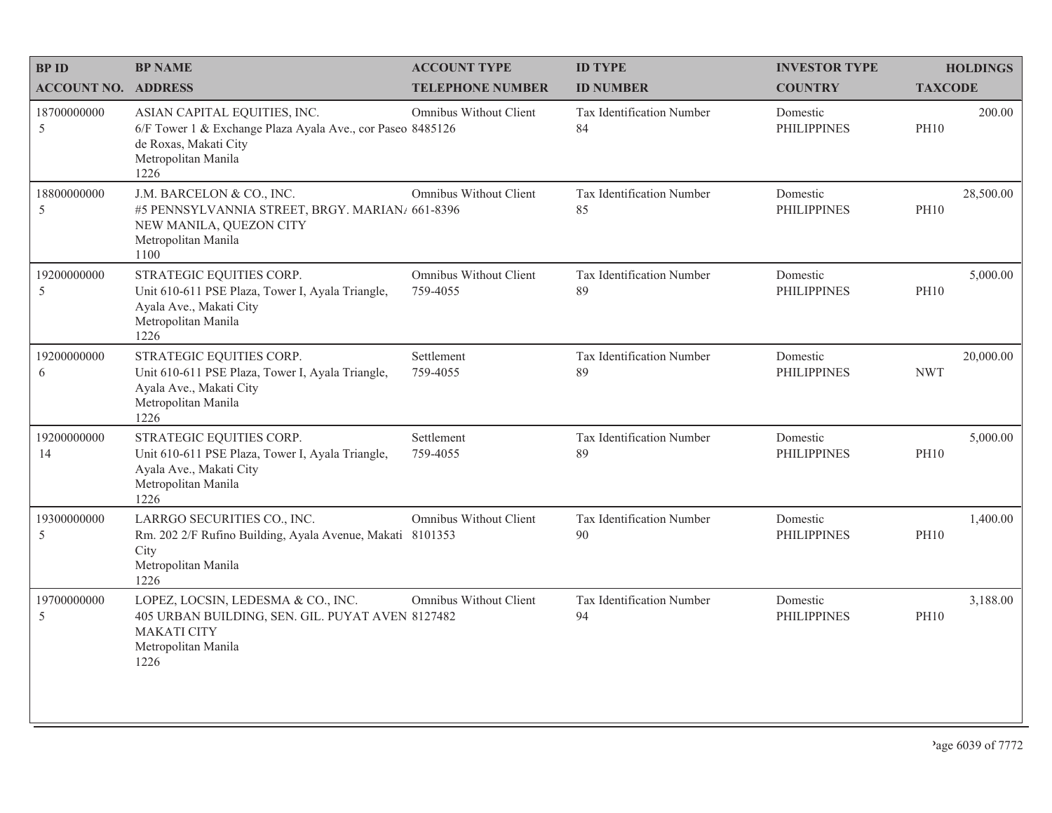| <b>BPID</b>                  | <b>BP NAME</b>                                                                                                                                     | <b>ACCOUNT TYPE</b>                | <b>ID TYPE</b>                  | <b>INVESTOR TYPE</b>           | <b>HOLDINGS</b>          |
|------------------------------|----------------------------------------------------------------------------------------------------------------------------------------------------|------------------------------------|---------------------------------|--------------------------------|--------------------------|
| <b>ACCOUNT NO. ADDRESS</b>   |                                                                                                                                                    | <b>TELEPHONE NUMBER</b>            | <b>ID NUMBER</b>                | <b>COUNTRY</b>                 | <b>TAXCODE</b>           |
| 18700000000<br>5             | ASIAN CAPITAL EQUITIES, INC.<br>6/F Tower 1 & Exchange Plaza Ayala Ave., cor Paseo 8485126<br>de Roxas, Makati City<br>Metropolitan Manila<br>1226 | Omnibus Without Client             | Tax Identification Number<br>84 | Domestic<br><b>PHILIPPINES</b> | 200.00<br><b>PH10</b>    |
| 18800000000<br>5             | J.M. BARCELON & CO., INC.<br>#5 PENNSYLVANNIA STREET, BRGY. MARIAN/ 661-8396<br>NEW MANILA, QUEZON CITY<br>Metropolitan Manila<br>1100             | Omnibus Without Client             | Tax Identification Number<br>85 | Domestic<br><b>PHILIPPINES</b> | 28,500.00<br><b>PH10</b> |
| 19200000000<br>5             | STRATEGIC EQUITIES CORP.<br>Unit 610-611 PSE Plaza, Tower I, Ayala Triangle,<br>Ayala Ave., Makati City<br>Metropolitan Manila<br>1226             | Omnibus Without Client<br>759-4055 | Tax Identification Number<br>89 | Domestic<br><b>PHILIPPINES</b> | 5,000.00<br><b>PH10</b>  |
| 19200000000<br>6             | STRATEGIC EQUITIES CORP.<br>Unit 610-611 PSE Plaza, Tower I, Ayala Triangle,<br>Ayala Ave., Makati City<br>Metropolitan Manila<br>1226             | Settlement<br>759-4055             | Tax Identification Number<br>89 | Domestic<br><b>PHILIPPINES</b> | 20,000.00<br><b>NWT</b>  |
| 19200000000<br>14            | STRATEGIC EQUITIES CORP.<br>Unit 610-611 PSE Plaza, Tower I, Ayala Triangle,<br>Ayala Ave., Makati City<br>Metropolitan Manila<br>1226             | Settlement<br>759-4055             | Tax Identification Number<br>89 | Domestic<br><b>PHILIPPINES</b> | 5,000.00<br><b>PH10</b>  |
| 19300000000<br>$\mathfrak s$ | LARRGO SECURITIES CO., INC.<br>Rm. 202 2/F Rufino Building, Ayala Avenue, Makati 8101353<br>City<br>Metropolitan Manila<br>1226                    | Omnibus Without Client             | Tax Identification Number<br>90 | Domestic<br><b>PHILIPPINES</b> | 1,400.00<br><b>PH10</b>  |
| 19700000000<br>5             | LOPEZ, LOCSIN, LEDESMA & CO., INC.<br>405 URBAN BUILDING, SEN. GIL. PUYAT AVEN 8127482<br><b>MAKATI CITY</b><br>Metropolitan Manila<br>1226        | Omnibus Without Client             | Tax Identification Number<br>94 | Domestic<br><b>PHILIPPINES</b> | 3,188.00<br><b>PH10</b>  |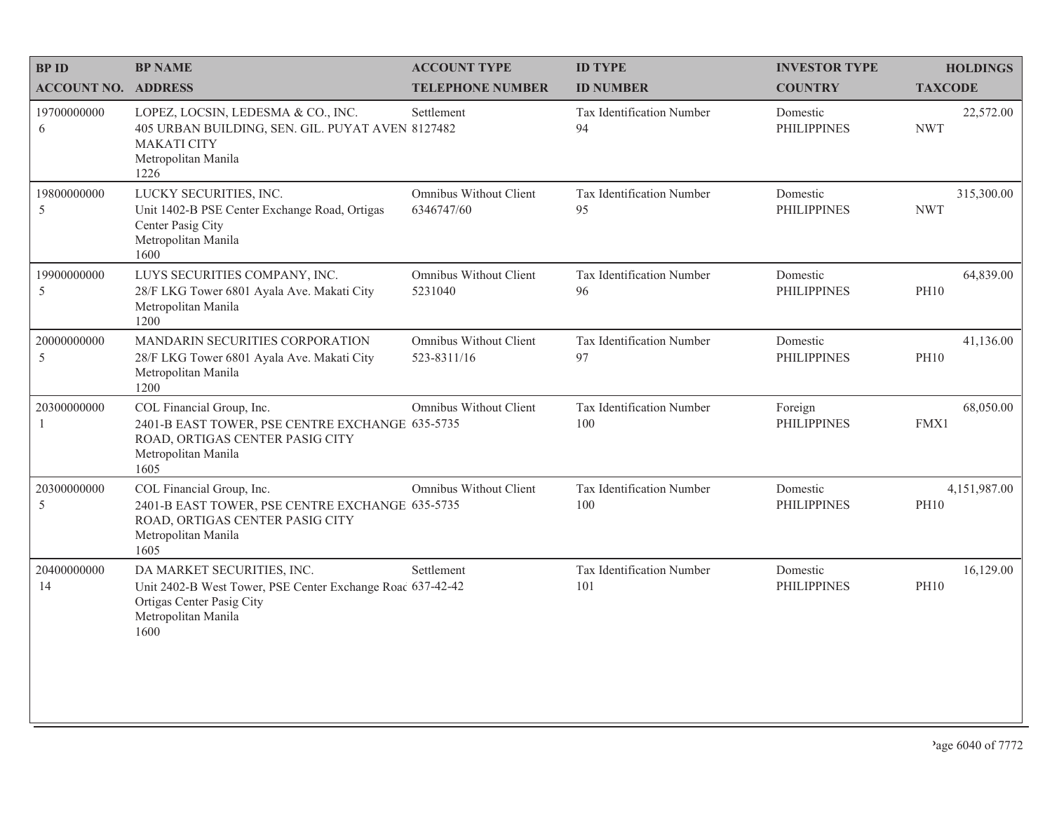| <b>BPID</b>                 | <b>BP NAME</b>                                                                                                                                       | <b>ACCOUNT TYPE</b>                   | <b>ID TYPE</b>                   | <b>INVESTOR TYPE</b>           | <b>HOLDINGS</b>             |
|-----------------------------|------------------------------------------------------------------------------------------------------------------------------------------------------|---------------------------------------|----------------------------------|--------------------------------|-----------------------------|
| <b>ACCOUNT NO. ADDRESS</b>  |                                                                                                                                                      | <b>TELEPHONE NUMBER</b>               | <b>ID NUMBER</b>                 | <b>COUNTRY</b>                 | <b>TAXCODE</b>              |
| 19700000000<br>6            | LOPEZ, LOCSIN, LEDESMA & CO., INC.<br>405 URBAN BUILDING, SEN. GIL. PUYAT AVEN 8127482<br><b>MAKATI CITY</b><br>Metropolitan Manila<br>1226          | Settlement                            | Tax Identification Number<br>94  | Domestic<br><b>PHILIPPINES</b> | 22,572.00<br><b>NWT</b>     |
| 19800000000<br>5            | LUCKY SECURITIES, INC.<br>Unit 1402-B PSE Center Exchange Road, Ortigas<br>Center Pasig City<br>Metropolitan Manila<br>1600                          | Omnibus Without Client<br>6346747/60  | Tax Identification Number<br>95  | Domestic<br><b>PHILIPPINES</b> | 315,300.00<br><b>NWT</b>    |
| 19900000000<br>5            | LUYS SECURITIES COMPANY, INC.<br>28/F LKG Tower 6801 Ayala Ave. Makati City<br>Metropolitan Manila<br>1200                                           | Omnibus Without Client<br>5231040     | Tax Identification Number<br>96  | Domestic<br><b>PHILIPPINES</b> | 64,839.00<br><b>PH10</b>    |
| 20000000000<br>$\sqrt{5}$   | MANDARIN SECURITIES CORPORATION<br>28/F LKG Tower 6801 Ayala Ave. Makati City<br>Metropolitan Manila<br>1200                                         | Omnibus Without Client<br>523-8311/16 | Tax Identification Number<br>97  | Domestic<br><b>PHILIPPINES</b> | 41,136.00<br><b>PH10</b>    |
| 20300000000<br>$\mathbf{1}$ | COL Financial Group, Inc.<br>2401-B EAST TOWER, PSE CENTRE EXCHANGE 635-5735<br>ROAD, ORTIGAS CENTER PASIG CITY<br>Metropolitan Manila<br>1605       | Omnibus Without Client                | Tax Identification Number<br>100 | Foreign<br><b>PHILIPPINES</b>  | 68,050.00<br>FMX1           |
| 20300000000<br>5            | COL Financial Group, Inc.<br>2401-B EAST TOWER, PSE CENTRE EXCHANGE 635-5735<br>ROAD, ORTIGAS CENTER PASIG CITY<br>Metropolitan Manila<br>1605       | Omnibus Without Client                | Tax Identification Number<br>100 | Domestic<br><b>PHILIPPINES</b> | 4,151,987.00<br><b>PH10</b> |
| 20400000000<br>14           | DA MARKET SECURITIES, INC.<br>Unit 2402-B West Tower, PSE Center Exchange Roac 637-42-42<br>Ortigas Center Pasig City<br>Metropolitan Manila<br>1600 | Settlement                            | Tax Identification Number<br>101 | Domestic<br><b>PHILIPPINES</b> | 16,129.00<br><b>PH10</b>    |
|                             |                                                                                                                                                      |                                       |                                  |                                |                             |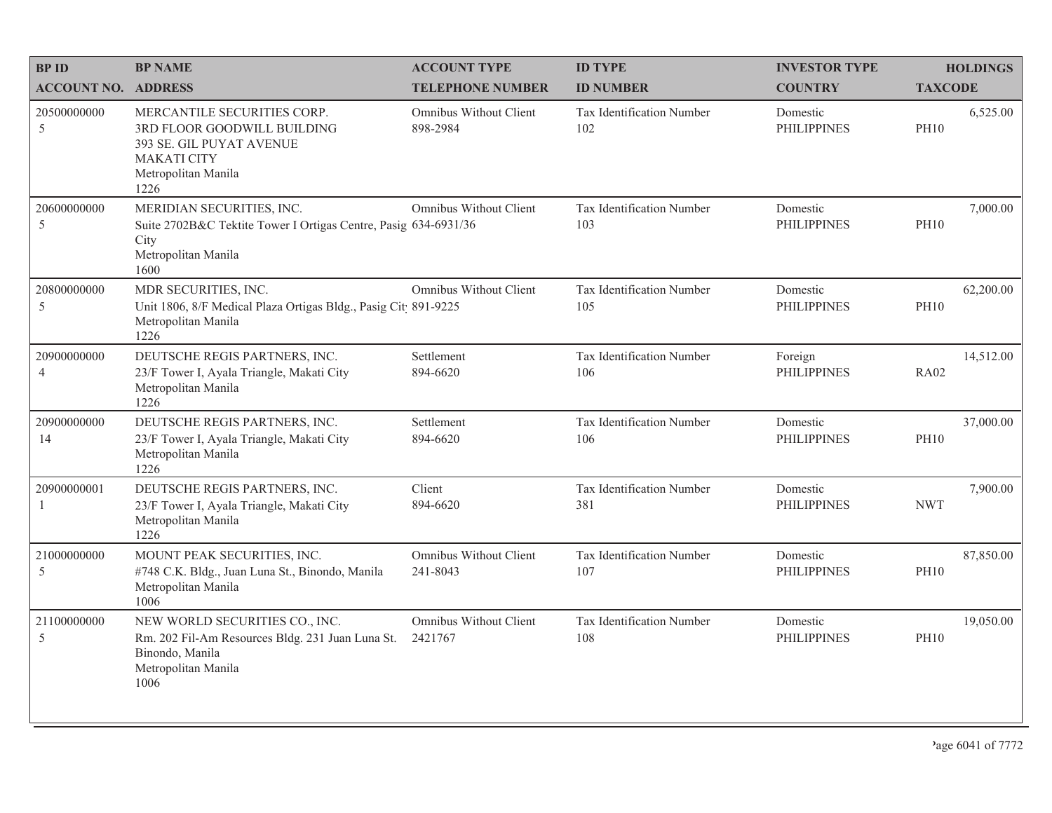| <b>BPID</b>                   | <b>BP NAME</b>                                                                                                                              | <b>ACCOUNT TYPE</b>                | <b>ID TYPE</b>                   | <b>INVESTOR TYPE</b>           | <b>HOLDINGS</b>          |
|-------------------------------|---------------------------------------------------------------------------------------------------------------------------------------------|------------------------------------|----------------------------------|--------------------------------|--------------------------|
| <b>ACCOUNT NO. ADDRESS</b>    |                                                                                                                                             | <b>TELEPHONE NUMBER</b>            | <b>ID NUMBER</b>                 | <b>COUNTRY</b>                 | <b>TAXCODE</b>           |
| 20500000000<br>5              | MERCANTILE SECURITIES CORP.<br>3RD FLOOR GOODWILL BUILDING<br>393 SE. GIL PUYAT AVENUE<br><b>MAKATI CITY</b><br>Metropolitan Manila<br>1226 | Omnibus Without Client<br>898-2984 | Tax Identification Number<br>102 | Domestic<br><b>PHILIPPINES</b> | 6,525.00<br><b>PH10</b>  |
| 20600000000<br>$\overline{5}$ | MERIDIAN SECURITIES, INC.<br>Suite 2702B&C Tektite Tower I Ortigas Centre, Pasig 634-6931/36<br>City<br>Metropolitan Manila<br>1600         | Omnibus Without Client             | Tax Identification Number<br>103 | Domestic<br><b>PHILIPPINES</b> | 7,000.00<br><b>PH10</b>  |
| 20800000000<br>5              | MDR SECURITIES, INC.<br>Unit 1806, 8/F Medical Plaza Ortigas Bldg., Pasig Cit 891-9225<br>Metropolitan Manila<br>1226                       | Omnibus Without Client             | Tax Identification Number<br>105 | Domestic<br><b>PHILIPPINES</b> | 62,200.00<br><b>PH10</b> |
| 20900000000<br>$\overline{4}$ | DEUTSCHE REGIS PARTNERS, INC.<br>23/F Tower I, Ayala Triangle, Makati City<br>Metropolitan Manila<br>1226                                   | Settlement<br>894-6620             | Tax Identification Number<br>106 | Foreign<br><b>PHILIPPINES</b>  | 14,512.00<br><b>RA02</b> |
| 20900000000<br>14             | DEUTSCHE REGIS PARTNERS, INC.<br>23/F Tower I, Ayala Triangle, Makati City<br>Metropolitan Manila<br>1226                                   | Settlement<br>894-6620             | Tax Identification Number<br>106 | Domestic<br><b>PHILIPPINES</b> | 37,000.00<br><b>PH10</b> |
| 20900000001<br>-1             | DEUTSCHE REGIS PARTNERS, INC.<br>23/F Tower I, Ayala Triangle, Makati City<br>Metropolitan Manila<br>1226                                   | Client<br>894-6620                 | Tax Identification Number<br>381 | Domestic<br><b>PHILIPPINES</b> | 7,900.00<br><b>NWT</b>   |
| 21000000000<br>5              | MOUNT PEAK SECURITIES, INC.<br>#748 C.K. Bldg., Juan Luna St., Binondo, Manila<br>Metropolitan Manila<br>1006                               | Omnibus Without Client<br>241-8043 | Tax Identification Number<br>107 | Domestic<br><b>PHILIPPINES</b> | 87,850.00<br><b>PH10</b> |
| 21100000000<br>$\overline{5}$ | NEW WORLD SECURITIES CO., INC.<br>Rm. 202 Fil-Am Resources Bldg. 231 Juan Luna St.<br>Binondo, Manila<br>Metropolitan Manila<br>1006        | Omnibus Without Client<br>2421767  | Tax Identification Number<br>108 | Domestic<br><b>PHILIPPINES</b> | 19,050.00<br><b>PH10</b> |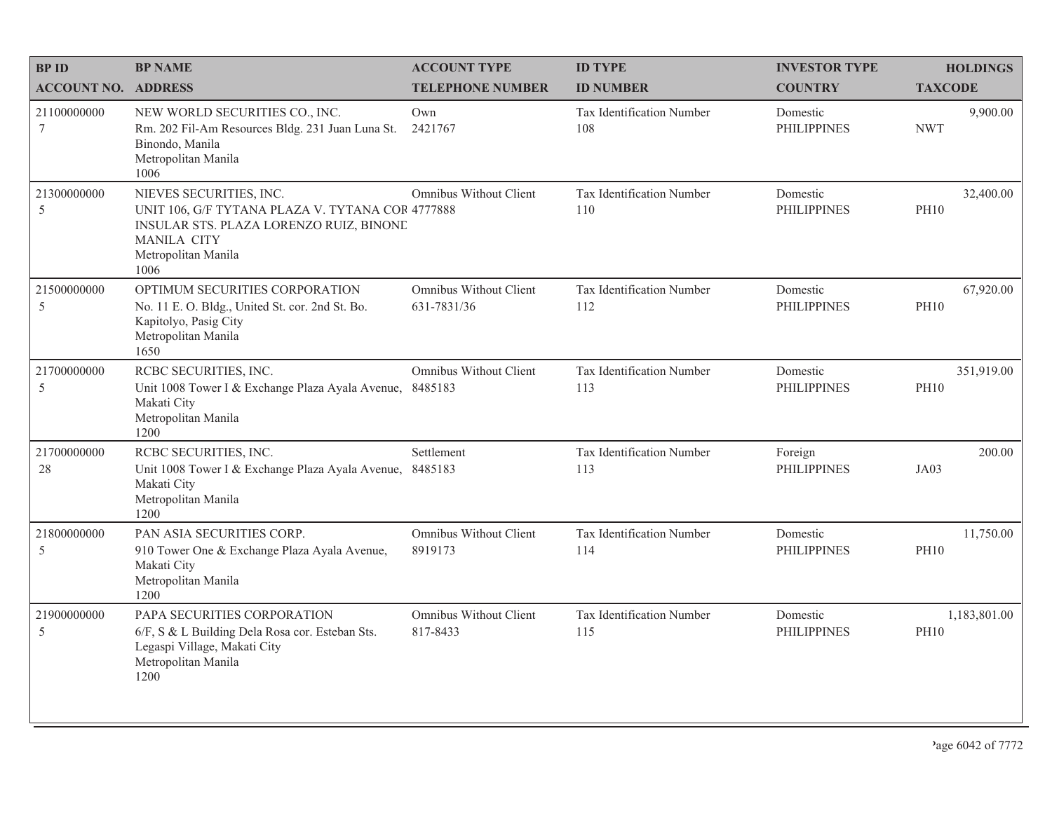| <b>BPID</b>                    | <b>BP NAME</b>                                                                                                                                                              | <b>ACCOUNT TYPE</b>                   | <b>ID TYPE</b>                   | <b>INVESTOR TYPE</b>           | <b>HOLDINGS</b>             |
|--------------------------------|-----------------------------------------------------------------------------------------------------------------------------------------------------------------------------|---------------------------------------|----------------------------------|--------------------------------|-----------------------------|
| <b>ACCOUNT NO. ADDRESS</b>     |                                                                                                                                                                             | <b>TELEPHONE NUMBER</b>               | <b>ID NUMBER</b>                 | <b>COUNTRY</b>                 | <b>TAXCODE</b>              |
| 21100000000<br>$7\phantom{.0}$ | NEW WORLD SECURITIES CO., INC.<br>Rm. 202 Fil-Am Resources Bldg. 231 Juan Luna St.<br>Binondo, Manila<br>Metropolitan Manila<br>1006                                        | Own<br>2421767                        | Tax Identification Number<br>108 | Domestic<br><b>PHILIPPINES</b> | 9,900.00<br><b>NWT</b>      |
| 21300000000<br>5               | NIEVES SECURITIES, INC.<br>UNIT 106, G/F TYTANA PLAZA V. TYTANA COR 4777888<br>INSULAR STS. PLAZA LORENZO RUIZ, BINONE<br><b>MANILA CITY</b><br>Metropolitan Manila<br>1006 | Omnibus Without Client                | Tax Identification Number<br>110 | Domestic<br><b>PHILIPPINES</b> | 32,400.00<br><b>PH10</b>    |
| 21500000000<br>$\mathfrak s$   | OPTIMUM SECURITIES CORPORATION<br>No. 11 E. O. Bldg., United St. cor. 2nd St. Bo.<br>Kapitolyo, Pasig City<br>Metropolitan Manila<br>1650                                   | Omnibus Without Client<br>631-7831/36 | Tax Identification Number<br>112 | Domestic<br><b>PHILIPPINES</b> | 67,920.00<br><b>PH10</b>    |
| 21700000000<br>5               | RCBC SECURITIES, INC.<br>Unit 1008 Tower I & Exchange Plaza Ayala Avenue, 8485183<br>Makati City<br>Metropolitan Manila<br>1200                                             | Omnibus Without Client                | Tax Identification Number<br>113 | Domestic<br><b>PHILIPPINES</b> | 351,919.00<br><b>PH10</b>   |
| 21700000000<br>28              | RCBC SECURITIES, INC.<br>Unit 1008 Tower I & Exchange Plaza Ayala Avenue,<br>Makati City<br>Metropolitan Manila<br>1200                                                     | Settlement<br>8485183                 | Tax Identification Number<br>113 | Foreign<br><b>PHILIPPINES</b>  | 200.00<br>JA03              |
| 21800000000<br>5               | PAN ASIA SECURITIES CORP.<br>910 Tower One & Exchange Plaza Ayala Avenue,<br>Makati City<br>Metropolitan Manila<br>1200                                                     | Omnibus Without Client<br>8919173     | Tax Identification Number<br>114 | Domestic<br><b>PHILIPPINES</b> | 11,750.00<br><b>PH10</b>    |
| 21900000000<br>5               | PAPA SECURITIES CORPORATION<br>6/F, S & L Building Dela Rosa cor. Esteban Sts.<br>Legaspi Village, Makati City<br>Metropolitan Manila<br>1200                               | Omnibus Without Client<br>817-8433    | Tax Identification Number<br>115 | Domestic<br><b>PHILIPPINES</b> | 1,183,801.00<br><b>PH10</b> |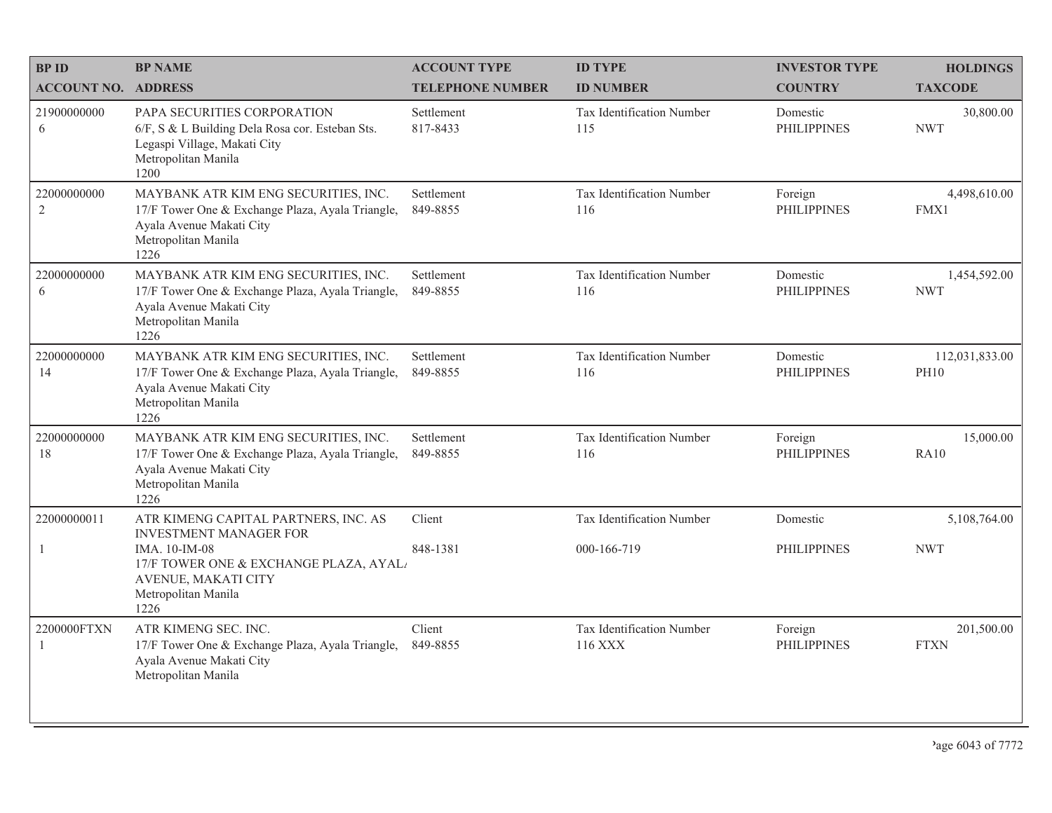| <b>BP NAME</b>                                                                                                                                      | <b>ACCOUNT TYPE</b>           | <b>ID TYPE</b>                       | <b>INVESTOR TYPE</b>           | <b>HOLDINGS</b>               |
|-----------------------------------------------------------------------------------------------------------------------------------------------------|-------------------------------|--------------------------------------|--------------------------------|-------------------------------|
| <b>ACCOUNT NO. ADDRESS</b>                                                                                                                          | <b>TELEPHONE NUMBER</b>       | <b>ID NUMBER</b>                     | <b>COUNTRY</b>                 | <b>TAXCODE</b>                |
| PAPA SECURITIES CORPORATION<br>6/F, S & L Building Dela Rosa cor. Esteban Sts.<br>Legaspi Village, Makati City<br>Metropolitan Manila<br>1200       | Settlement<br>817-8433        | Tax Identification Number<br>115     | Domestic<br><b>PHILIPPINES</b> | 30,800.00<br><b>NWT</b>       |
| MAYBANK ATR KIM ENG SECURITIES, INC.<br>17/F Tower One & Exchange Plaza, Ayala Triangle,<br>Ayala Avenue Makati City<br>Metropolitan Manila<br>1226 | Settlement<br>849-8855        | Tax Identification Number<br>116     | Foreign<br><b>PHILIPPINES</b>  | 4,498,610.00<br>FMX1          |
| MAYBANK ATR KIM ENG SECURITIES, INC.<br>17/F Tower One & Exchange Plaza, Ayala Triangle,<br>Ayala Avenue Makati City<br>Metropolitan Manila<br>1226 | Settlement<br>849-8855        | Tax Identification Number<br>116     | Domestic<br><b>PHILIPPINES</b> | 1,454,592.00<br><b>NWT</b>    |
| MAYBANK ATR KIM ENG SECURITIES, INC.<br>17/F Tower One & Exchange Plaza, Ayala Triangle,<br>Ayala Avenue Makati City<br>Metropolitan Manila<br>1226 | Settlement<br>849-8855        | Tax Identification Number<br>116     | Domestic<br><b>PHILIPPINES</b> | 112,031,833.00<br><b>PH10</b> |
| MAYBANK ATR KIM ENG SECURITIES, INC.<br>17/F Tower One & Exchange Plaza, Ayala Triangle,<br>Ayala Avenue Makati City<br>Metropolitan Manila<br>1226 | Settlement<br>849-8855        | Tax Identification Number<br>116     | Foreign<br><b>PHILIPPINES</b>  | 15,000.00<br><b>RA10</b>      |
| ATR KIMENG CAPITAL PARTNERS, INC. AS                                                                                                                | Client                        | Tax Identification Number            | Domestic                       | 5,108,764.00                  |
| IMA. 10-IM-08<br>17/F TOWER ONE & EXCHANGE PLAZA, AYAL<br>AVENUE, MAKATI CITY<br>Metropolitan Manila<br>1226                                        | 848-1381                      | 000-166-719                          | <b>PHILIPPINES</b>             | <b>NWT</b>                    |
| ATR KIMENG SEC. INC.<br>17/F Tower One & Exchange Plaza, Ayala Triangle,<br>Ayala Avenue Makati City<br>Metropolitan Manila                         | Client<br>849-8855            | Tax Identification Number<br>116 XXX | Foreign<br><b>PHILIPPINES</b>  | 201,500.00<br><b>FTXN</b>     |
|                                                                                                                                                     | <b>INVESTMENT MANAGER FOR</b> |                                      |                                |                               |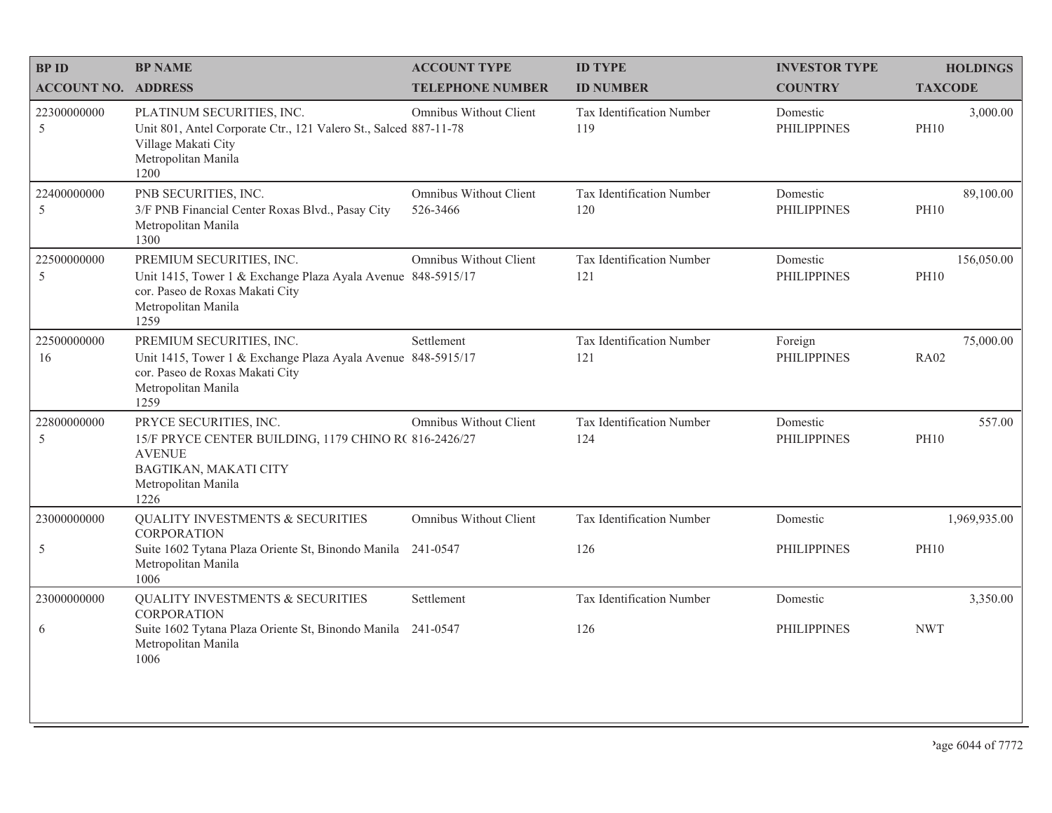| <b>BPID</b>                | <b>BP NAME</b>                                                                                                                                             | <b>ACCOUNT TYPE</b>                | <b>ID TYPE</b>                   | <b>INVESTOR TYPE</b>           | <b>HOLDINGS</b>           |
|----------------------------|------------------------------------------------------------------------------------------------------------------------------------------------------------|------------------------------------|----------------------------------|--------------------------------|---------------------------|
| <b>ACCOUNT NO. ADDRESS</b> |                                                                                                                                                            | <b>TELEPHONE NUMBER</b>            | <b>ID NUMBER</b>                 | <b>COUNTRY</b>                 | <b>TAXCODE</b>            |
| 22300000000<br>5           | PLATINUM SECURITIES, INC.<br>Unit 801, Antel Corporate Ctr., 121 Valero St., Salced 887-11-78<br>Village Makati City<br>Metropolitan Manila<br>1200        | Omnibus Without Client             | Tax Identification Number<br>119 | Domestic<br><b>PHILIPPINES</b> | 3,000.00<br><b>PH10</b>   |
| 22400000000<br>5           | PNB SECURITIES, INC.<br>3/F PNB Financial Center Roxas Blvd., Pasay City<br>Metropolitan Manila<br>1300                                                    | Omnibus Without Client<br>526-3466 | Tax Identification Number<br>120 | Domestic<br><b>PHILIPPINES</b> | 89,100.00<br><b>PH10</b>  |
| 22500000000<br>5           | PREMIUM SECURITIES, INC.<br>Unit 1415, Tower 1 & Exchange Plaza Ayala Avenue 848-5915/17<br>cor. Paseo de Roxas Makati City<br>Metropolitan Manila<br>1259 | Omnibus Without Client             | Tax Identification Number<br>121 | Domestic<br><b>PHILIPPINES</b> | 156,050.00<br><b>PH10</b> |
| 22500000000<br>16          | PREMIUM SECURITIES, INC.<br>Unit 1415, Tower 1 & Exchange Plaza Ayala Avenue 848-5915/17<br>cor. Paseo de Roxas Makati City<br>Metropolitan Manila<br>1259 | Settlement                         | Tax Identification Number<br>121 | Foreign<br><b>PHILIPPINES</b>  | 75,000.00<br><b>RA02</b>  |
| 22800000000<br>5           | PRYCE SECURITIES, INC.<br>15/F PRYCE CENTER BUILDING, 1179 CHINO R( 816-2426/27<br><b>AVENUE</b><br>BAGTIKAN, MAKATI CITY<br>Metropolitan Manila<br>1226   | Omnibus Without Client             | Tax Identification Number<br>124 | Domestic<br><b>PHILIPPINES</b> | 557.00<br><b>PH10</b>     |
| 23000000000                | <b>QUALITY INVESTMENTS &amp; SECURITIES</b><br><b>CORPORATION</b>                                                                                          | Omnibus Without Client             | Tax Identification Number        | Domestic                       | 1,969,935.00              |
| 5                          | Suite 1602 Tytana Plaza Oriente St, Binondo Manila 241-0547<br>Metropolitan Manila<br>1006                                                                 |                                    | 126                              | <b>PHILIPPINES</b>             | <b>PH10</b>               |
| 23000000000                | QUALITY INVESTMENTS & SECURITIES<br><b>CORPORATION</b>                                                                                                     | Settlement                         | Tax Identification Number        | Domestic                       | 3,350.00                  |
| 6                          | Suite 1602 Tytana Plaza Oriente St, Binondo Manila 241-0547<br>Metropolitan Manila<br>1006                                                                 |                                    | 126                              | <b>PHILIPPINES</b>             | <b>NWT</b>                |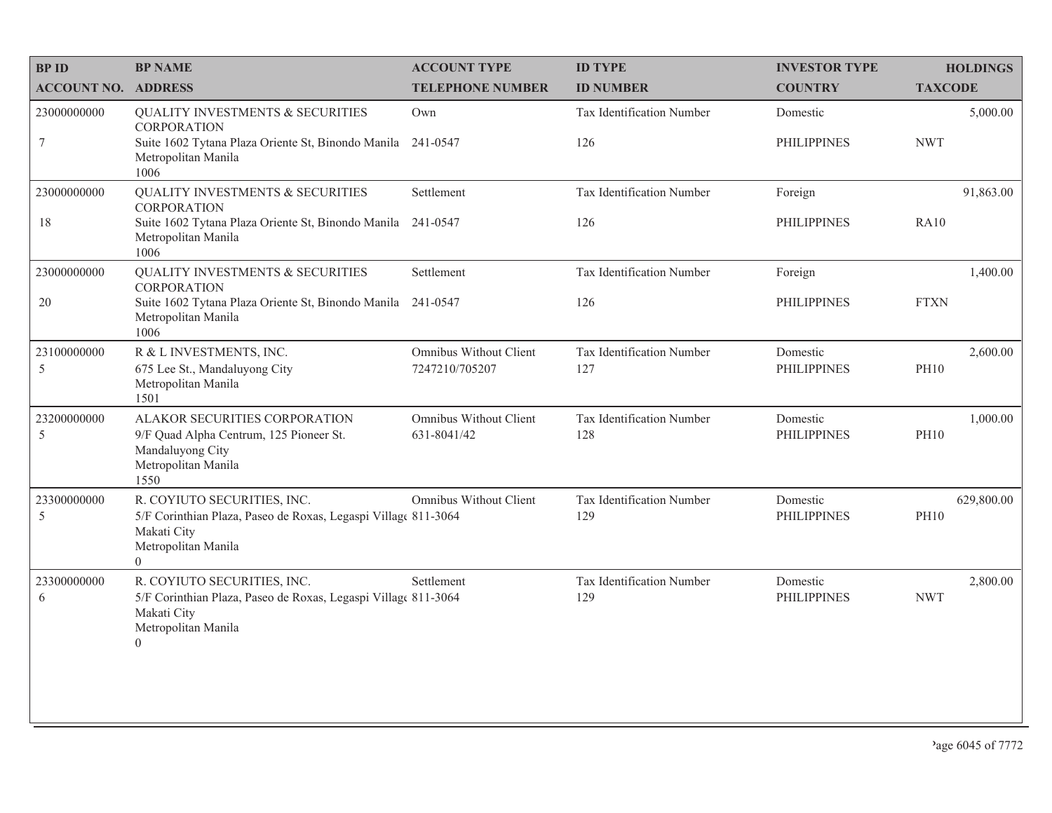| <b>BPID</b>                  | <b>BP NAME</b>                                                                                                                                          | <b>ACCOUNT TYPE</b>                      | <b>ID TYPE</b>                   | <b>INVESTOR TYPE</b>           | <b>HOLDINGS</b>           |
|------------------------------|---------------------------------------------------------------------------------------------------------------------------------------------------------|------------------------------------------|----------------------------------|--------------------------------|---------------------------|
| <b>ACCOUNT NO. ADDRESS</b>   |                                                                                                                                                         | <b>TELEPHONE NUMBER</b>                  | <b>ID NUMBER</b>                 | <b>COUNTRY</b>                 | <b>TAXCODE</b>            |
| 23000000000                  | <b>QUALITY INVESTMENTS &amp; SECURITIES</b><br><b>CORPORATION</b>                                                                                       | Own                                      | Tax Identification Number        | Domestic                       | 5,000.00                  |
| $7\phantom{.0}$              | Suite 1602 Tytana Plaza Oriente St, Binondo Manila<br>Metropolitan Manila<br>1006                                                                       | 241-0547                                 | 126                              | <b>PHILIPPINES</b>             | <b>NWT</b>                |
| 23000000000                  | QUALITY INVESTMENTS & SECURITIES<br><b>CORPORATION</b>                                                                                                  | Settlement                               | Tax Identification Number        | Foreign                        | 91,863.00                 |
| 18                           | Suite 1602 Tytana Plaza Oriente St, Binondo Manila<br>Metropolitan Manila<br>1006                                                                       | 241-0547                                 | 126                              | <b>PHILIPPINES</b>             | <b>RA10</b>               |
| 23000000000                  | <b>QUALITY INVESTMENTS &amp; SECURITIES</b><br><b>CORPORATION</b>                                                                                       | Settlement                               | Tax Identification Number        | Foreign                        | 1,400.00                  |
| $20\,$                       | Suite 1602 Tytana Plaza Oriente St, Binondo Manila 241-0547<br>Metropolitan Manila<br>1006                                                              |                                          | 126                              | <b>PHILIPPINES</b>             | <b>FTXN</b>               |
| 23100000000<br>5             | R & L INVESTMENTS, INC.<br>675 Lee St., Mandaluyong City                                                                                                | Omnibus Without Client<br>7247210/705207 | Tax Identification Number<br>127 | Domestic<br><b>PHILIPPINES</b> | 2,600.00<br><b>PH10</b>   |
|                              | Metropolitan Manila<br>1501                                                                                                                             |                                          |                                  |                                |                           |
| 23200000000<br>5             | ALAKOR SECURITIES CORPORATION<br>9/F Quad Alpha Centrum, 125 Pioneer St.<br>Mandaluyong City<br>Metropolitan Manila<br>1550                             | Omnibus Without Client<br>631-8041/42    | Tax Identification Number<br>128 | Domestic<br><b>PHILIPPINES</b> | 1,000.00<br><b>PH10</b>   |
| 23300000000<br>$\mathfrak s$ | R. COYIUTO SECURITIES, INC.<br>5/F Corinthian Plaza, Paseo de Roxas, Legaspi Village 811-3064<br>Makati City<br>Metropolitan Manila<br>$\Omega$         | Omnibus Without Client                   | Tax Identification Number<br>129 | Domestic<br><b>PHILIPPINES</b> | 629,800.00<br><b>PH10</b> |
| 23300000000<br>6             | R. COYIUTO SECURITIES, INC.<br>5/F Corinthian Plaza, Paseo de Roxas, Legaspi Village 811-3064<br>Makati City<br>Metropolitan Manila<br>$\boldsymbol{0}$ | Settlement                               | Tax Identification Number<br>129 | Domestic<br><b>PHILIPPINES</b> | 2,800.00<br><b>NWT</b>    |
|                              |                                                                                                                                                         |                                          |                                  |                                |                           |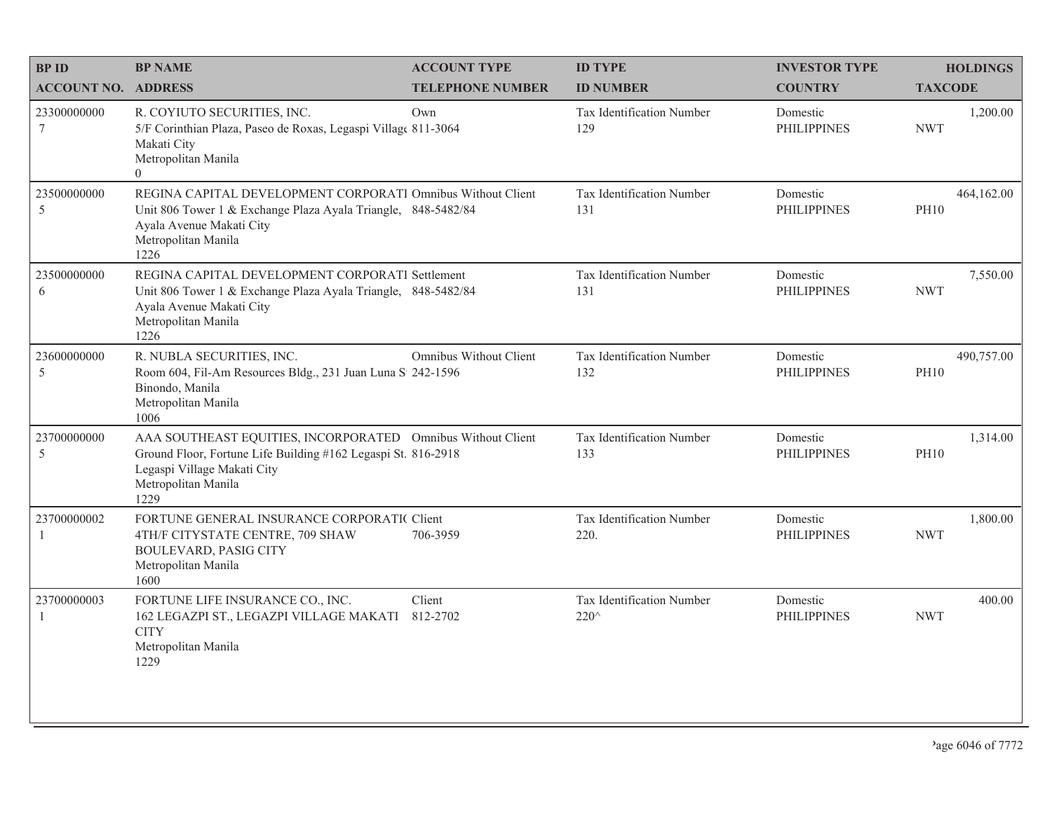| <b>BPID</b>                 | <b>BP NAME</b>                                                                                                                                                                             | <b>ACCOUNT TYPE</b>     | <b>ID TYPE</b>                              | <b>INVESTOR TYPE</b>           | <b>HOLDINGS</b>           |
|-----------------------------|--------------------------------------------------------------------------------------------------------------------------------------------------------------------------------------------|-------------------------|---------------------------------------------|--------------------------------|---------------------------|
| <b>ACCOUNT NO. ADDRESS</b>  |                                                                                                                                                                                            | <b>TELEPHONE NUMBER</b> | <b>ID NUMBER</b>                            | <b>COUNTRY</b>                 | <b>TAXCODE</b>            |
| 23300000000<br>$\tau$       | R. COYIUTO SECURITIES, INC.<br>5/F Corinthian Plaza, Paseo de Roxas, Legaspi Village 811-3064<br>Makati City<br>Metropolitan Manila<br>$\overline{0}$                                      | Own                     | Tax Identification Number<br>129            | Domestic<br><b>PHILIPPINES</b> | 1,200.00<br><b>NWT</b>    |
| 23500000000<br>5            | REGINA CAPITAL DEVELOPMENT CORPORATI Omnibus Without Client<br>Unit 806 Tower 1 & Exchange Plaza Ayala Triangle, 848-5482/84<br>Ayala Avenue Makati City<br>Metropolitan Manila<br>1226    |                         | Tax Identification Number<br>131            | Domestic<br><b>PHILIPPINES</b> | 464,162.00<br><b>PH10</b> |
| 23500000000<br>6            | REGINA CAPITAL DEVELOPMENT CORPORATI Settlement<br>Unit 806 Tower 1 & Exchange Plaza Ayala Triangle, 848-5482/84<br>Ayala Avenue Makati City<br>Metropolitan Manila<br>1226                |                         | Tax Identification Number<br>131            | Domestic<br><b>PHILIPPINES</b> | 7,550.00<br><b>NWT</b>    |
| 23600000000<br>$\sqrt{5}$   | R. NUBLA SECURITIES, INC.<br>Room 604, Fil-Am Resources Bldg., 231 Juan Luna S 242-1596<br>Binondo, Manila<br>Metropolitan Manila<br>1006                                                  | Omnibus Without Client  | Tax Identification Number<br>132            | Domestic<br><b>PHILIPPINES</b> | 490,757.00<br><b>PH10</b> |
| 23700000000<br>5            | AAA SOUTHEAST EQUITIES, INCORPORATED Omnibus Without Client<br>Ground Floor, Fortune Life Building #162 Legaspi St. 816-2918<br>Legaspi Village Makati City<br>Metropolitan Manila<br>1229 |                         | Tax Identification Number<br>133            | Domestic<br><b>PHILIPPINES</b> | 1,314.00<br><b>PH10</b>   |
| 23700000002<br>1            | FORTUNE GENERAL INSURANCE CORPORATIC Client<br>4TH/F CITYSTATE CENTRE, 709 SHAW<br><b>BOULEVARD, PASIG CITY</b><br>Metropolitan Manila<br>1600                                             | 706-3959                | Tax Identification Number<br>220.           | Domestic<br><b>PHILIPPINES</b> | 1,800.00<br><b>NWT</b>    |
| 23700000003<br>$\mathbf{1}$ | FORTUNE LIFE INSURANCE CO., INC.<br>162 LEGAZPI ST., LEGAZPI VILLAGE MAKATI 812-2702<br><b>CITY</b><br>Metropolitan Manila<br>1229                                                         | Client                  | Tax Identification Number<br>$220^{\wedge}$ | Domestic<br><b>PHILIPPINES</b> | 400.00<br><b>NWT</b>      |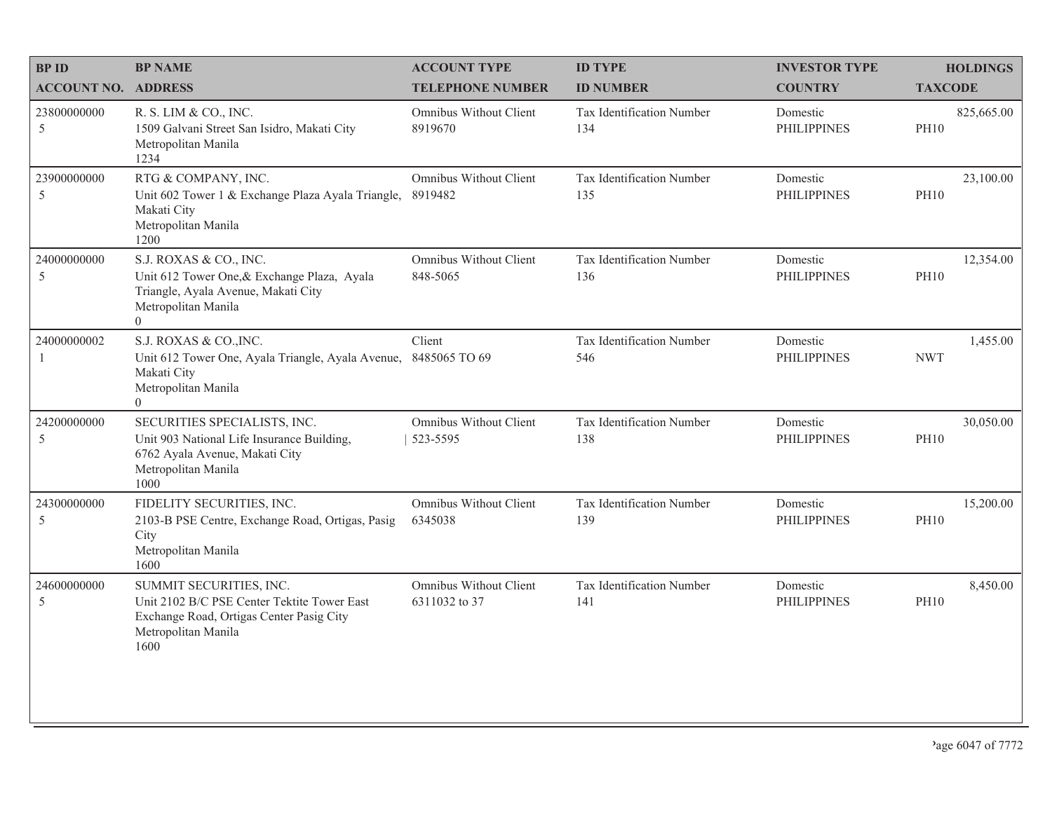| <b>BP NAME</b>                                                                                                                                    | <b>ACCOUNT TYPE</b>                     | <b>ID TYPE</b>                                    | <b>INVESTOR TYPE</b>           | <b>HOLDINGS</b>           |
|---------------------------------------------------------------------------------------------------------------------------------------------------|-----------------------------------------|---------------------------------------------------|--------------------------------|---------------------------|
|                                                                                                                                                   | <b>TELEPHONE NUMBER</b>                 | <b>ID NUMBER</b>                                  | <b>COUNTRY</b>                 | <b>TAXCODE</b>            |
| R. S. LIM & CO., INC.<br>1509 Galvani Street San Isidro, Makati City<br>Metropolitan Manila<br>1234                                               | Omnibus Without Client<br>8919670       | Tax Identification Number<br>134                  | Domestic<br><b>PHILIPPINES</b> | 825,665.00<br><b>PH10</b> |
| RTG & COMPANY, INC.<br>Unit 602 Tower 1 & Exchange Plaza Ayala Triangle,<br>Makati City<br>Metropolitan Manila<br>1200                            | Omnibus Without Client<br>8919482       | Tax Identification Number<br>135                  | Domestic<br><b>PHILIPPINES</b> | 23,100.00<br><b>PH10</b>  |
| S.J. ROXAS & CO., INC.<br>Unit 612 Tower One, & Exchange Plaza, Ayala<br>Triangle, Ayala Avenue, Makati City<br>Metropolitan Manila<br>$\theta$   | Omnibus Without Client<br>848-5065      | Tax Identification Number<br>136                  | Domestic<br><b>PHILIPPINES</b> | 12,354.00<br><b>PH10</b>  |
| S.J. ROXAS & CO., INC.<br>Makati City<br>Metropolitan Manila<br>$\theta$                                                                          | Client<br>8485065 TO 69                 | Tax Identification Number<br>546                  | Domestic<br><b>PHILIPPINES</b> | 1,455.00<br><b>NWT</b>    |
| SECURITIES SPECIALISTS, INC.<br>Unit 903 National Life Insurance Building,<br>6762 Ayala Avenue, Makati City<br>Metropolitan Manila<br>1000       | Omnibus Without Client<br>523-5595      | Tax Identification Number<br>138                  | Domestic<br><b>PHILIPPINES</b> | 30,050.00<br><b>PH10</b>  |
| FIDELITY SECURITIES, INC.<br>2103-B PSE Centre, Exchange Road, Ortigas, Pasig<br>City<br>Metropolitan Manila<br>1600                              | Omnibus Without Client<br>6345038       | Tax Identification Number<br>139                  | Domestic<br><b>PHILIPPINES</b> | 15,200.00<br><b>PH10</b>  |
| SUMMIT SECURITIES, INC.<br>Unit 2102 B/C PSE Center Tektite Tower East<br>Exchange Road, Ortigas Center Pasig City<br>Metropolitan Manila<br>1600 | Omnibus Without Client<br>6311032 to 37 | Tax Identification Number<br>141                  | Domestic<br><b>PHILIPPINES</b> | 8,450.00<br><b>PH10</b>   |
|                                                                                                                                                   | <b>ACCOUNT NO. ADDRESS</b>              | Unit 612 Tower One, Ayala Triangle, Ayala Avenue, |                                |                           |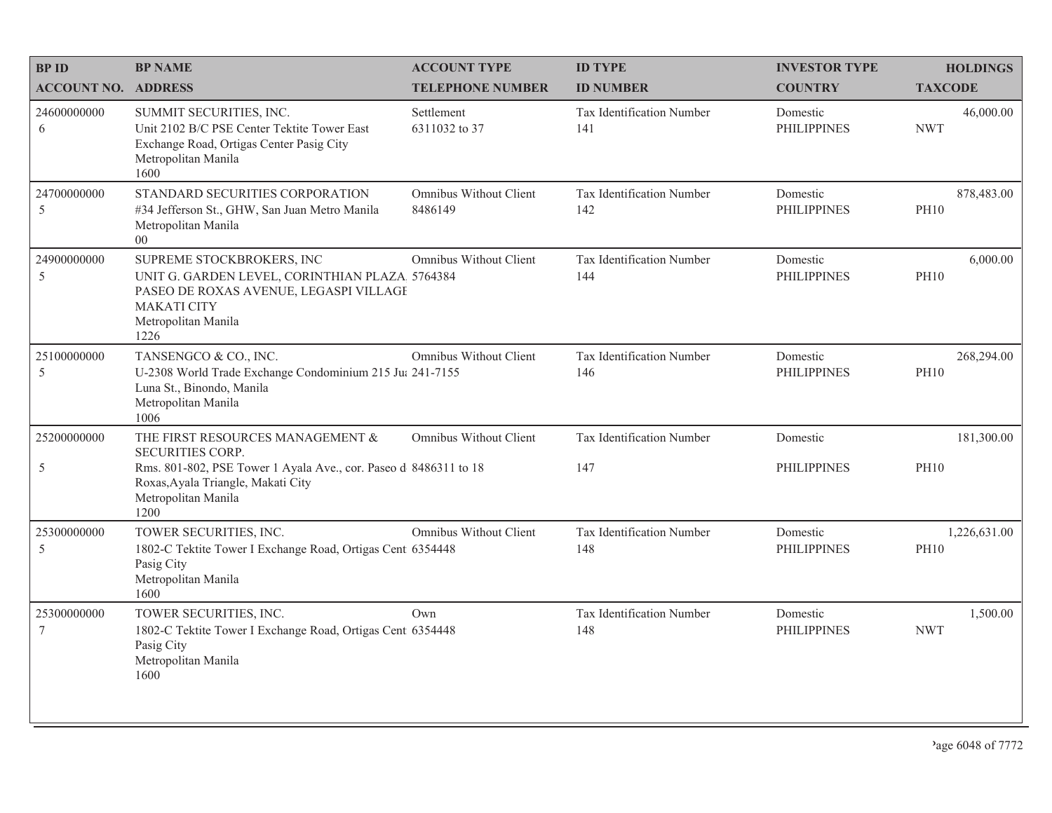| <b>BPID</b>                    | <b>BP NAME</b>                                                                                                                                                             | <b>ACCOUNT TYPE</b>               | <b>ID TYPE</b>                   | <b>INVESTOR TYPE</b>           | <b>HOLDINGS</b>             |
|--------------------------------|----------------------------------------------------------------------------------------------------------------------------------------------------------------------------|-----------------------------------|----------------------------------|--------------------------------|-----------------------------|
| <b>ACCOUNT NO. ADDRESS</b>     |                                                                                                                                                                            | <b>TELEPHONE NUMBER</b>           | <b>ID NUMBER</b>                 | <b>COUNTRY</b>                 | <b>TAXCODE</b>              |
| 24600000000<br>6               | SUMMIT SECURITIES, INC.<br>Unit 2102 B/C PSE Center Tektite Tower East<br>Exchange Road, Ortigas Center Pasig City<br>Metropolitan Manila<br>1600                          | Settlement<br>6311032 to 37       | Tax Identification Number<br>141 | Domestic<br><b>PHILIPPINES</b> | 46,000.00<br><b>NWT</b>     |
| 24700000000<br>5               | STANDARD SECURITIES CORPORATION<br>#34 Jefferson St., GHW, San Juan Metro Manila<br>Metropolitan Manila<br>0 <sub>0</sub>                                                  | Omnibus Without Client<br>8486149 | Tax Identification Number<br>142 | Domestic<br><b>PHILIPPINES</b> | 878,483.00<br><b>PH10</b>   |
| 24900000000<br>5               | SUPREME STOCKBROKERS, INC<br>UNIT G. GARDEN LEVEL, CORINTHIAN PLAZA 5764384<br>PASEO DE ROXAS AVENUE, LEGASPI VILLAGE<br><b>MAKATI CITY</b><br>Metropolitan Manila<br>1226 | <b>Omnibus Without Client</b>     | Tax Identification Number<br>144 | Domestic<br><b>PHILIPPINES</b> | 6,000.00<br><b>PH10</b>     |
| 25100000000<br>5               | TANSENGCO & CO., INC.<br>U-2308 World Trade Exchange Condominium 215 Jul 241-7155<br>Luna St., Binondo, Manila<br>Metropolitan Manila<br>1006                              | Omnibus Without Client            | Tax Identification Number<br>146 | Domestic<br><b>PHILIPPINES</b> | 268,294.00<br><b>PH10</b>   |
| 25200000000                    | THE FIRST RESOURCES MANAGEMENT &<br><b>SECURITIES CORP.</b>                                                                                                                | Omnibus Without Client            | Tax Identification Number        | Domestic                       | 181,300.00                  |
| 5                              | Rms. 801-802, PSE Tower 1 Ayala Ave., cor. Paseo d 8486311 to 18<br>Roxas, Ayala Triangle, Makati City<br>Metropolitan Manila<br>1200                                      |                                   | 147                              | PHILIPPINES                    | <b>PH10</b>                 |
| 25300000000<br>5               | TOWER SECURITIES, INC.<br>1802-C Tektite Tower I Exchange Road, Ortigas Cent 6354448<br>Pasig City<br>Metropolitan Manila<br>1600                                          | Omnibus Without Client            | Tax Identification Number<br>148 | Domestic<br><b>PHILIPPINES</b> | 1,226,631.00<br><b>PH10</b> |
| 25300000000<br>$7\phantom{.0}$ | TOWER SECURITIES, INC.<br>1802-C Tektite Tower I Exchange Road, Ortigas Cent 6354448<br>Pasig City<br>Metropolitan Manila<br>1600                                          | Own                               | Tax Identification Number<br>148 | Domestic<br><b>PHILIPPINES</b> | 1,500.00<br><b>NWT</b>      |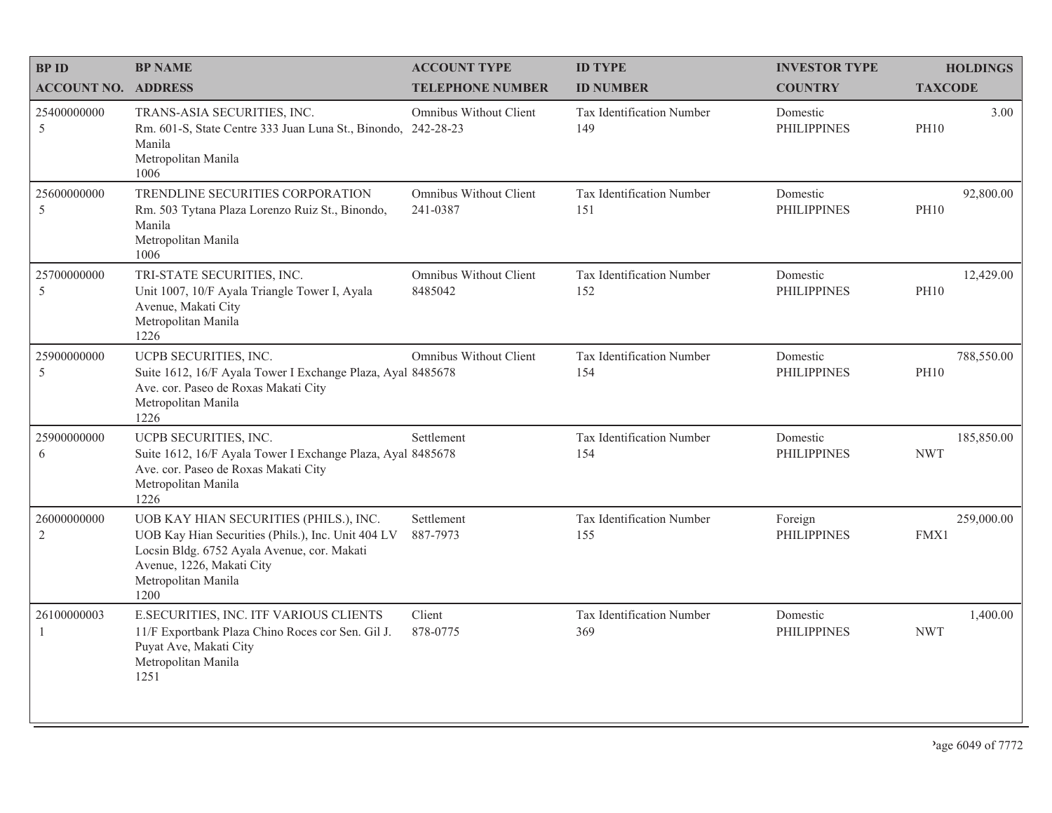| <b>BPID</b>                   | <b>BP NAME</b>                                                                                                                                                                                          | <b>ACCOUNT TYPE</b>                | <b>ID TYPE</b>                   | <b>INVESTOR TYPE</b>           | <b>HOLDINGS</b>           |
|-------------------------------|---------------------------------------------------------------------------------------------------------------------------------------------------------------------------------------------------------|------------------------------------|----------------------------------|--------------------------------|---------------------------|
| <b>ACCOUNT NO. ADDRESS</b>    |                                                                                                                                                                                                         | <b>TELEPHONE NUMBER</b>            | <b>ID NUMBER</b>                 | <b>COUNTRY</b>                 | <b>TAXCODE</b>            |
| 25400000000<br>5              | TRANS-ASIA SECURITIES, INC.<br>Rm. 601-S, State Centre 333 Juan Luna St., Binondo, 242-28-23<br>Manila<br>Metropolitan Manila<br>1006                                                                   | Omnibus Without Client             | Tax Identification Number<br>149 | Domestic<br><b>PHILIPPINES</b> | 3.00<br><b>PH10</b>       |
| 25600000000<br>5              | TRENDLINE SECURITIES CORPORATION<br>Rm. 503 Tytana Plaza Lorenzo Ruiz St., Binondo,<br>Manila<br>Metropolitan Manila<br>1006                                                                            | Omnibus Without Client<br>241-0387 | Tax Identification Number<br>151 | Domestic<br><b>PHILIPPINES</b> | 92,800.00<br><b>PH10</b>  |
| 25700000000<br>5              | TRI-STATE SECURITIES, INC.<br>Unit 1007, 10/F Ayala Triangle Tower I, Ayala<br>Avenue, Makati City<br>Metropolitan Manila<br>1226                                                                       | Omnibus Without Client<br>8485042  | Tax Identification Number<br>152 | Domestic<br><b>PHILIPPINES</b> | 12,429.00<br><b>PH10</b>  |
| 25900000000<br>5              | UCPB SECURITIES, INC.<br>Suite 1612, 16/F Ayala Tower I Exchange Plaza, Ayal 8485678<br>Ave. cor. Paseo de Roxas Makati City<br>Metropolitan Manila<br>1226                                             | <b>Omnibus Without Client</b>      | Tax Identification Number<br>154 | Domestic<br><b>PHILIPPINES</b> | 788,550.00<br><b>PH10</b> |
| 25900000000<br>6              | UCPB SECURITIES, INC.<br>Suite 1612, 16/F Ayala Tower I Exchange Plaza, Ayal 8485678<br>Ave. cor. Paseo de Roxas Makati City<br>Metropolitan Manila<br>1226                                             | Settlement                         | Tax Identification Number<br>154 | Domestic<br><b>PHILIPPINES</b> | 185,850.00<br><b>NWT</b>  |
| 26000000000<br>$\overline{2}$ | UOB KAY HIAN SECURITIES (PHILS.), INC.<br>UOB Kay Hian Securities (Phils.), Inc. Unit 404 LV<br>Locsin Bldg. 6752 Ayala Avenue, cor. Makati<br>Avenue, 1226, Makati City<br>Metropolitan Manila<br>1200 | Settlement<br>887-7973             | Tax Identification Number<br>155 | Foreign<br><b>PHILIPPINES</b>  | 259,000.00<br>FMX1        |
| 26100000003<br>$\overline{1}$ | E.SECURITIES, INC. ITF VARIOUS CLIENTS<br>11/F Exportbank Plaza Chino Roces cor Sen. Gil J.<br>Puyat Ave, Makati City<br>Metropolitan Manila<br>1251                                                    | Client<br>878-0775                 | Tax Identification Number<br>369 | Domestic<br><b>PHILIPPINES</b> | 1,400.00<br><b>NWT</b>    |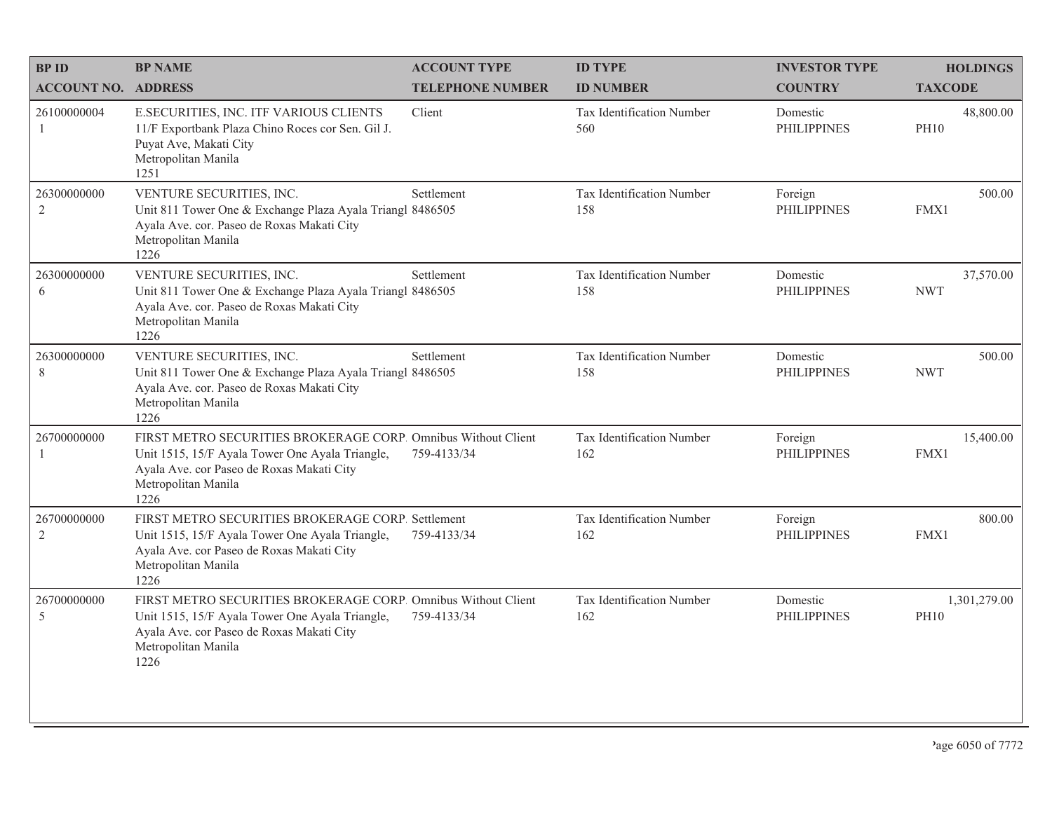| <b>BPID</b>                   | <b>BP NAME</b>                                                                                                                                                                               | <b>ACCOUNT TYPE</b>     | <b>ID TYPE</b>                   | <b>INVESTOR TYPE</b>           | <b>HOLDINGS</b>             |
|-------------------------------|----------------------------------------------------------------------------------------------------------------------------------------------------------------------------------------------|-------------------------|----------------------------------|--------------------------------|-----------------------------|
| <b>ACCOUNT NO. ADDRESS</b>    |                                                                                                                                                                                              | <b>TELEPHONE NUMBER</b> | <b>ID NUMBER</b>                 | <b>COUNTRY</b>                 | <b>TAXCODE</b>              |
| 26100000004<br>$\mathbf{1}$   | E.SECURITIES, INC. ITF VARIOUS CLIENTS<br>11/F Exportbank Plaza Chino Roces cor Sen. Gil J.<br>Puyat Ave, Makati City<br>Metropolitan Manila<br>1251                                         | Client                  | Tax Identification Number<br>560 | Domestic<br><b>PHILIPPINES</b> | 48,800.00<br><b>PH10</b>    |
| 26300000000<br>$\overline{2}$ | VENTURE SECURITIES, INC.<br>Unit 811 Tower One & Exchange Plaza Ayala Triangl 8486505<br>Ayala Ave. cor. Paseo de Roxas Makati City<br>Metropolitan Manila<br>1226                           | Settlement              | Tax Identification Number<br>158 | Foreign<br><b>PHILIPPINES</b>  | 500.00<br>FMX1              |
| 26300000000<br>6              | VENTURE SECURITIES, INC.<br>Unit 811 Tower One & Exchange Plaza Ayala Triangl 8486505<br>Ayala Ave. cor. Paseo de Roxas Makati City<br>Metropolitan Manila<br>1226                           | Settlement              | Tax Identification Number<br>158 | Domestic<br><b>PHILIPPINES</b> | 37,570.00<br><b>NWT</b>     |
| 26300000000<br>$8\,$          | VENTURE SECURITIES, INC.<br>Unit 811 Tower One & Exchange Plaza Ayala Triangl 8486505<br>Ayala Ave. cor. Paseo de Roxas Makati City<br>Metropolitan Manila<br>1226                           | Settlement              | Tax Identification Number<br>158 | Domestic<br><b>PHILIPPINES</b> | 500.00<br><b>NWT</b>        |
| 26700000000                   | FIRST METRO SECURITIES BROKERAGE CORP. Omnibus Without Client<br>Unit 1515, 15/F Ayala Tower One Ayala Triangle,<br>Ayala Ave. cor Paseo de Roxas Makati City<br>Metropolitan Manila<br>1226 | 759-4133/34             | Tax Identification Number<br>162 | Foreign<br><b>PHILIPPINES</b>  | 15,400.00<br>FMX1           |
| 26700000000<br>$\sqrt{2}$     | FIRST METRO SECURITIES BROKERAGE CORP. Settlement<br>Unit 1515, 15/F Ayala Tower One Ayala Triangle,<br>Ayala Ave. cor Paseo de Roxas Makati City<br>Metropolitan Manila<br>1226             | 759-4133/34             | Tax Identification Number<br>162 | Foreign<br><b>PHILIPPINES</b>  | 800.00<br>FMX1              |
| 26700000000<br>5              | FIRST METRO SECURITIES BROKERAGE CORP. Omnibus Without Client<br>Unit 1515, 15/F Ayala Tower One Ayala Triangle,<br>Ayala Ave. cor Paseo de Roxas Makati City<br>Metropolitan Manila<br>1226 | 759-4133/34             | Tax Identification Number<br>162 | Domestic<br><b>PHILIPPINES</b> | 1,301,279.00<br><b>PH10</b> |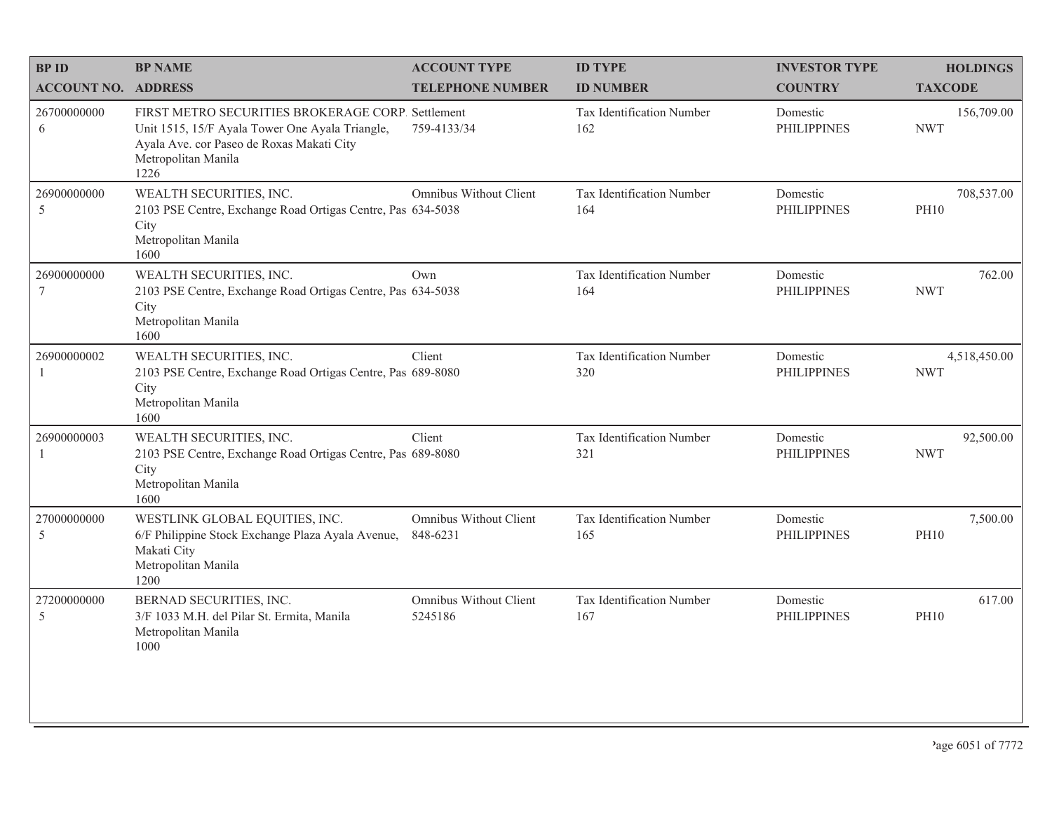| <b>BP ID</b>                   | <b>BP NAME</b>                                                                                                                                                                   | <b>ACCOUNT TYPE</b>                       | <b>ID TYPE</b>                   | <b>INVESTOR TYPE</b>           | <b>HOLDINGS</b>            |
|--------------------------------|----------------------------------------------------------------------------------------------------------------------------------------------------------------------------------|-------------------------------------------|----------------------------------|--------------------------------|----------------------------|
| <b>ACCOUNT NO. ADDRESS</b>     |                                                                                                                                                                                  | <b>TELEPHONE NUMBER</b>                   | <b>ID NUMBER</b>                 | <b>COUNTRY</b>                 | <b>TAXCODE</b>             |
| 26700000000<br>6               | FIRST METRO SECURITIES BROKERAGE CORP. Settlement<br>Unit 1515, 15/F Ayala Tower One Ayala Triangle,<br>Ayala Ave. cor Paseo de Roxas Makati City<br>Metropolitan Manila<br>1226 | 759-4133/34                               | Tax Identification Number<br>162 | Domestic<br><b>PHILIPPINES</b> | 156,709.00<br><b>NWT</b>   |
| 26900000000<br>5               | WEALTH SECURITIES, INC.<br>2103 PSE Centre, Exchange Road Ortigas Centre, Pas 634-5038<br>City<br>Metropolitan Manila<br>1600                                                    | Omnibus Without Client                    | Tax Identification Number<br>164 | Domestic<br><b>PHILIPPINES</b> | 708,537.00<br><b>PH10</b>  |
| 26900000000<br>$7\phantom{.0}$ | WEALTH SECURITIES, INC.<br>2103 PSE Centre, Exchange Road Ortigas Centre, Pas 634-5038<br>City<br>Metropolitan Manila<br>1600                                                    | Own                                       | Tax Identification Number<br>164 | Domestic<br><b>PHILIPPINES</b> | 762.00<br><b>NWT</b>       |
| 26900000002                    | WEALTH SECURITIES, INC.<br>2103 PSE Centre, Exchange Road Ortigas Centre, Pas 689-8080<br>City<br>Metropolitan Manila<br>1600                                                    | Client                                    | Tax Identification Number<br>320 | Domestic<br><b>PHILIPPINES</b> | 4,518,450.00<br><b>NWT</b> |
| 26900000003<br>-1              | WEALTH SECURITIES, INC.<br>2103 PSE Centre, Exchange Road Ortigas Centre, Pas 689-8080<br>City<br>Metropolitan Manila<br>1600                                                    | Client                                    | Tax Identification Number<br>321 | Domestic<br><b>PHILIPPINES</b> | 92,500.00<br><b>NWT</b>    |
| 27000000000<br>5               | WESTLINK GLOBAL EQUITIES, INC.<br>6/F Philippine Stock Exchange Plaza Ayala Avenue,<br>Makati City<br>Metropolitan Manila<br>1200                                                | <b>Omnibus Without Client</b><br>848-6231 | Tax Identification Number<br>165 | Domestic<br><b>PHILIPPINES</b> | 7,500.00<br><b>PH10</b>    |
| 27200000000<br>5               | BERNAD SECURITIES, INC.<br>3/F 1033 M.H. del Pilar St. Ermita, Manila<br>Metropolitan Manila<br>1000                                                                             | Omnibus Without Client<br>5245186         | Tax Identification Number<br>167 | Domestic<br><b>PHILIPPINES</b> | 617.00<br><b>PH10</b>      |
|                                |                                                                                                                                                                                  |                                           |                                  |                                |                            |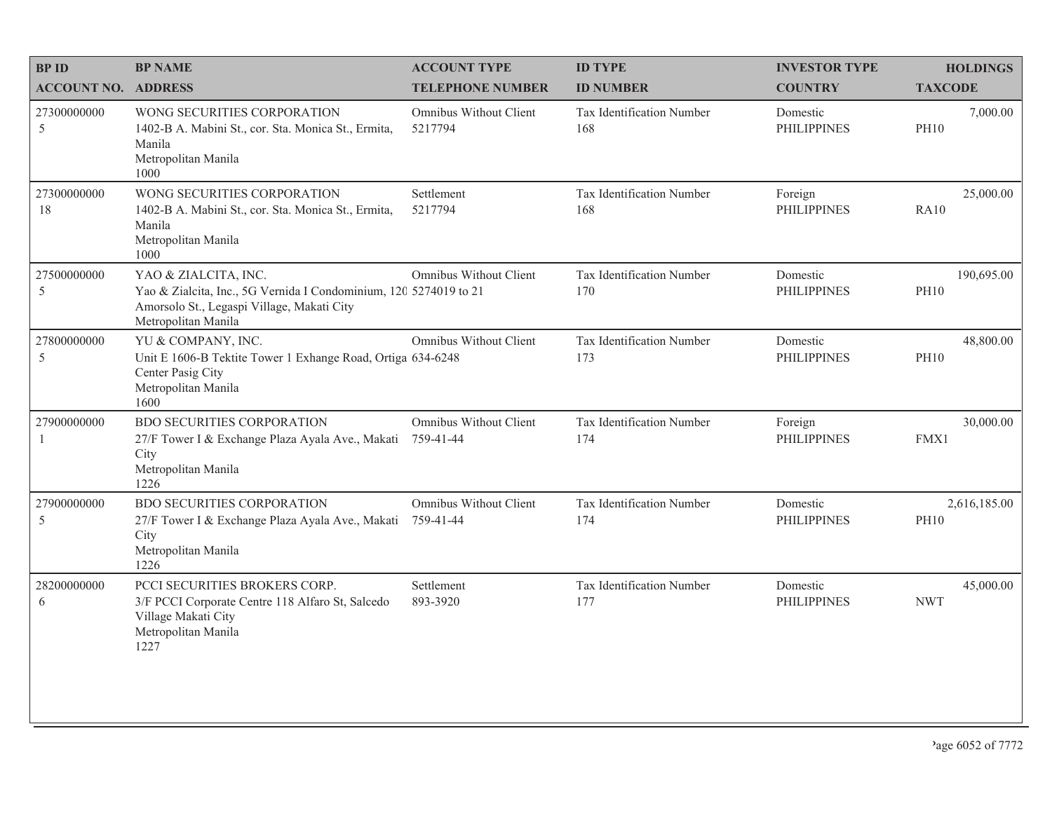| <b>BPID</b>                | <b>BP NAME</b>                                                                                                                                                 | <b>ACCOUNT TYPE</b>                        | <b>ID TYPE</b>                   | <b>INVESTOR TYPE</b>           | <b>HOLDINGS</b>             |
|----------------------------|----------------------------------------------------------------------------------------------------------------------------------------------------------------|--------------------------------------------|----------------------------------|--------------------------------|-----------------------------|
| <b>ACCOUNT NO. ADDRESS</b> |                                                                                                                                                                | <b>TELEPHONE NUMBER</b>                    | <b>ID NUMBER</b>                 | <b>COUNTRY</b>                 | <b>TAXCODE</b>              |
| 27300000000<br>5           | WONG SECURITIES CORPORATION<br>1402-B A. Mabini St., cor. Sta. Monica St., Ermita,<br>Manila<br>Metropolitan Manila<br>1000                                    | Omnibus Without Client<br>5217794          | Tax Identification Number<br>168 | Domestic<br><b>PHILIPPINES</b> | 7,000.00<br><b>PH10</b>     |
| 27300000000<br>18          | WONG SECURITIES CORPORATION<br>1402-B A. Mabini St., cor. Sta. Monica St., Ermita,<br>Manila<br>Metropolitan Manila<br>1000                                    | Settlement<br>5217794                      | Tax Identification Number<br>168 | Foreign<br><b>PHILIPPINES</b>  | 25,000.00<br>RA10           |
| 27500000000<br>5           | YAO & ZIALCITA, INC.<br>Yao & Zialcita, Inc., 5G Vernida I Condominium, 120 5274019 to 21<br>Amorsolo St., Legaspi Village, Makati City<br>Metropolitan Manila | Omnibus Without Client                     | Tax Identification Number<br>170 | Domestic<br><b>PHILIPPINES</b> | 190,695.00<br><b>PH10</b>   |
| 27800000000<br>5           | YU & COMPANY, INC.<br>Unit E 1606-B Tektite Tower 1 Exhange Road, Ortiga 634-6248<br>Center Pasig City<br>Metropolitan Manila<br>1600                          | Omnibus Without Client                     | Tax Identification Number<br>173 | Domestic<br><b>PHILIPPINES</b> | 48,800.00<br><b>PH10</b>    |
| 27900000000<br>1           | <b>BDO SECURITIES CORPORATION</b><br>27/F Tower I & Exchange Plaza Ayala Ave., Makati<br>City<br>Metropolitan Manila<br>1226                                   | <b>Omnibus Without Client</b><br>759-41-44 | Tax Identification Number<br>174 | Foreign<br><b>PHILIPPINES</b>  | 30,000.00<br>FMX1           |
| 27900000000<br>5           | <b>BDO SECURITIES CORPORATION</b><br>27/F Tower I & Exchange Plaza Ayala Ave., Makati<br>City<br>Metropolitan Manila<br>1226                                   | Omnibus Without Client<br>759-41-44        | Tax Identification Number<br>174 | Domestic<br><b>PHILIPPINES</b> | 2,616,185.00<br><b>PH10</b> |
| 28200000000<br>6           | PCCI SECURITIES BROKERS CORP.<br>3/F PCCI Corporate Centre 118 Alfaro St, Salcedo<br>Village Makati City<br>Metropolitan Manila<br>1227                        | Settlement<br>893-3920                     | Tax Identification Number<br>177 | Domestic<br><b>PHILIPPINES</b> | 45,000.00<br><b>NWT</b>     |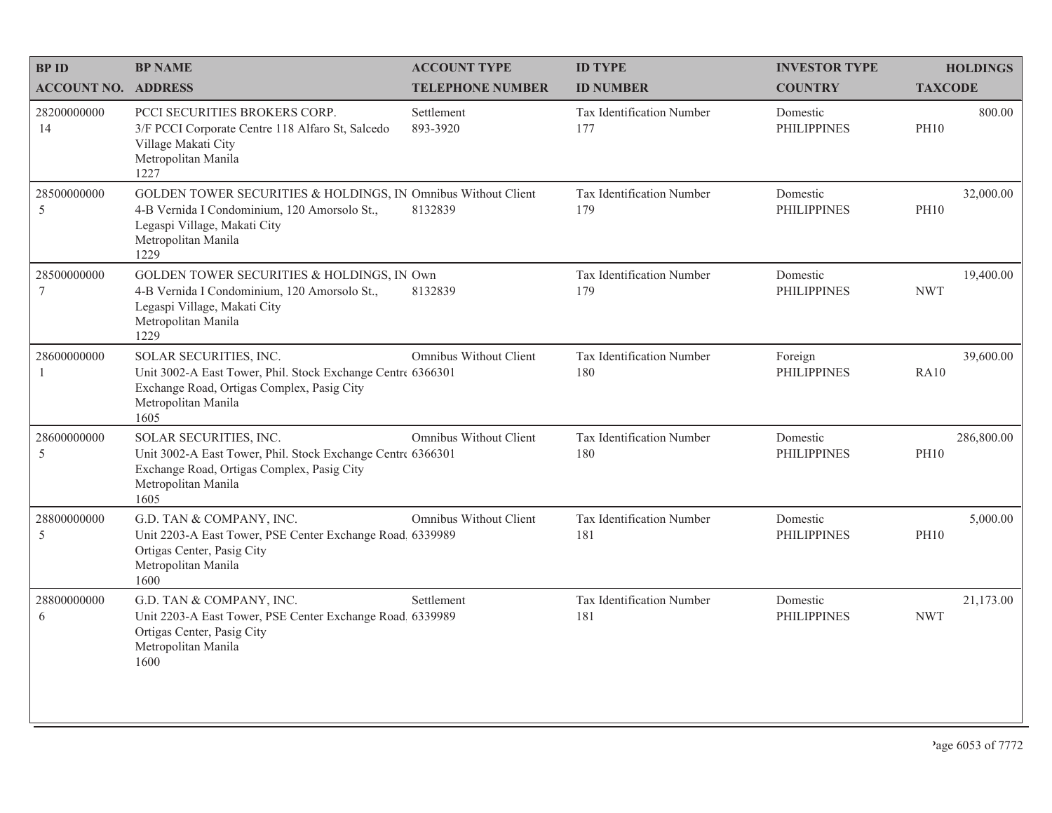| <b>BPID</b>                   | <b>BP NAME</b>                                                                                                                                                               | <b>ACCOUNT TYPE</b>     | <b>ID TYPE</b>                   | <b>INVESTOR TYPE</b>           | <b>HOLDINGS</b>           |
|-------------------------------|------------------------------------------------------------------------------------------------------------------------------------------------------------------------------|-------------------------|----------------------------------|--------------------------------|---------------------------|
| <b>ACCOUNT NO. ADDRESS</b>    |                                                                                                                                                                              | <b>TELEPHONE NUMBER</b> | <b>ID NUMBER</b>                 | <b>COUNTRY</b>                 | <b>TAXCODE</b>            |
| 28200000000<br>14             | <b>PCCI SECURITIES BROKERS CORP.</b><br>3/F PCCI Corporate Centre 118 Alfaro St, Salcedo<br>Village Makati City<br>Metropolitan Manila<br>1227                               | Settlement<br>893-3920  | Tax Identification Number<br>177 | Domestic<br><b>PHILIPPINES</b> | 800.00<br><b>PH10</b>     |
| 28500000000<br>5              | GOLDEN TOWER SECURITIES & HOLDINGS, IN Omnibus Without Client<br>4-B Vernida I Condominium, 120 Amorsolo St.,<br>Legaspi Village, Makati City<br>Metropolitan Manila<br>1229 | 8132839                 | Tax Identification Number<br>179 | Domestic<br><b>PHILIPPINES</b> | 32,000.00<br><b>PH10</b>  |
| 28500000000<br>$\overline{7}$ | GOLDEN TOWER SECURITIES & HOLDINGS, IN Own<br>4-B Vernida I Condominium, 120 Amorsolo St.,<br>Legaspi Village, Makati City<br>Metropolitan Manila<br>1229                    | 8132839                 | Tax Identification Number<br>179 | Domestic<br><b>PHILIPPINES</b> | 19,400.00<br><b>NWT</b>   |
| 28600000000<br>-1             | SOLAR SECURITIES, INC.<br>Unit 3002-A East Tower, Phil. Stock Exchange Centre 6366301<br>Exchange Road, Ortigas Complex, Pasig City<br>Metropolitan Manila<br>1605           | Omnibus Without Client  | Tax Identification Number<br>180 | Foreign<br><b>PHILIPPINES</b>  | 39,600.00<br>RA10         |
| 28600000000<br>5              | SOLAR SECURITIES, INC.<br>Unit 3002-A East Tower, Phil. Stock Exchange Centre 6366301<br>Exchange Road, Ortigas Complex, Pasig City<br>Metropolitan Manila<br>1605           | Omnibus Without Client  | Tax Identification Number<br>180 | Domestic<br><b>PHILIPPINES</b> | 286,800.00<br><b>PH10</b> |
| 28800000000<br>5              | G.D. TAN & COMPANY, INC.<br>Unit 2203-A East Tower, PSE Center Exchange Road. 6339989<br>Ortigas Center, Pasig City<br>Metropolitan Manila<br>1600                           | Omnibus Without Client  | Tax Identification Number<br>181 | Domestic<br><b>PHILIPPINES</b> | 5,000.00<br><b>PH10</b>   |
| 28800000000<br>6              | G.D. TAN & COMPANY, INC.<br>Unit 2203-A East Tower, PSE Center Exchange Road, 6339989<br>Ortigas Center, Pasig City<br>Metropolitan Manila<br>1600                           | Settlement              | Tax Identification Number<br>181 | Domestic<br><b>PHILIPPINES</b> | 21,173.00<br><b>NWT</b>   |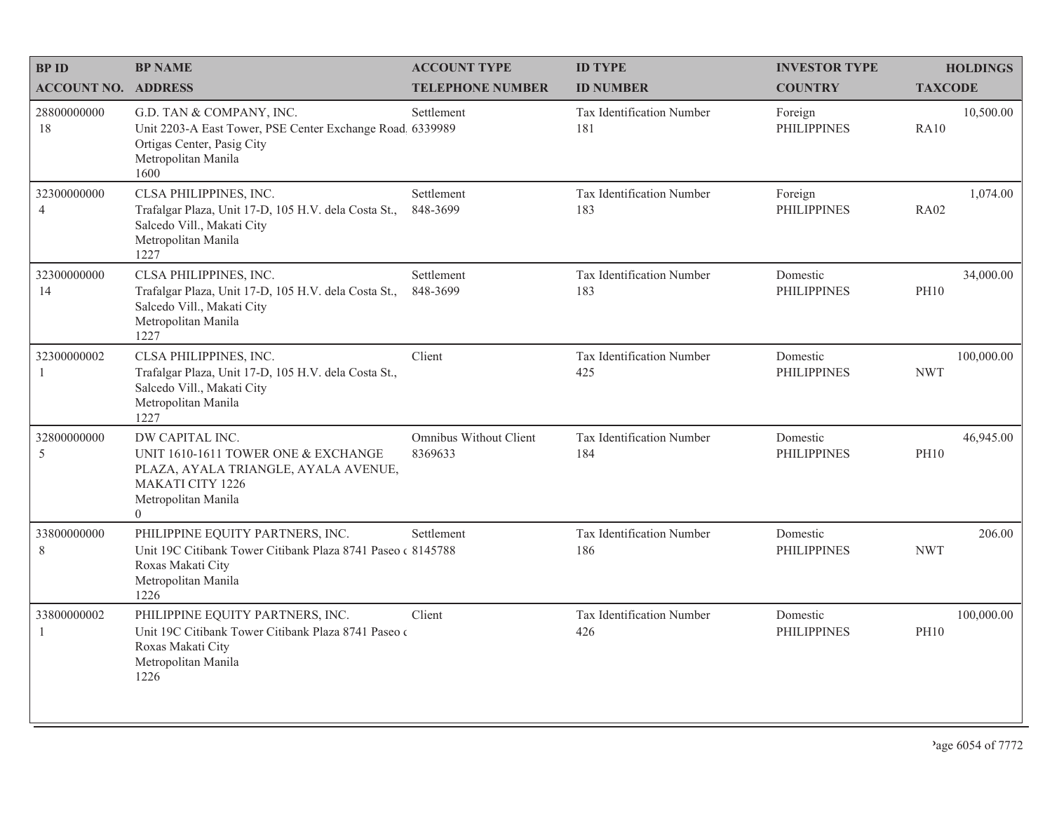| <b>BPID</b>                   | <b>BP NAME</b>                                                                                                                                                     | <b>ACCOUNT TYPE</b>               | <b>ID TYPE</b>                   | <b>INVESTOR TYPE</b>           | <b>HOLDINGS</b>           |
|-------------------------------|--------------------------------------------------------------------------------------------------------------------------------------------------------------------|-----------------------------------|----------------------------------|--------------------------------|---------------------------|
| <b>ACCOUNT NO. ADDRESS</b>    |                                                                                                                                                                    | <b>TELEPHONE NUMBER</b>           | <b>ID NUMBER</b>                 | <b>COUNTRY</b>                 | <b>TAXCODE</b>            |
| 28800000000<br>18             | G.D. TAN & COMPANY, INC.<br>Unit 2203-A East Tower, PSE Center Exchange Road. 6339989<br>Ortigas Center, Pasig City<br>Metropolitan Manila<br>1600                 | Settlement                        | Tax Identification Number<br>181 | Foreign<br><b>PHILIPPINES</b>  | 10,500.00<br><b>RA10</b>  |
| 32300000000<br>$\overline{4}$ | CLSA PHILIPPINES, INC.<br>Trafalgar Plaza, Unit 17-D, 105 H.V. dela Costa St.,<br>Salcedo Vill., Makati City<br>Metropolitan Manila<br>1227                        | Settlement<br>848-3699            | Tax Identification Number<br>183 | Foreign<br><b>PHILIPPINES</b>  | 1,074.00<br><b>RA02</b>   |
| 32300000000<br>14             | CLSA PHILIPPINES, INC.<br>Trafalgar Plaza, Unit 17-D, 105 H.V. dela Costa St.,<br>Salcedo Vill., Makati City<br>Metropolitan Manila<br>1227                        | Settlement<br>848-3699            | Tax Identification Number<br>183 | Domestic<br><b>PHILIPPINES</b> | 34,000.00<br><b>PH10</b>  |
| 32300000002<br>1              | CLSA PHILIPPINES, INC.<br>Trafalgar Plaza, Unit 17-D, 105 H.V. dela Costa St.,<br>Salcedo Vill., Makati City<br>Metropolitan Manila<br>1227                        | Client                            | Tax Identification Number<br>425 | Domestic<br><b>PHILIPPINES</b> | 100,000.00<br><b>NWT</b>  |
| 32800000000<br>5              | DW CAPITAL INC.<br>UNIT 1610-1611 TOWER ONE & EXCHANGE<br>PLAZA, AYALA TRIANGLE, AYALA AVENUE,<br><b>MAKATI CITY 1226</b><br>Metropolitan Manila<br>$\overline{0}$ | Omnibus Without Client<br>8369633 | Tax Identification Number<br>184 | Domestic<br><b>PHILIPPINES</b> | 46,945.00<br><b>PH10</b>  |
| 33800000000<br>8              | PHILIPPINE EQUITY PARTNERS, INC.<br>Unit 19C Citibank Tower Citibank Plaza 8741 Paseo (8145788)<br>Roxas Makati City<br>Metropolitan Manila<br>1226                | Settlement                        | Tax Identification Number<br>186 | Domestic<br><b>PHILIPPINES</b> | 206.00<br><b>NWT</b>      |
| 33800000002<br>1              | PHILIPPINE EQUITY PARTNERS, INC.<br>Unit 19C Citibank Tower Citibank Plaza 8741 Paseo o<br>Roxas Makati City<br>Metropolitan Manila<br>1226                        | Client                            | Tax Identification Number<br>426 | Domestic<br><b>PHILIPPINES</b> | 100,000.00<br><b>PH10</b> |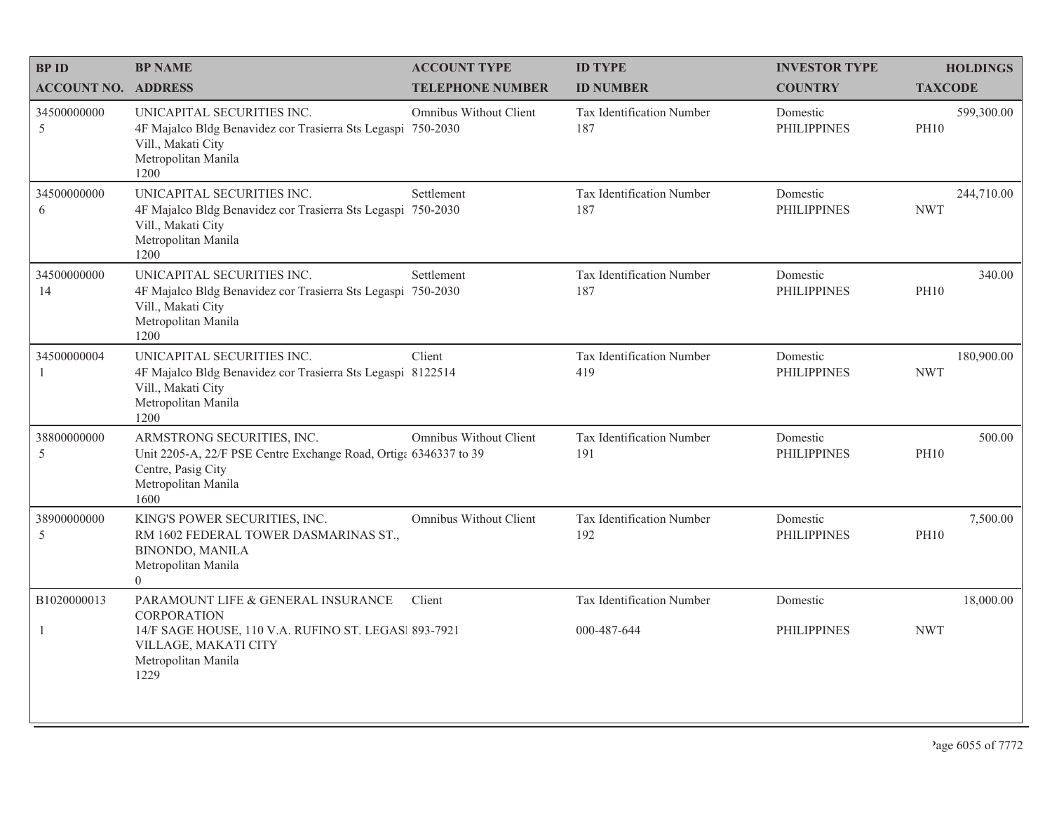| <b>BPID</b>                 | <b>BP NAME</b>                                                                                                                                                          | <b>ACCOUNT TYPE</b>     | <b>ID TYPE</b>                           | <b>INVESTOR TYPE</b>           | <b>HOLDINGS</b>           |
|-----------------------------|-------------------------------------------------------------------------------------------------------------------------------------------------------------------------|-------------------------|------------------------------------------|--------------------------------|---------------------------|
| <b>ACCOUNT NO. ADDRESS</b>  |                                                                                                                                                                         | <b>TELEPHONE NUMBER</b> | <b>ID NUMBER</b>                         | <b>COUNTRY</b>                 | <b>TAXCODE</b>            |
| 34500000000<br>5            | UNICAPITAL SECURITIES INC.<br>4F Majalco Bldg Benavidez cor Trasierra Sts Legaspi 750-2030<br>Vill., Makati City<br>Metropolitan Manila<br>1200                         | Omnibus Without Client  | Tax Identification Number<br>187         | Domestic<br><b>PHILIPPINES</b> | 599,300.00<br><b>PH10</b> |
| 34500000000<br>6            | UNICAPITAL SECURITIES INC.<br>4F Majalco Bldg Benavidez cor Trasierra Sts Legaspi<br>Vill., Makati City<br>Metropolitan Manila<br>1200                                  | Settlement<br>750-2030  | Tax Identification Number<br>187         | Domestic<br><b>PHILIPPINES</b> | 244,710.00<br><b>NWT</b>  |
| 34500000000<br>14           | UNICAPITAL SECURITIES INC.<br>4F Majalco Bldg Benavidez cor Trasierra Sts Legaspi 750-2030<br>Vill., Makati City<br>Metropolitan Manila<br>1200                         | Settlement              | Tax Identification Number<br>187         | Domestic<br><b>PHILIPPINES</b> | 340.00<br><b>PH10</b>     |
| 34500000004<br>$\mathbf{1}$ | UNICAPITAL SECURITIES INC.<br>4F Majalco Bldg Benavidez cor Trasierra Sts Legaspi 8122514<br>Vill., Makati City<br>Metropolitan Manila<br>1200                          | Client                  | Tax Identification Number<br>419         | Domestic<br><b>PHILIPPINES</b> | 180,900.00<br><b>NWT</b>  |
| 38800000000<br>5            | ARMSTRONG SECURITIES, INC.<br>Unit 2205-A, 22/F PSE Centre Exchange Road, Ortiga 6346337 to 39<br>Centre, Pasig City<br>Metropolitan Manila<br>1600                     | Omnibus Without Client  | Tax Identification Number<br>191         | Domestic<br><b>PHILIPPINES</b> | 500.00<br><b>PH10</b>     |
| 38900000000<br>5            | KING'S POWER SECURITIES, INC.<br>RM 1602 FEDERAL TOWER DASMARINAS ST.,<br><b>BINONDO, MANILA</b><br>Metropolitan Manila<br>$\overline{0}$                               | Omnibus Without Client  | Tax Identification Number<br>192         | Domestic<br><b>PHILIPPINES</b> | 7,500.00<br><b>PH10</b>   |
| B1020000013<br>1            | PARAMOUNT LIFE & GENERAL INSURANCE<br><b>CORPORATION</b><br>14/F SAGE HOUSE, 110 V.A. RUFINO ST. LEGAS  893-7921<br>VILLAGE, MAKATI CITY<br>Metropolitan Manila<br>1229 | Client                  | Tax Identification Number<br>000-487-644 | Domestic<br><b>PHILIPPINES</b> | 18,000.00<br><b>NWT</b>   |
|                             |                                                                                                                                                                         |                         |                                          |                                |                           |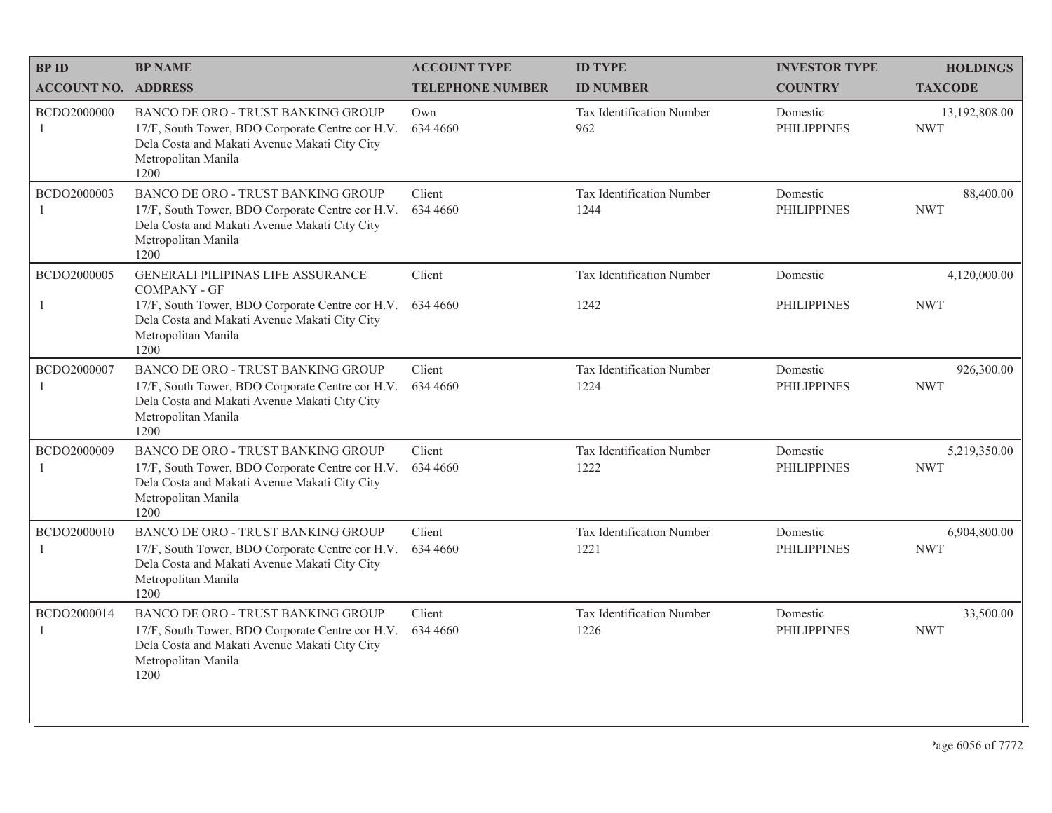| <b>BPID</b>                 | <b>BP NAME</b>                                                                                                                                                                | <b>ACCOUNT TYPE</b>     | <b>ID TYPE</b>                    | <b>INVESTOR TYPE</b>           | <b>HOLDINGS</b>             |
|-----------------------------|-------------------------------------------------------------------------------------------------------------------------------------------------------------------------------|-------------------------|-----------------------------------|--------------------------------|-----------------------------|
| <b>ACCOUNT NO. ADDRESS</b>  |                                                                                                                                                                               | <b>TELEPHONE NUMBER</b> | <b>ID NUMBER</b>                  | <b>COUNTRY</b>                 | <b>TAXCODE</b>              |
| BCDO2000000<br>$\mathbf{1}$ | BANCO DE ORO - TRUST BANKING GROUP<br>17/F, South Tower, BDO Corporate Centre cor H.V.<br>Dela Costa and Makati Avenue Makati City City<br>Metropolitan Manila<br>1200        | Own<br>634 4660         | Tax Identification Number<br>962  | Domestic<br><b>PHILIPPINES</b> | 13,192,808.00<br><b>NWT</b> |
| BCDO2000003                 | BANCO DE ORO - TRUST BANKING GROUP<br>17/F, South Tower, BDO Corporate Centre cor H.V.<br>Dela Costa and Makati Avenue Makati City City<br>Metropolitan Manila<br>1200        | Client<br>634 4660      | Tax Identification Number<br>1244 | Domestic<br><b>PHILIPPINES</b> | 88,400.00<br><b>NWT</b>     |
| BCDO2000005                 | <b>GENERALI PILIPINAS LIFE ASSURANCE</b><br><b>COMPANY - GF</b>                                                                                                               | Client                  | Tax Identification Number         | Domestic                       | 4,120,000.00                |
| 1                           | 17/F, South Tower, BDO Corporate Centre cor H.V.<br>Dela Costa and Makati Avenue Makati City City<br>Metropolitan Manila<br>1200                                              | 634 4660                | 1242                              | <b>PHILIPPINES</b>             | <b>NWT</b>                  |
| BCDO2000007<br>$\mathbf{1}$ | <b>BANCO DE ORO - TRUST BANKING GROUP</b><br>17/F, South Tower, BDO Corporate Centre cor H.V.<br>Dela Costa and Makati Avenue Makati City City<br>Metropolitan Manila<br>1200 | Client<br>634 4660      | Tax Identification Number<br>1224 | Domestic<br><b>PHILIPPINES</b> | 926,300.00<br><b>NWT</b>    |
| BCDO2000009                 | BANCO DE ORO - TRUST BANKING GROUP<br>17/F, South Tower, BDO Corporate Centre cor H.V.<br>Dela Costa and Makati Avenue Makati City City<br>Metropolitan Manila<br>1200        | Client<br>634 4660      | Tax Identification Number<br>1222 | Domestic<br><b>PHILIPPINES</b> | 5,219,350.00<br><b>NWT</b>  |
| BCDO2000010<br>-1           | BANCO DE ORO - TRUST BANKING GROUP<br>17/F, South Tower, BDO Corporate Centre cor H.V.<br>Dela Costa and Makati Avenue Makati City City<br>Metropolitan Manila<br>1200        | Client<br>634 4660      | Tax Identification Number<br>1221 | Domestic<br><b>PHILIPPINES</b> | 6,904,800.00<br><b>NWT</b>  |
| BCDO2000014<br>1            | BANCO DE ORO - TRUST BANKING GROUP<br>17/F, South Tower, BDO Corporate Centre cor H.V.<br>Dela Costa and Makati Avenue Makati City City<br>Metropolitan Manila<br>1200        | Client<br>634 4660      | Tax Identification Number<br>1226 | Domestic<br><b>PHILIPPINES</b> | 33,500.00<br><b>NWT</b>     |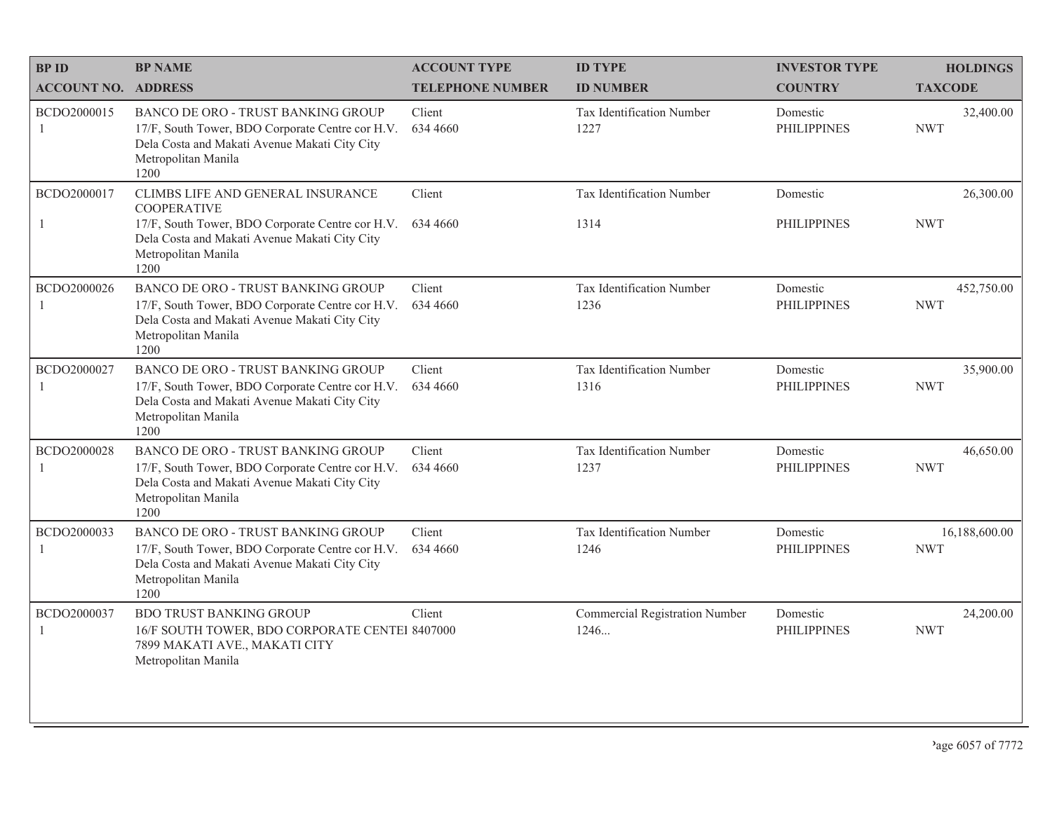| <b>BPID</b>                | <b>BP NAME</b>                                                                                                                                                                              | <b>ACCOUNT TYPE</b>     | <b>ID TYPE</b>                           | <b>INVESTOR TYPE</b>           | <b>HOLDINGS</b>             |
|----------------------------|---------------------------------------------------------------------------------------------------------------------------------------------------------------------------------------------|-------------------------|------------------------------------------|--------------------------------|-----------------------------|
| <b>ACCOUNT NO. ADDRESS</b> |                                                                                                                                                                                             | <b>TELEPHONE NUMBER</b> | <b>ID NUMBER</b>                         | <b>COUNTRY</b>                 | <b>TAXCODE</b>              |
| BCDO2000015<br>1           | BANCO DE ORO - TRUST BANKING GROUP<br>17/F, South Tower, BDO Corporate Centre cor H.V.<br>Dela Costa and Makati Avenue Makati City City<br>Metropolitan Manila<br>1200                      | Client<br>634 4660      | <b>Tax Identification Number</b><br>1227 | Domestic<br><b>PHILIPPINES</b> | 32,400.00<br><b>NWT</b>     |
| BCDO2000017<br>1           | CLIMBS LIFE AND GENERAL INSURANCE<br><b>COOPERATIVE</b><br>17/F, South Tower, BDO Corporate Centre cor H.V.<br>Dela Costa and Makati Avenue Makati City City<br>Metropolitan Manila<br>1200 | Client<br>634 4660      | Tax Identification Number<br>1314        | Domestic<br><b>PHILIPPINES</b> | 26,300.00<br><b>NWT</b>     |
| BCDO2000026<br>1           | BANCO DE ORO - TRUST BANKING GROUP<br>17/F, South Tower, BDO Corporate Centre cor H.V.<br>Dela Costa and Makati Avenue Makati City City<br>Metropolitan Manila<br>1200                      | Client<br>634 4660      | Tax Identification Number<br>1236        | Domestic<br><b>PHILIPPINES</b> | 452,750.00<br><b>NWT</b>    |
| BCDO2000027<br>1           | BANCO DE ORO - TRUST BANKING GROUP<br>17/F, South Tower, BDO Corporate Centre cor H.V.<br>Dela Costa and Makati Avenue Makati City City<br>Metropolitan Manila<br>1200                      | Client<br>634 4660      | Tax Identification Number<br>1316        | Domestic<br><b>PHILIPPINES</b> | 35,900.00<br><b>NWT</b>     |
| BCDO2000028<br>1           | BANCO DE ORO - TRUST BANKING GROUP<br>17/F, South Tower, BDO Corporate Centre cor H.V.<br>Dela Costa and Makati Avenue Makati City City<br>Metropolitan Manila<br>1200                      | Client<br>634 4660      | Tax Identification Number<br>1237        | Domestic<br><b>PHILIPPINES</b> | 46,650.00<br><b>NWT</b>     |
| BCDO2000033<br>1           | BANCO DE ORO - TRUST BANKING GROUP<br>17/F, South Tower, BDO Corporate Centre cor H.V.<br>Dela Costa and Makati Avenue Makati City City<br>Metropolitan Manila<br>1200                      | Client<br>634 4660      | Tax Identification Number<br>1246        | Domestic<br><b>PHILIPPINES</b> | 16,188,600.00<br><b>NWT</b> |
| BCDO2000037<br>-1          | <b>BDO TRUST BANKING GROUP</b><br>16/F SOUTH TOWER, BDO CORPORATE CENTEI 8407000<br>7899 MAKATI AVE., MAKATI CITY<br>Metropolitan Manila                                                    | Client                  | Commercial Registration Number<br>1246   | Domestic<br><b>PHILIPPINES</b> | 24,200.00<br><b>NWT</b>     |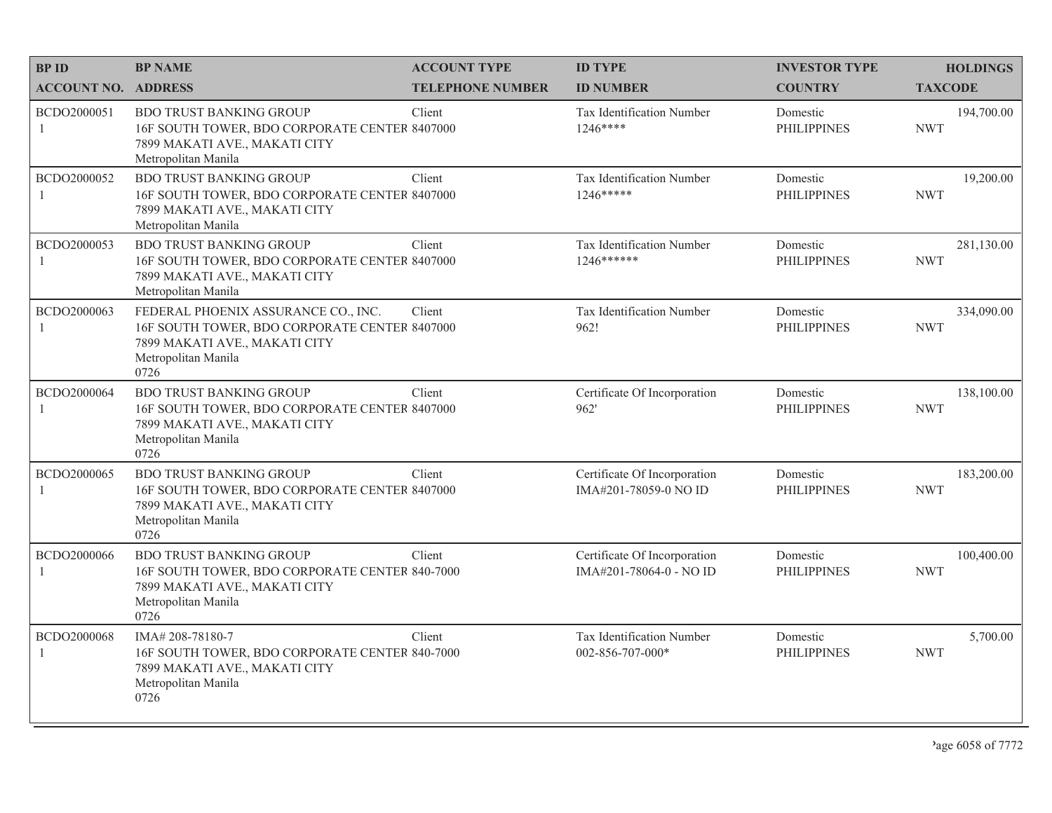| <b>BPID</b>                 | <b>BP NAME</b>                                                                                                                                       | <b>ACCOUNT TYPE</b>     | <b>ID TYPE</b>                                          | <b>INVESTOR TYPE</b>           | <b>HOLDINGS</b>          |
|-----------------------------|------------------------------------------------------------------------------------------------------------------------------------------------------|-------------------------|---------------------------------------------------------|--------------------------------|--------------------------|
| <b>ACCOUNT NO. ADDRESS</b>  |                                                                                                                                                      | <b>TELEPHONE NUMBER</b> | <b>ID NUMBER</b>                                        | <b>COUNTRY</b>                 | <b>TAXCODE</b>           |
| BCDO2000051<br>$\mathbf{1}$ | <b>BDO TRUST BANKING GROUP</b><br>16F SOUTH TOWER, BDO CORPORATE CENTER 8407000<br>7899 MAKATI AVE., MAKATI CITY<br>Metropolitan Manila              | Client                  | Tax Identification Number<br>1246****                   | Domestic<br><b>PHILIPPINES</b> | 194,700.00<br><b>NWT</b> |
| BCDO2000052<br>1            | <b>BDO TRUST BANKING GROUP</b><br>16F SOUTH TOWER, BDO CORPORATE CENTER 8407000<br>7899 MAKATI AVE., MAKATI CITY<br>Metropolitan Manila              | Client                  | Tax Identification Number<br>1246*****                  | Domestic<br><b>PHILIPPINES</b> | 19,200.00<br><b>NWT</b>  |
| BCDO2000053<br>1            | <b>BDO TRUST BANKING GROUP</b><br>16F SOUTH TOWER, BDO CORPORATE CENTER 8407000<br>7899 MAKATI AVE., MAKATI CITY<br>Metropolitan Manila              | Client                  | Tax Identification Number<br>1246 ******                | Domestic<br><b>PHILIPPINES</b> | 281,130.00<br><b>NWT</b> |
| BCDO2000063<br>1            | FEDERAL PHOENIX ASSURANCE CO., INC.<br>16F SOUTH TOWER, BDO CORPORATE CENTER 8407000<br>7899 MAKATI AVE., MAKATI CITY<br>Metropolitan Manila<br>0726 | Client                  | Tax Identification Number<br>962!                       | Domestic<br><b>PHILIPPINES</b> | 334,090.00<br><b>NWT</b> |
| BCDO2000064<br>$\mathbf{1}$ | <b>BDO TRUST BANKING GROUP</b><br>16F SOUTH TOWER, BDO CORPORATE CENTER 8407000<br>7899 MAKATI AVE., MAKATI CITY<br>Metropolitan Manila<br>0726      | Client                  | Certificate Of Incorporation<br>962'                    | Domestic<br><b>PHILIPPINES</b> | 138,100.00<br><b>NWT</b> |
| BCDO2000065<br>1            | <b>BDO TRUST BANKING GROUP</b><br>16F SOUTH TOWER, BDO CORPORATE CENTER 8407000<br>7899 MAKATI AVE., MAKATI CITY<br>Metropolitan Manila<br>0726      | Client                  | Certificate Of Incorporation<br>IMA#201-78059-0 NO ID   | Domestic<br><b>PHILIPPINES</b> | 183,200.00<br><b>NWT</b> |
| BCDO2000066<br>1            | <b>BDO TRUST BANKING GROUP</b><br>16F SOUTH TOWER, BDO CORPORATE CENTER 840-7000<br>7899 MAKATI AVE., MAKATI CITY<br>Metropolitan Manila<br>0726     | Client                  | Certificate Of Incorporation<br>IMA#201-78064-0 - NO ID | Domestic<br><b>PHILIPPINES</b> | 100,400.00<br><b>NWT</b> |
| BCDO2000068<br>1            | IMA#208-78180-7<br>16F SOUTH TOWER, BDO CORPORATE CENTER 840-7000<br>7899 MAKATI AVE., MAKATI CITY<br>Metropolitan Manila<br>0726                    | Client                  | Tax Identification Number<br>002-856-707-000*           | Domestic<br><b>PHILIPPINES</b> | 5,700.00<br><b>NWT</b>   |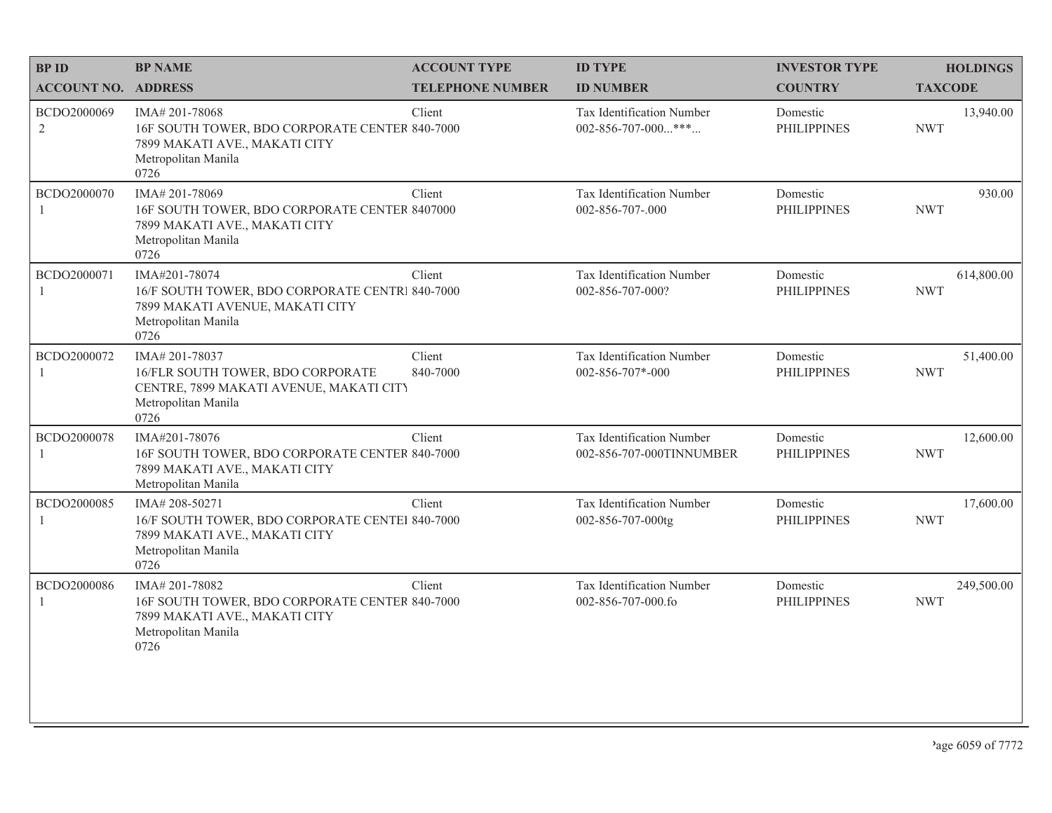| <b>BPID</b>                   | <b>BP NAME</b>                                                                                                                     | <b>ACCOUNT TYPE</b>     | <b>ID TYPE</b>                                           | <b>INVESTOR TYPE</b>           | <b>HOLDINGS</b>          |
|-------------------------------|------------------------------------------------------------------------------------------------------------------------------------|-------------------------|----------------------------------------------------------|--------------------------------|--------------------------|
| <b>ACCOUNT NO. ADDRESS</b>    |                                                                                                                                    | <b>TELEPHONE NUMBER</b> | <b>ID NUMBER</b>                                         | <b>COUNTRY</b>                 | <b>TAXCODE</b>           |
| BCDO2000069<br>$\overline{2}$ | IMA# 201-78068<br>16F SOUTH TOWER, BDO CORPORATE CENTER 840-7000<br>7899 MAKATI AVE., MAKATI CITY<br>Metropolitan Manila<br>0726   | Client                  | Tax Identification Number<br>$002 - 856 - 707 - 000$ *** | Domestic<br><b>PHILIPPINES</b> | 13,940.00<br><b>NWT</b>  |
| BCDO2000070<br>$\mathbf{1}$   | IMA# 201-78069<br>16F SOUTH TOWER, BDO CORPORATE CENTER 8407000<br>7899 MAKATI AVE., MAKATI CITY<br>Metropolitan Manila<br>0726    | Client                  | Tax Identification Number<br>002-856-707-.000            | Domestic<br><b>PHILIPPINES</b> | 930.00<br><b>NWT</b>     |
| BCDO2000071                   | IMA#201-78074<br>16/F SOUTH TOWER, BDO CORPORATE CENTRI 840-7000<br>7899 MAKATI AVENUE, MAKATI CITY<br>Metropolitan Manila<br>0726 | Client                  | Tax Identification Number<br>002-856-707-000?            | Domestic<br><b>PHILIPPINES</b> | 614,800.00<br><b>NWT</b> |
| BCDO2000072                   | IMA#201-78037<br>16/FLR SOUTH TOWER, BDO CORPORATE<br>CENTRE, 7899 MAKATI AVENUE, MAKATI CITY<br>Metropolitan Manila<br>0726       | Client<br>840-7000      | Tax Identification Number<br>$002 - 856 - 707 - 000$     | Domestic<br><b>PHILIPPINES</b> | 51,400.00<br><b>NWT</b>  |
| BCDO2000078<br>1              | IMA#201-78076<br>16F SOUTH TOWER, BDO CORPORATE CENTER 840-7000<br>7899 MAKATI AVE., MAKATI CITY<br>Metropolitan Manila            | Client                  | Tax Identification Number<br>002-856-707-000TINNUMBER    | Domestic<br><b>PHILIPPINES</b> | 12,600.00<br><b>NWT</b>  |
| BCDO2000085<br>1              | IMA#208-50271<br>16/F SOUTH TOWER, BDO CORPORATE CENTEI 840-7000<br>7899 MAKATI AVE., MAKATI CITY<br>Metropolitan Manila<br>0726   | Client                  | Tax Identification Number<br>002-856-707-000tg           | Domestic<br><b>PHILIPPINES</b> | 17,600.00<br><b>NWT</b>  |
| BCDO2000086<br>1              | IMA#201-78082<br>16F SOUTH TOWER, BDO CORPORATE CENTER 840-7000<br>7899 MAKATI AVE., MAKATI CITY<br>Metropolitan Manila<br>0726    | Client                  | Tax Identification Number<br>002-856-707-000.fo          | Domestic<br><b>PHILIPPINES</b> | 249,500.00<br><b>NWT</b> |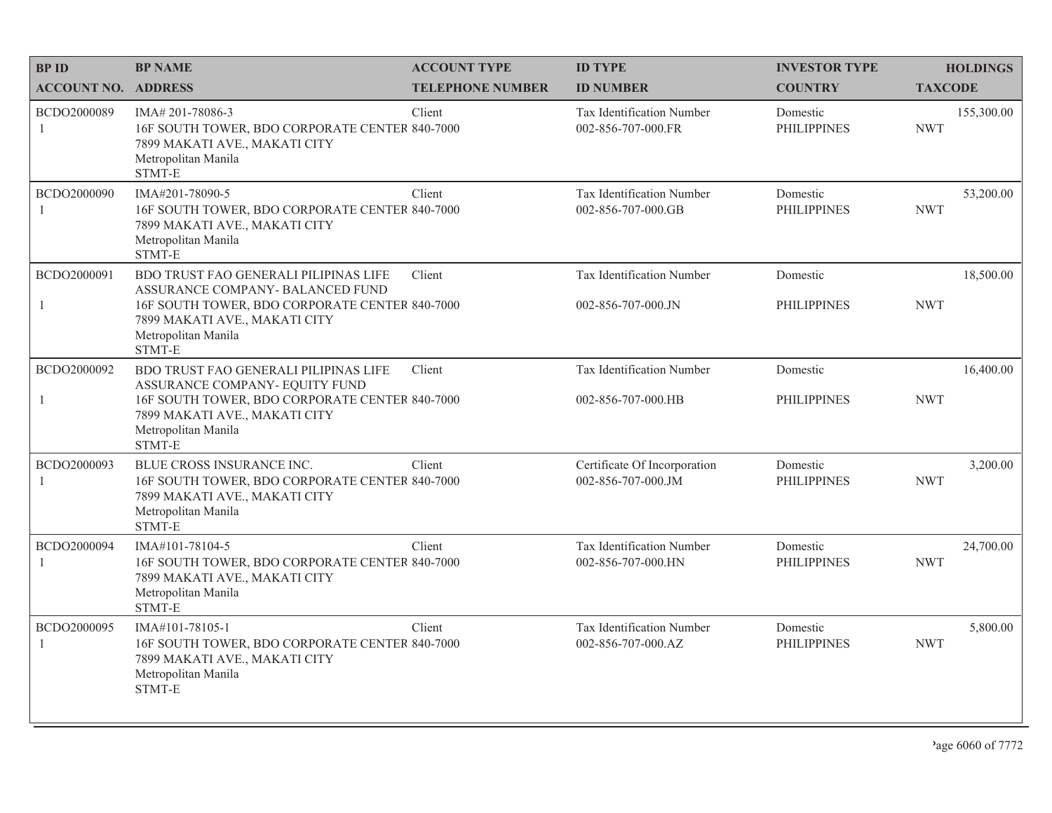| <b>BPID</b>                   | <b>BP NAME</b>                                                                                                                                | <b>ACCOUNT TYPE</b>     | <b>ID TYPE</b>                                     | <b>INVESTOR TYPE</b>           | <b>HOLDINGS</b>          |
|-------------------------------|-----------------------------------------------------------------------------------------------------------------------------------------------|-------------------------|----------------------------------------------------|--------------------------------|--------------------------|
| <b>ACCOUNT NO. ADDRESS</b>    |                                                                                                                                               | <b>TELEPHONE NUMBER</b> | <b>ID NUMBER</b>                                   | <b>COUNTRY</b>                 | <b>TAXCODE</b>           |
| BCDO2000089<br>1              | IMA# 201-78086-3<br>16F SOUTH TOWER, BDO CORPORATE CENTER 840-7000<br>7899 MAKATI AVE., MAKATI CITY<br>Metropolitan Manila<br>STMT-E          | Client                  | Tax Identification Number<br>002-856-707-000.FR    | Domestic<br><b>PHILIPPINES</b> | 155,300.00<br><b>NWT</b> |
| BCDO2000090<br>$\mathbf{1}$   | IMA#201-78090-5<br>16F SOUTH TOWER, BDO CORPORATE CENTER 840-7000<br>7899 MAKATI AVE., MAKATI CITY<br>Metropolitan Manila<br>STMT-E           | Client                  | Tax Identification Number<br>002-856-707-000.GB    | Domestic<br><b>PHILIPPINES</b> | 53,200.00<br><b>NWT</b>  |
| BCDO2000091                   | BDO TRUST FAO GENERALI PILIPINAS LIFE<br>ASSURANCE COMPANY- BALANCED FUND                                                                     | Client                  | Tax Identification Number                          | Domestic                       | 18,500.00                |
| 1                             | 16F SOUTH TOWER, BDO CORPORATE CENTER 840-7000<br>7899 MAKATI AVE., MAKATI CITY<br>Metropolitan Manila<br>STMT-E                              |                         | 002-856-707-000.JN                                 | <b>PHILIPPINES</b>             | <b>NWT</b>               |
| BCDO2000092                   | BDO TRUST FAO GENERALI PILIPINAS LIFE<br>ASSURANCE COMPANY- EQUITY FUND                                                                       | Client                  | Tax Identification Number                          | Domestic                       | 16,400.00                |
| $\mathbf{1}$                  | 16F SOUTH TOWER, BDO CORPORATE CENTER 840-7000<br>7899 MAKATI AVE., MAKATI CITY<br>Metropolitan Manila<br>STMT-E                              |                         | 002-856-707-000.HB                                 | <b>PHILIPPINES</b>             | <b>NWT</b>               |
| BCDO2000093<br>1              | BLUE CROSS INSURANCE INC.<br>16F SOUTH TOWER, BDO CORPORATE CENTER 840-7000<br>7899 MAKATI AVE., MAKATI CITY<br>Metropolitan Manila<br>STMT-E | Client                  | Certificate Of Incorporation<br>002-856-707-000.JM | Domestic<br><b>PHILIPPINES</b> | 3,200.00<br><b>NWT</b>   |
| BCDO2000094<br>$\overline{1}$ | IMA#101-78104-5<br>16F SOUTH TOWER, BDO CORPORATE CENTER 840-7000<br>7899 MAKATI AVE., MAKATI CITY<br>Metropolitan Manila<br>STMT-E           | Client                  | Tax Identification Number<br>002-856-707-000.HN    | Domestic<br><b>PHILIPPINES</b> | 24,700.00<br><b>NWT</b>  |
| BCDO2000095<br>-1             | IMA#101-78105-1<br>16F SOUTH TOWER, BDO CORPORATE CENTER 840-7000<br>7899 MAKATI AVE., MAKATI CITY<br>Metropolitan Manila<br>STMT-E           | Client                  | Tax Identification Number<br>002-856-707-000.AZ    | Domestic<br><b>PHILIPPINES</b> | 5,800.00<br><b>NWT</b>   |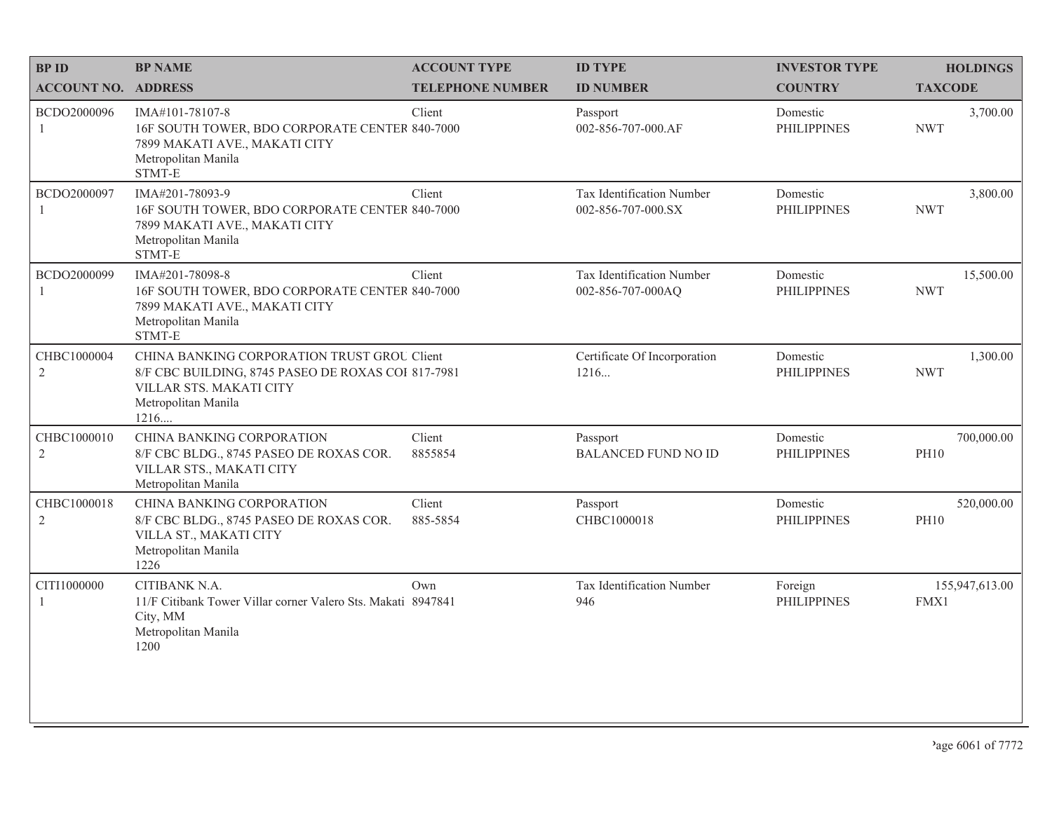| <b>BPID</b>                   | <b>BP NAME</b>                                                                                                                                              | <b>ACCOUNT TYPE</b>     | <b>ID TYPE</b>                                  | <b>INVESTOR TYPE</b>           | <b>HOLDINGS</b>           |
|-------------------------------|-------------------------------------------------------------------------------------------------------------------------------------------------------------|-------------------------|-------------------------------------------------|--------------------------------|---------------------------|
| <b>ACCOUNT NO. ADDRESS</b>    |                                                                                                                                                             | <b>TELEPHONE NUMBER</b> | <b>ID NUMBER</b>                                | <b>COUNTRY</b>                 | <b>TAXCODE</b>            |
| BCDO2000096<br>1              | IMA#101-78107-8<br>16F SOUTH TOWER, BDO CORPORATE CENTER 840-7000<br>7899 MAKATI AVE., MAKATI CITY<br>Metropolitan Manila<br>STMT-E                         | Client                  | Passport<br>002-856-707-000.AF                  | Domestic<br><b>PHILIPPINES</b> | 3,700.00<br><b>NWT</b>    |
| BCDO2000097<br>$\mathbf{1}$   | IMA#201-78093-9<br>16F SOUTH TOWER, BDO CORPORATE CENTER 840-7000<br>7899 MAKATI AVE., MAKATI CITY<br>Metropolitan Manila<br>STMT-E                         | Client                  | Tax Identification Number<br>002-856-707-000.SX | Domestic<br><b>PHILIPPINES</b> | 3,800.00<br><b>NWT</b>    |
| BCDO2000099<br>1              | IMA#201-78098-8<br>16F SOUTH TOWER, BDO CORPORATE CENTER 840-7000<br>7899 MAKATI AVE., MAKATI CITY<br>Metropolitan Manila<br>STMT-E                         | Client                  | Tax Identification Number<br>002-856-707-000AQ  | Domestic<br><b>PHILIPPINES</b> | 15,500.00<br><b>NWT</b>   |
| CHBC1000004<br>$\overline{2}$ | CHINA BANKING CORPORATION TRUST GROU Client<br>8/F CBC BUILDING, 8745 PASEO DE ROXAS COI 817-7981<br>VILLAR STS. MAKATI CITY<br>Metropolitan Manila<br>1216 |                         | Certificate Of Incorporation<br>1216            | Domestic<br><b>PHILIPPINES</b> | 1,300.00<br><b>NWT</b>    |
| CHBC1000010<br>2              | CHINA BANKING CORPORATION<br>8/F CBC BLDG., 8745 PASEO DE ROXAS COR.<br>VILLAR STS., MAKATI CITY<br>Metropolitan Manila                                     | Client<br>8855854       | Passport<br><b>BALANCED FUND NO ID</b>          | Domestic<br><b>PHILIPPINES</b> | 700,000.00<br><b>PH10</b> |
| CHBC1000018<br>2              | CHINA BANKING CORPORATION<br>8/F CBC BLDG., 8745 PASEO DE ROXAS COR.<br>VILLA ST., MAKATI CITY<br>Metropolitan Manila<br>1226                               | Client<br>885-5854      | Passport<br>CHBC1000018                         | Domestic<br><b>PHILIPPINES</b> | 520,000.00<br><b>PH10</b> |
| CITI1000000                   | CITIBANK N.A.<br>11/F Citibank Tower Villar corner Valero Sts. Makati 8947841<br>City, MM<br>Metropolitan Manila<br>1200                                    | Own                     | Tax Identification Number<br>946                | Foreign<br><b>PHILIPPINES</b>  | 155,947,613.00<br>FMX1    |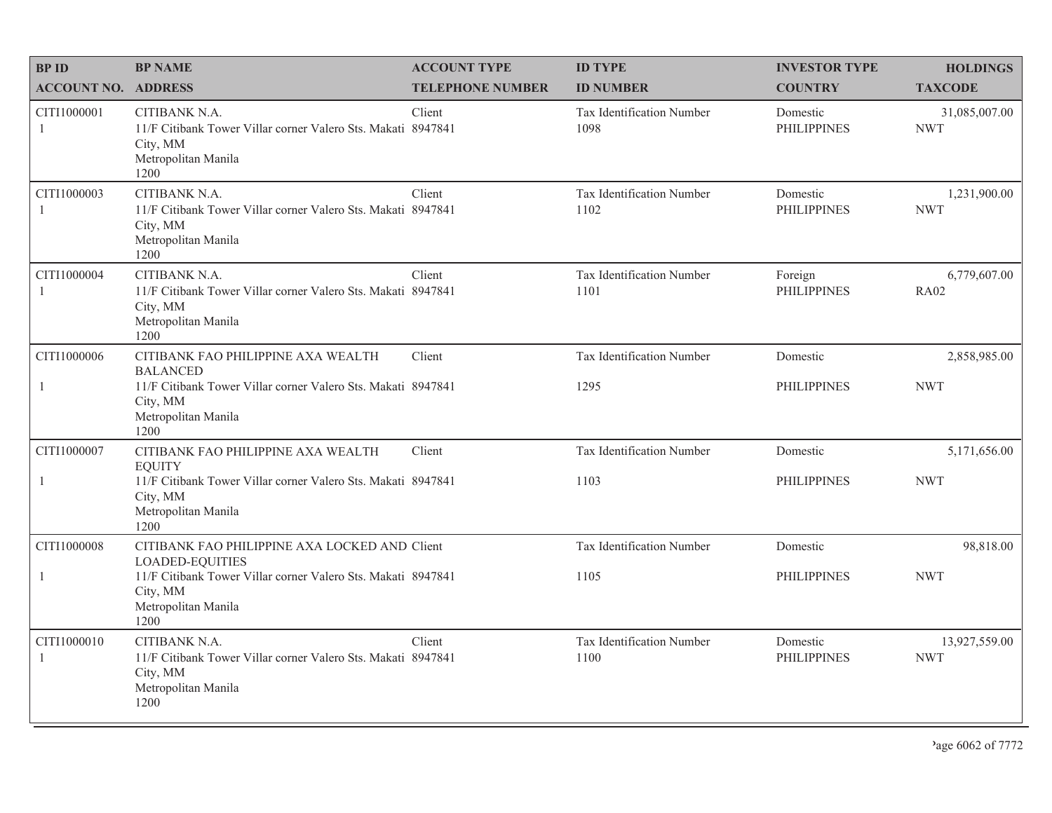| <b>BPID</b>                   | <b>BP NAME</b>                                                                                                           | <b>ACCOUNT TYPE</b>     | <b>ID TYPE</b>                    | <b>INVESTOR TYPE</b>           | <b>HOLDINGS</b>             |
|-------------------------------|--------------------------------------------------------------------------------------------------------------------------|-------------------------|-----------------------------------|--------------------------------|-----------------------------|
| <b>ACCOUNT NO. ADDRESS</b>    |                                                                                                                          | <b>TELEPHONE NUMBER</b> | <b>ID NUMBER</b>                  | <b>COUNTRY</b>                 | <b>TAXCODE</b>              |
| CITI1000001<br>-1             | CITIBANK N.A.<br>11/F Citibank Tower Villar corner Valero Sts. Makati 8947841<br>City, MM<br>Metropolitan Manila<br>1200 | Client                  | Tax Identification Number<br>1098 | Domestic<br><b>PHILIPPINES</b> | 31,085,007.00<br><b>NWT</b> |
| CITI1000003<br>$\mathbf{1}$   | CITIBANK N.A.<br>11/F Citibank Tower Villar corner Valero Sts. Makati 8947841<br>City, MM<br>Metropolitan Manila<br>1200 | Client                  | Tax Identification Number<br>1102 | Domestic<br><b>PHILIPPINES</b> | 1,231,900.00<br><b>NWT</b>  |
| CITI1000004<br>$\overline{1}$ | CITIBANK N.A.<br>11/F Citibank Tower Villar corner Valero Sts. Makati 8947841<br>City, MM<br>Metropolitan Manila<br>1200 | Client                  | Tax Identification Number<br>1101 | Foreign<br><b>PHILIPPINES</b>  | 6,779,607.00<br><b>RA02</b> |
| CITI1000006                   | CITIBANK FAO PHILIPPINE AXA WEALTH<br><b>BALANCED</b>                                                                    | Client                  | Tax Identification Number         | Domestic                       | 2,858,985.00                |
| 1                             | 11/F Citibank Tower Villar corner Valero Sts. Makati 8947841<br>City, MM<br>Metropolitan Manila<br>1200                  |                         | 1295                              | <b>PHILIPPINES</b>             | <b>NWT</b>                  |
| CITI1000007                   | CITIBANK FAO PHILIPPINE AXA WEALTH<br><b>EQUITY</b>                                                                      | Client                  | Tax Identification Number         | Domestic                       | 5,171,656.00                |
| $\mathbf{1}$                  | 11/F Citibank Tower Villar corner Valero Sts. Makati 8947841<br>City, MM<br>Metropolitan Manila<br>1200                  |                         | 1103                              | <b>PHILIPPINES</b>             | <b>NWT</b>                  |
| CITI1000008                   | CITIBANK FAO PHILIPPINE AXA LOCKED AND Client<br><b>LOADED-EQUITIES</b>                                                  |                         | Tax Identification Number         | Domestic                       | 98,818.00                   |
| $\mathbf{1}$                  | 11/F Citibank Tower Villar corner Valero Sts. Makati 8947841<br>City, MM<br>Metropolitan Manila<br>1200                  |                         | 1105                              | <b>PHILIPPINES</b>             | <b>NWT</b>                  |
| CITI1000010<br>$\overline{1}$ | CITIBANK N.A.<br>11/F Citibank Tower Villar corner Valero Sts. Makati 8947841<br>City, MM<br>Metropolitan Manila<br>1200 | Client                  | Tax Identification Number<br>1100 | Domestic<br><b>PHILIPPINES</b> | 13,927,559.00<br><b>NWT</b> |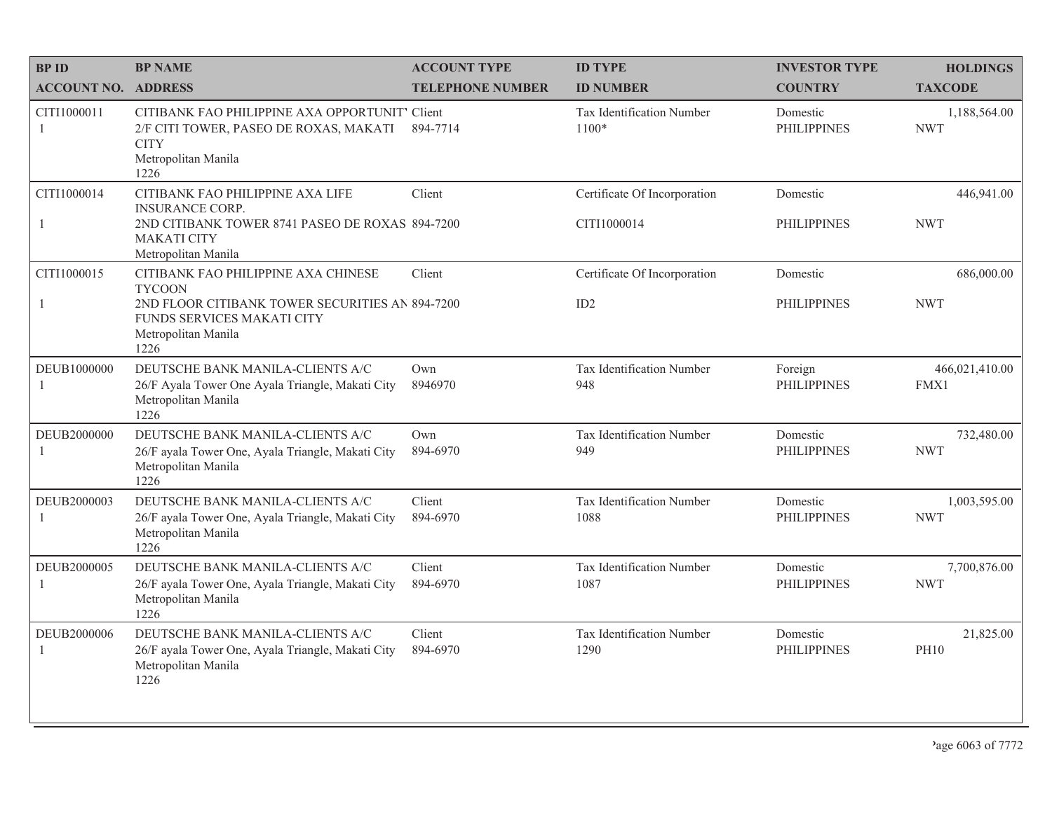| <b>BPID</b>                 | <b>BP NAME</b>                                                                                                                                                       | <b>ACCOUNT TYPE</b>     | <b>ID TYPE</b>                              | <b>INVESTOR TYPE</b>           | <b>HOLDINGS</b>            |
|-----------------------------|----------------------------------------------------------------------------------------------------------------------------------------------------------------------|-------------------------|---------------------------------------------|--------------------------------|----------------------------|
| <b>ACCOUNT NO. ADDRESS</b>  |                                                                                                                                                                      | <b>TELEPHONE NUMBER</b> | <b>ID NUMBER</b>                            | <b>COUNTRY</b>                 | <b>TAXCODE</b>             |
| CITI1000011<br>-1           | CITIBANK FAO PHILIPPINE AXA OPPORTUNIT' Client<br>2/F CITI TOWER, PASEO DE ROXAS, MAKATI<br><b>CITY</b><br>Metropolitan Manila<br>1226                               | 894-7714                | Tax Identification Number<br>$1100*$        | Domestic<br><b>PHILIPPINES</b> | 1,188,564.00<br><b>NWT</b> |
| CITI1000014<br>$\mathbf{1}$ | CITIBANK FAO PHILIPPINE AXA LIFE<br><b>INSURANCE CORP.</b><br>2ND CITIBANK TOWER 8741 PASEO DE ROXAS 894-7200<br><b>MAKATI CITY</b><br>Metropolitan Manila           | Client                  | Certificate Of Incorporation<br>CITI1000014 | Domestic<br><b>PHILIPPINES</b> | 446,941.00<br><b>NWT</b>   |
| CITI1000015<br>$\mathbf{1}$ | CITIBANK FAO PHILIPPINE AXA CHINESE<br><b>TYCOON</b><br>2ND FLOOR CITIBANK TOWER SECURITIES AN 894-7200<br>FUNDS SERVICES MAKATI CITY<br>Metropolitan Manila<br>1226 | Client                  | Certificate Of Incorporation<br>ID2         | Domestic<br><b>PHILIPPINES</b> | 686,000.00<br><b>NWT</b>   |
| DEUB1000000<br>-1           | DEUTSCHE BANK MANILA-CLIENTS A/C<br>26/F Ayala Tower One Ayala Triangle, Makati City<br>Metropolitan Manila<br>1226                                                  | Own<br>8946970          | Tax Identification Number<br>948            | Foreign<br><b>PHILIPPINES</b>  | 466,021,410.00<br>FMX1     |
| DEUB2000000<br>1            | DEUTSCHE BANK MANILA-CLIENTS A/C<br>26/F ayala Tower One, Ayala Triangle, Makati City<br>Metropolitan Manila<br>1226                                                 | Own<br>894-6970         | Tax Identification Number<br>949            | Domestic<br><b>PHILIPPINES</b> | 732,480.00<br><b>NWT</b>   |
| DEUB2000003<br>1            | DEUTSCHE BANK MANILA-CLIENTS A/C<br>26/F ayala Tower One, Ayala Triangle, Makati City<br>Metropolitan Manila<br>1226                                                 | Client<br>894-6970      | Tax Identification Number<br>1088           | Domestic<br><b>PHILIPPINES</b> | 1,003,595.00<br><b>NWT</b> |
| DEUB2000005<br>1            | DEUTSCHE BANK MANILA-CLIENTS A/C<br>26/F ayala Tower One, Ayala Triangle, Makati City<br>Metropolitan Manila<br>1226                                                 | Client<br>894-6970      | Tax Identification Number<br>1087           | Domestic<br><b>PHILIPPINES</b> | 7,700,876.00<br><b>NWT</b> |
| DEUB2000006<br>$\mathbf{1}$ | DEUTSCHE BANK MANILA-CLIENTS A/C<br>26/F ayala Tower One, Ayala Triangle, Makati City<br>Metropolitan Manila<br>1226                                                 | Client<br>894-6970      | Tax Identification Number<br>1290           | Domestic<br><b>PHILIPPINES</b> | 21,825.00<br><b>PH10</b>   |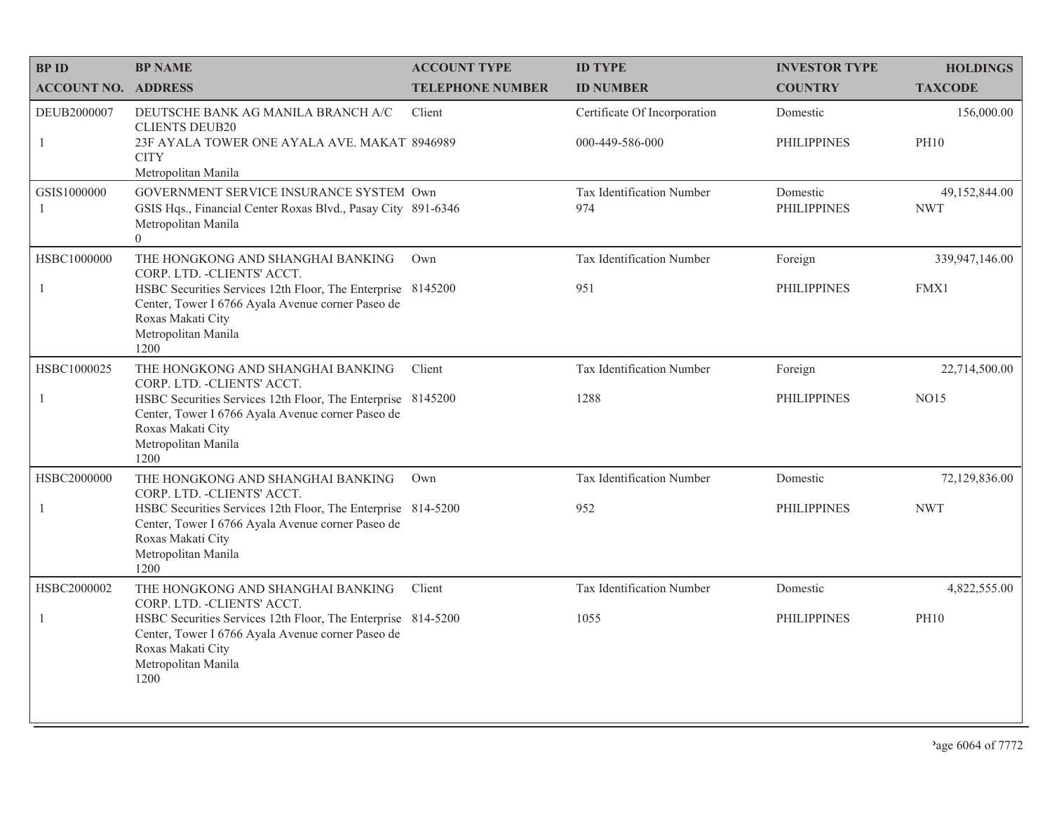| <b>BPID</b>                   | <b>BP NAME</b>                                                                                                                                                        | <b>ACCOUNT TYPE</b>     | <b>ID TYPE</b>                                  | <b>INVESTOR TYPE</b>           | <b>HOLDINGS</b>             |
|-------------------------------|-----------------------------------------------------------------------------------------------------------------------------------------------------------------------|-------------------------|-------------------------------------------------|--------------------------------|-----------------------------|
| <b>ACCOUNT NO. ADDRESS</b>    |                                                                                                                                                                       | <b>TELEPHONE NUMBER</b> | <b>ID NUMBER</b>                                | <b>COUNTRY</b>                 | <b>TAXCODE</b>              |
| DEUB2000007<br>1              | DEUTSCHE BANK AG MANILA BRANCH A/C<br><b>CLIENTS DEUB20</b><br>23F AYALA TOWER ONE AYALA AVE. MAKAT. 8946989<br><b>CITY</b>                                           | Client                  | Certificate Of Incorporation<br>000-449-586-000 | Domestic<br><b>PHILIPPINES</b> | 156,000.00<br><b>PH10</b>   |
|                               | Metropolitan Manila                                                                                                                                                   |                         |                                                 |                                |                             |
| GSIS1000000<br>$\overline{1}$ | GOVERNMENT SERVICE INSURANCE SYSTEM Own<br>GSIS Hqs., Financial Center Roxas Blvd., Pasay City 891-6346<br>Metropolitan Manila<br>$\Omega$                            |                         | Tax Identification Number<br>974                | Domestic<br><b>PHILIPPINES</b> | 49,152,844.00<br><b>NWT</b> |
| HSBC1000000                   | THE HONGKONG AND SHANGHAI BANKING<br>CORP. LTD. - CLIENTS' ACCT.                                                                                                      | Own                     | Tax Identification Number                       | Foreign                        | 339,947,146.00              |
| 1                             | HSBC Securities Services 12th Floor, The Enterprise 8145200<br>Center, Tower I 6766 Ayala Avenue corner Paseo de<br>Roxas Makati City<br>Metropolitan Manila<br>1200  |                         | 951                                             | <b>PHILIPPINES</b>             | FMX1                        |
| HSBC1000025                   | THE HONGKONG AND SHANGHAI BANKING<br>CORP. LTD. - CLIENTS' ACCT.                                                                                                      | Client                  | Tax Identification Number                       | Foreign                        | 22,714,500.00               |
| -1                            | HSBC Securities Services 12th Floor, The Enterprise 8145200<br>Center, Tower I 6766 Ayala Avenue corner Paseo de<br>Roxas Makati City<br>Metropolitan Manila<br>1200  |                         | 1288                                            | <b>PHILIPPINES</b>             | NO15                        |
| HSBC2000000                   | THE HONGKONG AND SHANGHAI BANKING<br>CORP. LTD. - CLIENTS' ACCT.                                                                                                      | Own                     | Tax Identification Number                       | Domestic                       | 72,129,836.00               |
| $\overline{1}$                | HSBC Securities Services 12th Floor, The Enterprise 814-5200<br>Center, Tower I 6766 Ayala Avenue corner Paseo de<br>Roxas Makati City<br>Metropolitan Manila<br>1200 |                         | 952                                             | <b>PHILIPPINES</b>             | <b>NWT</b>                  |
| HSBC2000002                   | THE HONGKONG AND SHANGHAI BANKING<br>CORP. LTD. - CLIENTS' ACCT.                                                                                                      | Client                  | Tax Identification Number                       | Domestic                       | 4,822,555.00                |
| -1                            | HSBC Securities Services 12th Floor, The Enterprise 814-5200<br>Center, Tower I 6766 Ayala Avenue corner Paseo de<br>Roxas Makati City<br>Metropolitan Manila<br>1200 |                         | 1055                                            | <b>PHILIPPINES</b>             | <b>PH10</b>                 |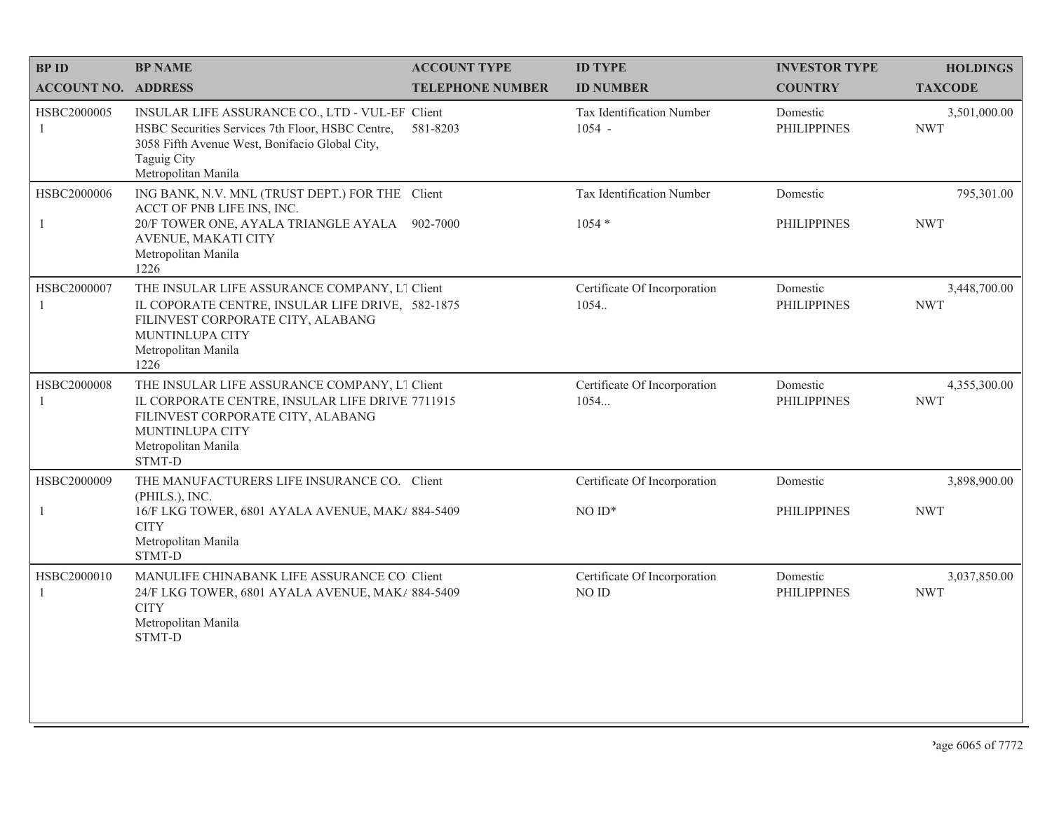| <b>BPID</b>                | <b>BP NAME</b>                                                                                                                                                                              | <b>ACCOUNT TYPE</b>     | <b>ID TYPE</b>                        | <b>INVESTOR TYPE</b>           | <b>HOLDINGS</b>            |
|----------------------------|---------------------------------------------------------------------------------------------------------------------------------------------------------------------------------------------|-------------------------|---------------------------------------|--------------------------------|----------------------------|
| <b>ACCOUNT NO. ADDRESS</b> |                                                                                                                                                                                             | <b>TELEPHONE NUMBER</b> | <b>ID NUMBER</b>                      | <b>COUNTRY</b>                 | <b>TAXCODE</b>             |
| HSBC2000005<br>1           | INSULAR LIFE ASSURANCE CO., LTD - VUL-EF Client<br>HSBC Securities Services 7th Floor, HSBC Centre,<br>3058 Fifth Avenue West, Bonifacio Global City,<br>Taguig City<br>Metropolitan Manila | 581-8203                | Tax Identification Number<br>$1054 -$ | Domestic<br><b>PHILIPPINES</b> | 3,501,000.00<br><b>NWT</b> |
| HSBC2000006                | ING BANK, N.V. MNL (TRUST DEPT.) FOR THE Client<br>ACCT OF PNB LIFE INS, INC.<br>20/F TOWER ONE, AYALA TRIANGLE AYALA<br>AVENUE, MAKATI CITY<br>Metropolitan Manila<br>1226                 | 902-7000                | Tax Identification Number<br>$1054*$  | Domestic<br><b>PHILIPPINES</b> | 795,301.00<br><b>NWT</b>   |
| HSBC2000007                | THE INSULAR LIFE ASSURANCE COMPANY, L1 Client<br>IL COPORATE CENTRE, INSULAR LIFE DRIVE, 582-1875<br>FILINVEST CORPORATE CITY, ALABANG<br>MUNTINLUPA CITY<br>Metropolitan Manila<br>1226    |                         | Certificate Of Incorporation<br>1054. | Domestic<br><b>PHILIPPINES</b> | 3,448,700.00<br><b>NWT</b> |
| HSBC2000008                | THE INSULAR LIFE ASSURANCE COMPANY, L1 Client<br>IL CORPORATE CENTRE, INSULAR LIFE DRIVE 7711915<br>FILINVEST CORPORATE CITY, ALABANG<br>MUNTINLUPA CITY<br>Metropolitan Manila<br>STMT-D   |                         | Certificate Of Incorporation<br>1054  | Domestic<br><b>PHILIPPINES</b> | 4,355,300.00<br><b>NWT</b> |
| HSBC2000009                | THE MANUFACTURERS LIFE INSURANCE CO. Client<br>(PHILS.), INC.                                                                                                                               |                         | Certificate Of Incorporation          | Domestic                       | 3,898,900.00               |
| 1                          | 16/F LKG TOWER, 6801 AYALA AVENUE, MAK/ 884-5409<br><b>CITY</b><br>Metropolitan Manila<br>STMT-D                                                                                            |                         | $NOID*$                               | <b>PHILIPPINES</b>             | <b>NWT</b>                 |
| HSBC2000010<br>-1          | MANULIFE CHINABANK LIFE ASSURANCE CO. Client<br>24/F LKG TOWER, 6801 AYALA AVENUE, MAK/ 884-5409<br><b>CITY</b><br>Metropolitan Manila<br><b>STMT-D</b>                                     |                         | Certificate Of Incorporation<br>NO ID | Domestic<br><b>PHILIPPINES</b> | 3,037,850.00<br><b>NWT</b> |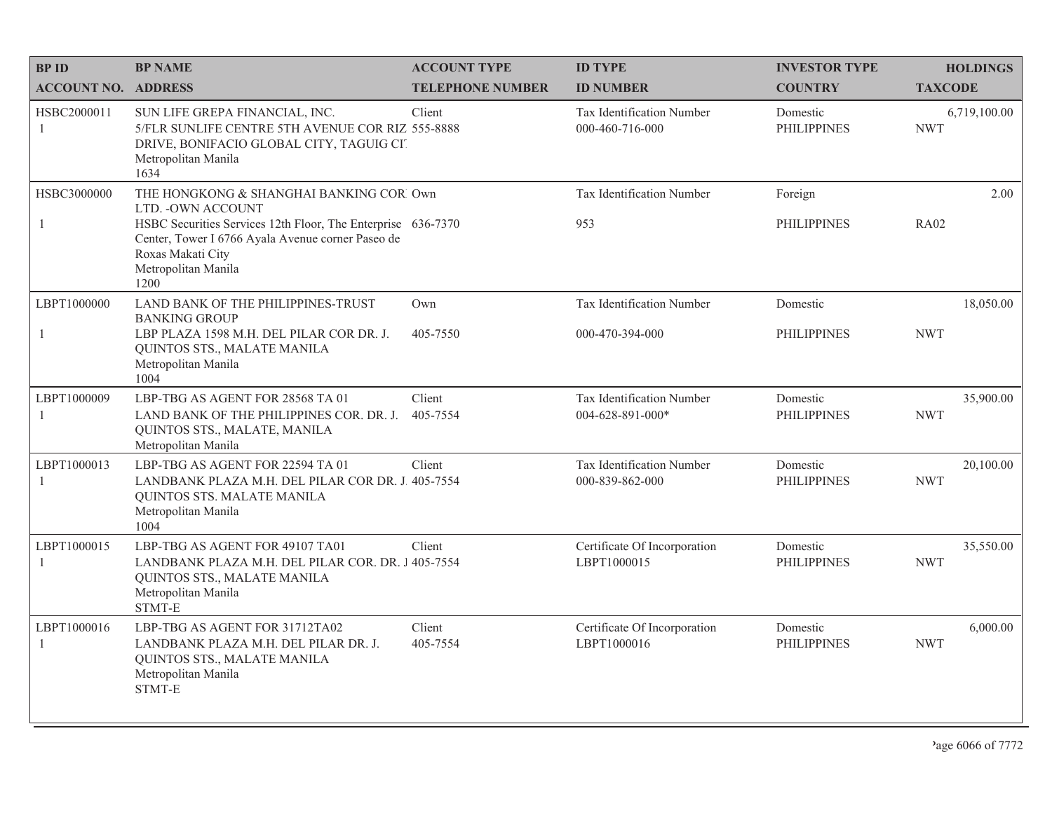| <b>BPID</b>                   | <b>BP NAME</b>                                                                                                                                                                                                                         | <b>ACCOUNT TYPE</b>     | <b>ID TYPE</b>                                       | <b>INVESTOR TYPE</b>           | <b>HOLDINGS</b>            |
|-------------------------------|----------------------------------------------------------------------------------------------------------------------------------------------------------------------------------------------------------------------------------------|-------------------------|------------------------------------------------------|--------------------------------|----------------------------|
| <b>ACCOUNT NO. ADDRESS</b>    |                                                                                                                                                                                                                                        | <b>TELEPHONE NUMBER</b> | <b>ID NUMBER</b>                                     | <b>COUNTRY</b>                 | <b>TAXCODE</b>             |
| HSBC2000011<br>$\overline{1}$ | SUN LIFE GREPA FINANCIAL, INC.<br>5/FLR SUNLIFE CENTRE 5TH AVENUE COR RIZ 555-8888<br>DRIVE, BONIFACIO GLOBAL CITY, TAGUIG CIT<br>Metropolitan Manila<br>1634                                                                          | Client                  | <b>Tax Identification Number</b><br>000-460-716-000  | Domestic<br><b>PHILIPPINES</b> | 6,719,100.00<br><b>NWT</b> |
| HSBC3000000<br>-1             | THE HONGKONG & SHANGHAI BANKING COR Own<br>LTD. - OWN ACCOUNT<br>HSBC Securities Services 12th Floor, The Enterprise 636-7370<br>Center, Tower I 6766 Ayala Avenue corner Paseo de<br>Roxas Makati City<br>Metropolitan Manila<br>1200 |                         | Tax Identification Number<br>953                     | Foreign<br><b>PHILIPPINES</b>  | 2.00<br><b>RA02</b>        |
| LBPT1000000<br>-1             | LAND BANK OF THE PHILIPPINES-TRUST<br><b>BANKING GROUP</b><br>LBP PLAZA 1598 M.H. DEL PILAR COR DR. J.<br>QUINTOS STS., MALATE MANILA<br>Metropolitan Manila<br>1004                                                                   | Own<br>405-7550         | Tax Identification Number<br>000-470-394-000         | Domestic<br><b>PHILIPPINES</b> | 18,050.00<br><b>NWT</b>    |
| LBPT1000009<br>-1             | LBP-TBG AS AGENT FOR 28568 TA 01<br>LAND BANK OF THE PHILIPPINES COR. DR. J.<br>QUINTOS STS., MALATE, MANILA<br>Metropolitan Manila                                                                                                    | Client<br>405-7554      | <b>Tax Identification Number</b><br>004-628-891-000* | Domestic<br><b>PHILIPPINES</b> | 35,900.00<br><b>NWT</b>    |
| LBPT1000013<br>-1             | LBP-TBG AS AGENT FOR 22594 TA 01<br>LANDBANK PLAZA M.H. DEL PILAR COR DR. J. 405-7554<br>QUINTOS STS. MALATE MANILA<br>Metropolitan Manila<br>1004                                                                                     | Client                  | <b>Tax Identification Number</b><br>000-839-862-000  | Domestic<br><b>PHILIPPINES</b> | 20,100.00<br><b>NWT</b>    |
| LBPT1000015<br>$\mathbf{1}$   | LBP-TBG AS AGENT FOR 49107 TA01<br>LANDBANK PLAZA M.H. DEL PILAR COR. DR. J 405-7554<br>QUINTOS STS., MALATE MANILA<br>Metropolitan Manila<br>STMT-E                                                                                   | Client                  | Certificate Of Incorporation<br>LBPT1000015          | Domestic<br><b>PHILIPPINES</b> | 35,550.00<br><b>NWT</b>    |
| LBPT1000016<br>-1             | LBP-TBG AS AGENT FOR 31712TA02<br>LANDBANK PLAZA M.H. DEL PILAR DR. J.<br>QUINTOS STS., MALATE MANILA<br>Metropolitan Manila<br>STMT-E                                                                                                 | Client<br>405-7554      | Certificate Of Incorporation<br>LBPT1000016          | Domestic<br><b>PHILIPPINES</b> | 6,000.00<br><b>NWT</b>     |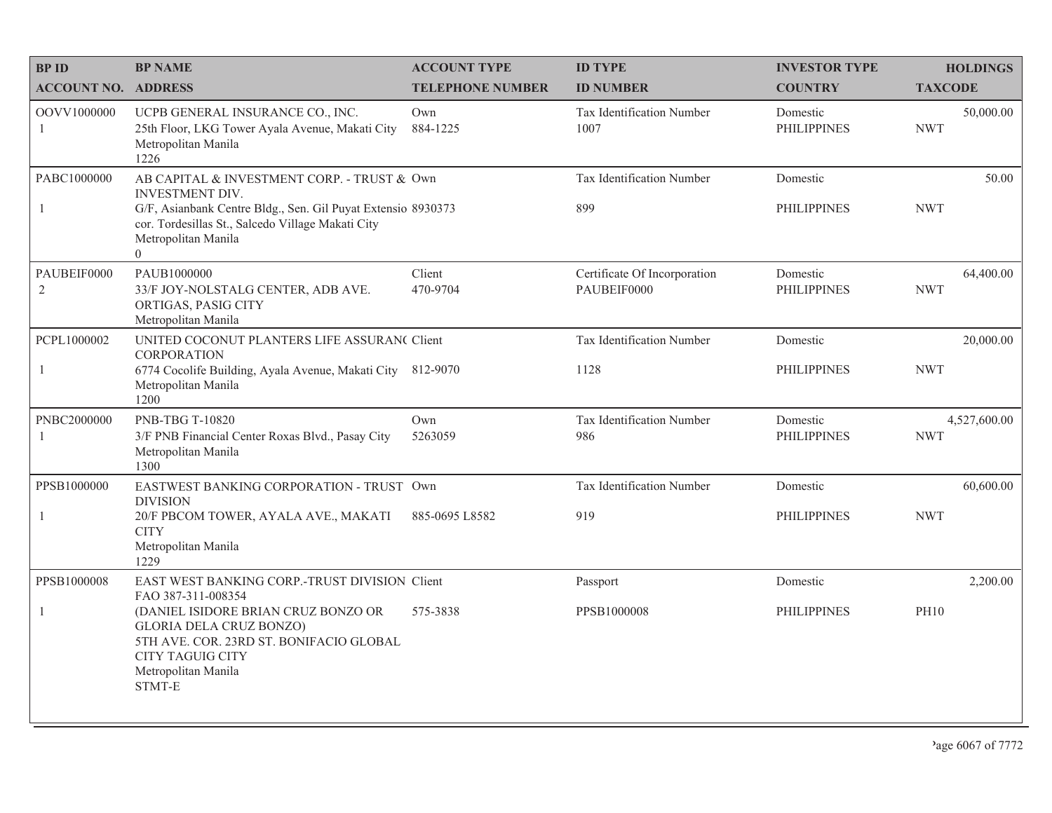| <b>BPID</b>                 | <b>BP NAME</b>                                                                                                                                                                                                                | <b>ACCOUNT TYPE</b>     | <b>ID TYPE</b>                              | <b>INVESTOR TYPE</b>           | <b>HOLDINGS</b>            |
|-----------------------------|-------------------------------------------------------------------------------------------------------------------------------------------------------------------------------------------------------------------------------|-------------------------|---------------------------------------------|--------------------------------|----------------------------|
| <b>ACCOUNT NO. ADDRESS</b>  |                                                                                                                                                                                                                               | <b>TELEPHONE NUMBER</b> | <b>ID NUMBER</b>                            | <b>COUNTRY</b>                 | <b>TAXCODE</b>             |
| OOVV1000000<br>-1           | UCPB GENERAL INSURANCE CO., INC.<br>25th Floor, LKG Tower Ayala Avenue, Makati City<br>Metropolitan Manila<br>1226                                                                                                            | Own<br>884-1225         | Tax Identification Number<br>1007           | Domestic<br><b>PHILIPPINES</b> | 50,000.00<br><b>NWT</b>    |
| PABC1000000<br>$\mathbf{1}$ | AB CAPITAL & INVESTMENT CORP. - TRUST & Own<br><b>INVESTMENT DIV.</b><br>G/F, Asianbank Centre Bldg., Sen. Gil Puyat Extensio 8930373<br>cor. Tordesillas St., Salcedo Village Makati City<br>Metropolitan Manila<br>$\theta$ |                         | Tax Identification Number<br>899            | Domestic<br><b>PHILIPPINES</b> | 50.00<br><b>NWT</b>        |
| PAUBEIF0000<br>$\sqrt{2}$   | PAUB1000000<br>33/F JOY-NOLSTALG CENTER, ADB AVE.<br>ORTIGAS, PASIG CITY<br>Metropolitan Manila                                                                                                                               | Client<br>470-9704      | Certificate Of Incorporation<br>PAUBEIF0000 | Domestic<br><b>PHILIPPINES</b> | 64,400.00<br><b>NWT</b>    |
| PCPL1000002                 | UNITED COCONUT PLANTERS LIFE ASSURAN( Client<br><b>CORPORATION</b>                                                                                                                                                            |                         | Tax Identification Number                   | Domestic                       | 20,000.00                  |
| 1                           | 6774 Cocolife Building, Ayala Avenue, Makati City 812-9070<br>Metropolitan Manila<br>1200                                                                                                                                     |                         | 1128                                        | <b>PHILIPPINES</b>             | <b>NWT</b>                 |
| PNBC2000000<br>-1           | <b>PNB-TBG T-10820</b><br>3/F PNB Financial Center Roxas Blvd., Pasay City<br>Metropolitan Manila<br>1300                                                                                                                     | Own<br>5263059          | Tax Identification Number<br>986            | Domestic<br><b>PHILIPPINES</b> | 4,527,600.00<br><b>NWT</b> |
| PPSB1000000                 | EASTWEST BANKING CORPORATION - TRUST Own<br><b>DIVISION</b>                                                                                                                                                                   |                         | Tax Identification Number                   | Domestic                       | 60,600.00                  |
| $\mathbf{1}$                | 20/F PBCOM TOWER, AYALA AVE., MAKATI<br><b>CITY</b><br>Metropolitan Manila<br>1229                                                                                                                                            | 885-0695 L8582          | 919                                         | <b>PHILIPPINES</b>             | <b>NWT</b>                 |
| PPSB1000008                 | EAST WEST BANKING CORP.-TRUST DIVISION Client<br>FAO 387-311-008354                                                                                                                                                           |                         | Passport                                    | Domestic                       | 2,200.00                   |
| $\mathbf{1}$                | (DANIEL ISIDORE BRIAN CRUZ BONZO OR<br><b>GLORIA DELA CRUZ BONZO)</b><br>5TH AVE. COR. 23RD ST. BONIFACIO GLOBAL<br><b>CITY TAGUIG CITY</b><br>Metropolitan Manila<br>STMT-E                                                  | 575-3838                | PPSB1000008                                 | <b>PHILIPPINES</b>             | <b>PH10</b>                |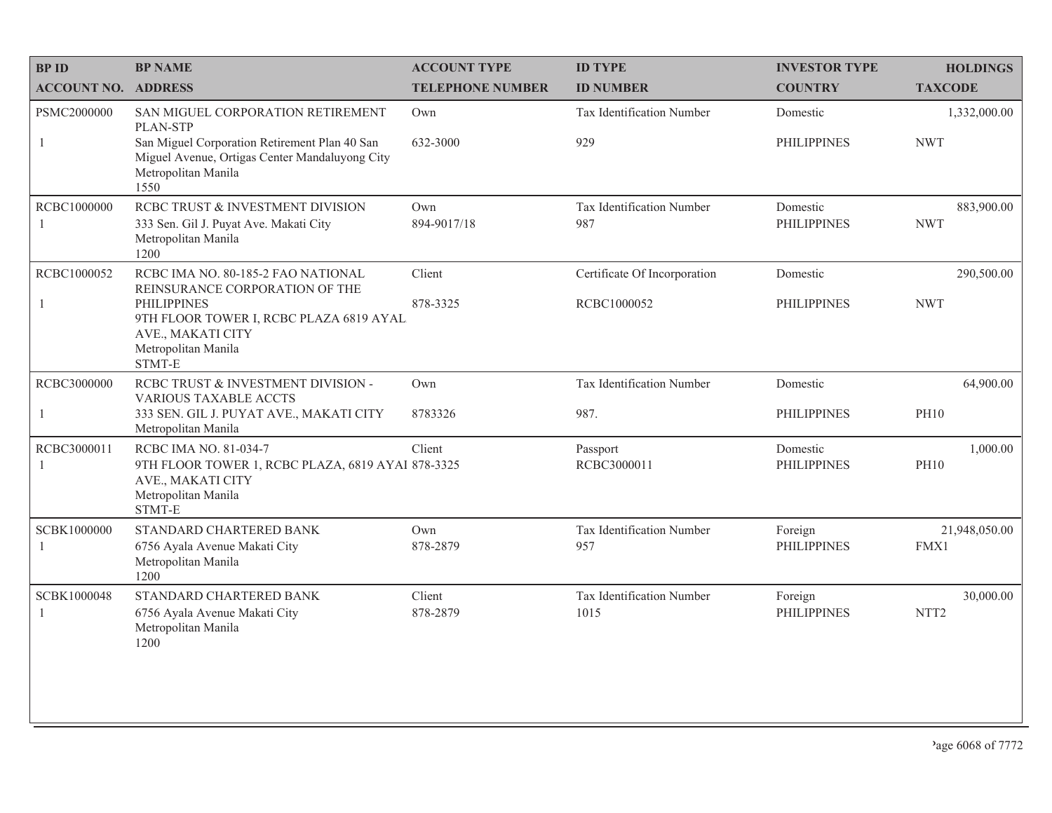| <b>BPID</b>                   | <b>BP NAME</b>                                                                                                                                                                              | <b>ACCOUNT TYPE</b>     | <b>ID TYPE</b>                              | <b>INVESTOR TYPE</b>           | <b>HOLDINGS</b>               |
|-------------------------------|---------------------------------------------------------------------------------------------------------------------------------------------------------------------------------------------|-------------------------|---------------------------------------------|--------------------------------|-------------------------------|
| <b>ACCOUNT NO. ADDRESS</b>    |                                                                                                                                                                                             | <b>TELEPHONE NUMBER</b> | <b>ID NUMBER</b>                            | <b>COUNTRY</b>                 | <b>TAXCODE</b>                |
| PSMC2000000<br>1              | SAN MIGUEL CORPORATION RETIREMENT<br>PLAN-STP<br>San Miguel Corporation Retirement Plan 40 San<br>Miguel Avenue, Ortigas Center Mandaluyong City<br>Metropolitan Manila<br>1550             | Own<br>632-3000         | Tax Identification Number<br>929            | Domestic<br><b>PHILIPPINES</b> | 1,332,000.00<br><b>NWT</b>    |
| RCBC1000000<br>$\overline{1}$ | RCBC TRUST & INVESTMENT DIVISION<br>333 Sen. Gil J. Puyat Ave. Makati City<br>Metropolitan Manila<br>1200                                                                                   | Own<br>894-9017/18      | Tax Identification Number<br>987            | Domestic<br><b>PHILIPPINES</b> | 883,900.00<br><b>NWT</b>      |
| RCBC1000052<br>1              | RCBC IMA NO. 80-185-2 FAO NATIONAL<br>REINSURANCE CORPORATION OF THE<br><b>PHILIPPINES</b><br>9TH FLOOR TOWER I, RCBC PLAZA 6819 AYAL<br>AVE., MAKATI CITY<br>Metropolitan Manila<br>STMT-E | Client<br>878-3325      | Certificate Of Incorporation<br>RCBC1000052 | Domestic<br><b>PHILIPPINES</b> | 290,500.00<br><b>NWT</b>      |
| RCBC3000000<br>-1             | RCBC TRUST & INVESTMENT DIVISION -<br><b>VARIOUS TAXABLE ACCTS</b><br>333 SEN. GIL J. PUYAT AVE., MAKATI CITY<br>Metropolitan Manila                                                        | Own<br>8783326          | Tax Identification Number<br>987.           | Domestic<br><b>PHILIPPINES</b> | 64,900.00<br><b>PH10</b>      |
| RCBC3000011<br>-1             | RCBC IMA NO. 81-034-7<br>9TH FLOOR TOWER 1, RCBC PLAZA, 6819 AYAI 878-3325<br>AVE., MAKATI CITY<br>Metropolitan Manila<br>STMT-E                                                            | Client                  | Passport<br>RCBC3000011                     | Domestic<br><b>PHILIPPINES</b> | 1,000.00<br><b>PH10</b>       |
| SCBK1000000<br>-1             | STANDARD CHARTERED BANK<br>6756 Ayala Avenue Makati City<br>Metropolitan Manila<br>1200                                                                                                     | Own<br>878-2879         | Tax Identification Number<br>957            | Foreign<br><b>PHILIPPINES</b>  | 21,948,050.00<br>FMX1         |
| SCBK1000048<br>-1             | STANDARD CHARTERED BANK<br>6756 Ayala Avenue Makati City<br>Metropolitan Manila<br>1200                                                                                                     | Client<br>878-2879      | Tax Identification Number<br>1015           | Foreign<br><b>PHILIPPINES</b>  | 30,000.00<br>NTT <sub>2</sub> |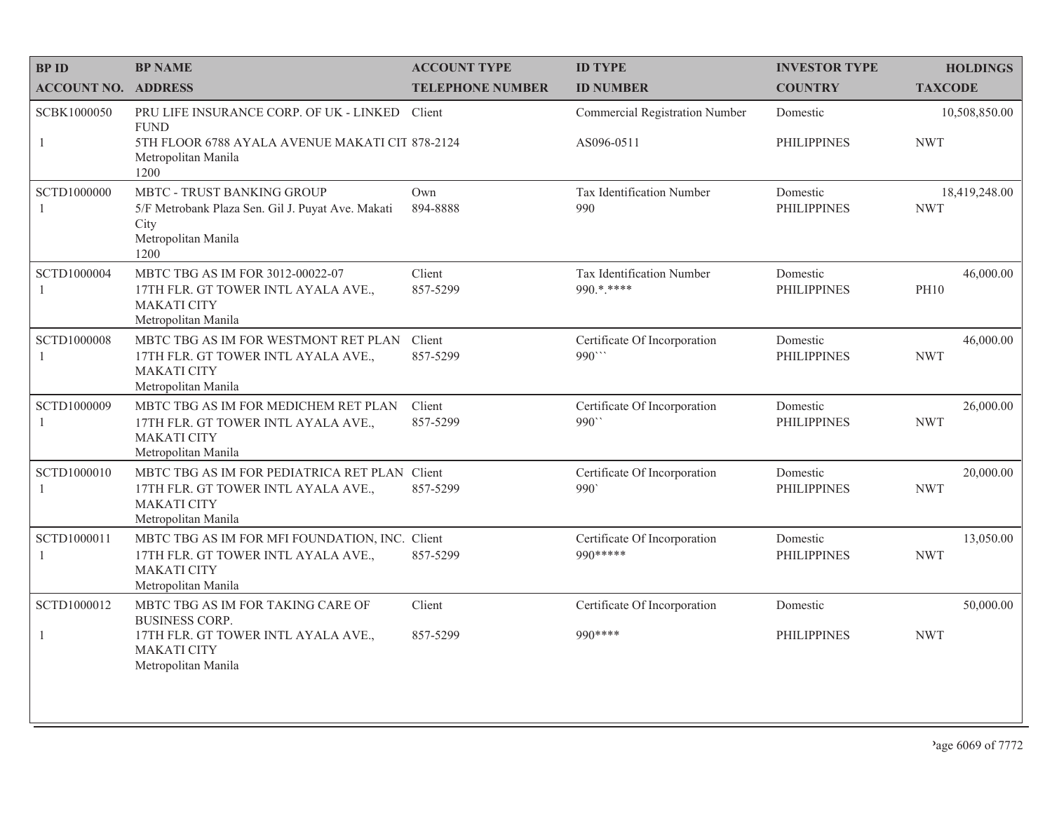| <b>BP ID</b>                  | <b>BP NAME</b>                                                                                                                           | <b>ACCOUNT TYPE</b>     | <b>ID TYPE</b>                               | <b>INVESTOR TYPE</b>           | <b>HOLDINGS</b>             |
|-------------------------------|------------------------------------------------------------------------------------------------------------------------------------------|-------------------------|----------------------------------------------|--------------------------------|-----------------------------|
| <b>ACCOUNT NO. ADDRESS</b>    |                                                                                                                                          | <b>TELEPHONE NUMBER</b> | <b>ID NUMBER</b>                             | <b>COUNTRY</b>                 | <b>TAXCODE</b>              |
| SCBK1000050<br>-1             | PRU LIFE INSURANCE CORP. OF UK - LINKED<br><b>FUND</b><br>5TH FLOOR 6788 AYALA AVENUE MAKATI CIT 878-2124<br>Metropolitan Manila<br>1200 | Client                  | Commercial Registration Number<br>AS096-0511 | Domestic<br><b>PHILIPPINES</b> | 10,508,850.00<br><b>NWT</b> |
| SCTD1000000<br>$\overline{1}$ | MBTC - TRUST BANKING GROUP<br>5/F Metrobank Plaza Sen. Gil J. Puyat Ave. Makati<br>City<br>Metropolitan Manila<br>1200                   | Own<br>894-8888         | Tax Identification Number<br>990             | Domestic<br><b>PHILIPPINES</b> | 18,419,248.00<br><b>NWT</b> |
| SCTD1000004                   | MBTC TBG AS IM FOR 3012-00022-07<br>17TH FLR. GT TOWER INTL AYALA AVE.,<br><b>MAKATI CITY</b><br>Metropolitan Manila                     | Client<br>857-5299      | Tax Identification Number<br>990.*.****      | Domestic<br><b>PHILIPPINES</b> | 46,000.00<br><b>PH10</b>    |
| SCTD1000008<br>-1             | MBTC TBG AS IM FOR WESTMONT RET PLAN<br>17TH FLR. GT TOWER INTL AYALA AVE.,<br><b>MAKATI CITY</b><br>Metropolitan Manila                 | Client<br>857-5299      | Certificate Of Incorporation<br>990"         | Domestic<br><b>PHILIPPINES</b> | 46,000.00<br><b>NWT</b>     |
| SCTD1000009<br>-1             | MBTC TBG AS IM FOR MEDICHEM RET PLAN<br>17TH FLR. GT TOWER INTL AYALA AVE.,<br><b>MAKATI CITY</b><br>Metropolitan Manila                 | Client<br>857-5299      | Certificate Of Incorporation<br>990``        | Domestic<br><b>PHILIPPINES</b> | 26,000.00<br><b>NWT</b>     |
| SCTD1000010<br>$\overline{1}$ | MBTC TBG AS IM FOR PEDIATRICA RET PLAN Client<br>17TH FLR. GT TOWER INTL AYALA AVE.,<br><b>MAKATI CITY</b><br>Metropolitan Manila        | 857-5299                | Certificate Of Incorporation<br>990          | Domestic<br><b>PHILIPPINES</b> | 20,000.00<br><b>NWT</b>     |
| SCTD1000011<br>-1             | MBTC TBG AS IM FOR MFI FOUNDATION, INC. Client<br>17TH FLR. GT TOWER INTL AYALA AVE.,<br><b>MAKATI CITY</b><br>Metropolitan Manila       | 857-5299                | Certificate Of Incorporation<br>990 *****    | Domestic<br><b>PHILIPPINES</b> | 13,050.00<br><b>NWT</b>     |
| SCTD1000012                   | MBTC TBG AS IM FOR TAKING CARE OF<br><b>BUSINESS CORP.</b>                                                                               | Client                  | Certificate Of Incorporation                 | Domestic                       | 50,000.00                   |
| -1                            | 17TH FLR. GT TOWER INTL AYALA AVE.,<br><b>MAKATI CITY</b><br>Metropolitan Manila                                                         | 857-5299                | 990 ****                                     | <b>PHILIPPINES</b>             | <b>NWT</b>                  |
|                               |                                                                                                                                          |                         |                                              |                                |                             |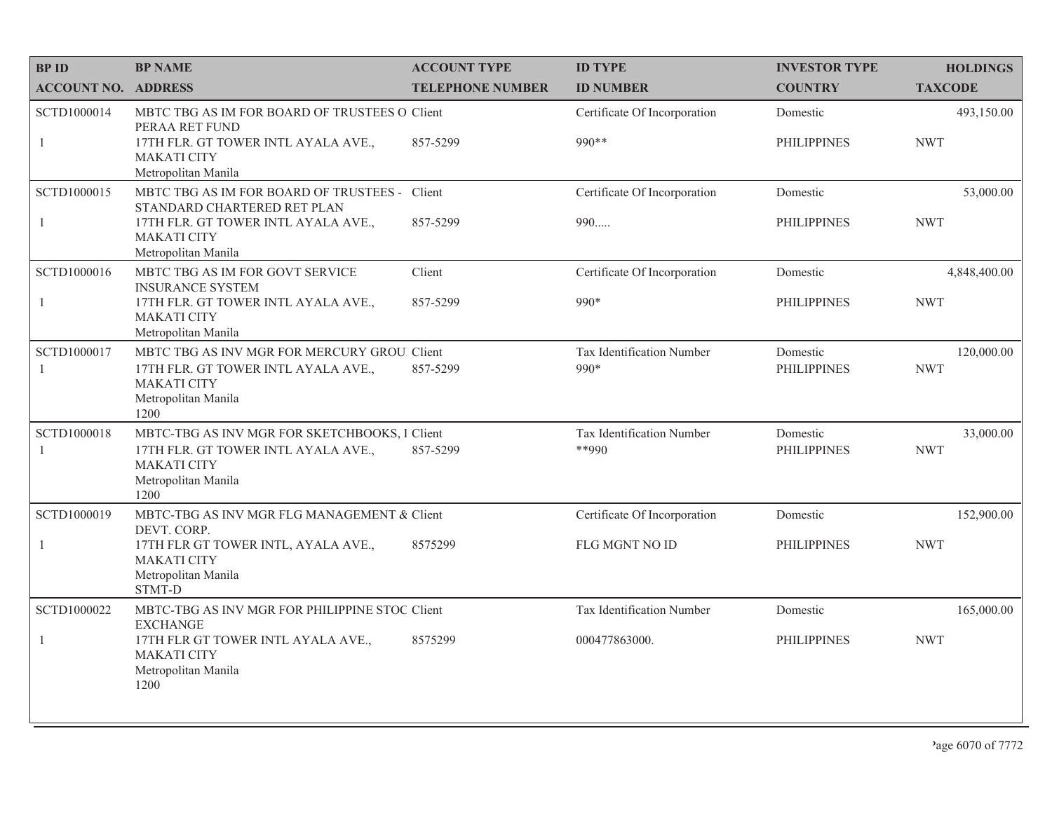| <b>BPID</b>                | <b>BP NAME</b>                                                                             | <b>ACCOUNT TYPE</b>     | <b>ID TYPE</b>                        | <b>INVESTOR TYPE</b>           | <b>HOLDINGS</b>         |
|----------------------------|--------------------------------------------------------------------------------------------|-------------------------|---------------------------------------|--------------------------------|-------------------------|
| <b>ACCOUNT NO. ADDRESS</b> |                                                                                            | <b>TELEPHONE NUMBER</b> | <b>ID NUMBER</b>                      | <b>COUNTRY</b>                 | <b>TAXCODE</b>          |
| SCTD1000014                | MBTC TBG AS IM FOR BOARD OF TRUSTEES O Client<br>PERAA RET FUND                            |                         | Certificate Of Incorporation          | Domestic                       | 493,150.00              |
| $\mathbf{1}$               | 17TH FLR. GT TOWER INTL AYALA AVE.,<br><b>MAKATI CITY</b><br>Metropolitan Manila           | 857-5299                | 990 **                                | <b>PHILIPPINES</b>             | <b>NWT</b>              |
| SCTD1000015                | MBTC TBG AS IM FOR BOARD OF TRUSTEES - Client<br>STANDARD CHARTERED RET PLAN               |                         | Certificate Of Incorporation          | Domestic                       | 53,000.00               |
| $\mathbf{1}$               | 17TH FLR. GT TOWER INTL AYALA AVE.,<br><b>MAKATI CITY</b><br>Metropolitan Manila           | 857-5299                | 990                                   | <b>PHILIPPINES</b>             | <b>NWT</b>              |
| SCTD1000016                | MBTC TBG AS IM FOR GOVT SERVICE<br><b>INSURANCE SYSTEM</b>                                 | Client                  | Certificate Of Incorporation          | Domestic                       | 4,848,400.00            |
| $\mathbf{1}$               | 17TH FLR. GT TOWER INTL AYALA AVE.,<br><b>MAKATI CITY</b><br>Metropolitan Manila           | 857-5299                | 990*                                  | <b>PHILIPPINES</b>             | <b>NWT</b>              |
| SCTD1000017                | MBTC TBG AS INV MGR FOR MERCURY GROU. Client                                               |                         | Tax Identification Number             | Domestic                       | 120,000.00              |
| -1                         | 17TH FLR. GT TOWER INTL AYALA AVE.,<br><b>MAKATI CITY</b><br>Metropolitan Manila<br>1200   | 857-5299                | $990*$                                | <b>PHILIPPINES</b>             | <b>NWT</b>              |
| SCTD1000018<br>-1          | MBTC-TBG AS INV MGR FOR SKETCHBOOKS, I Client<br>17TH FLR. GT TOWER INTL AYALA AVE.,       | 857-5299                | Tax Identification Number<br>$*$ *990 | Domestic<br><b>PHILIPPINES</b> | 33,000.00<br><b>NWT</b> |
|                            | <b>MAKATI CITY</b><br>Metropolitan Manila<br>1200                                          |                         |                                       |                                |                         |
| SCTD1000019                | MBTC-TBG AS INV MGR FLG MANAGEMENT & Client<br>DEVT. CORP.                                 |                         | Certificate Of Incorporation          | Domestic                       | 152,900.00              |
| $\mathbf{1}$               | 17TH FLR GT TOWER INTL, AYALA AVE.,<br><b>MAKATI CITY</b><br>Metropolitan Manila<br>STMT-D | 8575299                 | FLG MGNT NO ID                        | <b>PHILIPPINES</b>             | <b>NWT</b>              |
| SCTD1000022                | MBTC-TBG AS INV MGR FOR PHILIPPINE STOC Client<br><b>EXCHANGE</b>                          |                         | Tax Identification Number             | Domestic                       | 165,000.00              |
| $\mathbf{1}$               | 17TH FLR GT TOWER INTL AYALA AVE.,<br><b>MAKATI CITY</b><br>Metropolitan Manila<br>1200    | 8575299                 | 000477863000.                         | <b>PHILIPPINES</b>             | <b>NWT</b>              |
|                            |                                                                                            |                         |                                       |                                |                         |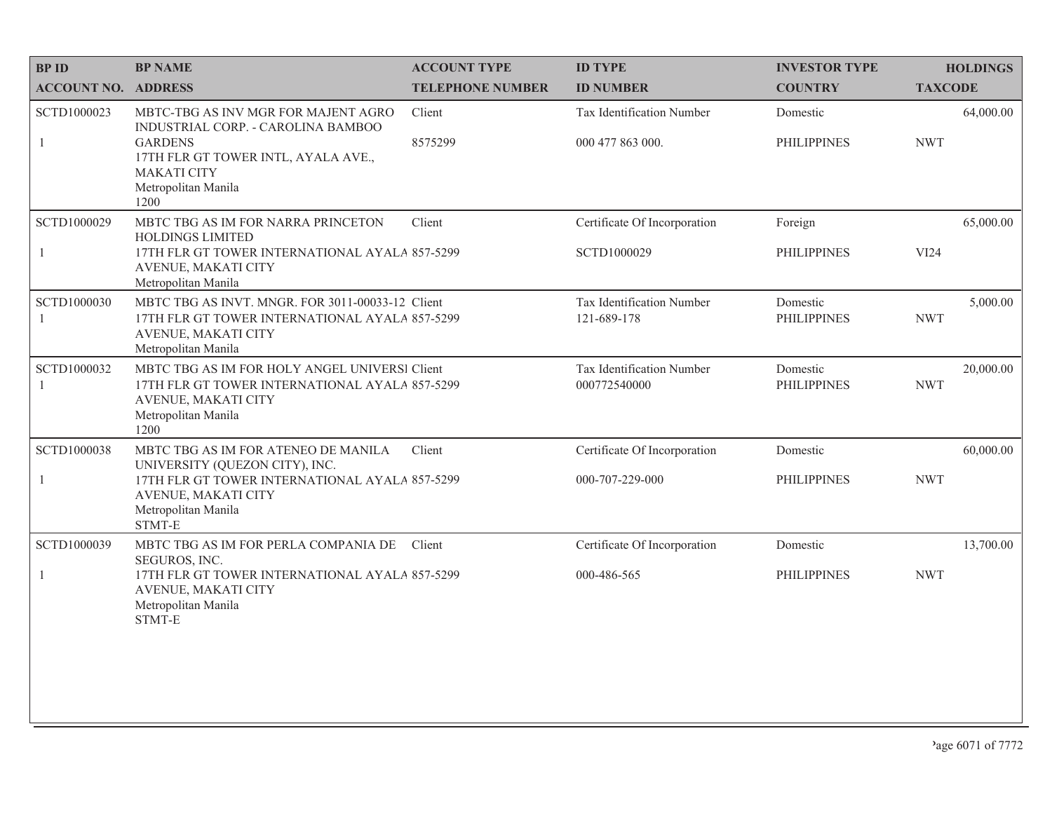| <b>BPID</b>                 | <b>BP NAME</b>                                                                                                                                                                          | <b>ACCOUNT TYPE</b>     | <b>ID TYPE</b>                            | <b>INVESTOR TYPE</b>           | <b>HOLDINGS</b>         |
|-----------------------------|-----------------------------------------------------------------------------------------------------------------------------------------------------------------------------------------|-------------------------|-------------------------------------------|--------------------------------|-------------------------|
| <b>ACCOUNT NO. ADDRESS</b>  |                                                                                                                                                                                         | <b>TELEPHONE NUMBER</b> | <b>ID NUMBER</b>                          | <b>COUNTRY</b>                 | <b>TAXCODE</b>          |
| SCTD1000023                 | MBTC-TBG AS INV MGR FOR MAJENT AGRO<br>INDUSTRIAL CORP. - CAROLINA BAMBOO<br><b>GARDENS</b><br>17TH FLR GT TOWER INTL, AYALA AVE.,<br><b>MAKATI CITY</b><br>Metropolitan Manila<br>1200 | Client                  | Tax Identification Number                 | Domestic                       | 64,000.00               |
| $\mathbf{1}$                |                                                                                                                                                                                         | 8575299                 | 000 477 863 000.                          | <b>PHILIPPINES</b>             | <b>NWT</b>              |
| SCTD1000029                 | MBTC TBG AS IM FOR NARRA PRINCETON                                                                                                                                                      | Client                  | Certificate Of Incorporation              | Foreign                        | 65,000.00               |
| $\mathbf{1}$                | <b>HOLDINGS LIMITED</b><br>17TH FLR GT TOWER INTERNATIONAL AYALA 857-5299<br>AVENUE, MAKATI CITY<br>Metropolitan Manila                                                                 |                         | SCTD1000029                               | <b>PHILIPPINES</b>             | VI24                    |
| SCTD1000030<br>$\mathbf{1}$ | MBTC TBG AS INVT. MNGR. FOR 3011-00033-12 Client<br>17TH FLR GT TOWER INTERNATIONAL AYALA 857-5299<br>AVENUE, MAKATI CITY<br>Metropolitan Manila                                        |                         | Tax Identification Number<br>121-689-178  | Domestic<br><b>PHILIPPINES</b> | 5,000.00<br><b>NWT</b>  |
| SCTD1000032<br>1            | MBTC TBG AS IM FOR HOLY ANGEL UNIVERSI Client<br>17TH FLR GT TOWER INTERNATIONAL AYALA 857-5299<br>AVENUE, MAKATI CITY<br>Metropolitan Manila<br>1200                                   |                         | Tax Identification Number<br>000772540000 | Domestic<br><b>PHILIPPINES</b> | 20,000.00<br><b>NWT</b> |
| <b>SCTD1000038</b>          | MBTC TBG AS IM FOR ATENEO DE MANILA<br>UNIVERSITY (QUEZON CITY), INC.                                                                                                                   | Client                  | Certificate Of Incorporation              | Domestic                       | 60,000.00               |
| $\mathbf{1}$                | 17TH FLR GT TOWER INTERNATIONAL AYALA 857-5299<br>AVENUE, MAKATI CITY<br>Metropolitan Manila<br>STMT-E                                                                                  |                         | 000-707-229-000                           | <b>PHILIPPINES</b>             | <b>NWT</b>              |
| SCTD1000039                 | MBTC TBG AS IM FOR PERLA COMPANIA DE<br>SEGUROS, INC.                                                                                                                                   | Client                  | Certificate Of Incorporation              | Domestic                       | 13,700.00               |
| $\mathbf{1}$                | 17TH FLR GT TOWER INTERNATIONAL AYALA 857-5299<br>AVENUE, MAKATI CITY<br>Metropolitan Manila<br>STMT-E                                                                                  |                         | 000-486-565                               | <b>PHILIPPINES</b>             | <b>NWT</b>              |